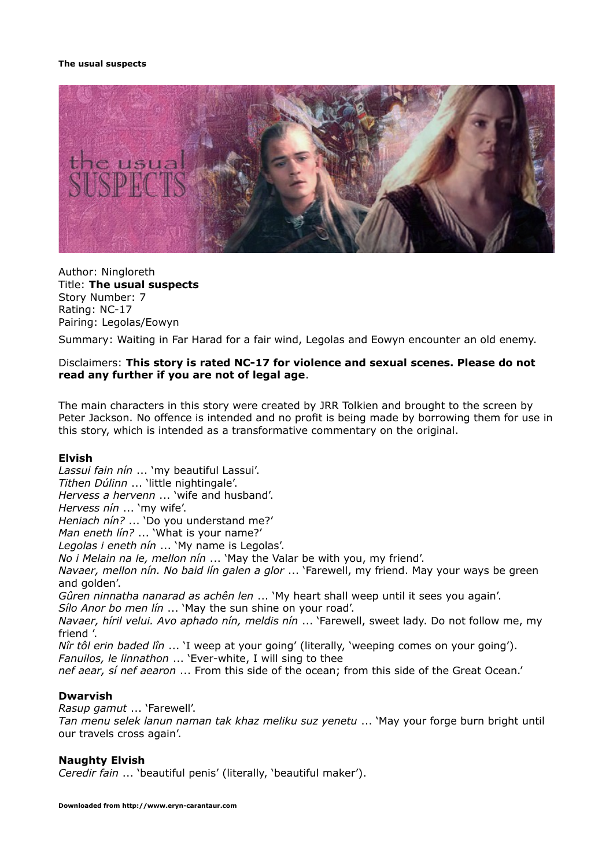

Author: Ningloreth Title: **The usual suspects** Story Number: 7 Rating: NC-17 Pairing: Legolas/Eowyn

Summary: Waiting in Far Harad for a fair wind, Legolas and Eowyn encounter an old enemy.

# Disclaimers: **This story is rated NC-17 for violence and sexual scenes. Please do not read any further if you are not of legal age**.

The main characters in this story were created by JRR Tolkien and brought to the screen by Peter Jackson. No offence is intended and no profit is being made by borrowing them for use in this story, which is intended as a transformative commentary on the original.

# **Elvish**

*Lassui fain nín* ... 'my beautiful Lassui'.

*Tithen Dúlinn* ... 'little nightingale'.

*Hervess a hervenn* ... 'wife and husband'.

*Hervess nín* ... 'my wife'.

*Heniach nín?* ... 'Do you understand me?'

*Man eneth lín?* ... 'What is your name?'

*Legolas i eneth nín* ... 'My name is Legolas'.

*No i Melain na le, mellon nín* ... 'May the Valar be with you, my friend'.

*Navaer, mellon nín. No baid lín galen a glor* ... 'Farewell, my friend. May your ways be green and golden'.

*Gûren ninnatha nanarad as achên len* ... 'My heart shall weep until it sees you again'. *Sílo Anor bo men lín* ... 'May the sun shine on your road'.

*Navaer, híril velui. Avo aphado nín, meldis nín* ... 'Farewell, sweet lady. Do not follow me, my friend '.

*Nîr tôl erin baded lîn* ... 'I weep at your going' (literally, 'weeping comes on your going'). *Fanuilos, le linnathon* ... 'Ever-white, I will sing to thee

*nef aear, sí nef aearon* ... From this side of the ocean; from this side of the Great Ocean.'

# **Dwarvish**

*Rasup gamut* ... 'Farewell'. *Tan menu selek lanun naman tak khaz meliku suz yenetu* ... 'May your forge burn bright until our travels cross again'.

# **Naughty Elvish**

*Ceredir fain* ... 'beautiful penis' (literally, 'beautiful maker').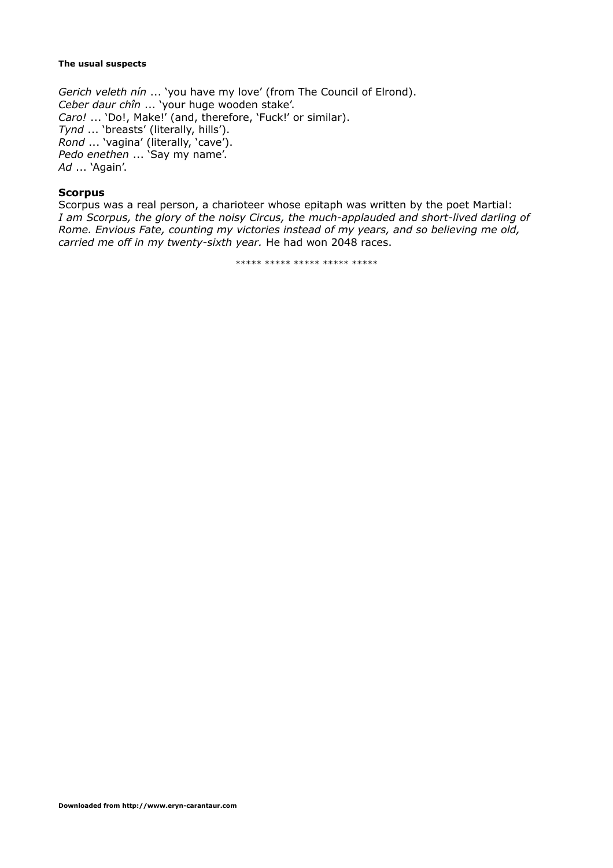*Gerich veleth nín* ... 'you have my love' (from The Council of Elrond). *Ceber daur chîn* ... 'your huge wooden stake'. *Caro!* ... 'Do!, Make!' (and, therefore, 'Fuck!' or similar). *Tynd* ... 'breasts' (literally, hills'). *Rond* ... 'vagina' (literally, 'cave'). *Pedo enethen* ... 'Say my name'. *Ad* ... 'Again'.

# **Scorpus**

Scorpus was a real person, a charioteer whose epitaph was written by the poet Martial: *I am Scorpus, the glory of the noisy Circus, the much-applauded and short-lived darling of Rome. Envious Fate, counting my victories instead of my years, and so believing me old, carried me off in my twenty-sixth year.* He had won 2048 races.

\*\*\*\*\* \*\*\*\*\* \*\*\*\*\* \*\*\*\*\* \*\*\*\*\*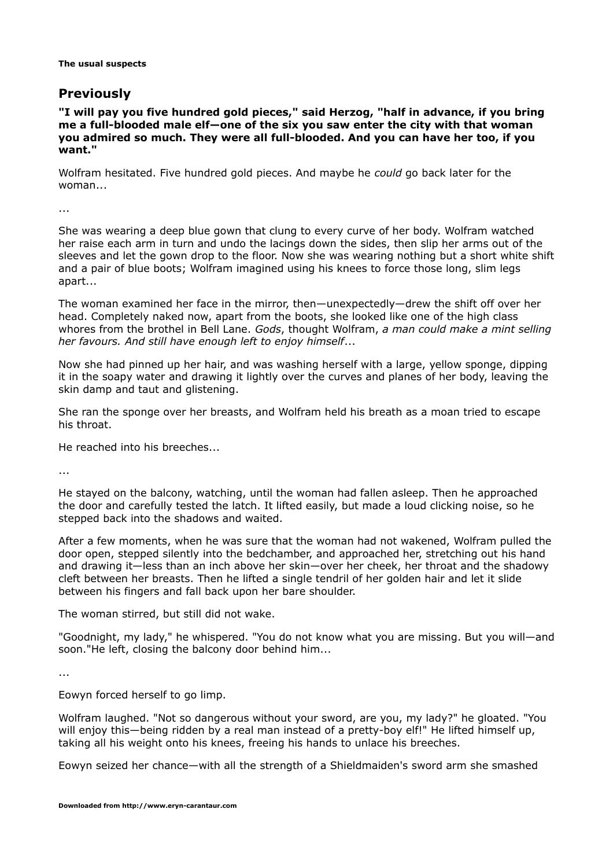# **Previously**

**"I will pay you five hundred gold pieces," said Herzog, "half in advance, if you bring me a full-blooded male elf—one of the six you saw enter the city with that woman you admired so much. They were all full-blooded. And you can have her too, if you want."**

Wolfram hesitated. Five hundred gold pieces. And maybe he *could* go back later for the woman...

...

She was wearing a deep blue gown that clung to every curve of her body. Wolfram watched her raise each arm in turn and undo the lacings down the sides, then slip her arms out of the sleeves and let the gown drop to the floor. Now she was wearing nothing but a short white shift and a pair of blue boots; Wolfram imagined using his knees to force those long, slim legs apart...

The woman examined her face in the mirror, then—unexpectedly—drew the shift off over her head. Completely naked now, apart from the boots, she looked like one of the high class whores from the brothel in Bell Lane. *Gods*, thought Wolfram, *a man could make a mint selling her favours. And still have enough left to enjoy himself*...

Now she had pinned up her hair, and was washing herself with a large, yellow sponge, dipping it in the soapy water and drawing it lightly over the curves and planes of her body, leaving the skin damp and taut and glistening.

She ran the sponge over her breasts, and Wolfram held his breath as a moan tried to escape his throat.

He reached into his breeches...

...

He stayed on the balcony, watching, until the woman had fallen asleep. Then he approached the door and carefully tested the latch. It lifted easily, but made a loud clicking noise, so he stepped back into the shadows and waited.

After a few moments, when he was sure that the woman had not wakened, Wolfram pulled the door open, stepped silently into the bedchamber, and approached her, stretching out his hand and drawing it—less than an inch above her skin—over her cheek, her throat and the shadowy cleft between her breasts. Then he lifted a single tendril of her golden hair and let it slide between his fingers and fall back upon her bare shoulder.

The woman stirred, but still did not wake.

"Goodnight, my lady," he whispered. "You do not know what you are missing. But you will—and soon."He left, closing the balcony door behind him...

...

Eowyn forced herself to go limp.

Wolfram laughed. "Not so dangerous without your sword, are you, my lady?" he gloated. "You will enjoy this—being ridden by a real man instead of a pretty-boy elf!" He lifted himself up, taking all his weight onto his knees, freeing his hands to unlace his breeches.

Eowyn seized her chance—with all the strength of a Shieldmaiden's sword arm she smashed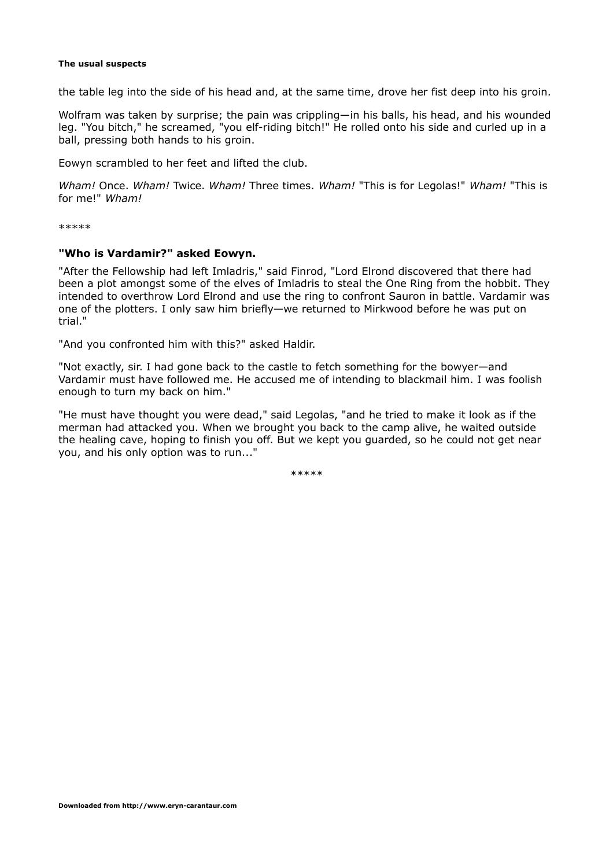the table leg into the side of his head and, at the same time, drove her fist deep into his groin.

Wolfram was taken by surprise; the pain was crippling—in his balls, his head, and his wounded leg. "You bitch," he screamed, "you elf-riding bitch!" He rolled onto his side and curled up in a ball, pressing both hands to his groin.

Eowyn scrambled to her feet and lifted the club.

*Wham!* Once. *Wham!* Twice. *Wham!* Three times. *Wham!* "This is for Legolas!" *Wham!* "This is for me!" *Wham!*

\*\*\*\*\*

# **"Who is Vardamir?" asked Eowyn.**

"After the Fellowship had left Imladris," said Finrod, "Lord Elrond discovered that there had been a plot amongst some of the elves of Imladris to steal the One Ring from the hobbit. They intended to overthrow Lord Elrond and use the ring to confront Sauron in battle. Vardamir was one of the plotters. I only saw him briefly—we returned to Mirkwood before he was put on trial."

"And you confronted him with this?" asked Haldir.

"Not exactly, sir. I had gone back to the castle to fetch something for the bowyer—and Vardamir must have followed me. He accused me of intending to blackmail him. I was foolish enough to turn my back on him."

"He must have thought you were dead," said Legolas, "and he tried to make it look as if the merman had attacked you. When we brought you back to the camp alive, he waited outside the healing cave, hoping to finish you off. But we kept you guarded, so he could not get near you, and his only option was to run..."

\*\*\*\*\*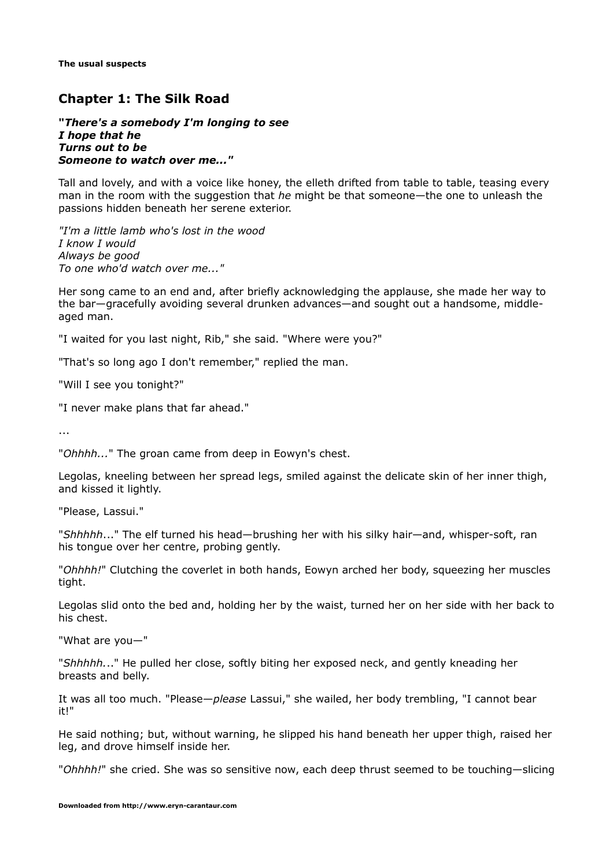# **Chapter 1: The Silk Road**

**"***There's a somebody I'm longing to see I hope that he Turns out to be Someone to watch over me..."*

Tall and lovely, and with a voice like honey, the elleth drifted from table to table, teasing every man in the room with the suggestion that *he* might be that someone—the one to unleash the passions hidden beneath her serene exterior.

*"I'm a little lamb who's lost in the wood I know I would Always be good To one who'd watch over me..."*

Her song came to an end and, after briefly acknowledging the applause, she made her way to the bar—gracefully avoiding several drunken advances—and sought out a handsome, middleaged man.

"I waited for you last night, Rib," she said. "Where were you?"

"That's so long ago I don't remember," replied the man.

"Will I see you tonight?"

"I never make plans that far ahead."

...

"*Ohhhh...*" The groan came from deep in Eowyn's chest.

Legolas, kneeling between her spread legs, smiled against the delicate skin of her inner thigh, and kissed it lightly.

"Please, Lassui."

"*Shhhhh*..." The elf turned his head—brushing her with his silky hair—and, whisper-soft, ran his tongue over her centre, probing gently.

"*Ohhhh!*" Clutching the coverlet in both hands, Eowyn arched her body, squeezing her muscles tight.

Legolas slid onto the bed and, holding her by the waist, turned her on her side with her back to his chest.

"What are you—"

"*Shhhhh.*.." He pulled her close, softly biting her exposed neck, and gently kneading her breasts and belly.

It was all too much. "Please—*please* Lassui," she wailed, her body trembling, "I cannot bear it!"

He said nothing; but, without warning, he slipped his hand beneath her upper thigh, raised her leg, and drove himself inside her.

"*Ohhhh!*" she cried. She was so sensitive now, each deep thrust seemed to be touching—slicing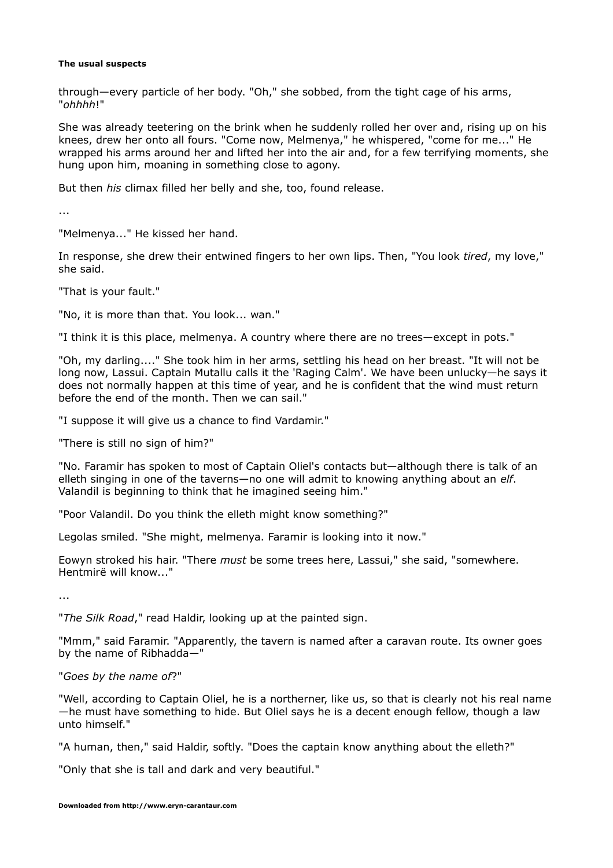through—every particle of her body. "Oh," she sobbed, from the tight cage of his arms, "*ohhhh*!"

She was already teetering on the brink when he suddenly rolled her over and, rising up on his knees, drew her onto all fours. "Come now, Melmenya," he whispered, "come for me..." He wrapped his arms around her and lifted her into the air and, for a few terrifying moments, she hung upon him, moaning in something close to agony.

But then *his* climax filled her belly and she, too, found release.

...

"Melmenya..." He kissed her hand.

In response, she drew their entwined fingers to her own lips. Then, "You look *tired*, my love," she said.

"That is your fault."

"No, it is more than that. You look... wan."

"I think it is this place, melmenya. A country where there are no trees—except in pots."

"Oh, my darling...." She took him in her arms, settling his head on her breast. "It will not be long now, Lassui. Captain Mutallu calls it the 'Raging Calm'. We have been unlucky—he says it does not normally happen at this time of year, and he is confident that the wind must return before the end of the month. Then we can sail."

"I suppose it will give us a chance to find Vardamir."

"There is still no sign of him?"

"No. Faramir has spoken to most of Captain Oliel's contacts but—although there is talk of an elleth singing in one of the taverns—no one will admit to knowing anything about an *elf*. Valandil is beginning to think that he imagined seeing him."

"Poor Valandil. Do you think the elleth might know something?"

Legolas smiled. "She might, melmenya. Faramir is looking into it now."

Eowyn stroked his hair. "There *must* be some trees here, Lassui," she said, "somewhere. Hentmirë will know..."

...

"*The Silk Road*," read Haldir, looking up at the painted sign.

"Mmm," said Faramir. "Apparently, the tavern is named after a caravan route. Its owner goes by the name of Ribhadda—"

# "*Goes by the name of*?"

"Well, according to Captain Oliel, he is a northerner, like us, so that is clearly not his real name —he must have something to hide. But Oliel says he is a decent enough fellow, though a law unto himself."

"A human, then," said Haldir, softly. "Does the captain know anything about the elleth?"

"Only that she is tall and dark and very beautiful."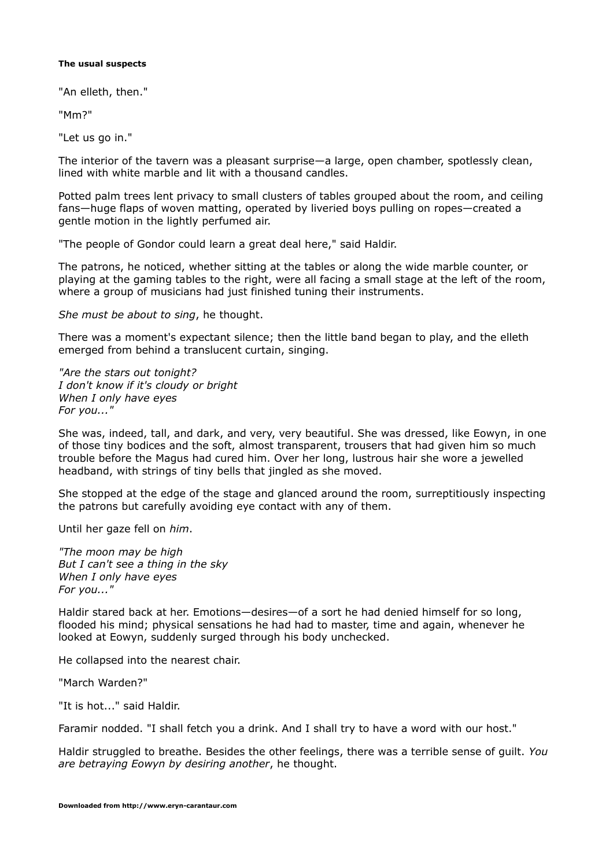"An elleth, then."

"Mm?"

"Let us go in."

The interior of the tavern was a pleasant surprise—a large, open chamber, spotlessly clean, lined with white marble and lit with a thousand candles.

Potted palm trees lent privacy to small clusters of tables grouped about the room, and ceiling fans—huge flaps of woven matting, operated by liveried boys pulling on ropes—created a gentle motion in the lightly perfumed air.

"The people of Gondor could learn a great deal here," said Haldir.

The patrons, he noticed, whether sitting at the tables or along the wide marble counter, or playing at the gaming tables to the right, were all facing a small stage at the left of the room, where a group of musicians had just finished tuning their instruments.

*She must be about to sing*, he thought.

There was a moment's expectant silence; then the little band began to play, and the elleth emerged from behind a translucent curtain, singing.

*"Are the stars out tonight? I don't know if it's cloudy or bright When I only have eyes For you..."*

She was, indeed, tall, and dark, and very, very beautiful. She was dressed, like Eowyn, in one of those tiny bodices and the soft, almost transparent, trousers that had given him so much trouble before the Magus had cured him. Over her long, lustrous hair she wore a jewelled headband, with strings of tiny bells that jingled as she moved.

She stopped at the edge of the stage and glanced around the room, surreptitiously inspecting the patrons but carefully avoiding eye contact with any of them.

Until her gaze fell on *him*.

*"The moon may be high But I can't see a thing in the sky When I only have eyes For you..."*

Haldir stared back at her. Emotions—desires—of a sort he had denied himself for so long, flooded his mind; physical sensations he had had to master, time and again, whenever he looked at Eowyn, suddenly surged through his body unchecked.

He collapsed into the nearest chair.

"March Warden?"

"It is hot..." said Haldir.

Faramir nodded. "I shall fetch you a drink. And I shall try to have a word with our host."

Haldir struggled to breathe. Besides the other feelings, there was a terrible sense of guilt. *You are betraying Eowyn by desiring another*, he thought.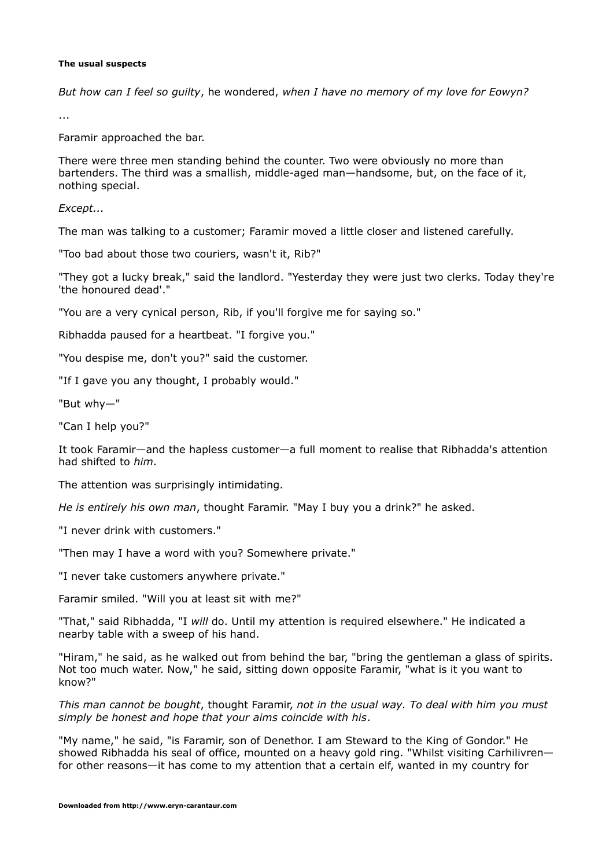*But how can I feel so guilty*, he wondered, *when I have no memory of my love for Eowyn?*

...

Faramir approached the bar.

There were three men standing behind the counter. Two were obviously no more than bartenders. The third was a smallish, middle-aged man—handsome, but, on the face of it, nothing special.

*Except...* 

The man was talking to a customer; Faramir moved a little closer and listened carefully.

"Too bad about those two couriers, wasn't it, Rib?"

"They got a lucky break," said the landlord. "Yesterday they were just two clerks. Today they're 'the honoured dead'."

"You are a very cynical person, Rib, if you'll forgive me for saying so."

Ribhadda paused for a heartbeat. "I forgive you."

"You despise me, don't you?" said the customer.

"If I gave you any thought, I probably would."

"But why—"

"Can I help you?"

It took Faramir—and the hapless customer—a full moment to realise that Ribhadda's attention had shifted to *him*.

The attention was surprisingly intimidating.

*He is entirely his own man*, thought Faramir. "May I buy you a drink?" he asked.

"I never drink with customers."

"Then may I have a word with you? Somewhere private."

"I never take customers anywhere private."

Faramir smiled. "Will you at least sit with me?"

"That," said Ribhadda, "I *will* do. Until my attention is required elsewhere." He indicated a nearby table with a sweep of his hand.

"Hiram," he said, as he walked out from behind the bar, "bring the gentleman a glass of spirits. Not too much water. Now," he said, sitting down opposite Faramir, "what is it you want to know?"

*This man cannot be bought*, thought Faramir, *not in the usual way. To deal with him you must simply be honest and hope that your aims coincide with his*.

"My name," he said, "is Faramir, son of Denethor. I am Steward to the King of Gondor." He showed Ribhadda his seal of office, mounted on a heavy gold ring. "Whilst visiting Carhilivren for other reasons—it has come to my attention that a certain elf, wanted in my country for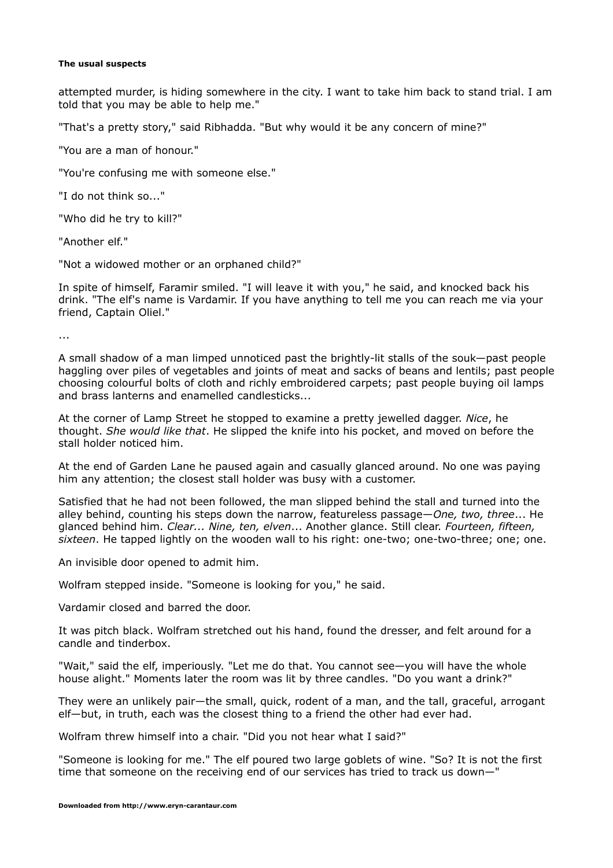attempted murder, is hiding somewhere in the city. I want to take him back to stand trial. I am told that you may be able to help me."

"That's a pretty story," said Ribhadda. "But why would it be any concern of mine?"

"You are a man of honour."

"You're confusing me with someone else."

"I do not think so..."

"Who did he try to kill?"

"Another elf."

"Not a widowed mother or an orphaned child?"

In spite of himself, Faramir smiled. "I will leave it with you," he said, and knocked back his drink. "The elf's name is Vardamir. If you have anything to tell me you can reach me via your friend, Captain Oliel."

...

A small shadow of a man limped unnoticed past the brightly-lit stalls of the souk—past people haggling over piles of vegetables and joints of meat and sacks of beans and lentils; past people choosing colourful bolts of cloth and richly embroidered carpets; past people buying oil lamps and brass lanterns and enamelled candlesticks...

At the corner of Lamp Street he stopped to examine a pretty jewelled dagger. *Nice*, he thought. *She would like that*. He slipped the knife into his pocket, and moved on before the stall holder noticed him.

At the end of Garden Lane he paused again and casually glanced around. No one was paying him any attention; the closest stall holder was busy with a customer.

Satisfied that he had not been followed, the man slipped behind the stall and turned into the alley behind, counting his steps down the narrow, featureless passage—*One, two, three*... He glanced behind him. *Clear... Nine, ten, elven*... Another glance. Still clear. *Fourteen, fifteen, sixteen*. He tapped lightly on the wooden wall to his right: one-two; one-two-three; one; one.

An invisible door opened to admit him.

Wolfram stepped inside. "Someone is looking for you," he said.

Vardamir closed and barred the door.

It was pitch black. Wolfram stretched out his hand, found the dresser, and felt around for a candle and tinderbox.

"Wait," said the elf, imperiously. "Let me do that. You cannot see—you will have the whole house alight." Moments later the room was lit by three candles. "Do you want a drink?"

They were an unlikely pair—the small, quick, rodent of a man, and the tall, graceful, arrogant elf—but, in truth, each was the closest thing to a friend the other had ever had.

Wolfram threw himself into a chair. "Did you not hear what I said?"

"Someone is looking for me." The elf poured two large goblets of wine. "So? It is not the first time that someone on the receiving end of our services has tried to track us down—"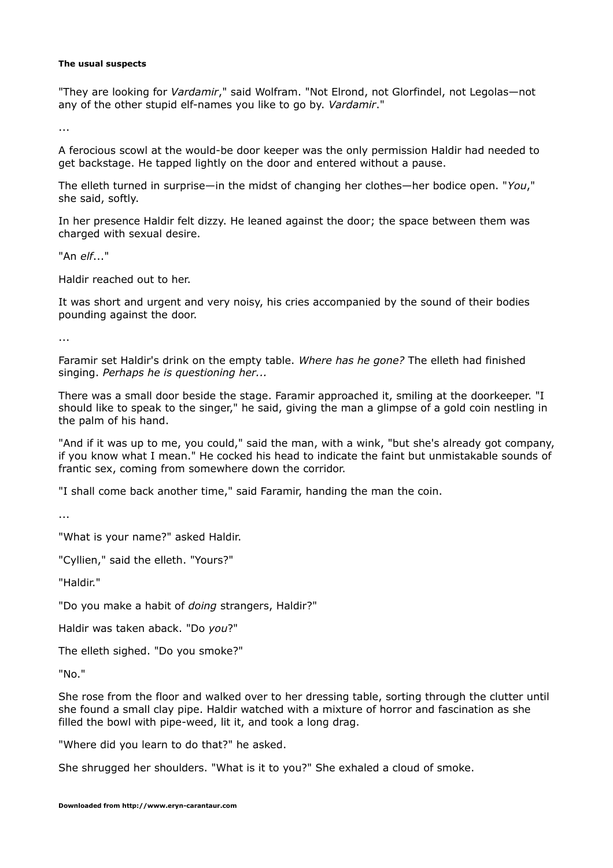"They are looking for *Vardamir*," said Wolfram. "Not Elrond, not Glorfindel, not Legolas—not any of the other stupid elf-names you like to go by. *Vardamir*."

...

A ferocious scowl at the would-be door keeper was the only permission Haldir had needed to get backstage. He tapped lightly on the door and entered without a pause.

The elleth turned in surprise—in the midst of changing her clothes—her bodice open. "*You*," she said, softly.

In her presence Haldir felt dizzy. He leaned against the door; the space between them was charged with sexual desire.

"An *elf*..."

Haldir reached out to her.

It was short and urgent and very noisy, his cries accompanied by the sound of their bodies pounding against the door.

...

Faramir set Haldir's drink on the empty table. *Where has he gone?* The elleth had finished singing. *Perhaps he is questioning her...*

There was a small door beside the stage. Faramir approached it, smiling at the doorkeeper. "I should like to speak to the singer," he said, giving the man a glimpse of a gold coin nestling in the palm of his hand.

"And if it was up to me, you could," said the man, with a wink, "but she's already got company, if you know what I mean." He cocked his head to indicate the faint but unmistakable sounds of frantic sex, coming from somewhere down the corridor.

"I shall come back another time," said Faramir, handing the man the coin.

...

"What is your name?" asked Haldir.

"Cyllien," said the elleth. "Yours?"

"Haldir."

"Do you make a habit of *doing* strangers, Haldir?"

Haldir was taken aback. "Do *you*?"

The elleth sighed. "Do you smoke?"

"No."

She rose from the floor and walked over to her dressing table, sorting through the clutter until she found a small clay pipe. Haldir watched with a mixture of horror and fascination as she filled the bowl with pipe-weed, lit it, and took a long drag.

"Where did you learn to do that?" he asked.

She shrugged her shoulders. "What is it to you?" She exhaled a cloud of smoke.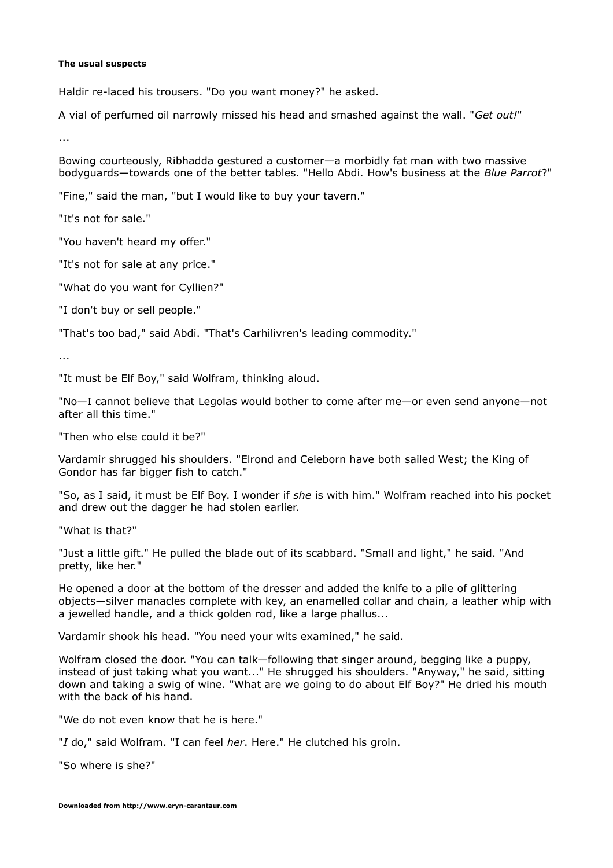Haldir re-laced his trousers. "Do you want money?" he asked.

A vial of perfumed oil narrowly missed his head and smashed against the wall. "*Get out!*"

...

Bowing courteously, Ribhadda gestured a customer—a morbidly fat man with two massive bodyguards—towards one of the better tables. "Hello Abdi. How's business at the *Blue Parrot*?"

"Fine," said the man, "but I would like to buy your tavern."

"It's not for sale."

"You haven't heard my offer."

"It's not for sale at any price."

"What do you want for Cyllien?"

"I don't buy or sell people."

"That's too bad," said Abdi. "That's Carhilivren's leading commodity."

...

"It must be Elf Boy," said Wolfram, thinking aloud.

"No—I cannot believe that Legolas would bother to come after me—or even send anyone—not after all this time."

"Then who else could it be?"

Vardamir shrugged his shoulders. "Elrond and Celeborn have both sailed West; the King of Gondor has far bigger fish to catch."

"So, as I said, it must be Elf Boy. I wonder if *she* is with him." Wolfram reached into his pocket and drew out the dagger he had stolen earlier.

"What is that?"

"Just a little gift." He pulled the blade out of its scabbard. "Small and light," he said. "And pretty, like her."

He opened a door at the bottom of the dresser and added the knife to a pile of glittering objects—silver manacles complete with key, an enamelled collar and chain, a leather whip with a jewelled handle, and a thick golden rod, like a large phallus...

Vardamir shook his head. "You need your wits examined," he said.

Wolfram closed the door. "You can talk—following that singer around, begging like a puppy, instead of just taking what you want..." He shrugged his shoulders. "Anyway," he said, sitting down and taking a swig of wine. "What are we going to do about Elf Boy?" He dried his mouth with the back of his hand.

"We do not even know that he is here."

"*I* do," said Wolfram. "I can feel *her*. Here." He clutched his groin.

"So where is she?"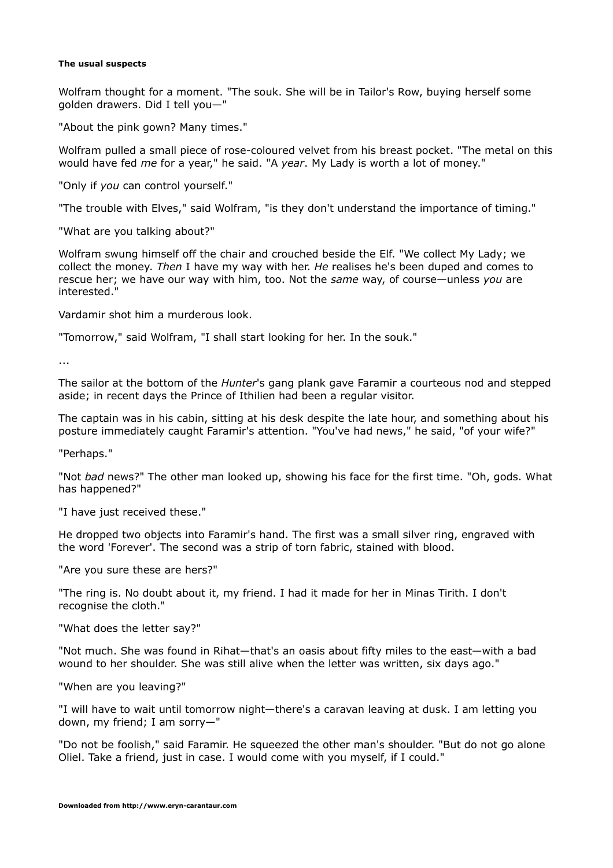Wolfram thought for a moment. "The souk. She will be in Tailor's Row, buying herself some golden drawers. Did I tell you—"

"About the pink gown? Many times."

Wolfram pulled a small piece of rose-coloured velvet from his breast pocket. "The metal on this would have fed *me* for a year," he said. "A *year*. My Lady is worth a lot of money."

"Only if *you* can control yourself."

"The trouble with Elves," said Wolfram, "is they don't understand the importance of timing."

"What are you talking about?"

Wolfram swung himself off the chair and crouched beside the Elf. "We collect My Lady; we collect the money. *Then* I have my way with her. *He* realises he's been duped and comes to rescue her; we have our way with him, too. Not the *same* way, of course—unless *you* are interested."

Vardamir shot him a murderous look.

"Tomorrow," said Wolfram, "I shall start looking for her. In the souk."

...

The sailor at the bottom of the *Hunter*'s gang plank gave Faramir a courteous nod and stepped aside; in recent days the Prince of Ithilien had been a regular visitor.

The captain was in his cabin, sitting at his desk despite the late hour, and something about his posture immediately caught Faramir's attention. "You've had news," he said, "of your wife?"

"Perhaps."

"Not *bad* news?" The other man looked up, showing his face for the first time. "Oh, gods. What has happened?"

"I have just received these."

He dropped two objects into Faramir's hand. The first was a small silver ring, engraved with the word 'Forever'. The second was a strip of torn fabric, stained with blood.

"Are you sure these are hers?"

"The ring is. No doubt about it, my friend. I had it made for her in Minas Tirith. I don't recognise the cloth."

"What does the letter say?"

"Not much. She was found in Rihat—that's an oasis about fifty miles to the east—with a bad wound to her shoulder. She was still alive when the letter was written, six days ago."

"When are you leaving?"

"I will have to wait until tomorrow night—there's a caravan leaving at dusk. I am letting you down, my friend; I am sorry—"

"Do not be foolish," said Faramir. He squeezed the other man's shoulder. "But do not go alone Oliel. Take a friend, just in case. I would come with you myself, if I could."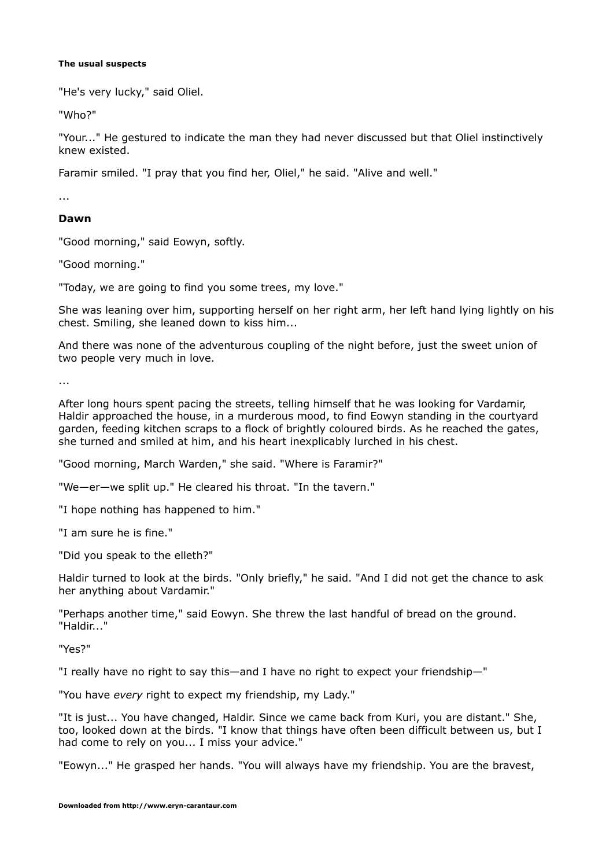"He's very lucky," said Oliel.

"Who?"

"Your..." He gestured to indicate the man they had never discussed but that Oliel instinctively knew existed.

Faramir smiled. "I pray that you find her, Oliel," he said. "Alive and well."

...

# **Dawn**

"Good morning," said Eowyn, softly.

"Good morning."

"Today, we are going to find you some trees, my love."

She was leaning over him, supporting herself on her right arm, her left hand lying lightly on his chest. Smiling, she leaned down to kiss him...

And there was none of the adventurous coupling of the night before, just the sweet union of two people very much in love.

...

After long hours spent pacing the streets, telling himself that he was looking for Vardamir, Haldir approached the house, in a murderous mood, to find Eowyn standing in the courtyard garden, feeding kitchen scraps to a flock of brightly coloured birds. As he reached the gates, she turned and smiled at him, and his heart inexplicably lurched in his chest.

"Good morning, March Warden," she said. "Where is Faramir?"

"We—er—we split up." He cleared his throat. "In the tavern."

"I hope nothing has happened to him."

"I am sure he is fine."

"Did you speak to the elleth?"

Haldir turned to look at the birds. "Only briefly," he said. "And I did not get the chance to ask her anything about Vardamir."

"Perhaps another time," said Eowyn. She threw the last handful of bread on the ground. "Haldir..."

"Yes?"

"I really have no right to say this—and I have no right to expect your friendship—"

"You have *every* right to expect my friendship, my Lady."

"It is just... You have changed, Haldir. Since we came back from Kuri, you are distant." She, too, looked down at the birds. "I know that things have often been difficult between us, but I had come to rely on you... I miss your advice."

"Eowyn..." He grasped her hands. "You will always have my friendship. You are the bravest,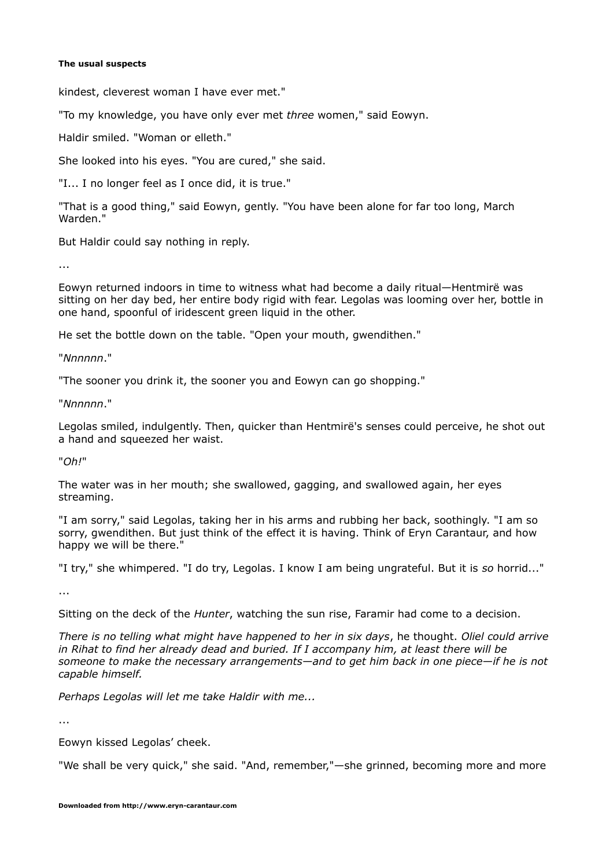kindest, cleverest woman I have ever met."

"To my knowledge, you have only ever met *three* women," said Eowyn.

Haldir smiled. "Woman or elleth."

She looked into his eyes. "You are cured," she said.

"I... I no longer feel as I once did, it is true."

"That is a good thing," said Eowyn, gently. "You have been alone for far too long, March Warden."

But Haldir could say nothing in reply.

...

Eowyn returned indoors in time to witness what had become a daily ritual—Hentmirë was sitting on her day bed, her entire body rigid with fear. Legolas was looming over her, bottle in one hand, spoonful of iridescent green liquid in the other.

He set the bottle down on the table. "Open your mouth, gwendithen."

"*Nnnnnn*."

"The sooner you drink it, the sooner you and Eowyn can go shopping."

"*Nnnnnn*."

Legolas smiled, indulgently. Then, quicker than Hentmirë's senses could perceive, he shot out a hand and squeezed her waist.

# "*Oh!*"

The water was in her mouth; she swallowed, gagging, and swallowed again, her eyes streaming.

"I am sorry," said Legolas, taking her in his arms and rubbing her back, soothingly. "I am so sorry, gwendithen. But just think of the effect it is having. Think of Eryn Carantaur, and how happy we will be there."

"I try," she whimpered. "I do try, Legolas. I know I am being ungrateful. But it is *so* horrid..."

...

Sitting on the deck of the *Hunter*, watching the sun rise, Faramir had come to a decision.

*There is no telling what might have happened to her in six days*, he thought. *Oliel could arrive in Rihat to find her already dead and buried. If I accompany him, at least there will be someone to make the necessary arrangements—and to get him back in one piece—if he is not capable himself.* 

*Perhaps Legolas will let me take Haldir with me...*

...

Eowyn kissed Legolas' cheek.

"We shall be very quick," she said. "And, remember,"—she grinned, becoming more and more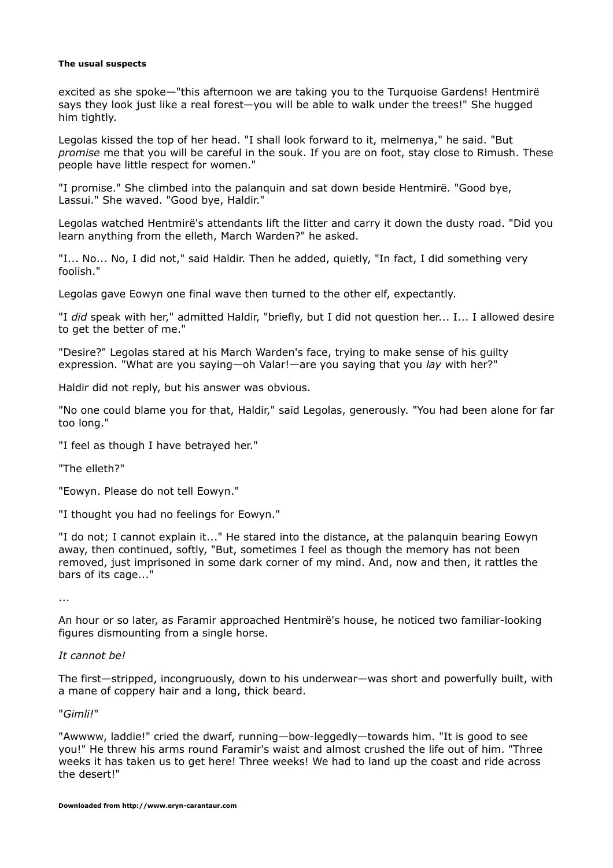excited as she spoke—"this afternoon we are taking you to the Turquoise Gardens! Hentmirë says they look just like a real forest—you will be able to walk under the trees!" She hugged him tightly.

Legolas kissed the top of her head. "I shall look forward to it, melmenya," he said. "But *promise* me that you will be careful in the souk. If you are on foot, stay close to Rimush. These people have little respect for women."

"I promise." She climbed into the palanquin and sat down beside Hentmirë. "Good bye, Lassui." She waved. "Good bye, Haldir."

Legolas watched Hentmirë's attendants lift the litter and carry it down the dusty road. "Did you learn anything from the elleth, March Warden?" he asked.

"I... No... No, I did not," said Haldir. Then he added, quietly, "In fact, I did something very foolish."

Legolas gave Eowyn one final wave then turned to the other elf, expectantly.

"I *did* speak with her," admitted Haldir, "briefly, but I did not question her... I... I allowed desire to get the better of me."

"Desire?" Legolas stared at his March Warden's face, trying to make sense of his guilty expression. "What are you saying—oh Valar!—are you saying that you *lay* with her?"

Haldir did not reply, but his answer was obvious.

"No one could blame you for that, Haldir," said Legolas, generously. "You had been alone for far too long."

"I feel as though I have betrayed her."

"The elleth?"

"Eowyn. Please do not tell Eowyn."

"I thought you had no feelings for Eowyn."

"I do not; I cannot explain it..." He stared into the distance, at the palanquin bearing Eowyn away, then continued, softly, "But, sometimes I feel as though the memory has not been removed, just imprisoned in some dark corner of my mind. And, now and then, it rattles the bars of its cage..."

...

An hour or so later, as Faramir approached Hentmirë's house, he noticed two familiar-looking figures dismounting from a single horse.

# *It cannot be!*

The first—stripped, incongruously, down to his underwear—was short and powerfully built, with a mane of coppery hair and a long, thick beard.

# "*Gimli!*"

"Awwww, laddie!" cried the dwarf, running—bow-leggedly—towards him. "It is good to see you!" He threw his arms round Faramir's waist and almost crushed the life out of him. "Three weeks it has taken us to get here! Three weeks! We had to land up the coast and ride across the desert!"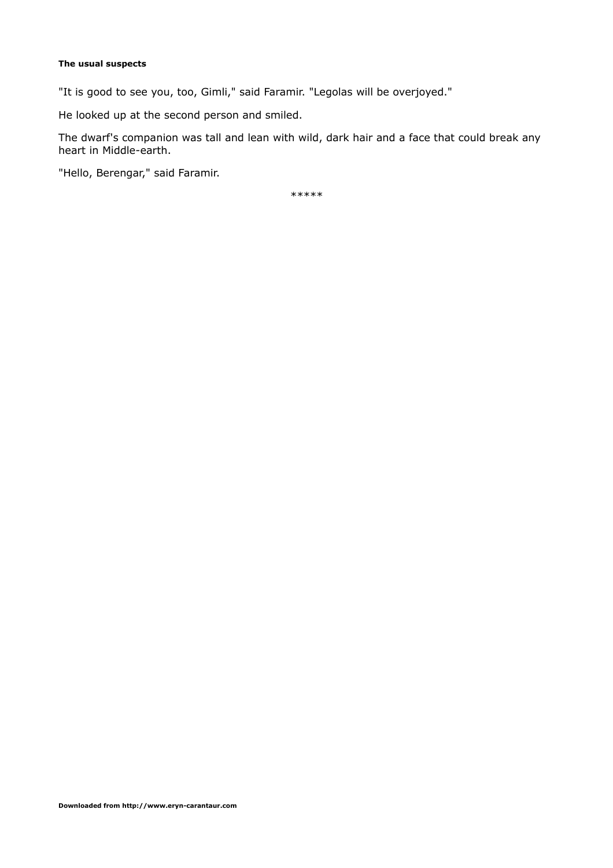"It is good to see you, too, Gimli," said Faramir. "Legolas will be overjoyed."

He looked up at the second person and smiled.

The dwarf's companion was tall and lean with wild, dark hair and a face that could break any heart in Middle-earth.

"Hello, Berengar," said Faramir.

\*\*\*\*\*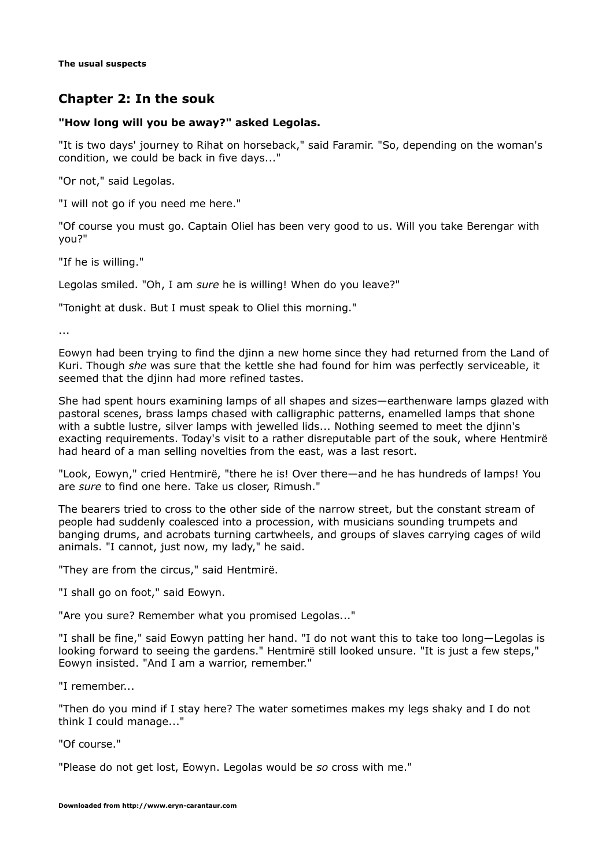# **Chapter 2: In the souk**

# **"How long will you be away?" asked Legolas.**

"It is two days' journey to Rihat on horseback," said Faramir. "So, depending on the woman's condition, we could be back in five days..."

"Or not," said Legolas.

"I will not go if you need me here."

"Of course you must go. Captain Oliel has been very good to us. Will you take Berengar with you?"

"If he is willing."

Legolas smiled. "Oh, I am *sure* he is willing! When do you leave?"

"Tonight at dusk. But I must speak to Oliel this morning."

...

Eowyn had been trying to find the djinn a new home since they had returned from the Land of Kuri. Though *she* was sure that the kettle she had found for him was perfectly serviceable, it seemed that the diinn had more refined tastes.

She had spent hours examining lamps of all shapes and sizes—earthenware lamps glazed with pastoral scenes, brass lamps chased with calligraphic patterns, enamelled lamps that shone with a subtle lustre, silver lamps with jewelled lids... Nothing seemed to meet the djinn's exacting requirements. Today's visit to a rather disreputable part of the souk, where Hentmirë had heard of a man selling novelties from the east, was a last resort.

"Look, Eowyn," cried Hentmirë, "there he is! Over there—and he has hundreds of lamps! You are *sure* to find one here. Take us closer, Rimush."

The bearers tried to cross to the other side of the narrow street, but the constant stream of people had suddenly coalesced into a procession, with musicians sounding trumpets and banging drums, and acrobats turning cartwheels, and groups of slaves carrying cages of wild animals. "I cannot, just now, my lady," he said.

"They are from the circus," said Hentmirë.

"I shall go on foot," said Eowyn.

"Are you sure? Remember what you promised Legolas..."

"I shall be fine," said Eowyn patting her hand. "I do not want this to take too long—Legolas is looking forward to seeing the gardens." Hentmirë still looked unsure. "It is just a few steps," Eowyn insisted. "And I am a warrior, remember."

"I remember...

"Then do you mind if I stay here? The water sometimes makes my legs shaky and I do not think I could manage..."

"Of course."

"Please do not get lost, Eowyn. Legolas would be *so* cross with me."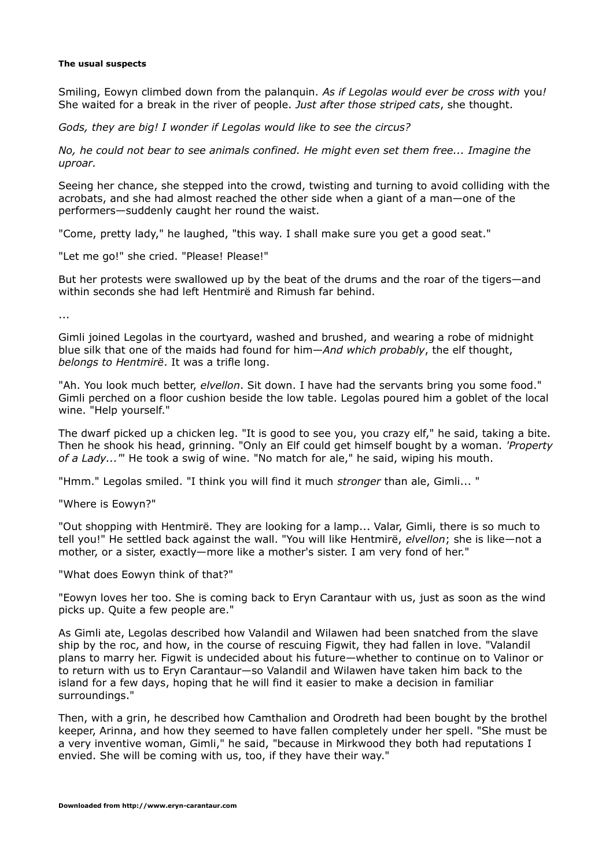Smiling, Eowyn climbed down from the palanquin. *As if Legolas would ever be cross with* you*!* She waited for a break in the river of people. *Just after those striped cats*, she thought.

*Gods, they are big! I wonder if Legolas would like to see the circus?* 

*No, he could not bear to see animals confined. He might even set them free... Imagine the uproar.*

Seeing her chance, she stepped into the crowd, twisting and turning to avoid colliding with the acrobats, and she had almost reached the other side when a giant of a man—one of the performers—suddenly caught her round the waist.

"Come, pretty lady," he laughed, "this way. I shall make sure you get a good seat."

"Let me go!" she cried. "Please! Please!"

But her protests were swallowed up by the beat of the drums and the roar of the tigers—and within seconds she had left Hentmirë and Rimush far behind.

...

Gimli joined Legolas in the courtyard, washed and brushed, and wearing a robe of midnight blue silk that one of the maids had found for him—*And which probably*, the elf thought, *belongs to Hentmirë*. It was a trifle long.

"Ah. You look much better, *elvellon*. Sit down. I have had the servants bring you some food." Gimli perched on a floor cushion beside the low table. Legolas poured him a goblet of the local wine. "Help yourself."

The dwarf picked up a chicken leg. "It is good to see you, you crazy elf," he said, taking a bite. Then he shook his head, grinning. "Only an Elf could get himself bought by a woman. *'Property of a Lady...'*" He took a swig of wine. "No match for ale," he said, wiping his mouth.

"Hmm." Legolas smiled. "I think you will find it much *stronger* than ale, Gimli... "

"Where is Eowyn?"

"Out shopping with Hentmirë. They are looking for a lamp... Valar, Gimli, there is so much to tell you!" He settled back against the wall. "You will like Hentmirë, *elvellon*; she is like—not a mother, or a sister, exactly—more like a mother's sister. I am very fond of her."

"What does Eowyn think of that?"

"Eowyn loves her too. She is coming back to Eryn Carantaur with us, just as soon as the wind picks up. Quite a few people are."

As Gimli ate, Legolas described how Valandil and Wilawen had been snatched from the slave ship by the roc, and how, in the course of rescuing Figwit, they had fallen in love. "Valandil plans to marry her. Figwit is undecided about his future—whether to continue on to Valinor or to return with us to Eryn Carantaur—so Valandil and Wilawen have taken him back to the island for a few days, hoping that he will find it easier to make a decision in familiar surroundings."

Then, with a grin, he described how Camthalion and Orodreth had been bought by the brothel keeper, Arinna, and how they seemed to have fallen completely under her spell. "She must be a very inventive woman, Gimli," he said, "because in Mirkwood they both had reputations I envied. She will be coming with us, too, if they have their way."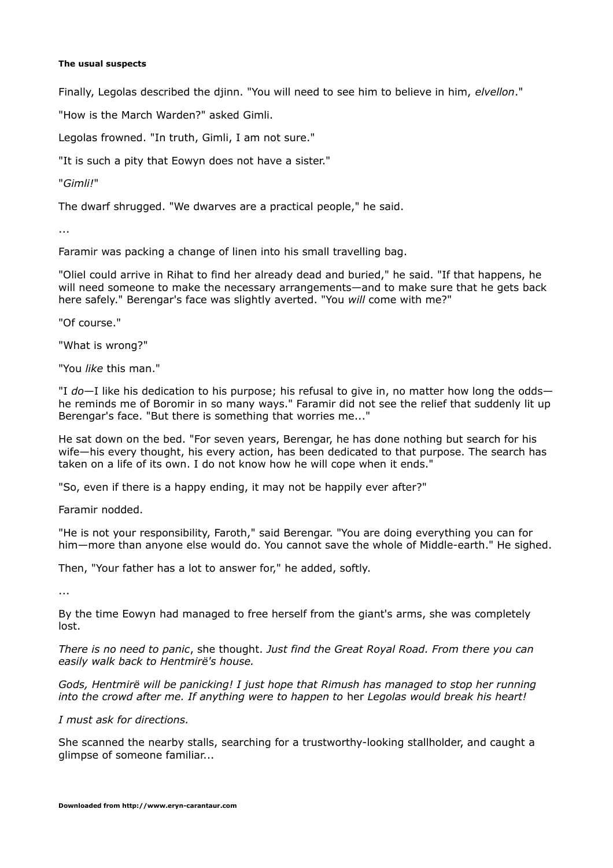Finally, Legolas described the djinn. "You will need to see him to believe in him, *elvellon*."

"How is the March Warden?" asked Gimli.

Legolas frowned. "In truth, Gimli, I am not sure."

"It is such a pity that Eowyn does not have a sister."

"*Gimli!*"

The dwarf shrugged. "We dwarves are a practical people," he said.

...

Faramir was packing a change of linen into his small travelling bag.

"Oliel could arrive in Rihat to find her already dead and buried," he said. "If that happens, he will need someone to make the necessary arrangements—and to make sure that he gets back here safely." Berengar's face was slightly averted. "You *will* come with me?"

"Of course."

"What is wrong?"

"You *like* this man."

"I *do*—I like his dedication to his purpose; his refusal to give in, no matter how long the odds he reminds me of Boromir in so many ways." Faramir did not see the relief that suddenly lit up Berengar's face. "But there is something that worries me..."

He sat down on the bed. "For seven years, Berengar, he has done nothing but search for his wife—his every thought, his every action, has been dedicated to that purpose. The search has taken on a life of its own. I do not know how he will cope when it ends."

"So, even if there is a happy ending, it may not be happily ever after?"

Faramir nodded.

"He is not your responsibility, Faroth," said Berengar. "You are doing everything you can for him—more than anyone else would do. You cannot save the whole of Middle-earth." He sighed.

Then, "Your father has a lot to answer for," he added, softly.

...

By the time Eowyn had managed to free herself from the giant's arms, she was completely lost.

*There is no need to panic*, she thought. *Just find the Great Royal Road. From there you can easily walk back to Hentmirë's house.*

*Gods, Hentmirë will be panicking! I just hope that Rimush has managed to stop her running into the crowd after me. If anything were to happen to* her *Legolas would break his heart!*

*I must ask for directions.*

She scanned the nearby stalls, searching for a trustworthy-looking stallholder, and caught a glimpse of someone familiar...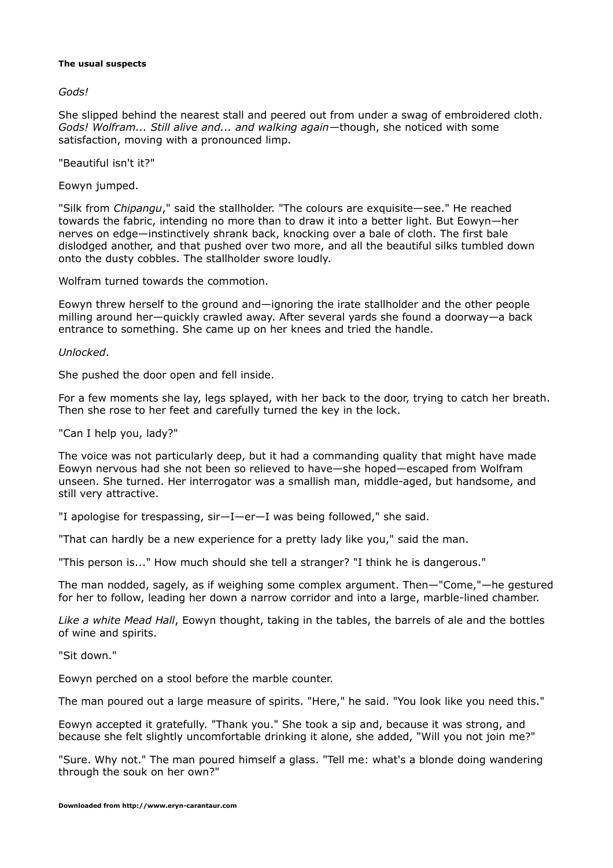*Gods!*

She slipped behind the nearest stall and peered out from under a swag of embroidered cloth. *Gods! Wolfram... Still alive and... and walking again*—though, she noticed with some satisfaction, moving with a pronounced limp.

"Beautiful isn't it?"

Eowyn jumped.

"Silk from *Chipangu*," said the stallholder. "The colours are exquisite—see." He reached towards the fabric, intending no more than to draw it into a better light. But Eowyn—her nerves on edge—instinctively shrank back, knocking over a bale of cloth. The first bale dislodged another, and that pushed over two more, and all the beautiful silks tumbled down onto the dusty cobbles. The stallholder swore loudly.

Wolfram turned towards the commotion.

Eowyn threw herself to the ground and—ignoring the irate stallholder and the other people milling around her—quickly crawled away. After several yards she found a doorway—a back entrance to something. She came up on her knees and tried the handle.

*Unlocked*.

She pushed the door open and fell inside.

For a few moments she lay, legs splayed, with her back to the door, trying to catch her breath. Then she rose to her feet and carefully turned the key in the lock.

"Can I help you, lady?"

The voice was not particularly deep, but it had a commanding quality that might have made Eowyn nervous had she not been so relieved to have—she hoped—escaped from Wolfram unseen. She turned. Her interrogator was a smallish man, middle-aged, but handsome, and still very attractive.

"I apologise for trespassing, sir—I—er—I was being followed," she said.

"That can hardly be a new experience for a pretty lady like you," said the man.

"This person is..." How much should she tell a stranger? "I think he is dangerous."

The man nodded, sagely, as if weighing some complex argument. Then—"Come,"—he gestured for her to follow, leading her down a narrow corridor and into a large, marble-lined chamber.

*Like a white Mead Hall*, Eowyn thought, taking in the tables, the barrels of ale and the bottles of wine and spirits.

"Sit down."

Eowyn perched on a stool before the marble counter.

The man poured out a large measure of spirits. "Here," he said. "You look like you need this."

Eowyn accepted it gratefully. "Thank you." She took a sip and, because it was strong, and because she felt slightly uncomfortable drinking it alone, she added, "Will you not join me?"

"Sure. Why not." The man poured himself a glass. "Tell me: what's a blonde doing wandering through the souk on her own?"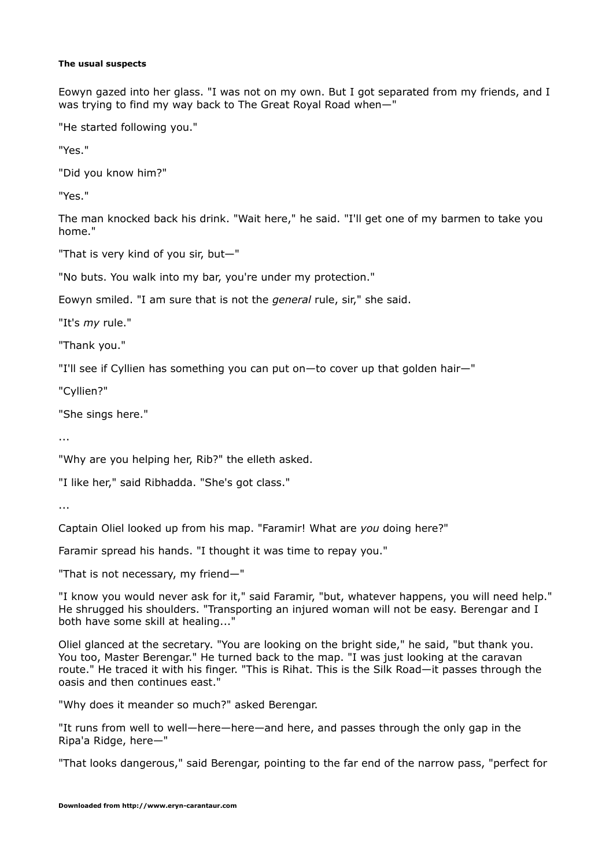Eowyn gazed into her glass. "I was not on my own. But I got separated from my friends, and I was trying to find my way back to The Great Royal Road when—"

"He started following you."

"Yes."

"Did you know him?"

"Yes."

The man knocked back his drink. "Wait here," he said. "I'll get one of my barmen to take you home."

"That is very kind of you sir, but—"

"No buts. You walk into my bar, you're under my protection."

Eowyn smiled. "I am sure that is not the *general* rule, sir," she said.

"It's *my* rule."

"Thank you."

"I'll see if Cyllien has something you can put on—to cover up that golden hair—"

"Cyllien?"

"She sings here."

...

"Why are you helping her, Rib?" the elleth asked.

"I like her," said Ribhadda. "She's got class."

...

Captain Oliel looked up from his map. "Faramir! What are *you* doing here?"

Faramir spread his hands. "I thought it was time to repay you."

"That is not necessary, my friend—"

"I know you would never ask for it," said Faramir, "but, whatever happens, you will need help." He shrugged his shoulders. "Transporting an injured woman will not be easy. Berengar and I both have some skill at healing..."

Oliel glanced at the secretary. "You are looking on the bright side," he said, "but thank you. You too, Master Berengar." He turned back to the map. "I was just looking at the caravan route." He traced it with his finger. "This is Rihat. This is the Silk Road—it passes through the oasis and then continues east."

"Why does it meander so much?" asked Berengar.

"It runs from well to well—here—here—and here, and passes through the only gap in the Ripa'a Ridge, here—"

"That looks dangerous," said Berengar, pointing to the far end of the narrow pass, "perfect for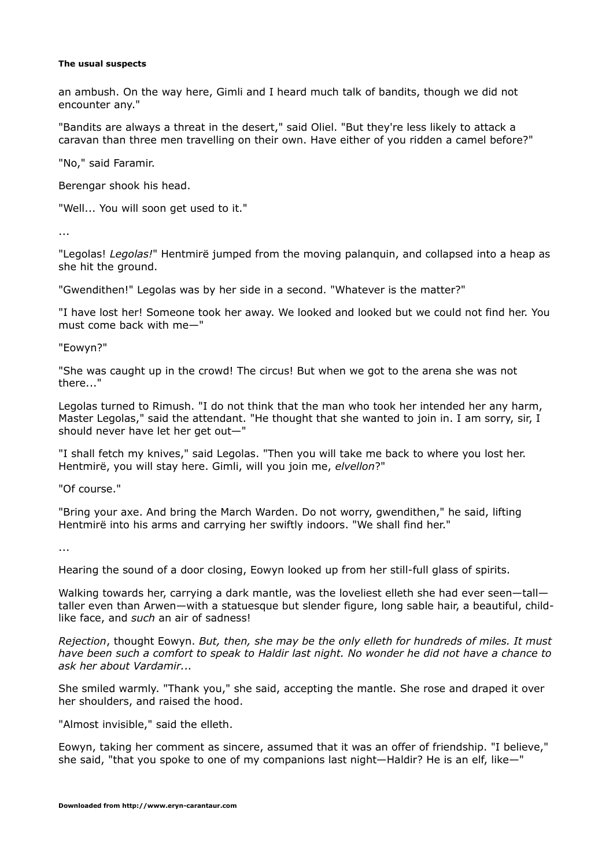an ambush. On the way here, Gimli and I heard much talk of bandits, though we did not encounter any."

"Bandits are always a threat in the desert," said Oliel. "But they're less likely to attack a caravan than three men travelling on their own. Have either of you ridden a camel before?"

"No," said Faramir.

Berengar shook his head.

"Well... You will soon get used to it."

...

"Legolas! *Legolas!*" Hentmirë jumped from the moving palanquin, and collapsed into a heap as she hit the ground.

"Gwendithen!" Legolas was by her side in a second. "Whatever is the matter?"

"I have lost her! Someone took her away. We looked and looked but we could not find her. You must come back with me—"

"Eowyn?"

"She was caught up in the crowd! The circus! But when we got to the arena she was not there..."

Legolas turned to Rimush. "I do not think that the man who took her intended her any harm, Master Legolas," said the attendant. "He thought that she wanted to join in. I am sorry, sir, I should never have let her get out—"

"I shall fetch my knives," said Legolas. "Then you will take me back to where you lost her. Hentmirë, you will stay here. Gimli, will you join me, *elvellon*?"

"Of course."

"Bring your axe. And bring the March Warden. Do not worry, gwendithen," he said, lifting Hentmirë into his arms and carrying her swiftly indoors. "We shall find her."

...

Hearing the sound of a door closing, Eowyn looked up from her still-full glass of spirits.

Walking towards her, carrying a dark mantle, was the loveliest elleth she had ever seen-talltaller even than Arwen—with a statuesque but slender figure, long sable hair, a beautiful, childlike face, and *such* an air of sadness!

*Rejection*, thought Eowyn. *But, then, she may be the only elleth for hundreds of miles. It must have been such a comfort to speak to Haldir last night. No wonder he did not have a chance to ask her about Vardamir...*

She smiled warmly. "Thank you," she said, accepting the mantle. She rose and draped it over her shoulders, and raised the hood.

"Almost invisible," said the elleth.

Eowyn, taking her comment as sincere, assumed that it was an offer of friendship. "I believe," she said, "that you spoke to one of my companions last night—Haldir? He is an elf, like—"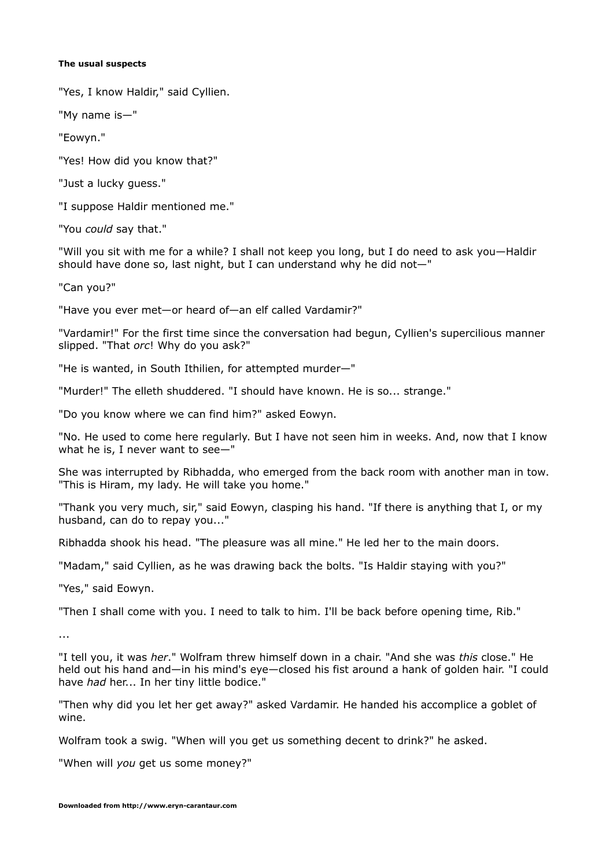"Yes, I know Haldir," said Cyllien.

"My name is—"

"Eowyn."

"Yes! How did you know that?"

"Just a lucky guess."

"I suppose Haldir mentioned me."

"You *could* say that."

"Will you sit with me for a while? I shall not keep you long, but I do need to ask you—Haldir should have done so, last night, but I can understand why he did not—"

"Can you?"

"Have you ever met—or heard of—an elf called Vardamir?"

"Vardamir!" For the first time since the conversation had begun, Cyllien's supercilious manner slipped. "That *orc*! Why do you ask?"

"He is wanted, in South Ithilien, for attempted murder—"

"Murder!" The elleth shuddered. "I should have known. He is so... strange."

"Do you know where we can find him?" asked Eowyn.

"No. He used to come here regularly. But I have not seen him in weeks. And, now that I know what he is, I never want to see—"

She was interrupted by Ribhadda, who emerged from the back room with another man in tow. "This is Hiram, my lady. He will take you home."

"Thank you very much, sir," said Eowyn, clasping his hand. "If there is anything that I, or my husband, can do to repay you..."

Ribhadda shook his head. "The pleasure was all mine." He led her to the main doors.

"Madam," said Cyllien, as he was drawing back the bolts. "Is Haldir staying with you?"

"Yes," said Eowyn.

"Then I shall come with you. I need to talk to him. I'll be back before opening time, Rib."

...

"I tell you, it was *her*." Wolfram threw himself down in a chair. "And she was *this* close." He held out his hand and—in his mind's eye—closed his fist around a hank of golden hair. "I could have *had* her... In her tiny little bodice."

"Then why did you let her get away?" asked Vardamir. He handed his accomplice a goblet of wine.

Wolfram took a swig. "When will you get us something decent to drink?" he asked.

"When will *you* get us some money?"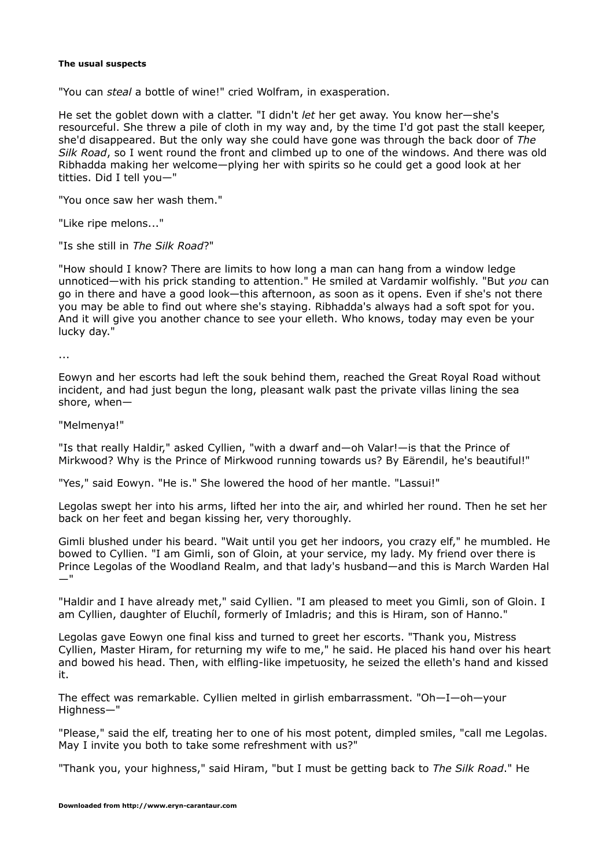"You can *steal* a bottle of wine!" cried Wolfram, in exasperation.

He set the goblet down with a clatter. "I didn't *let* her get away. You know her—she's resourceful. She threw a pile of cloth in my way and, by the time I'd got past the stall keeper, she'd disappeared. But the only way she could have gone was through the back door of *The Silk Road*, so I went round the front and climbed up to one of the windows. And there was old Ribhadda making her welcome—plying her with spirits so he could get a good look at her titties. Did I tell you—"

"You once saw her wash them."

"Like ripe melons..."

"Is she still in *The Silk Road*?"

"How should I know? There are limits to how long a man can hang from a window ledge unnoticed—with his prick standing to attention." He smiled at Vardamir wolfishly. "But *you* can go in there and have a good look—this afternoon, as soon as it opens. Even if she's not there you may be able to find out where she's staying. Ribhadda's always had a soft spot for you. And it will give you another chance to see your elleth. Who knows, today may even be your lucky day."

...

Eowyn and her escorts had left the souk behind them, reached the Great Royal Road without incident, and had just begun the long, pleasant walk past the private villas lining the sea shore, when—

"Melmenya!"

"Is that really Haldir," asked Cyllien, "with a dwarf and—oh Valar!—is that the Prince of Mirkwood? Why is the Prince of Mirkwood running towards us? By Eärendil, he's beautiful!"

"Yes," said Eowyn. "He is." She lowered the hood of her mantle. "Lassui!"

Legolas swept her into his arms, lifted her into the air, and whirled her round. Then he set her back on her feet and began kissing her, very thoroughly.

Gimli blushed under his beard. "Wait until you get her indoors, you crazy elf," he mumbled. He bowed to Cyllien. "I am Gimli, son of Gloin, at your service, my lady. My friend over there is Prince Legolas of the Woodland Realm, and that lady's husband—and this is March Warden Hal —"

"Haldir and I have already met," said Cyllien. "I am pleased to meet you Gimli, son of Gloin. I am Cyllien, daughter of Eluchíl, formerly of Imladris; and this is Hiram, son of Hanno."

Legolas gave Eowyn one final kiss and turned to greet her escorts. "Thank you, Mistress Cyllien, Master Hiram, for returning my wife to me," he said. He placed his hand over his heart and bowed his head. Then, with elfling-like impetuosity, he seized the elleth's hand and kissed it.

The effect was remarkable. Cyllien melted in girlish embarrassment. "Oh—I—oh—your Highness—"

"Please," said the elf, treating her to one of his most potent, dimpled smiles, "call me Legolas. May I invite you both to take some refreshment with us?"

"Thank you, your highness," said Hiram, "but I must be getting back to *The Silk Road*." He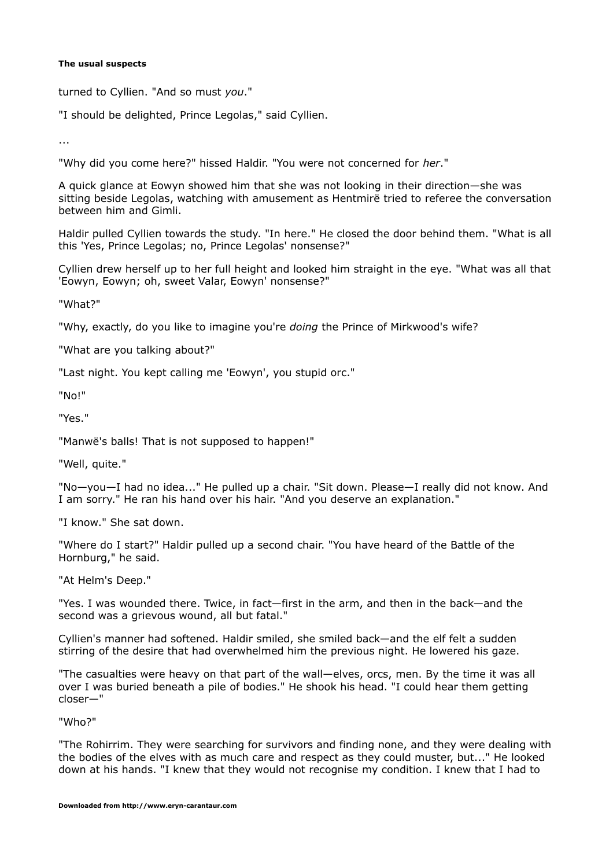turned to Cyllien. "And so must *you*."

"I should be delighted, Prince Legolas," said Cyllien.

...

"Why did you come here?" hissed Haldir. "You were not concerned for *her*."

A quick glance at Eowyn showed him that she was not looking in their direction—she was sitting beside Legolas, watching with amusement as Hentmirë tried to referee the conversation between him and Gimli.

Haldir pulled Cyllien towards the study. "In here." He closed the door behind them. "What is all this 'Yes, Prince Legolas; no, Prince Legolas' nonsense?"

Cyllien drew herself up to her full height and looked him straight in the eye. "What was all that 'Eowyn, Eowyn; oh, sweet Valar, Eowyn' nonsense?"

"What?"

"Why, exactly, do you like to imagine you're *doing* the Prince of Mirkwood's wife?

"What are you talking about?"

"Last night. You kept calling me 'Eowyn', you stupid orc."

"No!"

"Yes."

"Manwë's balls! That is not supposed to happen!"

"Well, quite."

"No—you—I had no idea..." He pulled up a chair. "Sit down. Please—I really did not know. And I am sorry." He ran his hand over his hair. "And you deserve an explanation."

"I know." She sat down.

"Where do I start?" Haldir pulled up a second chair. "You have heard of the Battle of the Hornburg," he said.

"At Helm's Deep."

"Yes. I was wounded there. Twice, in fact—first in the arm, and then in the back—and the second was a grievous wound, all but fatal."

Cyllien's manner had softened. Haldir smiled, she smiled back—and the elf felt a sudden stirring of the desire that had overwhelmed him the previous night. He lowered his gaze.

"The casualties were heavy on that part of the wall—elves, orcs, men. By the time it was all over I was buried beneath a pile of bodies." He shook his head. "I could hear them getting closer—"

"Who?"

"The Rohirrim. They were searching for survivors and finding none, and they were dealing with the bodies of the elves with as much care and respect as they could muster, but..." He looked down at his hands. "I knew that they would not recognise my condition. I knew that I had to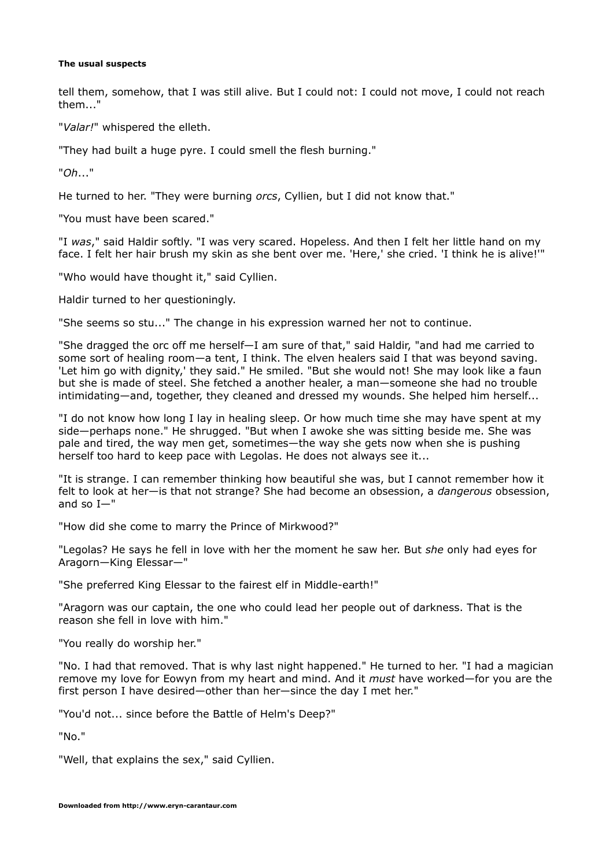tell them, somehow, that I was still alive. But I could not: I could not move, I could not reach them..."

"*Valar!*" whispered the elleth.

"They had built a huge pyre. I could smell the flesh burning."

"*Oh*..."

He turned to her. "They were burning *orcs*, Cyllien, but I did not know that."

"You must have been scared."

"I *was*," said Haldir softly. "I was very scared. Hopeless. And then I felt her little hand on my face. I felt her hair brush my skin as she bent over me. 'Here,' she cried. 'I think he is alive!'"

"Who would have thought it," said Cyllien.

Haldir turned to her questioningly.

"She seems so stu..." The change in his expression warned her not to continue.

"She dragged the orc off me herself—I am sure of that," said Haldir, "and had me carried to some sort of healing room—a tent, I think. The elven healers said I that was beyond saving. 'Let him go with dignity,' they said." He smiled. "But she would not! She may look like a faun but she is made of steel. She fetched a another healer, a man—someone she had no trouble intimidating—and, together, they cleaned and dressed my wounds. She helped him herself...

"I do not know how long I lay in healing sleep. Or how much time she may have spent at my side—perhaps none." He shrugged. "But when I awoke she was sitting beside me. She was pale and tired, the way men get, sometimes—the way she gets now when she is pushing herself too hard to keep pace with Legolas. He does not always see it...

"It is strange. I can remember thinking how beautiful she was, but I cannot remember how it felt to look at her—is that not strange? She had become an obsession, a *dangerous* obsession, and so I—"

"How did she come to marry the Prince of Mirkwood?"

"Legolas? He says he fell in love with her the moment he saw her. But *she* only had eyes for Aragorn—King Elessar—"

"She preferred King Elessar to the fairest elf in Middle-earth!"

"Aragorn was our captain, the one who could lead her people out of darkness. That is the reason she fell in love with him."

"You really do worship her."

"No. I had that removed. That is why last night happened." He turned to her. "I had a magician remove my love for Eowyn from my heart and mind. And it *must* have worked—for you are the first person I have desired—other than her—since the day I met her."

"You'd not... since before the Battle of Helm's Deep?"

"No."

"Well, that explains the sex," said Cyllien.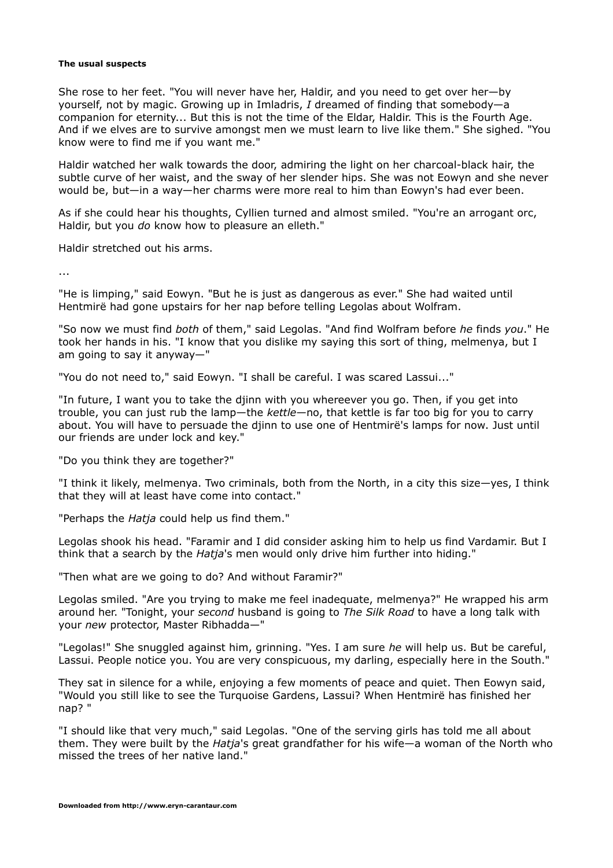She rose to her feet. "You will never have her, Haldir, and you need to get over her—by yourself, not by magic. Growing up in Imladris, *I* dreamed of finding that somebody—a companion for eternity... But this is not the time of the Eldar, Haldir. This is the Fourth Age. And if we elves are to survive amongst men we must learn to live like them." She sighed. "You know were to find me if you want me."

Haldir watched her walk towards the door, admiring the light on her charcoal-black hair, the subtle curve of her waist, and the sway of her slender hips. She was not Eowyn and she never would be, but—in a way—her charms were more real to him than Eowyn's had ever been.

As if she could hear his thoughts, Cyllien turned and almost smiled. "You're an arrogant orc, Haldir, but you *do* know how to pleasure an elleth."

Haldir stretched out his arms.

...

"He is limping," said Eowyn. "But he is just as dangerous as ever." She had waited until Hentmirë had gone upstairs for her nap before telling Legolas about Wolfram.

"So now we must find *both* of them," said Legolas. "And find Wolfram before *he* finds *you*." He took her hands in his. "I know that you dislike my saying this sort of thing, melmenya, but I am going to say it anyway—"

"You do not need to," said Eowyn. "I shall be careful. I was scared Lassui..."

"In future, I want you to take the djinn with you whereever you go. Then, if you get into trouble, you can just rub the lamp—the *kettle*—no, that kettle is far too big for you to carry about. You will have to persuade the djinn to use one of Hentmirë's lamps for now. Just until our friends are under lock and key."

"Do you think they are together?"

"I think it likely, melmenya. Two criminals, both from the North, in a city this size—yes, I think that they will at least have come into contact."

"Perhaps the *Hatja* could help us find them."

Legolas shook his head. "Faramir and I did consider asking him to help us find Vardamir. But I think that a search by the *Hatja*'s men would only drive him further into hiding."

"Then what are we going to do? And without Faramir?"

Legolas smiled. "Are you trying to make me feel inadequate, melmenya?" He wrapped his arm around her. "Tonight, your *second* husband is going to *The Silk Road* to have a long talk with your *new* protector, Master Ribhadda—"

"Legolas!" She snuggled against him, grinning. "Yes. I am sure *he* will help us. But be careful, Lassui. People notice you. You are very conspicuous, my darling, especially here in the South."

They sat in silence for a while, enjoying a few moments of peace and quiet. Then Eowyn said, "Would you still like to see the Turquoise Gardens, Lassui? When Hentmirë has finished her nap? "

"I should like that very much," said Legolas. "One of the serving girls has told me all about them. They were built by the *Hatja*'s great grandfather for his wife—a woman of the North who missed the trees of her native land."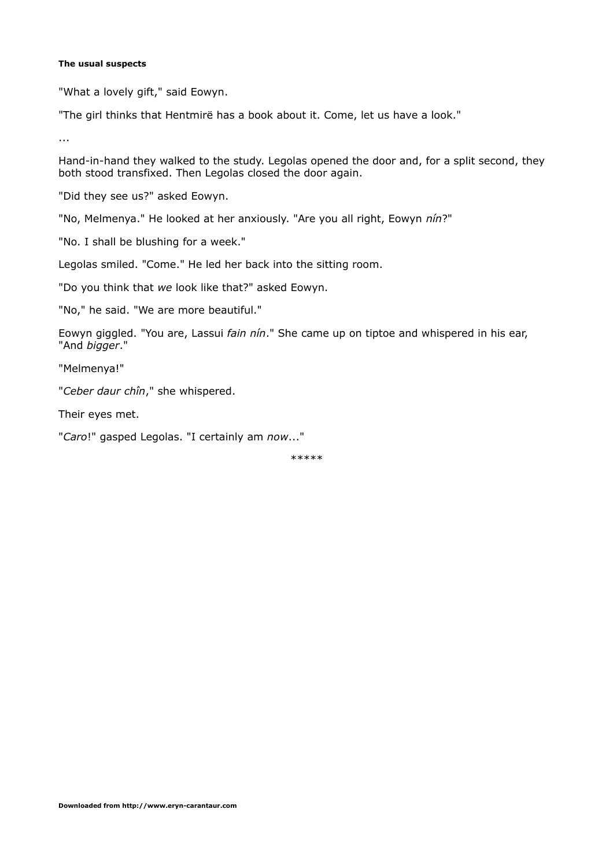"What a lovely gift," said Eowyn.

"The girl thinks that Hentmirë has a book about it. Come, let us have a look."

...

Hand-in-hand they walked to the study. Legolas opened the door and, for a split second, they both stood transfixed. Then Legolas closed the door again.

"Did they see us?" asked Eowyn.

"No, Melmenya." He looked at her anxiously. "Are you all right, Eowyn *nín*?"

"No. I shall be blushing for a week."

Legolas smiled. "Come." He led her back into the sitting room.

"Do you think that *we* look like that?" asked Eowyn.

"No," he said. "We are more beautiful."

Eowyn giggled. "You are, Lassui *fain nín*." She came up on tiptoe and whispered in his ear, "And *bigger*."

"Melmenya!"

"*Ceber daur chîn*," she whispered.

Their eyes met.

"*Caro*!" gasped Legolas. "I certainly am *now*..."

\*\*\*\*\*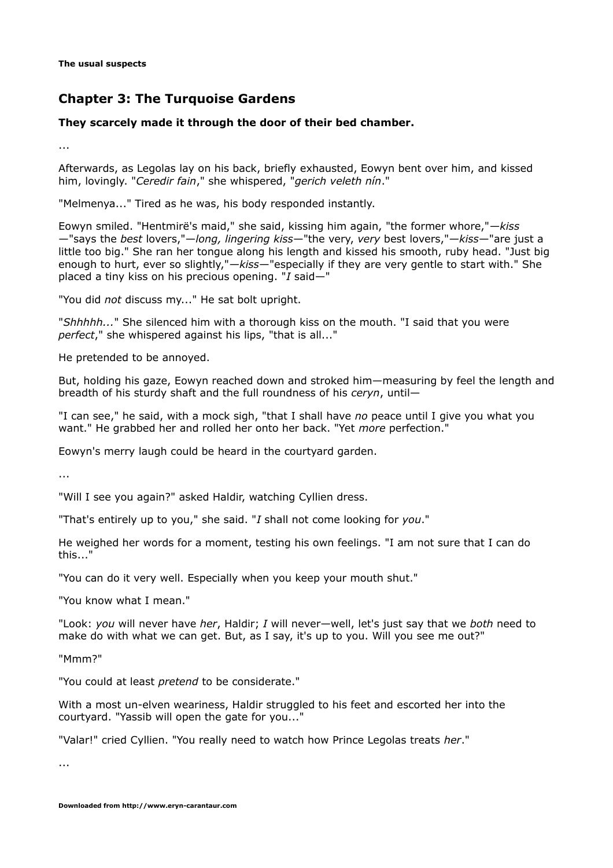# **Chapter 3: The Turquoise Gardens**

# **They scarcely made it through the door of their bed chamber.**

...

Afterwards, as Legolas lay on his back, briefly exhausted, Eowyn bent over him, and kissed him, lovingly. "*Ceredir fain*," she whispered, "*gerich veleth nín*."

"Melmenya..." Tired as he was, his body responded instantly.

Eowyn smiled. "Hentmirë's maid," she said, kissing him again, "the former whore,"*—kiss* —"says the *best* lovers,"—*long, lingering kiss*—"the very, *very* best lovers,"*—kiss*—"are just a little too big." She ran her tongue along his length and kissed his smooth, ruby head. "Just big enough to hurt, ever so slightly,"*—kiss*—"especially if they are very gentle to start with." She placed a tiny kiss on his precious opening. "*I* said—"

"You did *not* discuss my..." He sat bolt upright.

"*Shhhhh...*" She silenced him with a thorough kiss on the mouth. "I said that you were *perfect*," she whispered against his lips, "that is all..."

He pretended to be annoyed.

But, holding his gaze, Eowyn reached down and stroked him—measuring by feel the length and breadth of his sturdy shaft and the full roundness of his *ceryn*, until—

"I can see," he said, with a mock sigh, "that I shall have *no* peace until I give you what you want." He grabbed her and rolled her onto her back. "Yet *more* perfection."

Eowyn's merry laugh could be heard in the courtyard garden.

...

"Will I see you again?" asked Haldir, watching Cyllien dress.

"That's entirely up to you," she said. "*I* shall not come looking for *you*."

He weighed her words for a moment, testing his own feelings. "I am not sure that I can do this..."

"You can do it very well. Especially when you keep your mouth shut."

"You know what I mean."

"Look: *you* will never have *her*, Haldir; *I* will never—well, let's just say that we *both* need to make do with what we can get. But, as I say, it's up to you. Will you see me out?"

"Mmm?"

"You could at least *pretend* to be considerate."

With a most un-elven weariness, Haldir struggled to his feet and escorted her into the courtyard. "Yassib will open the gate for you..."

"Valar!" cried Cyllien. "You really need to watch how Prince Legolas treats *her*."

...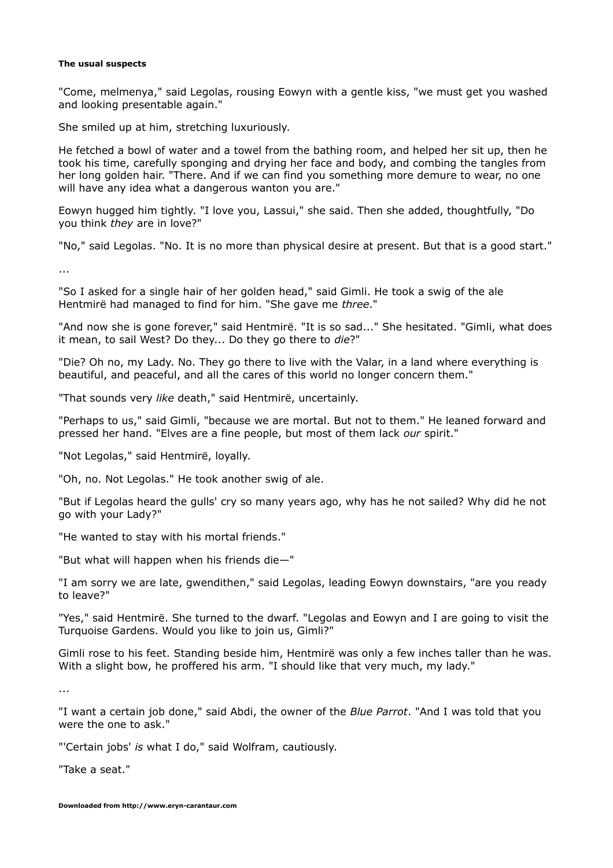"Come, melmenya," said Legolas, rousing Eowyn with a gentle kiss, "we must get you washed and looking presentable again."

She smiled up at him, stretching luxuriously.

He fetched a bowl of water and a towel from the bathing room, and helped her sit up, then he took his time, carefully sponging and drying her face and body, and combing the tangles from her long golden hair. "There. And if we can find you something more demure to wear, no one will have any idea what a dangerous wanton you are."

Eowyn hugged him tightly. "I love you, Lassui," she said. Then she added, thoughtfully, "Do you think *they* are in love?"

"No," said Legolas. "No. It is no more than physical desire at present. But that is a good start."

...

"So I asked for a single hair of her golden head," said Gimli. He took a swig of the ale Hentmirë had managed to find for him. "She gave me *three*."

"And now she is gone forever," said Hentmirë. "It is so sad..." She hesitated. "Gimli, what does it mean, to sail West? Do they... Do they go there to *die*?"

"Die? Oh no, my Lady. No. They go there to live with the Valar, in a land where everything is beautiful, and peaceful, and all the cares of this world no longer concern them."

"That sounds very *like* death," said Hentmirë, uncertainly.

"Perhaps to us," said Gimli, "because we are mortal. But not to them." He leaned forward and pressed her hand. "Elves are a fine people, but most of them lack *our* spirit."

"Not Legolas," said Hentmirë, loyally.

"Oh, no. Not Legolas." He took another swig of ale.

"But if Legolas heard the gulls' cry so many years ago, why has he not sailed? Why did he not go with your Lady?"

"He wanted to stay with his mortal friends."

"But what will happen when his friends die—"

"I am sorry we are late, gwendithen," said Legolas, leading Eowyn downstairs, "are you ready to leave?"

"Yes," said Hentmirë. She turned to the dwarf. "Legolas and Eowyn and I are going to visit the Turquoise Gardens. Would you like to join us, Gimli?"

Gimli rose to his feet. Standing beside him, Hentmirë was only a few inches taller than he was. With a slight bow, he proffered his arm. "I should like that very much, my lady."

...

"I want a certain job done," said Abdi, the owner of the *Blue Parrot*. "And I was told that you were the one to ask."

"'Certain jobs' *is* what I do," said Wolfram, cautiously.

"Take a seat."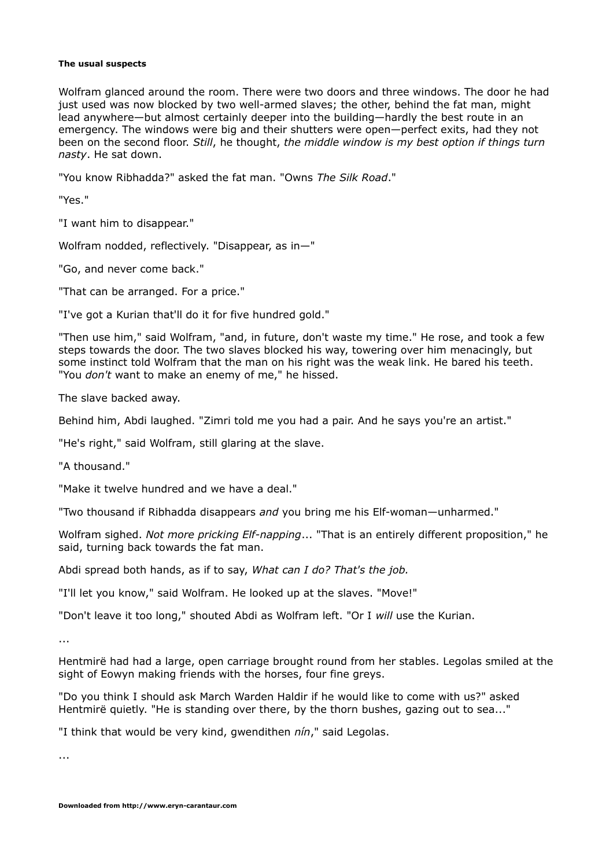Wolfram glanced around the room. There were two doors and three windows. The door he had just used was now blocked by two well-armed slaves; the other, behind the fat man, might lead anywhere—but almost certainly deeper into the building—hardly the best route in an emergency. The windows were big and their shutters were open—perfect exits, had they not been on the second floor. *Still*, he thought, *the middle window is my best option if things turn nasty*. He sat down.

"You know Ribhadda?" asked the fat man. "Owns *The Silk Road*."

"Yes."

"I want him to disappear."

Wolfram nodded, reflectively. "Disappear, as in—"

"Go, and never come back."

"That can be arranged. For a price."

"I've got a Kurian that'll do it for five hundred gold."

"Then use him," said Wolfram, "and, in future, don't waste my time." He rose, and took a few steps towards the door. The two slaves blocked his way, towering over him menacingly, but some instinct told Wolfram that the man on his right was the weak link. He bared his teeth. "You *don't* want to make an enemy of me," he hissed.

The slave backed away.

Behind him, Abdi laughed. "Zimri told me you had a pair. And he says you're an artist."

"He's right," said Wolfram, still glaring at the slave.

"A thousand."

"Make it twelve hundred and we have a deal."

"Two thousand if Ribhadda disappears *and* you bring me his Elf-woman—unharmed."

Wolfram sighed. *Not more pricking Elf-napping*... "That is an entirely different proposition," he said, turning back towards the fat man.

Abdi spread both hands, as if to say, *What can I do? That's the job.*

"I'll let you know," said Wolfram. He looked up at the slaves. "Move!"

"Don't leave it too long," shouted Abdi as Wolfram left. "Or I *will* use the Kurian.

...

Hentmirë had had a large, open carriage brought round from her stables. Legolas smiled at the sight of Eowyn making friends with the horses, four fine greys.

"Do you think I should ask March Warden Haldir if he would like to come with us?" asked Hentmirë quietly. "He is standing over there, by the thorn bushes, gazing out to sea..."

"I think that would be very kind, gwendithen *nín*," said Legolas.

...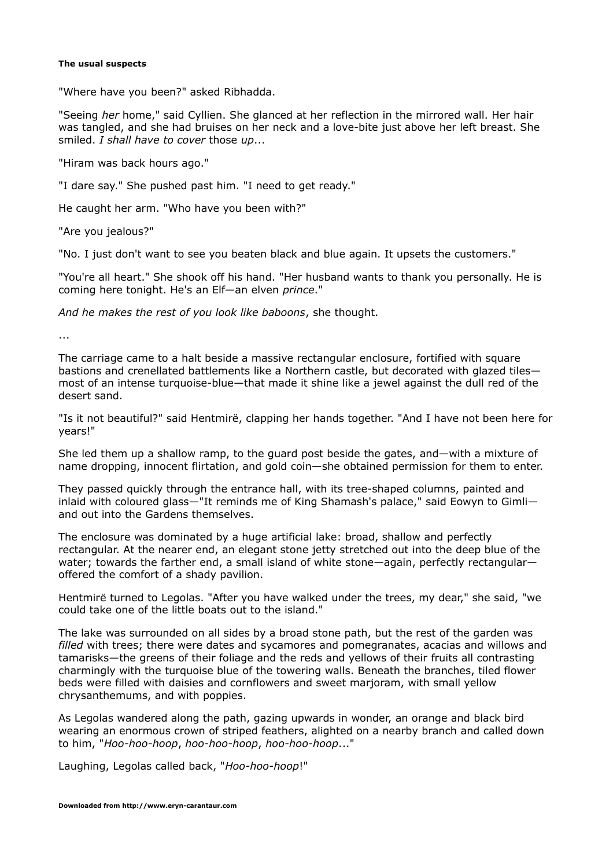"Where have you been?" asked Ribhadda.

"Seeing *her* home," said Cyllien. She glanced at her reflection in the mirrored wall. Her hair was tangled, and she had bruises on her neck and a love-bite just above her left breast. She smiled. *I shall have to cover* those *up*...

"Hiram was back hours ago."

"I dare say." She pushed past him. "I need to get ready."

He caught her arm. "Who have you been with?"

"Are you jealous?"

"No. I just don't want to see you beaten black and blue again. It upsets the customers."

"You're all heart." She shook off his hand. "Her husband wants to thank you personally. He is coming here tonight. He's an Elf—an elven *prince*."

*And he makes the rest of you look like baboons*, she thought.

...

The carriage came to a halt beside a massive rectangular enclosure, fortified with square bastions and crenellated battlements like a Northern castle, but decorated with glazed tiles most of an intense turquoise-blue—that made it shine like a jewel against the dull red of the desert sand.

"Is it not beautiful?" said Hentmirë, clapping her hands together. "And I have not been here for years!"

She led them up a shallow ramp, to the guard post beside the gates, and—with a mixture of name dropping, innocent flirtation, and gold coin—she obtained permission for them to enter.

They passed quickly through the entrance hall, with its tree-shaped columns, painted and inlaid with coloured glass—"It reminds me of King Shamash's palace," said Eowyn to Gimli and out into the Gardens themselves.

The enclosure was dominated by a huge artificial lake: broad, shallow and perfectly rectangular. At the nearer end, an elegant stone jetty stretched out into the deep blue of the water; towards the farther end, a small island of white stone—again, perfectly rectangular offered the comfort of a shady pavilion.

Hentmirë turned to Legolas. "After you have walked under the trees, my dear," she said, "we could take one of the little boats out to the island."

The lake was surrounded on all sides by a broad stone path, but the rest of the garden was *filled* with trees; there were dates and sycamores and pomegranates, acacias and willows and tamarisks—the greens of their foliage and the reds and yellows of their fruits all contrasting charmingly with the turquoise blue of the towering walls. Beneath the branches, tiled flower beds were filled with daisies and cornflowers and sweet marjoram, with small yellow chrysanthemums, and with poppies.

As Legolas wandered along the path, gazing upwards in wonder, an orange and black bird wearing an enormous crown of striped feathers, alighted on a nearby branch and called down to him, "*Hoo-hoo-hoop*, *hoo-hoo-hoop*, *hoo-hoo-hoop*..."

Laughing, Legolas called back, "*Hoo-hoo-hoop*!"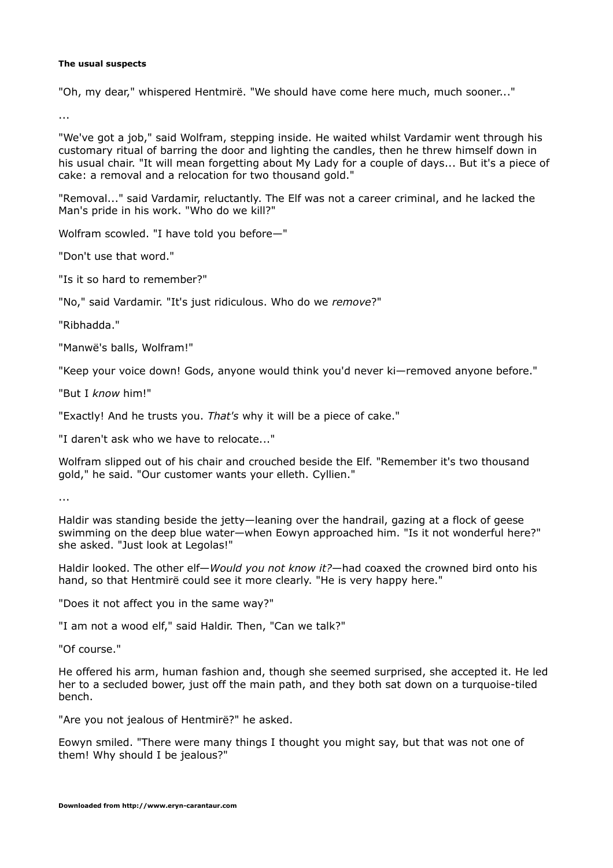"Oh, my dear," whispered Hentmirë. "We should have come here much, much sooner..."

...

"We've got a job," said Wolfram, stepping inside. He waited whilst Vardamir went through his customary ritual of barring the door and lighting the candles, then he threw himself down in his usual chair. "It will mean forgetting about My Lady for a couple of days... But it's a piece of cake: a removal and a relocation for two thousand gold."

"Removal..." said Vardamir, reluctantly. The Elf was not a career criminal, and he lacked the Man's pride in his work. "Who do we kill?"

Wolfram scowled. "I have told you before—"

"Don't use that word."

"Is it so hard to remember?"

"No," said Vardamir. "It's just ridiculous. Who do we *remove*?"

"Ribhadda."

"Manwë's balls, Wolfram!"

"Keep your voice down! Gods, anyone would think you'd never ki—removed anyone before."

"But I *know* him!"

"Exactly! And he trusts you. *That's* why it will be a piece of cake."

"I daren't ask who we have to relocate..."

Wolfram slipped out of his chair and crouched beside the Elf. "Remember it's two thousand gold," he said. "Our customer wants your elleth. Cyllien."

...

Haldir was standing beside the jetty—leaning over the handrail, gazing at a flock of geese swimming on the deep blue water—when Eowyn approached him. "Is it not wonderful here?" she asked. "Just look at Legolas!"

Haldir looked. The other elf—*Would you not know it?*—had coaxed the crowned bird onto his hand, so that Hentmirë could see it more clearly. "He is very happy here."

"Does it not affect you in the same way?"

"I am not a wood elf," said Haldir. Then, "Can we talk?"

"Of course."

He offered his arm, human fashion and, though she seemed surprised, she accepted it. He led her to a secluded bower, just off the main path, and they both sat down on a turquoise-tiled bench.

"Are you not jealous of Hentmirë?" he asked.

Eowyn smiled. "There were many things I thought you might say, but that was not one of them! Why should I be jealous?"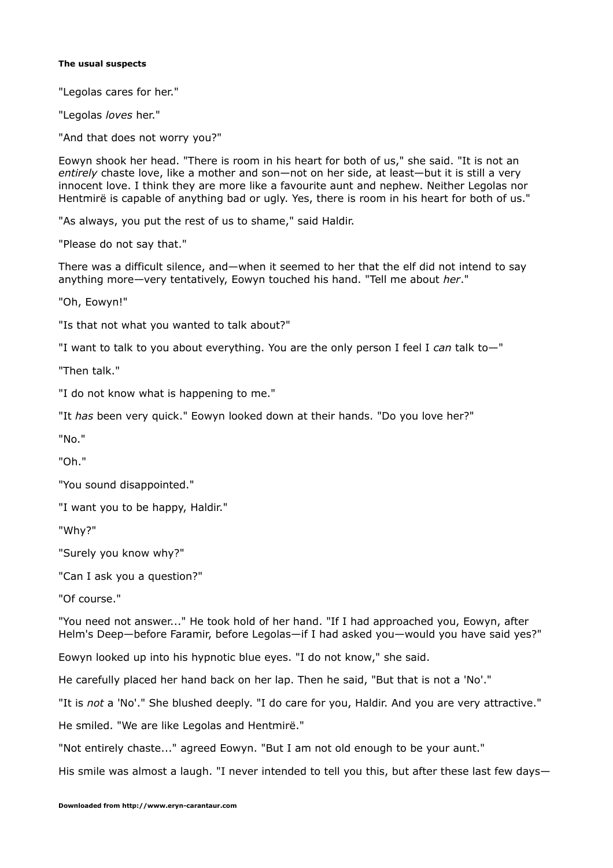"Legolas cares for her."

"Legolas *loves* her."

"And that does not worry you?"

Eowyn shook her head. "There is room in his heart for both of us," she said. "It is not an *entirely* chaste love, like a mother and son—not on her side, at least—but it is still a very innocent love. I think they are more like a favourite aunt and nephew. Neither Legolas nor Hentmirë is capable of anything bad or ugly. Yes, there is room in his heart for both of us."

"As always, you put the rest of us to shame," said Haldir.

"Please do not say that."

There was a difficult silence, and—when it seemed to her that the elf did not intend to say anything more—very tentatively, Eowyn touched his hand. "Tell me about *her*."

"Oh, Eowyn!"

"Is that not what you wanted to talk about?"

"I want to talk to you about everything. You are the only person I feel I *can* talk to—"

"Then talk."

"I do not know what is happening to me."

"It *has* been very quick." Eowyn looked down at their hands. "Do you love her?"

"No."

"Oh."

"You sound disappointed."

"I want you to be happy, Haldir."

"Why?"

"Surely you know why?"

"Can I ask you a question?"

"Of course."

"You need not answer..." He took hold of her hand. "If I had approached you, Eowyn, after Helm's Deep—before Faramir, before Legolas—if I had asked you—would you have said yes?"

Eowyn looked up into his hypnotic blue eyes. "I do not know," she said.

He carefully placed her hand back on her lap. Then he said, "But that is not a 'No'."

"It is *not* a 'No'." She blushed deeply. "I do care for you, Haldir. And you are very attractive."

He smiled. "We are like Legolas and Hentmirë."

"Not entirely chaste..." agreed Eowyn. "But I am not old enough to be your aunt."

His smile was almost a laugh. "I never intended to tell you this, but after these last few days-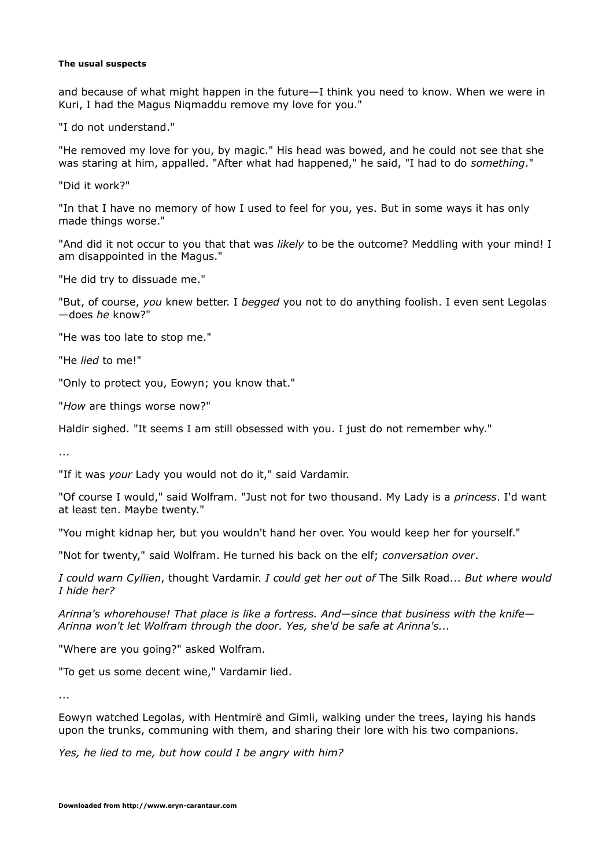and because of what might happen in the future—I think you need to know. When we were in Kuri, I had the Magus Niqmaddu remove my love for you."

"I do not understand."

"He removed my love for you, by magic." His head was bowed, and he could not see that she was staring at him, appalled. "After what had happened," he said, "I had to do *something*."

"Did it work?"

"In that I have no memory of how I used to feel for you, yes. But in some ways it has only made things worse."

"And did it not occur to you that that was *likely* to be the outcome? Meddling with your mind! I am disappointed in the Magus."

"He did try to dissuade me."

"But, of course, *you* knew better. I *begged* you not to do anything foolish. I even sent Legolas —does *he* know?"

"He was too late to stop me."

"He *lied* to me!"

"Only to protect you, Eowyn; you know that."

"*How* are things worse now?"

Haldir sighed. "It seems I am still obsessed with you. I just do not remember why."

...

"If it was *your* Lady you would not do it," said Vardamir.

"Of course I would," said Wolfram. "Just not for two thousand. My Lady is a *princess*. I'd want at least ten. Maybe twenty."

"You might kidnap her, but you wouldn't hand her over. You would keep her for yourself."

"Not for twenty," said Wolfram. He turned his back on the elf; *conversation over*.

*I could warn Cyllien*, thought Vardamir. *I could get her out of* The Silk Road... *But where would I hide her?*

*Arinna's whorehouse! That place is like a fortress. And—since that business with the knife— Arinna won't let Wolfram through the door. Yes, she'd be safe at Arinna's...*

"Where are you going?" asked Wolfram.

"To get us some decent wine," Vardamir lied.

...

Eowyn watched Legolas, with Hentmirë and Gimli, walking under the trees, laying his hands upon the trunks, communing with them, and sharing their lore with his two companions.

*Yes, he lied to me, but how could I be angry with him?*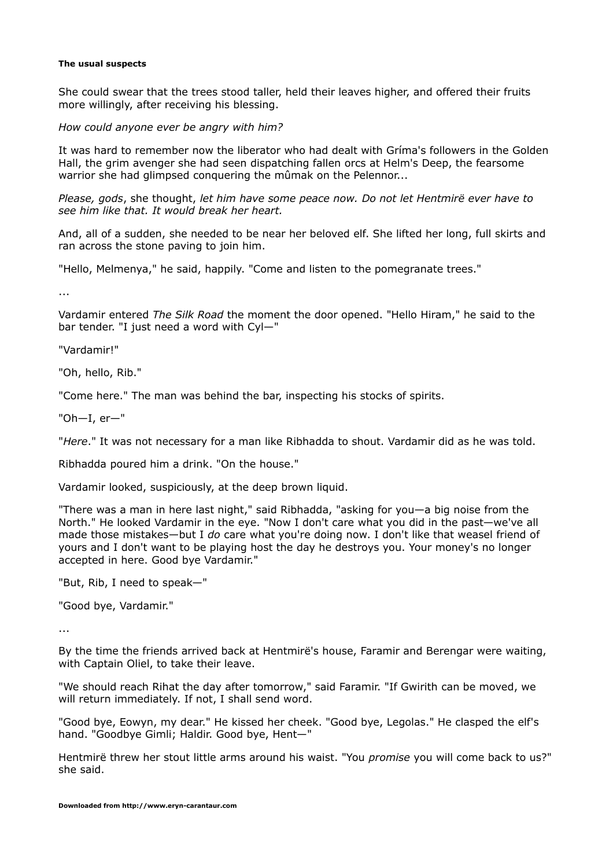She could swear that the trees stood taller, held their leaves higher, and offered their fruits more willingly, after receiving his blessing.

*How could anyone ever be angry with him?*

It was hard to remember now the liberator who had dealt with Gríma's followers in the Golden Hall, the grim avenger she had seen dispatching fallen orcs at Helm's Deep, the fearsome warrior she had glimpsed conquering the mûmak on the Pelennor...

*Please, gods*, she thought, *let him have some peace now. Do not let Hentmirë ever have to see him like that. It would break her heart.*

And, all of a sudden, she needed to be near her beloved elf. She lifted her long, full skirts and ran across the stone paving to join him.

"Hello, Melmenya," he said, happily. "Come and listen to the pomegranate trees."

...

Vardamir entered *The Silk Road* the moment the door opened. "Hello Hiram," he said to the bar tender. "I just need a word with Cyl—"

"Vardamir!"

"Oh, hello, Rib."

"Come here." The man was behind the bar, inspecting his stocks of spirits.

"Oh—I, er—"

"*Here*." It was not necessary for a man like Ribhadda to shout. Vardamir did as he was told.

Ribhadda poured him a drink. "On the house."

Vardamir looked, suspiciously, at the deep brown liquid.

"There was a man in here last night," said Ribhadda, "asking for you—a big noise from the North." He looked Vardamir in the eye. "Now I don't care what you did in the past—we've all made those mistakes—but I *do* care what you're doing now. I don't like that weasel friend of yours and I don't want to be playing host the day he destroys you. Your money's no longer accepted in here. Good bye Vardamir."

"But, Rib, I need to speak—"

"Good bye, Vardamir."

...

By the time the friends arrived back at Hentmirë's house, Faramir and Berengar were waiting, with Captain Oliel, to take their leave.

"We should reach Rihat the day after tomorrow," said Faramir. "If Gwirith can be moved, we will return immediately. If not, I shall send word.

"Good bye, Eowyn, my dear." He kissed her cheek. "Good bye, Legolas." He clasped the elf's hand. "Goodbye Gimli; Haldir. Good bye, Hent—"

Hentmirë threw her stout little arms around his waist. "You *promise* you will come back to us?" she said.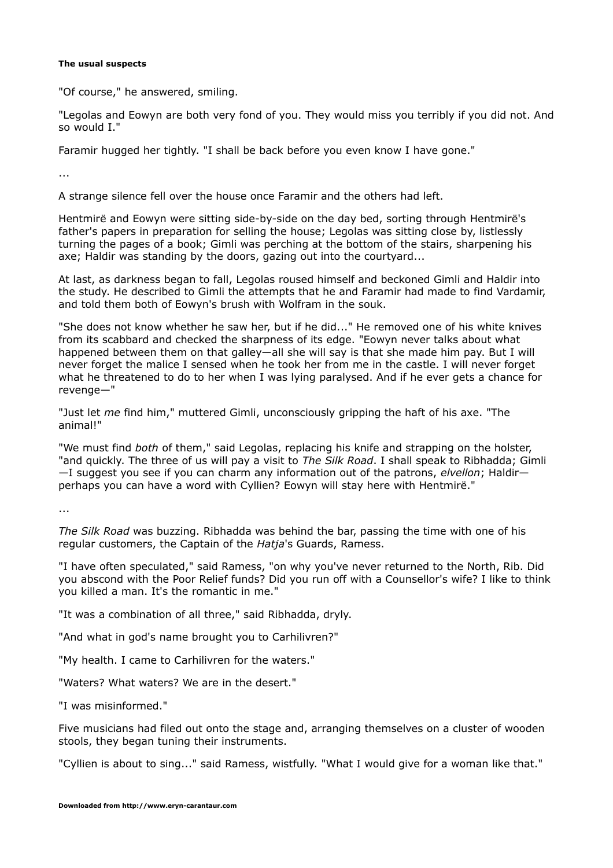"Of course," he answered, smiling.

"Legolas and Eowyn are both very fond of you. They would miss you terribly if you did not. And so would I."

Faramir hugged her tightly. "I shall be back before you even know I have gone."

...

A strange silence fell over the house once Faramir and the others had left.

Hentmirë and Eowyn were sitting side-by-side on the day bed, sorting through Hentmirë's father's papers in preparation for selling the house; Legolas was sitting close by, listlessly turning the pages of a book; Gimli was perching at the bottom of the stairs, sharpening his axe; Haldir was standing by the doors, gazing out into the courtyard...

At last, as darkness began to fall, Legolas roused himself and beckoned Gimli and Haldir into the study. He described to Gimli the attempts that he and Faramir had made to find Vardamir, and told them both of Eowyn's brush with Wolfram in the souk.

"She does not know whether he saw her, but if he did..." He removed one of his white knives from its scabbard and checked the sharpness of its edge. "Eowyn never talks about what happened between them on that galley—all she will say is that she made him pay. But I will never forget the malice I sensed when he took her from me in the castle. I will never forget what he threatened to do to her when I was lying paralysed. And if he ever gets a chance for revenge—"

"Just let *me* find him," muttered Gimli, unconsciously gripping the haft of his axe. "The animal!"

"We must find *both* of them," said Legolas, replacing his knife and strapping on the holster, "and quickly. The three of us will pay a visit to *The Silk Road*. I shall speak to Ribhadda; Gimli —I suggest you see if you can charm any information out of the patrons, *elvellon*; Haldir perhaps you can have a word with Cyllien? Eowyn will stay here with Hentmirë."

...

*The Silk Road* was buzzing. Ribhadda was behind the bar, passing the time with one of his regular customers, the Captain of the *Hatja*'s Guards, Ramess.

"I have often speculated," said Ramess, "on why you've never returned to the North, Rib. Did you abscond with the Poor Relief funds? Did you run off with a Counsellor's wife? I like to think you killed a man. It's the romantic in me."

"It was a combination of all three," said Ribhadda, dryly.

"And what in god's name brought you to Carhilivren?"

"My health. I came to Carhilivren for the waters."

"Waters? What waters? We are in the desert."

"I was misinformed."

Five musicians had filed out onto the stage and, arranging themselves on a cluster of wooden stools, they began tuning their instruments.

"Cyllien is about to sing..." said Ramess, wistfully. "What I would give for a woman like that."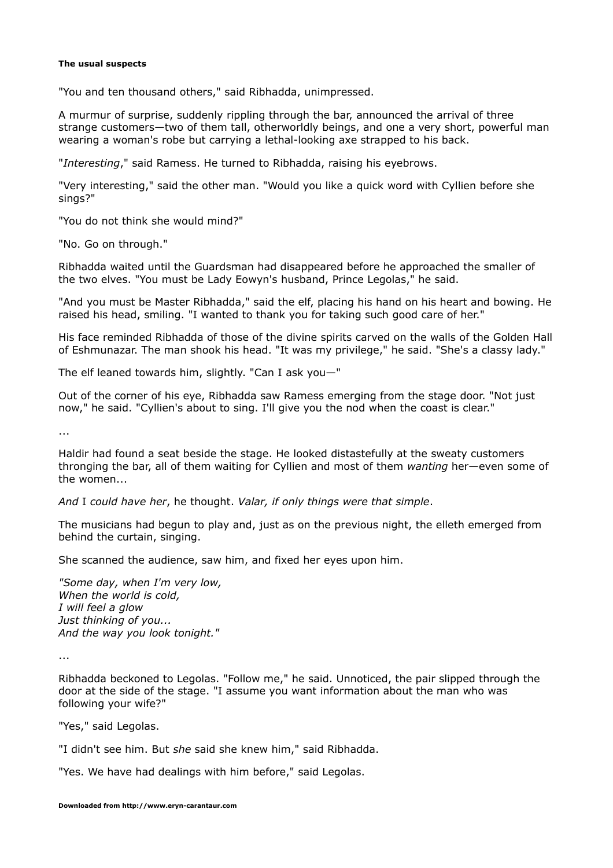"You and ten thousand others," said Ribhadda, unimpressed.

A murmur of surprise, suddenly rippling through the bar, announced the arrival of three strange customers—two of them tall, otherworldly beings, and one a very short, powerful man wearing a woman's robe but carrying a lethal-looking axe strapped to his back.

"*Interesting*," said Ramess. He turned to Ribhadda, raising his eyebrows.

"Very interesting," said the other man. "Would you like a quick word with Cyllien before she sings?"

"You do not think she would mind?"

"No. Go on through."

Ribhadda waited until the Guardsman had disappeared before he approached the smaller of the two elves. "You must be Lady Eowyn's husband, Prince Legolas," he said.

"And you must be Master Ribhadda," said the elf, placing his hand on his heart and bowing. He raised his head, smiling. "I wanted to thank you for taking such good care of her."

His face reminded Ribhadda of those of the divine spirits carved on the walls of the Golden Hall of Eshmunazar. The man shook his head. "It was my privilege," he said. "She's a classy lady."

The elf leaned towards him, slightly. "Can I ask you—"

Out of the corner of his eye, Ribhadda saw Ramess emerging from the stage door. "Not just now," he said. "Cyllien's about to sing. I'll give you the nod when the coast is clear."

...

Haldir had found a seat beside the stage. He looked distastefully at the sweaty customers thronging the bar, all of them waiting for Cyllien and most of them *wanting* her—even some of the women...

*And* I *could have her*, he thought. *Valar, if only things were that simple*.

The musicians had begun to play and, just as on the previous night, the elleth emerged from behind the curtain, singing.

She scanned the audience, saw him, and fixed her eyes upon him.

*"Some day, when I'm very low, When the world is cold, I will feel a glow Just thinking of you... And the way you look tonight."*

...

Ribhadda beckoned to Legolas. "Follow me," he said. Unnoticed, the pair slipped through the door at the side of the stage. "I assume you want information about the man who was following your wife?"

"Yes," said Legolas.

"I didn't see him. But *she* said she knew him," said Ribhadda.

"Yes. We have had dealings with him before," said Legolas.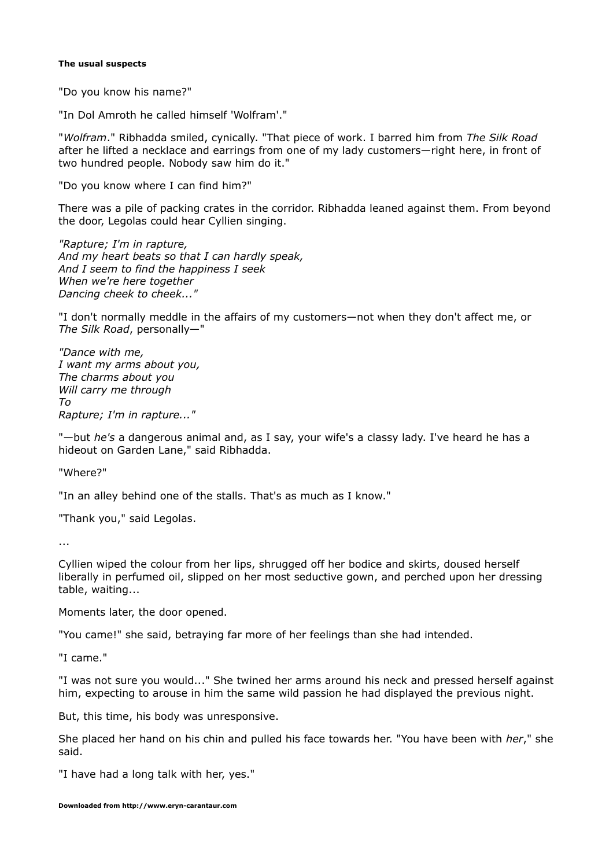"Do you know his name?"

"In Dol Amroth he called himself 'Wolfram'."

"*Wolfram*." Ribhadda smiled, cynically. "That piece of work. I barred him from *The Silk Road* after he lifted a necklace and earrings from one of my lady customers—right here, in front of two hundred people. Nobody saw him do it."

"Do you know where I can find him?"

There was a pile of packing crates in the corridor. Ribhadda leaned against them. From beyond the door, Legolas could hear Cyllien singing.

*"Rapture; I'm in rapture, And my heart beats so that I can hardly speak, And I seem to find the happiness I seek When we're here together Dancing cheek to cheek..."*

"I don't normally meddle in the affairs of my customers—not when they don't affect me, or *The Silk Road*, personally—"

*"Dance with me, I want my arms about you, The charms about you Will carry me through To Rapture; I'm in rapture..."*

"—but *he's* a dangerous animal and, as I say, your wife's a classy lady. I've heard he has a hideout on Garden Lane," said Ribhadda.

"Where?"

"In an alley behind one of the stalls. That's as much as I know."

"Thank you," said Legolas.

...

Cyllien wiped the colour from her lips, shrugged off her bodice and skirts, doused herself liberally in perfumed oil, slipped on her most seductive gown, and perched upon her dressing table, waiting...

Moments later, the door opened.

"You came!" she said, betraying far more of her feelings than she had intended.

"I came."

"I was not sure you would..." She twined her arms around his neck and pressed herself against him, expecting to arouse in him the same wild passion he had displayed the previous night.

But, this time, his body was unresponsive.

She placed her hand on his chin and pulled his face towards her. "You have been with *her*," she said.

"I have had a long talk with her, yes."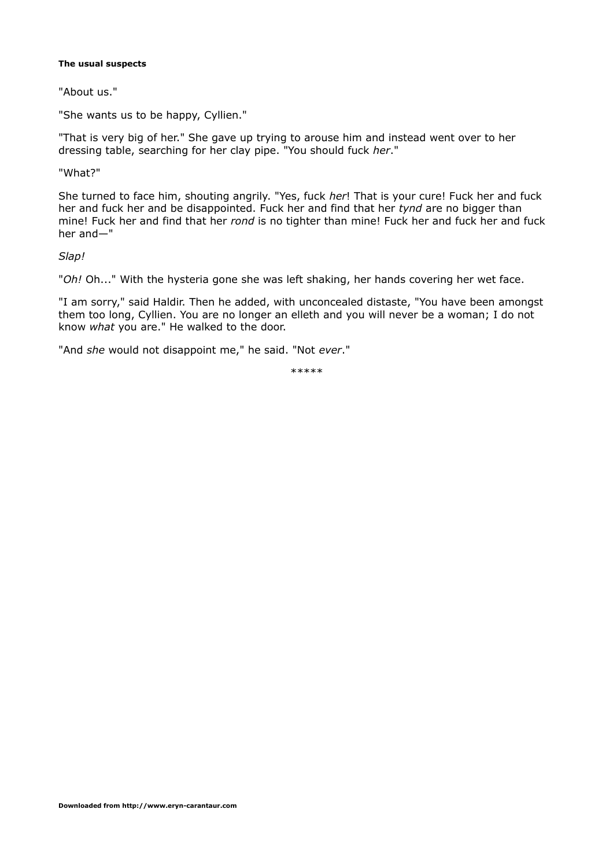"About us."

"She wants us to be happy, Cyllien."

"That is very big of her." She gave up trying to arouse him and instead went over to her dressing table, searching for her clay pipe. "You should fuck *her*."

# "What?"

She turned to face him, shouting angrily. "Yes, fuck *her*! That is your cure! Fuck her and fuck her and fuck her and be disappointed. Fuck her and find that her *tynd* are no bigger than mine! Fuck her and find that her *rond* is no tighter than mine! Fuck her and fuck her and fuck her and—"

# *Slap!*

"*Oh!* Oh..." With the hysteria gone she was left shaking, her hands covering her wet face.

"I am sorry," said Haldir. Then he added, with unconcealed distaste, "You have been amongst them too long, Cyllien. You are no longer an elleth and you will never be a woman; I do not know *what* you are." He walked to the door.

"And *she* would not disappoint me," he said. "Not *ever*."

\*\*\*\*\*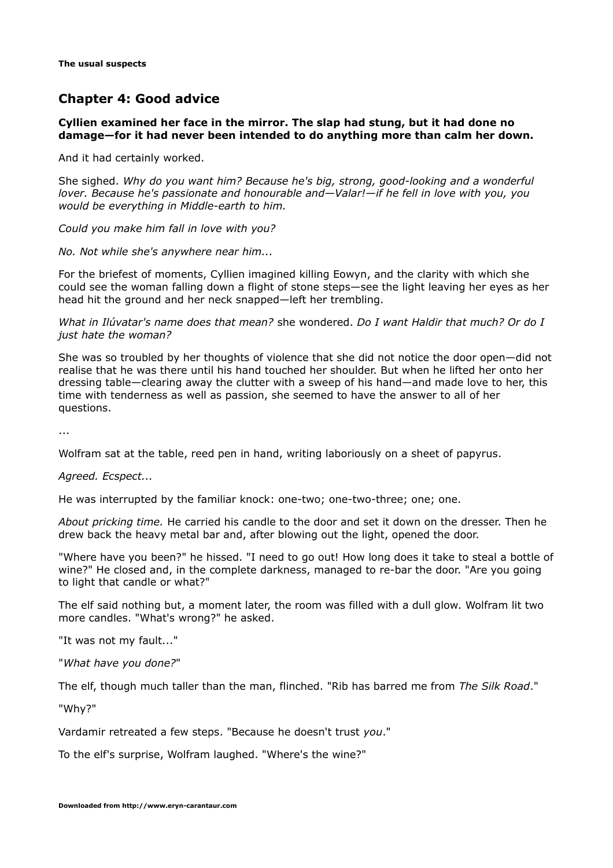# **Chapter 4: Good advice**

# **Cyllien examined her face in the mirror. The slap had stung, but it had done no damage—for it had never been intended to do anything more than calm her down.**

And it had certainly worked.

She sighed. *Why do you want him? Because he's big, strong, good-looking and a wonderful lover. Because he's passionate and honourable and—Valar!—if he fell in love with you, you would be everything in Middle-earth to him.*

*Could you make him fall in love with you?* 

*No. Not while she's anywhere near him...*

For the briefest of moments, Cyllien imagined killing Eowyn, and the clarity with which she could see the woman falling down a flight of stone steps—see the light leaving her eyes as her head hit the ground and her neck snapped—left her trembling.

*What in Ilúvatar's name does that mean?* she wondered. *Do I want Haldir that much? Or do I just hate the woman?*

She was so troubled by her thoughts of violence that she did not notice the door open—did not realise that he was there until his hand touched her shoulder. But when he lifted her onto her dressing table—clearing away the clutter with a sweep of his hand—and made love to her, this time with tenderness as well as passion, she seemed to have the answer to all of her questions.

...

Wolfram sat at the table, reed pen in hand, writing laboriously on a sheet of papyrus.

*Agreed. Ecspect...*

He was interrupted by the familiar knock: one-two; one-two-three; one; one.

*About pricking time.* He carried his candle to the door and set it down on the dresser. Then he drew back the heavy metal bar and, after blowing out the light, opened the door.

"Where have you been?" he hissed. "I need to go out! How long does it take to steal a bottle of wine?" He closed and, in the complete darkness, managed to re-bar the door. "Are you going to light that candle or what?"

The elf said nothing but, a moment later, the room was filled with a dull glow. Wolfram lit two more candles. "What's wrong?" he asked.

"It was not my fault..."

"*What have you done?*"

The elf, though much taller than the man, flinched. "Rib has barred me from *The Silk Road*."

"Why?"

Vardamir retreated a few steps. "Because he doesn't trust *you*."

To the elf's surprise, Wolfram laughed. "Where's the wine?"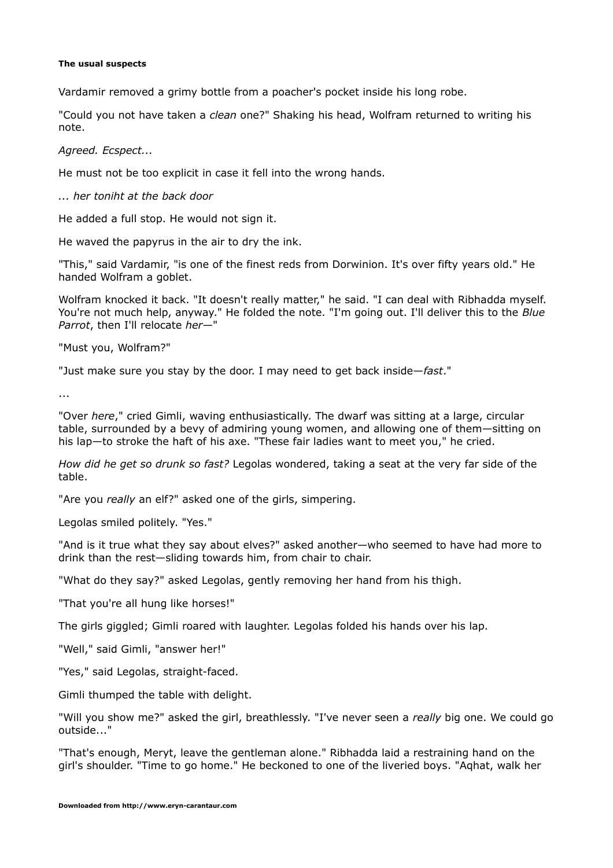Vardamir removed a grimy bottle from a poacher's pocket inside his long robe.

"Could you not have taken a *clean* one?" Shaking his head, Wolfram returned to writing his note.

*Agreed. Ecspect...*

He must not be too explicit in case it fell into the wrong hands.

*... her toniht at the back door*

He added a full stop. He would not sign it.

He waved the papyrus in the air to dry the ink.

"This," said Vardamir, "is one of the finest reds from Dorwinion. It's over fifty years old." He handed Wolfram a goblet.

Wolfram knocked it back. "It doesn't really matter," he said. "I can deal with Ribhadda myself. You're not much help, anyway." He folded the note. "I'm going out. I'll deliver this to the *Blue Parrot*, then I'll relocate *her*—"

"Must you, Wolfram?"

"Just make sure you stay by the door. I may need to get back inside—*fast*."

...

"Over *here*," cried Gimli, waving enthusiastically. The dwarf was sitting at a large, circular table, surrounded by a bevy of admiring young women, and allowing one of them—sitting on his lap—to stroke the haft of his axe. "These fair ladies want to meet you," he cried.

*How did he get so drunk so fast?* Legolas wondered, taking a seat at the very far side of the table.

"Are you *really* an elf?" asked one of the girls, simpering.

Legolas smiled politely. "Yes."

"And is it true what they say about elves?" asked another—who seemed to have had more to drink than the rest—sliding towards him, from chair to chair.

"What do they say?" asked Legolas, gently removing her hand from his thigh.

"That you're all hung like horses!"

The girls giggled; Gimli roared with laughter. Legolas folded his hands over his lap.

"Well," said Gimli, "answer her!"

"Yes," said Legolas, straight-faced.

Gimli thumped the table with delight.

"Will you show me?" asked the girl, breathlessly. "I've never seen a *really* big one. We could go outside..."

"That's enough, Meryt, leave the gentleman alone." Ribhadda laid a restraining hand on the girl's shoulder. "Time to go home." He beckoned to one of the liveried boys. "Aqhat, walk her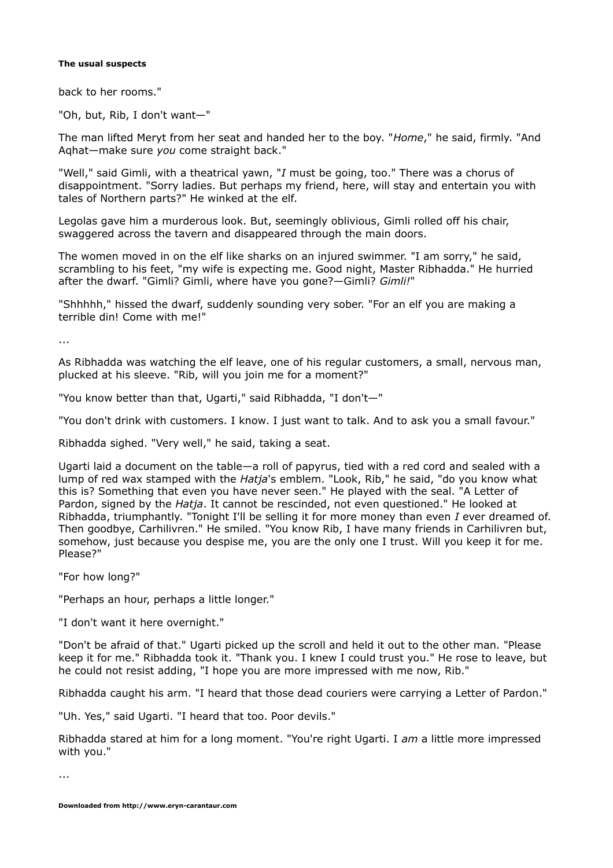back to her rooms."

"Oh, but, Rib, I don't want—"

The man lifted Meryt from her seat and handed her to the boy. "*Home*," he said, firmly. "And Aqhat—make sure *you* come straight back."

"Well," said Gimli, with a theatrical yawn, "*I* must be going, too." There was a chorus of disappointment. "Sorry ladies. But perhaps my friend, here, will stay and entertain you with tales of Northern parts?" He winked at the elf.

Legolas gave him a murderous look. But, seemingly oblivious, Gimli rolled off his chair, swaggered across the tavern and disappeared through the main doors.

The women moved in on the elf like sharks on an injured swimmer. "I am sorry," he said, scrambling to his feet, "my wife is expecting me. Good night, Master Ribhadda." He hurried after the dwarf. "Gimli? Gimli, where have you gone?—Gimli? *Gimli!*"

"Shhhhh," hissed the dwarf, suddenly sounding very sober. "For an elf you are making a terrible din! Come with me!"

...

As Ribhadda was watching the elf leave, one of his regular customers, a small, nervous man, plucked at his sleeve. "Rib, will you join me for a moment?"

"You know better than that, Ugarti," said Ribhadda, "I don't—"

"You don't drink with customers. I know. I just want to talk. And to ask you a small favour."

Ribhadda sighed. "Very well," he said, taking a seat.

Ugarti laid a document on the table—a roll of papyrus, tied with a red cord and sealed with a lump of red wax stamped with the *Hatja*'s emblem. "Look, Rib," he said, "do you know what this is? Something that even you have never seen." He played with the seal. "A Letter of Pardon, signed by the *Hatja*. It cannot be rescinded, not even questioned." He looked at Ribhadda, triumphantly. "Tonight I'll be selling it for more money than even *I* ever dreamed of. Then goodbye, Carhilivren." He smiled. "You know Rib, I have many friends in Carhilivren but, somehow, just because you despise me, you are the only one I trust. Will you keep it for me. Please?"

"For how long?"

"Perhaps an hour, perhaps a little longer."

"I don't want it here overnight."

"Don't be afraid of that." Ugarti picked up the scroll and held it out to the other man. "Please keep it for me." Ribhadda took it. "Thank you. I knew I could trust you." He rose to leave, but he could not resist adding, "I hope you are more impressed with me now, Rib."

Ribhadda caught his arm. "I heard that those dead couriers were carrying a Letter of Pardon."

"Uh. Yes," said Ugarti. "I heard that too. Poor devils."

Ribhadda stared at him for a long moment. "You're right Ugarti. I *am* a little more impressed with you."

...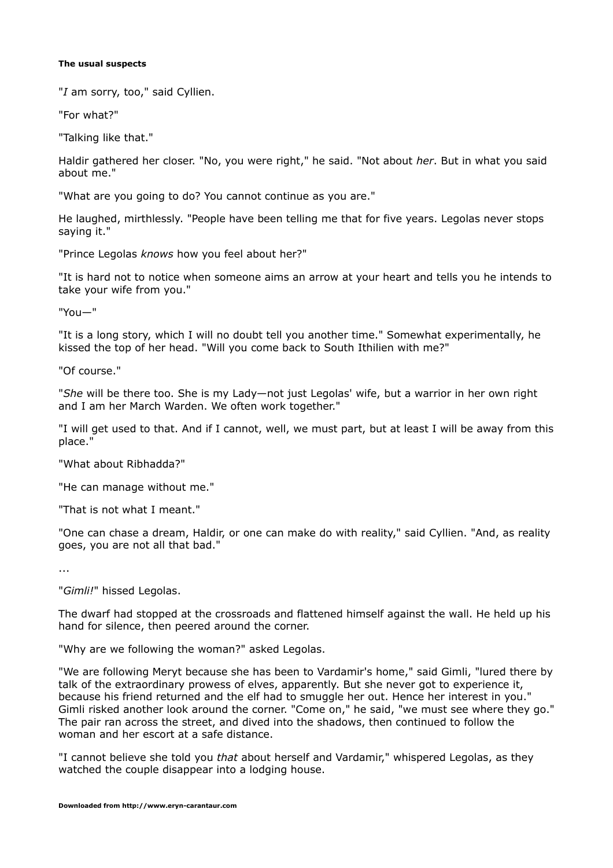"*I* am sorry, too," said Cyllien.

"For what?"

"Talking like that."

Haldir gathered her closer. "No, you were right," he said. "Not about *her*. But in what you said about me."

"What are you going to do? You cannot continue as you are."

He laughed, mirthlessly. "People have been telling me that for five years. Legolas never stops saying it."

"Prince Legolas *knows* how you feel about her?"

"It is hard not to notice when someone aims an arrow at your heart and tells you he intends to take your wife from you."

"You—"

"It is a long story, which I will no doubt tell you another time." Somewhat experimentally, he kissed the top of her head. "Will you come back to South Ithilien with me?"

"Of course."

"*She* will be there too. She is my Lady—not just Legolas' wife, but a warrior in her own right and I am her March Warden. We often work together."

"I will get used to that. And if I cannot, well, we must part, but at least I will be away from this place."

"What about Ribhadda?"

"He can manage without me."

"That is not what I meant."

"One can chase a dream, Haldir, or one can make do with reality," said Cyllien. "And, as reality goes, you are not all that bad."

...

"*Gimli!*" hissed Legolas.

The dwarf had stopped at the crossroads and flattened himself against the wall. He held up his hand for silence, then peered around the corner.

"Why are we following the woman?" asked Legolas.

"We are following Meryt because she has been to Vardamir's home," said Gimli, "lured there by talk of the extraordinary prowess of elves, apparently. But she never got to experience it, because his friend returned and the elf had to smuggle her out. Hence her interest in you." Gimli risked another look around the corner. "Come on," he said, "we must see where they go." The pair ran across the street, and dived into the shadows, then continued to follow the woman and her escort at a safe distance.

"I cannot believe she told you *that* about herself and Vardamir," whispered Legolas, as they watched the couple disappear into a lodging house.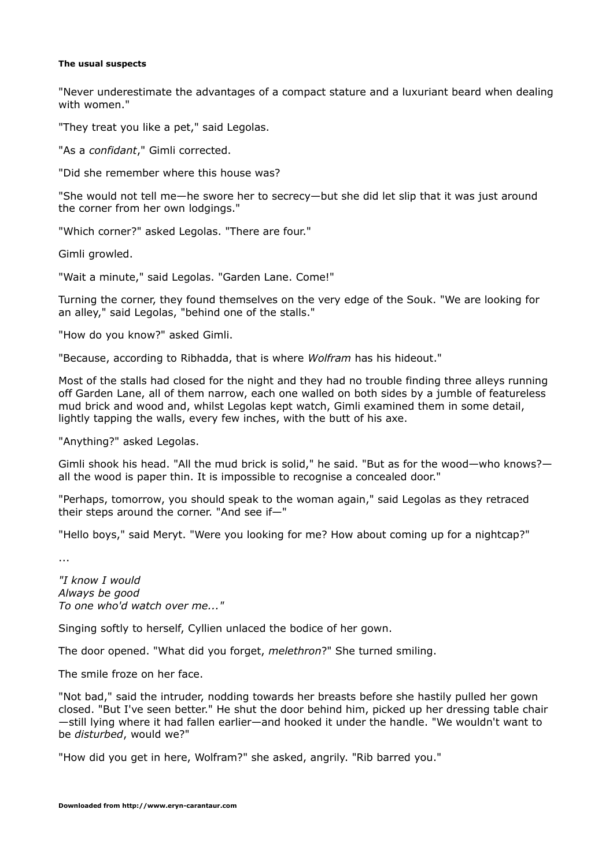"Never underestimate the advantages of a compact stature and a luxuriant beard when dealing with women."

"They treat you like a pet," said Legolas.

"As a *confidant*," Gimli corrected.

"Did she remember where this house was?

"She would not tell me—he swore her to secrecy—but she did let slip that it was just around the corner from her own lodgings."

"Which corner?" asked Legolas. "There are four."

Gimli growled.

"Wait a minute," said Legolas. "Garden Lane. Come!"

Turning the corner, they found themselves on the very edge of the Souk. "We are looking for an alley," said Legolas, "behind one of the stalls."

"How do you know?" asked Gimli.

"Because, according to Ribhadda, that is where *Wolfram* has his hideout."

Most of the stalls had closed for the night and they had no trouble finding three alleys running off Garden Lane, all of them narrow, each one walled on both sides by a jumble of featureless mud brick and wood and, whilst Legolas kept watch, Gimli examined them in some detail, lightly tapping the walls, every few inches, with the butt of his axe.

"Anything?" asked Legolas.

Gimli shook his head. "All the mud brick is solid," he said. "But as for the wood—who knows? all the wood is paper thin. It is impossible to recognise a concealed door."

"Perhaps, tomorrow, you should speak to the woman again," said Legolas as they retraced their steps around the corner. "And see if—"

"Hello boys," said Meryt. "Were you looking for me? How about coming up for a nightcap?"

...

*"I know I would Always be good To one who'd watch over me..."*

Singing softly to herself, Cyllien unlaced the bodice of her gown.

The door opened. "What did you forget, *melethron*?" She turned smiling.

The smile froze on her face.

"Not bad," said the intruder, nodding towards her breasts before she hastily pulled her gown closed. "But I've seen better." He shut the door behind him, picked up her dressing table chair —still lying where it had fallen earlier—and hooked it under the handle. "We wouldn't want to be *disturbed*, would we?"

"How did you get in here, Wolfram?" she asked, angrily. "Rib barred you."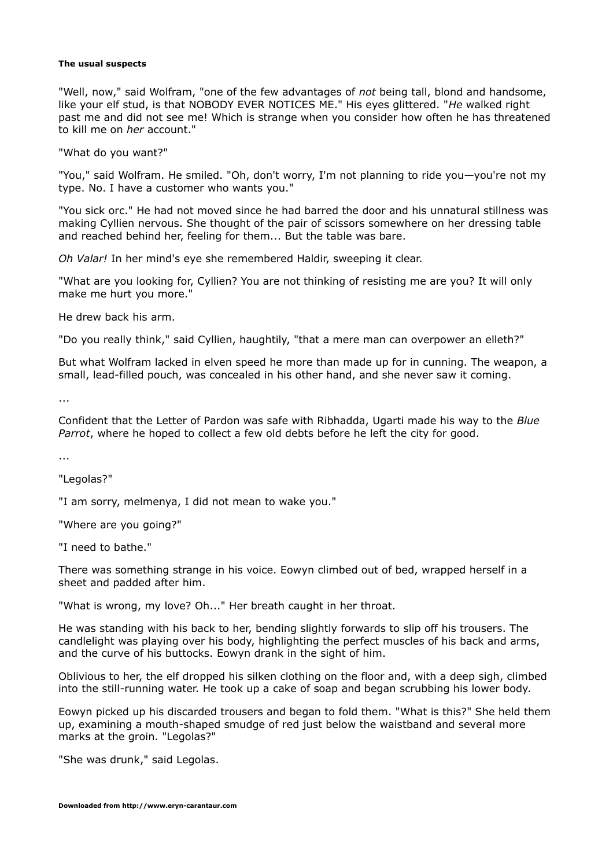"Well, now," said Wolfram, "one of the few advantages of *not* being tall, blond and handsome, like your elf stud, is that NOBODY EVER NOTICES ME." His eyes glittered. "*He* walked right past me and did not see me! Which is strange when you consider how often he has threatened to kill me on *her* account."

"What do you want?"

"You," said Wolfram. He smiled. "Oh, don't worry, I'm not planning to ride you—you're not my type. No. I have a customer who wants you."

"You sick orc." He had not moved since he had barred the door and his unnatural stillness was making Cyllien nervous. She thought of the pair of scissors somewhere on her dressing table and reached behind her, feeling for them... But the table was bare.

*Oh Valar!* In her mind's eye she remembered Haldir, sweeping it clear.

"What are you looking for, Cyllien? You are not thinking of resisting me are you? It will only make me hurt you more."

He drew back his arm.

"Do you really think," said Cyllien, haughtily, "that a mere man can overpower an elleth?"

But what Wolfram lacked in elven speed he more than made up for in cunning. The weapon, a small, lead-filled pouch, was concealed in his other hand, and she never saw it coming.

...

Confident that the Letter of Pardon was safe with Ribhadda, Ugarti made his way to the *Blue Parrot*, where he hoped to collect a few old debts before he left the city for good.

...

"Legolas?"

"I am sorry, melmenya, I did not mean to wake you."

"Where are you going?"

"I need to bathe."

There was something strange in his voice. Eowyn climbed out of bed, wrapped herself in a sheet and padded after him.

"What is wrong, my love? Oh..." Her breath caught in her throat.

He was standing with his back to her, bending slightly forwards to slip off his trousers. The candlelight was playing over his body, highlighting the perfect muscles of his back and arms, and the curve of his buttocks. Eowyn drank in the sight of him.

Oblivious to her, the elf dropped his silken clothing on the floor and, with a deep sigh, climbed into the still-running water. He took up a cake of soap and began scrubbing his lower body.

Eowyn picked up his discarded trousers and began to fold them. "What is this?" She held them up, examining a mouth-shaped smudge of red just below the waistband and several more marks at the groin. "Legolas?"

"She was drunk," said Legolas.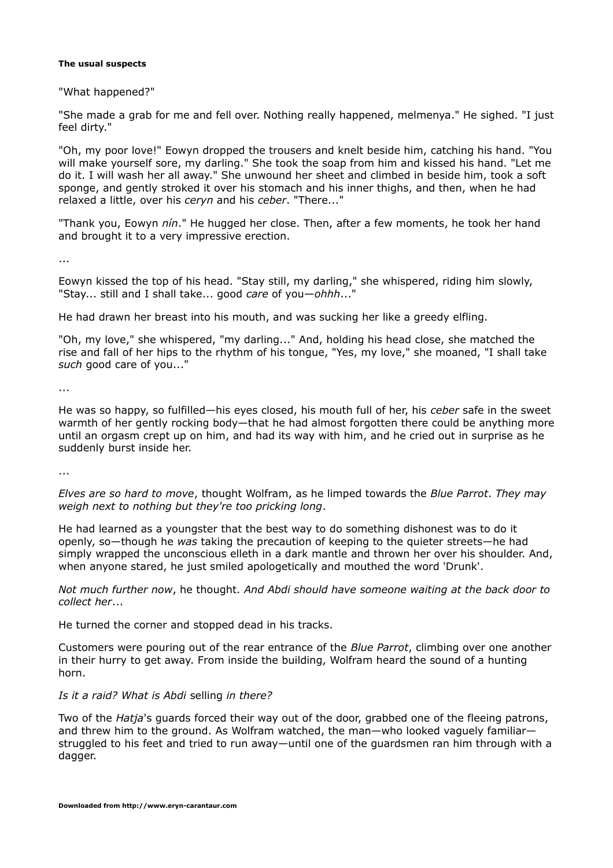"What happened?"

"She made a grab for me and fell over. Nothing really happened, melmenya." He sighed. "I just feel dirty."

"Oh, my poor love!" Eowyn dropped the trousers and knelt beside him, catching his hand. "You will make yourself sore, my darling." She took the soap from him and kissed his hand. "Let me do it. I will wash her all away." She unwound her sheet and climbed in beside him, took a soft sponge, and gently stroked it over his stomach and his inner thighs, and then, when he had relaxed a little, over his *ceryn* and his *ceber*. "There..."

"Thank you, Eowyn *nín*." He hugged her close. Then, after a few moments, he took her hand and brought it to a very impressive erection.

...

Eowyn kissed the top of his head. "Stay still, my darling," she whispered, riding him slowly, "Stay... still and I shall take... good *care* of you—*ohhh*..."

He had drawn her breast into his mouth, and was sucking her like a greedy elfling.

"Oh, my love," she whispered, "my darling..." And, holding his head close, she matched the rise and fall of her hips to the rhythm of his tongue, "Yes, my love," she moaned, "I shall take *such* good care of you..."

...

He was so happy, so fulfilled—his eyes closed, his mouth full of her, his *ceber* safe in the sweet warmth of her gently rocking body—that he had almost forgotten there could be anything more until an orgasm crept up on him, and had its way with him, and he cried out in surprise as he suddenly burst inside her.

...

*Elves are so hard to move*, thought Wolfram, as he limped towards the *Blue Parrot*. *They may weigh next to nothing but they're too pricking long*.

He had learned as a youngster that the best way to do something dishonest was to do it openly, so—though he *was* taking the precaution of keeping to the quieter streets—he had simply wrapped the unconscious elleth in a dark mantle and thrown her over his shoulder. And, when anyone stared, he just smiled apologetically and mouthed the word 'Drunk'.

*Not much further now*, he thought. *And Abdi should have someone waiting at the back door to collect her*...

He turned the corner and stopped dead in his tracks.

Customers were pouring out of the rear entrance of the *Blue Parrot*, climbing over one another in their hurry to get away. From inside the building, Wolfram heard the sound of a hunting horn.

# *Is it a raid? What is Abdi* selling *in there?*

Two of the *Hatja*'s guards forced their way out of the door, grabbed one of the fleeing patrons, and threw him to the ground. As Wolfram watched, the man—who looked vaguely familiar struggled to his feet and tried to run away—until one of the guardsmen ran him through with a dagger.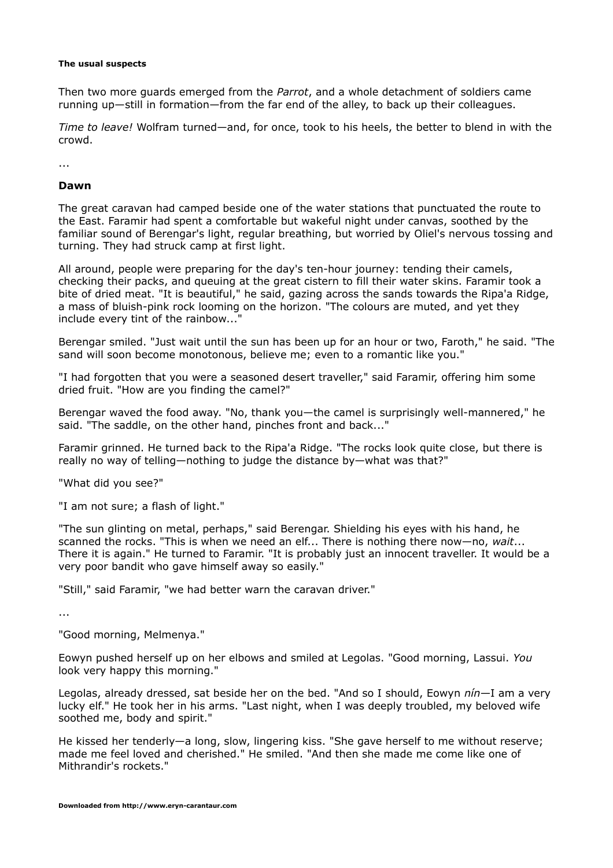Then two more guards emerged from the *Parrot*, and a whole detachment of soldiers came running up—still in formation—from the far end of the alley, to back up their colleagues.

*Time to leave!* Wolfram turned—and, for once, took to his heels, the better to blend in with the crowd.

...

# **Dawn**

The great caravan had camped beside one of the water stations that punctuated the route to the East. Faramir had spent a comfortable but wakeful night under canvas, soothed by the familiar sound of Berengar's light, regular breathing, but worried by Oliel's nervous tossing and turning. They had struck camp at first light.

All around, people were preparing for the day's ten-hour journey: tending their camels, checking their packs, and queuing at the great cistern to fill their water skins. Faramir took a bite of dried meat. "It is beautiful," he said, gazing across the sands towards the Ripa'a Ridge, a mass of bluish-pink rock looming on the horizon. "The colours are muted, and yet they include every tint of the rainbow..."

Berengar smiled. "Just wait until the sun has been up for an hour or two, Faroth," he said. "The sand will soon become monotonous, believe me; even to a romantic like you."

"I had forgotten that you were a seasoned desert traveller," said Faramir, offering him some dried fruit. "How are you finding the camel?"

Berengar waved the food away. "No, thank you—the camel is surprisingly well-mannered," he said. "The saddle, on the other hand, pinches front and back..."

Faramir grinned. He turned back to the Ripa'a Ridge. "The rocks look quite close, but there is really no way of telling—nothing to judge the distance by—what was that?"

"What did you see?"

"I am not sure; a flash of light."

"The sun glinting on metal, perhaps," said Berengar. Shielding his eyes with his hand, he scanned the rocks. "This is when we need an elf... There is nothing there now—no, *wait*... There it is again." He turned to Faramir. "It is probably just an innocent traveller. It would be a very poor bandit who gave himself away so easily."

"Still," said Faramir, "we had better warn the caravan driver."

...

"Good morning, Melmenya."

Eowyn pushed herself up on her elbows and smiled at Legolas. "Good morning, Lassui. *You* look very happy this morning."

Legolas, already dressed, sat beside her on the bed. "And so I should, Eowyn *nín*—I am a very lucky elf." He took her in his arms. "Last night, when I was deeply troubled, my beloved wife soothed me, body and spirit."

He kissed her tenderly—a long, slow, lingering kiss. "She gave herself to me without reserve; made me feel loved and cherished." He smiled. "And then she made me come like one of Mithrandir's rockets."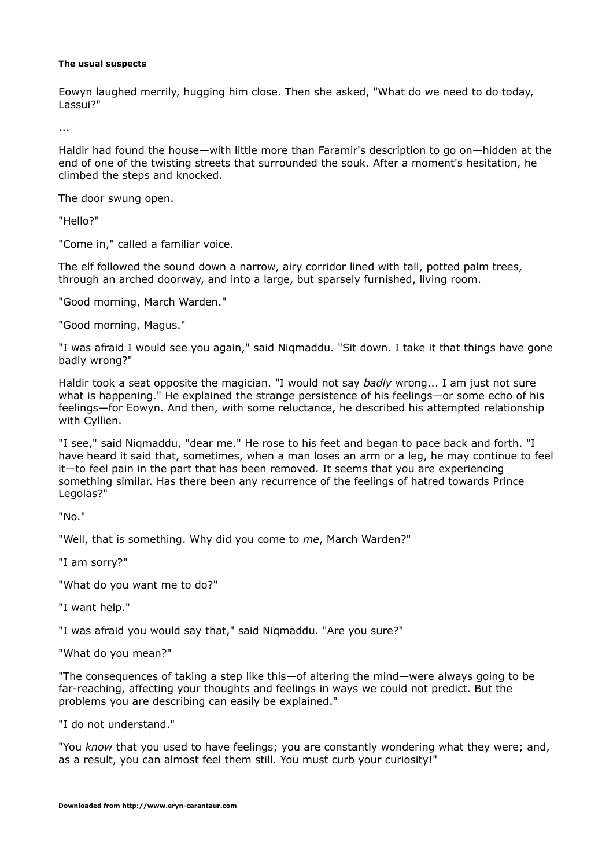Eowyn laughed merrily, hugging him close. Then she asked, "What do we need to do today, Lassui?"

...

Haldir had found the house—with little more than Faramir's description to go on—hidden at the end of one of the twisting streets that surrounded the souk. After a moment's hesitation, he climbed the steps and knocked.

The door swung open.

"Hello?"

"Come in," called a familiar voice.

The elf followed the sound down a narrow, airy corridor lined with tall, potted palm trees, through an arched doorway, and into a large, but sparsely furnished, living room.

"Good morning, March Warden."

"Good morning, Magus."

"I was afraid I would see you again," said Niqmaddu. "Sit down. I take it that things have gone badly wrong?"

Haldir took a seat opposite the magician. "I would not say *badly* wrong... I am just not sure what is happening." He explained the strange persistence of his feelings—or some echo of his feelings—for Eowyn. And then, with some reluctance, he described his attempted relationship with Cyllien.

"I see," said Niqmaddu, "dear me." He rose to his feet and began to pace back and forth. "I have heard it said that, sometimes, when a man loses an arm or a leg, he may continue to feel it—to feel pain in the part that has been removed. It seems that you are experiencing something similar. Has there been any recurrence of the feelings of hatred towards Prince Legolas?"

"No."

"Well, that is something. Why did you come to *me*, March Warden?"

"I am sorry?"

"What do you want me to do?"

"I want help."

"I was afraid you would say that," said Niqmaddu. "Are you sure?"

"What do you mean?"

"The consequences of taking a step like this—of altering the mind—were always going to be far-reaching, affecting your thoughts and feelings in ways we could not predict. But the problems you are describing can easily be explained."

"I do not understand."

"You *know* that you used to have feelings; you are constantly wondering what they were; and, as a result, you can almost feel them still. You must curb your curiosity!"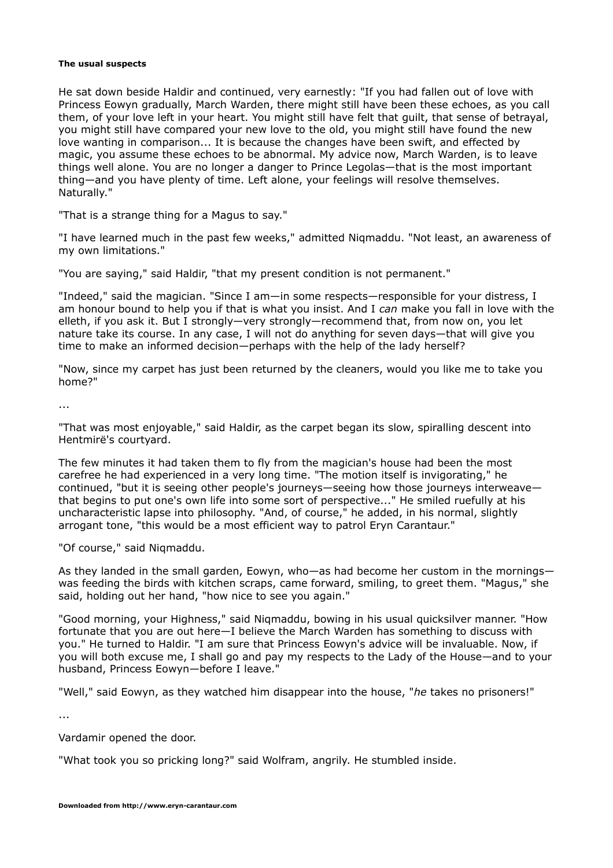He sat down beside Haldir and continued, very earnestly: "If you had fallen out of love with Princess Eowyn gradually, March Warden, there might still have been these echoes, as you call them, of your love left in your heart. You might still have felt that guilt, that sense of betrayal, you might still have compared your new love to the old, you might still have found the new love wanting in comparison... It is because the changes have been swift, and effected by magic, you assume these echoes to be abnormal. My advice now, March Warden, is to leave things well alone. You are no longer a danger to Prince Legolas—that is the most important thing—and you have plenty of time. Left alone, your feelings will resolve themselves. Naturally."

"That is a strange thing for a Magus to say."

"I have learned much in the past few weeks," admitted Niqmaddu. "Not least, an awareness of my own limitations."

"You are saying," said Haldir, "that my present condition is not permanent."

"Indeed," said the magician. "Since I am—in some respects—responsible for your distress, I am honour bound to help you if that is what you insist. And I *can* make you fall in love with the elleth, if you ask it. But I strongly—very strongly—recommend that, from now on, you let nature take its course. In any case, I will not do anything for seven days—that will give you time to make an informed decision—perhaps with the help of the lady herself?

"Now, since my carpet has just been returned by the cleaners, would you like me to take you home?"

...

"That was most enjoyable," said Haldir, as the carpet began its slow, spiralling descent into Hentmirë's courtyard.

The few minutes it had taken them to fly from the magician's house had been the most carefree he had experienced in a very long time. "The motion itself is invigorating," he continued, "but it is seeing other people's journeys—seeing how those journeys interweave that begins to put one's own life into some sort of perspective..." He smiled ruefully at his uncharacteristic lapse into philosophy. "And, of course," he added, in his normal, slightly arrogant tone, "this would be a most efficient way to patrol Eryn Carantaur."

"Of course," said Niqmaddu.

As they landed in the small garden, Eowyn, who—as had become her custom in the mornings was feeding the birds with kitchen scraps, came forward, smiling, to greet them. "Magus," she said, holding out her hand, "how nice to see you again."

"Good morning, your Highness," said Niqmaddu, bowing in his usual quicksilver manner. "How fortunate that you are out here—I believe the March Warden has something to discuss with you." He turned to Haldir. "I am sure that Princess Eowyn's advice will be invaluable. Now, if you will both excuse me, I shall go and pay my respects to the Lady of the House—and to your husband, Princess Eowyn—before I leave."

"Well," said Eowyn, as they watched him disappear into the house, "*he* takes no prisoners!"

...

Vardamir opened the door.

"What took you so pricking long?" said Wolfram, angrily. He stumbled inside.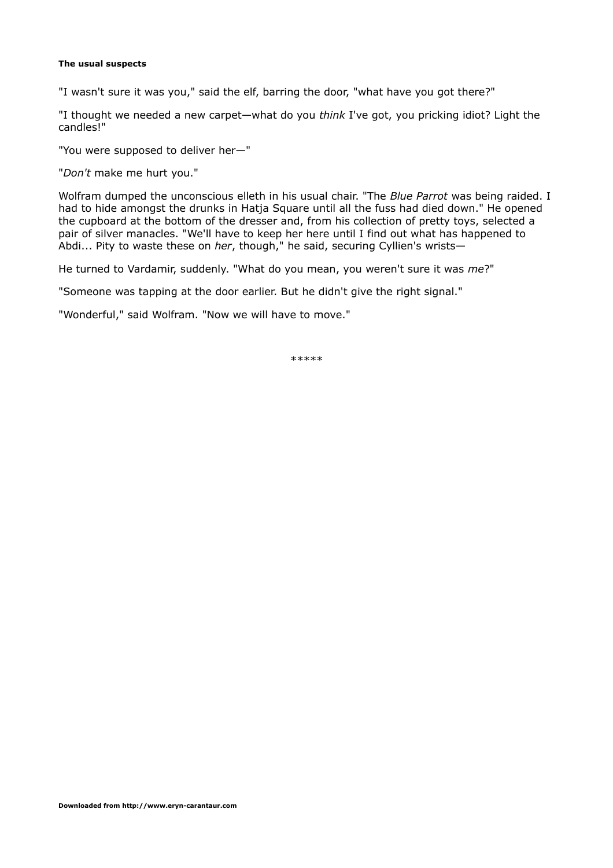"I wasn't sure it was you," said the elf, barring the door, "what have you got there?"

"I thought we needed a new carpet—what do you *think* I've got, you pricking idiot? Light the candles!"

"You were supposed to deliver her—"

"*Don't* make me hurt you."

Wolfram dumped the unconscious elleth in his usual chair. "The *Blue Parrot* was being raided. I had to hide amongst the drunks in Hatja Square until all the fuss had died down." He opened the cupboard at the bottom of the dresser and, from his collection of pretty toys, selected a pair of silver manacles. "We'll have to keep her here until I find out what has happened to Abdi... Pity to waste these on *her*, though," he said, securing Cyllien's wrists—

He turned to Vardamir, suddenly. "What do you mean, you weren't sure it was *me*?"

"Someone was tapping at the door earlier. But he didn't give the right signal."

"Wonderful," said Wolfram. "Now we will have to move."

\*\*\*\*\*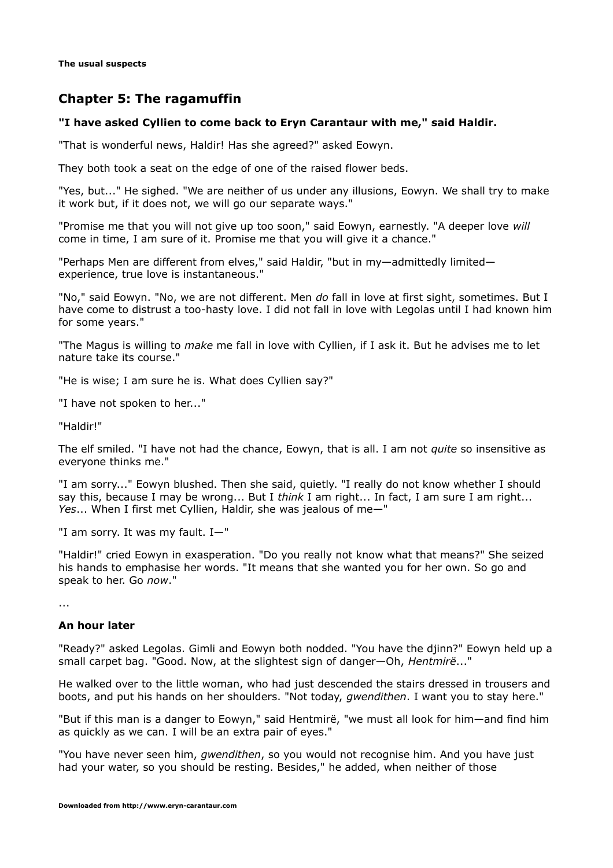# **Chapter 5: The ragamuffin**

# **"I have asked Cyllien to come back to Eryn Carantaur with me," said Haldir.**

"That is wonderful news, Haldir! Has she agreed?" asked Eowyn.

They both took a seat on the edge of one of the raised flower beds.

"Yes, but..." He sighed. "We are neither of us under any illusions, Eowyn. We shall try to make it work but, if it does not, we will go our separate ways."

"Promise me that you will not give up too soon," said Eowyn, earnestly. "A deeper love *will* come in time, I am sure of it. Promise me that you will give it a chance."

"Perhaps Men are different from elves," said Haldir, "but in my—admittedly limited experience, true love is instantaneous."

"No," said Eowyn. "No, we are not different. Men *do* fall in love at first sight, sometimes. But I have come to distrust a too-hasty love. I did not fall in love with Legolas until I had known him for some years."

"The Magus is willing to *make* me fall in love with Cyllien, if I ask it. But he advises me to let nature take its course."

"He is wise; I am sure he is. What does Cyllien say?"

"I have not spoken to her..."

"Haldir!"

The elf smiled. "I have not had the chance, Eowyn, that is all. I am not *quite* so insensitive as everyone thinks me."

"I am sorry..." Eowyn blushed. Then she said, quietly. "I really do not know whether I should say this, because I may be wrong... But I *think* I am right... In fact, I am sure I am right... *Yes*... When I first met Cyllien, Haldir, she was jealous of me—"

"I am sorry. It was my fault. I—"

"Haldir!" cried Eowyn in exasperation. "Do you really not know what that means?" She seized his hands to emphasise her words. "It means that she wanted you for her own. So go and speak to her. Go *now*."

...

# **An hour later**

"Ready?" asked Legolas. Gimli and Eowyn both nodded. "You have the djinn?" Eowyn held up a small carpet bag. "Good. Now, at the slightest sign of danger—Oh, *Hentmirë*..."

He walked over to the little woman, who had just descended the stairs dressed in trousers and boots, and put his hands on her shoulders. "Not today, *gwendithen*. I want you to stay here."

"But if this man is a danger to Eowyn," said Hentmirë, "we must all look for him—and find him as quickly as we can. I will be an extra pair of eyes."

"You have never seen him, *gwendithen*, so you would not recognise him. And you have just had your water, so you should be resting. Besides," he added, when neither of those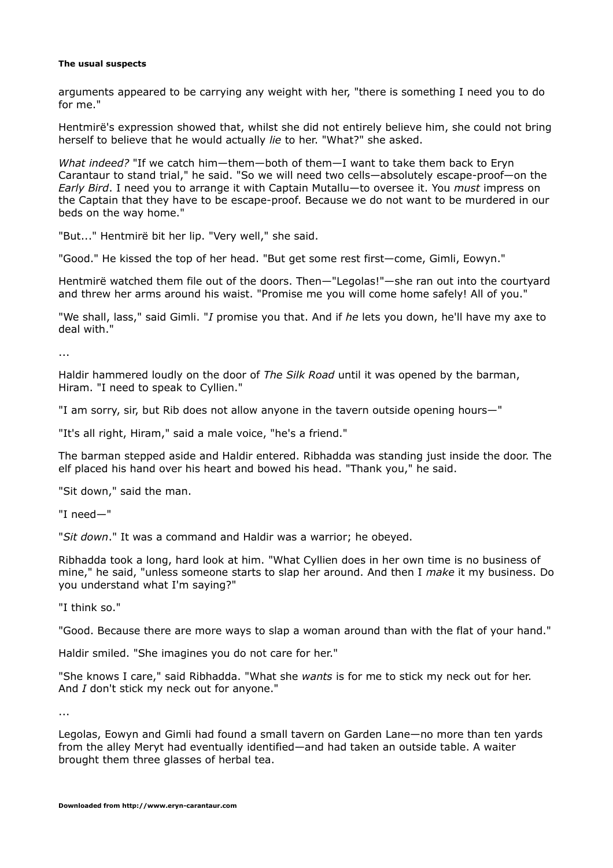arguments appeared to be carrying any weight with her, "there is something I need you to do for me."

Hentmirë's expression showed that, whilst she did not entirely believe him, she could not bring herself to believe that he would actually *lie* to her. "What?" she asked.

*What indeed?* "If we catch him—them—both of them—I want to take them back to Eryn Carantaur to stand trial," he said. "So we will need two cells—absolutely escape-proof—on the *Early Bird*. I need you to arrange it with Captain Mutallu—to oversee it. You *must* impress on the Captain that they have to be escape-proof. Because we do not want to be murdered in our beds on the way home."

"But..." Hentmirë bit her lip. "Very well," she said.

"Good." He kissed the top of her head. "But get some rest first—come, Gimli, Eowyn."

Hentmirë watched them file out of the doors. Then—"Legolas!"—she ran out into the courtyard and threw her arms around his waist. "Promise me you will come home safely! All of you."

"We shall, lass," said Gimli. "*I* promise you that. And if *he* lets you down, he'll have my axe to deal with."

...

Haldir hammered loudly on the door of *The Silk Road* until it was opened by the barman, Hiram. "I need to speak to Cyllien."

"I am sorry, sir, but Rib does not allow anyone in the tavern outside opening hours—"

"It's all right, Hiram," said a male voice, "he's a friend."

The barman stepped aside and Haldir entered. Ribhadda was standing just inside the door. The elf placed his hand over his heart and bowed his head. "Thank you," he said.

"Sit down," said the man.

"I need—"

"*Sit down*." It was a command and Haldir was a warrior; he obeyed.

Ribhadda took a long, hard look at him. "What Cyllien does in her own time is no business of mine," he said, "unless someone starts to slap her around. And then I *make* it my business. Do you understand what I'm saying?"

"I think so."

"Good. Because there are more ways to slap a woman around than with the flat of your hand."

Haldir smiled. "She imagines you do not care for her."

"She knows I care," said Ribhadda. "What she *wants* is for me to stick my neck out for her. And *I* don't stick my neck out for anyone."

...

Legolas, Eowyn and Gimli had found a small tavern on Garden Lane—no more than ten yards from the alley Meryt had eventually identified—and had taken an outside table. A waiter brought them three glasses of herbal tea.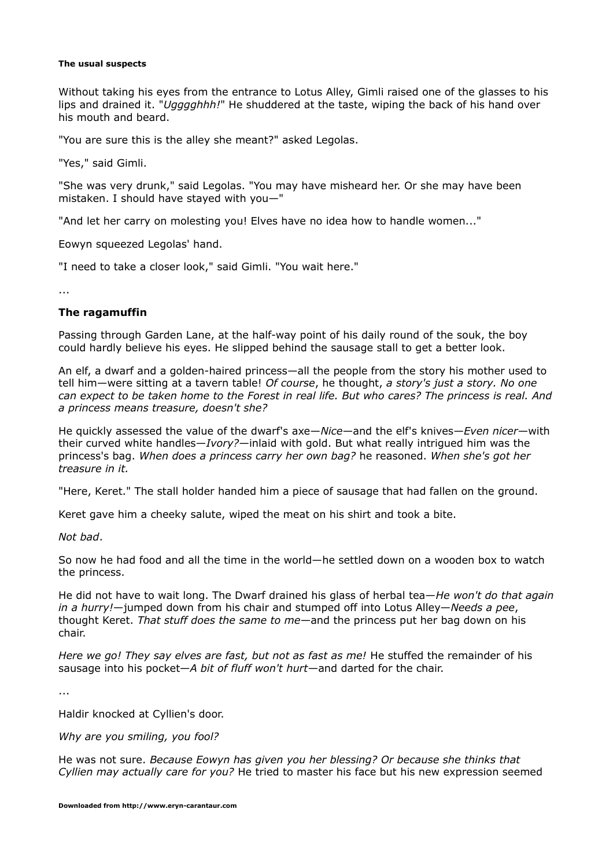Without taking his eyes from the entrance to Lotus Alley, Gimli raised one of the glasses to his lips and drained it. "*Ugggghhh!*" He shuddered at the taste, wiping the back of his hand over his mouth and beard.

"You are sure this is the alley she meant?" asked Legolas.

"Yes," said Gimli.

"She was very drunk," said Legolas. "You may have misheard her. Or she may have been mistaken. I should have stayed with you—"

"And let her carry on molesting you! Elves have no idea how to handle women..."

Eowyn squeezed Legolas' hand.

"I need to take a closer look," said Gimli. "You wait here."

...

# **The ragamuffin**

Passing through Garden Lane, at the half-way point of his daily round of the souk, the boy could hardly believe his eyes. He slipped behind the sausage stall to get a better look.

An elf, a dwarf and a golden-haired princess—all the people from the story his mother used to tell him—were sitting at a tavern table! *Of course*, he thought, *a story's just a story. No one can expect to be taken home to the Forest in real life. But who cares? The princess is real. And a princess means treasure, doesn't she?*

He quickly assessed the value of the dwarf's axe—*Nice*—and the elf's knives—*Even nicer*—with their curved white handles—*Ivory?*—inlaid with gold. But what really intrigued him was the princess's bag. *When does a princess carry her own bag?* he reasoned. *When she's got her treasure in it.*

"Here, Keret." The stall holder handed him a piece of sausage that had fallen on the ground.

Keret gave him a cheeky salute, wiped the meat on his shirt and took a bite.

*Not bad*.

So now he had food and all the time in the world—he settled down on a wooden box to watch the princess.

He did not have to wait long. The Dwarf drained his glass of herbal tea—*He won't do that again in a hurry!*—jumped down from his chair and stumped off into Lotus Alley—*Needs a pee*, thought Keret. *That stuff does the same to me*—and the princess put her bag down on his chair.

*Here we go! They say elves are fast, but not as fast as me!* He stuffed the remainder of his sausage into his pocket—*A bit of fluff won't hurt*—and darted for the chair.

...

Haldir knocked at Cyllien's door.

*Why are you smiling, you fool?*

He was not sure. *Because Eowyn has given you her blessing? Or because she thinks that Cyllien may actually care for you?* He tried to master his face but his new expression seemed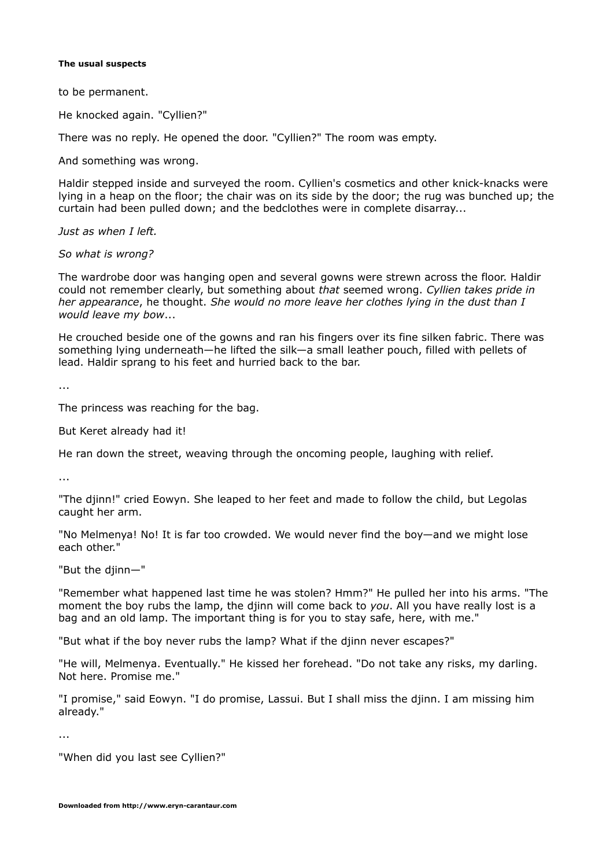to be permanent.

He knocked again. "Cyllien?"

There was no reply. He opened the door. "Cyllien?" The room was empty.

And something was wrong.

Haldir stepped inside and surveyed the room. Cyllien's cosmetics and other knick-knacks were lying in a heap on the floor; the chair was on its side by the door; the rug was bunched up; the curtain had been pulled down; and the bedclothes were in complete disarray...

*Just as when I left.*

*So what is wrong?*

The wardrobe door was hanging open and several gowns were strewn across the floor. Haldir could not remember clearly, but something about *that* seemed wrong. *Cyllien takes pride in her appearance*, he thought. *She would no more leave her clothes lying in the dust than I would leave my bow*...

He crouched beside one of the gowns and ran his fingers over its fine silken fabric. There was something lying underneath—he lifted the silk—a small leather pouch, filled with pellets of lead. Haldir sprang to his feet and hurried back to the bar.

...

The princess was reaching for the bag.

But Keret already had it!

He ran down the street, weaving through the oncoming people, laughing with relief.

...

"The djinn!" cried Eowyn. She leaped to her feet and made to follow the child, but Legolas caught her arm.

"No Melmenya! No! It is far too crowded. We would never find the boy—and we might lose each other."

"But the diinn-"

"Remember what happened last time he was stolen? Hmm?" He pulled her into his arms. "The moment the boy rubs the lamp, the djinn will come back to *you*. All you have really lost is a bag and an old lamp. The important thing is for you to stay safe, here, with me."

"But what if the boy never rubs the lamp? What if the djinn never escapes?"

"He will, Melmenya. Eventually." He kissed her forehead. "Do not take any risks, my darling. Not here. Promise me."

"I promise," said Eowyn. "I do promise, Lassui. But I shall miss the djinn. I am missing him already."

...

"When did you last see Cyllien?"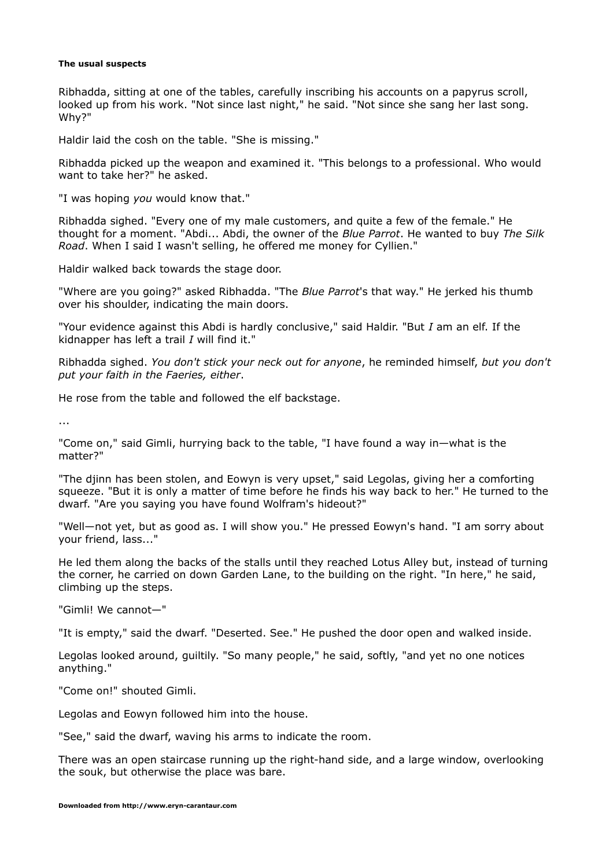Ribhadda, sitting at one of the tables, carefully inscribing his accounts on a papyrus scroll, looked up from his work. "Not since last night," he said. "Not since she sang her last song. Why?"

Haldir laid the cosh on the table. "She is missing."

Ribhadda picked up the weapon and examined it. "This belongs to a professional. Who would want to take her?" he asked.

"I was hoping *you* would know that."

Ribhadda sighed. "Every one of my male customers, and quite a few of the female." He thought for a moment. "Abdi... Abdi, the owner of the *Blue Parrot*. He wanted to buy *The Silk Road*. When I said I wasn't selling, he offered me money for Cyllien."

Haldir walked back towards the stage door.

"Where are you going?" asked Ribhadda. "The *Blue Parrot*'s that way." He jerked his thumb over his shoulder, indicating the main doors.

"Your evidence against this Abdi is hardly conclusive," said Haldir. "But *I* am an elf. If the kidnapper has left a trail *I* will find it."

Ribhadda sighed. *You don't stick your neck out for anyone*, he reminded himself, *but you don't put your faith in the Faeries, either*.

He rose from the table and followed the elf backstage.

...

"Come on," said Gimli, hurrying back to the table, "I have found a way in—what is the matter?"

"The djinn has been stolen, and Eowyn is very upset," said Legolas, giving her a comforting squeeze. "But it is only a matter of time before he finds his way back to her." He turned to the dwarf. "Are you saying you have found Wolfram's hideout?"

"Well—not yet, but as good as. I will show you." He pressed Eowyn's hand. "I am sorry about your friend, lass..."

He led them along the backs of the stalls until they reached Lotus Alley but, instead of turning the corner, he carried on down Garden Lane, to the building on the right. "In here," he said, climbing up the steps.

"Gimli! We cannot—"

"It is empty," said the dwarf. "Deserted. See." He pushed the door open and walked inside.

Legolas looked around, guiltily. "So many people," he said, softly, "and yet no one notices anything."

"Come on!" shouted Gimli.

Legolas and Eowyn followed him into the house.

"See," said the dwarf, waving his arms to indicate the room.

There was an open staircase running up the right-hand side, and a large window, overlooking the souk, but otherwise the place was bare.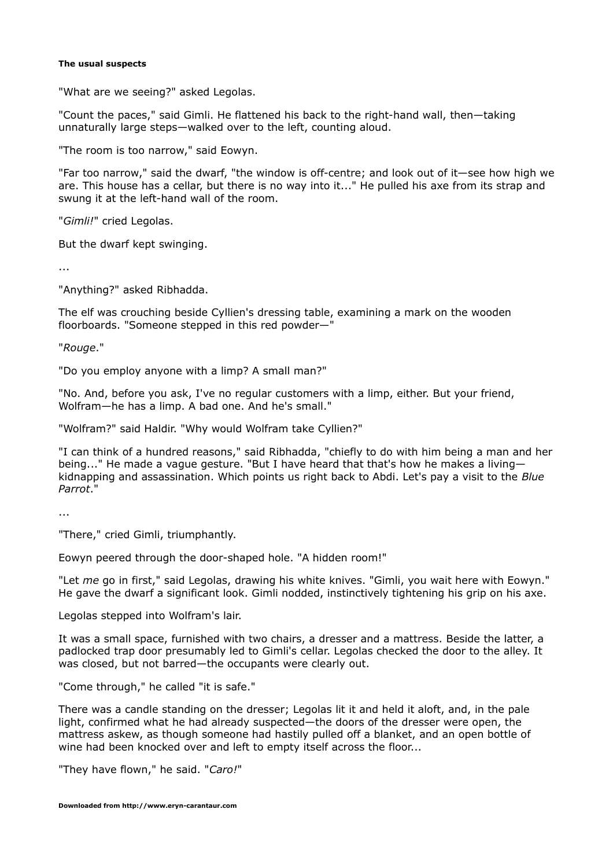"What are we seeing?" asked Legolas.

"Count the paces," said Gimli. He flattened his back to the right-hand wall, then—taking unnaturally large steps—walked over to the left, counting aloud.

"The room is too narrow," said Eowyn.

"Far too narrow," said the dwarf, "the window is off-centre; and look out of it—see how high we are. This house has a cellar, but there is no way into it..." He pulled his axe from its strap and swung it at the left-hand wall of the room.

"*Gimli!*" cried Legolas.

But the dwarf kept swinging.

...

"Anything?" asked Ribhadda.

The elf was crouching beside Cyllien's dressing table, examining a mark on the wooden floorboards. "Someone stepped in this red powder—"

"*Rouge*."

"Do you employ anyone with a limp? A small man?"

"No. And, before you ask, I've no regular customers with a limp, either. But your friend, Wolfram—he has a limp. A bad one. And he's small."

"Wolfram?" said Haldir. "Why would Wolfram take Cyllien?"

"I can think of a hundred reasons," said Ribhadda, "chiefly to do with him being a man and her being..." He made a vague gesture. "But I have heard that that's how he makes a living kidnapping and assassination. Which points us right back to Abdi. Let's pay a visit to the *Blue Parrot*."

...

"There," cried Gimli, triumphantly.

Eowyn peered through the door-shaped hole. "A hidden room!"

"Let *me* go in first," said Legolas, drawing his white knives. "Gimli, you wait here with Eowyn." He gave the dwarf a significant look. Gimli nodded, instinctively tightening his grip on his axe.

Legolas stepped into Wolfram's lair.

It was a small space, furnished with two chairs, a dresser and a mattress. Beside the latter, a padlocked trap door presumably led to Gimli's cellar. Legolas checked the door to the alley. It was closed, but not barred—the occupants were clearly out.

"Come through," he called "it is safe."

There was a candle standing on the dresser; Legolas lit it and held it aloft, and, in the pale light, confirmed what he had already suspected—the doors of the dresser were open, the mattress askew, as though someone had hastily pulled off a blanket, and an open bottle of wine had been knocked over and left to empty itself across the floor...

"They have flown," he said. "*Caro!*"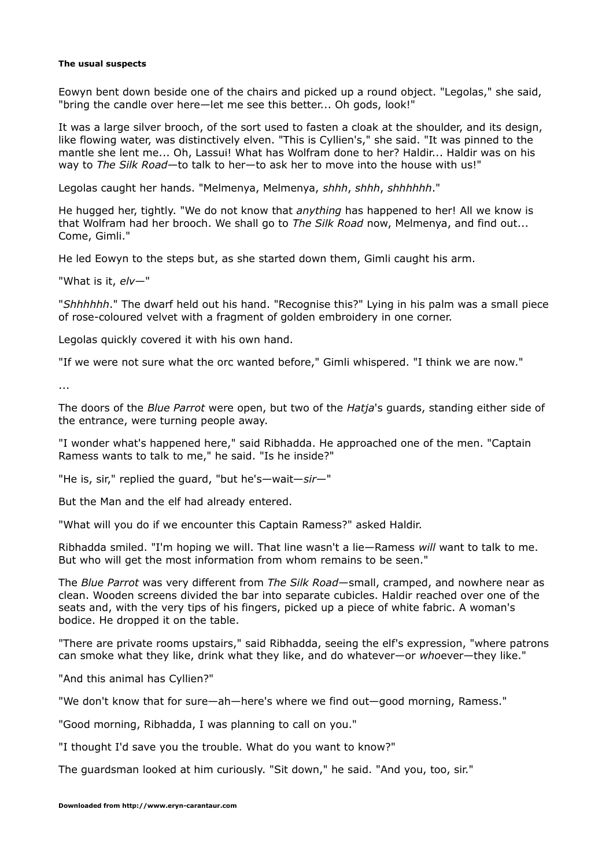Eowyn bent down beside one of the chairs and picked up a round object. "Legolas," she said, "bring the candle over here—let me see this better... Oh gods, look!"

It was a large silver brooch, of the sort used to fasten a cloak at the shoulder, and its design, like flowing water, was distinctively elven. "This is Cyllien's," she said. "It was pinned to the mantle she lent me... Oh, Lassui! What has Wolfram done to her? Haldir... Haldir was on his way to *The Silk Road*—to talk to her—to ask her to move into the house with us!"

Legolas caught her hands. "Melmenya, Melmenya, *shhh*, *shhh*, *shhhhhh*."

He hugged her, tightly. "We do not know that *anything* has happened to her! All we know is that Wolfram had her brooch. We shall go to *The Silk Road* now, Melmenya, and find out... Come, Gimli."

He led Eowyn to the steps but, as she started down them, Gimli caught his arm.

"What is it, *elv*—"

"*Shhhhhh*." The dwarf held out his hand. "Recognise this?" Lying in his palm was a small piece of rose-coloured velvet with a fragment of golden embroidery in one corner.

Legolas quickly covered it with his own hand.

"If we were not sure what the orc wanted before," Gimli whispered. "I think we are now."

...

The doors of the *Blue Parrot* were open, but two of the *Hatja*'s guards, standing either side of the entrance, were turning people away.

"I wonder what's happened here," said Ribhadda. He approached one of the men. "Captain Ramess wants to talk to me," he said. "Is he inside?"

"He is, sir," replied the guard, "but he's—wait—*sir*—"

But the Man and the elf had already entered.

"What will you do if we encounter this Captain Ramess?" asked Haldir.

Ribhadda smiled. "I'm hoping we will. That line wasn't a lie—Ramess *will* want to talk to me. But who will get the most information from whom remains to be seen."

The *Blue Parrot* was very different from *The Silk Road*—small, cramped, and nowhere near as clean. Wooden screens divided the bar into separate cubicles. Haldir reached over one of the seats and, with the very tips of his fingers, picked up a piece of white fabric. A woman's bodice. He dropped it on the table.

"There are private rooms upstairs," said Ribhadda, seeing the elf's expression, "where patrons can smoke what they like, drink what they like, and do whatever—or *who*ever—they like."

"And this animal has Cyllien?"

"We don't know that for sure—ah—here's where we find out—good morning, Ramess."

"Good morning, Ribhadda, I was planning to call on you."

"I thought I'd save you the trouble. What do you want to know?"

The guardsman looked at him curiously. "Sit down," he said. "And you, too, sir."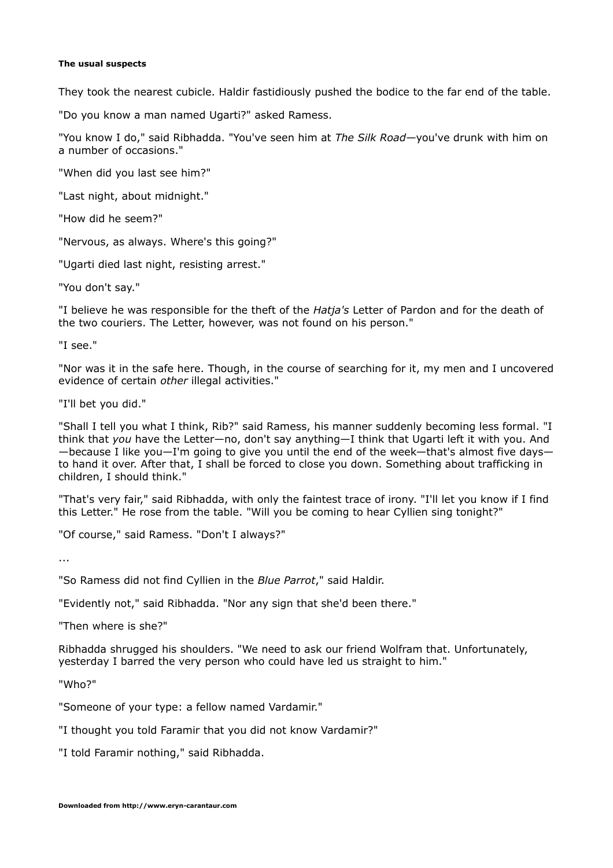They took the nearest cubicle. Haldir fastidiously pushed the bodice to the far end of the table.

"Do you know a man named Ugarti?" asked Ramess.

"You know I do," said Ribhadda. "You've seen him at *The Silk Road*—you've drunk with him on a number of occasions."

"When did you last see him?"

"Last night, about midnight."

"How did he seem?"

"Nervous, as always. Where's this going?"

"Ugarti died last night, resisting arrest."

"You don't say."

"I believe he was responsible for the theft of the *Hatja's* Letter of Pardon and for the death of the two couriers. The Letter, however, was not found on his person."

"I see."

"Nor was it in the safe here. Though, in the course of searching for it, my men and I uncovered evidence of certain *other* illegal activities."

"I'll bet you did."

"Shall I tell you what I think, Rib?" said Ramess, his manner suddenly becoming less formal. "I think that *you* have the Letter—no, don't say anything—I think that Ugarti left it with you. And —because I like you—I'm going to give you until the end of the week—that's almost five days to hand it over. After that, I shall be forced to close you down. Something about trafficking in children, I should think."

"That's very fair," said Ribhadda, with only the faintest trace of irony. "I'll let you know if I find this Letter." He rose from the table. "Will you be coming to hear Cyllien sing tonight?"

"Of course," said Ramess. "Don't I always?"

...

"So Ramess did not find Cyllien in the *Blue Parrot*," said Haldir.

"Evidently not," said Ribhadda. "Nor any sign that she'd been there."

"Then where is she?"

Ribhadda shrugged his shoulders. "We need to ask our friend Wolfram that. Unfortunately, yesterday I barred the very person who could have led us straight to him."

"Who?"

"Someone of your type: a fellow named Vardamir."

"I thought you told Faramir that you did not know Vardamir?"

"I told Faramir nothing," said Ribhadda.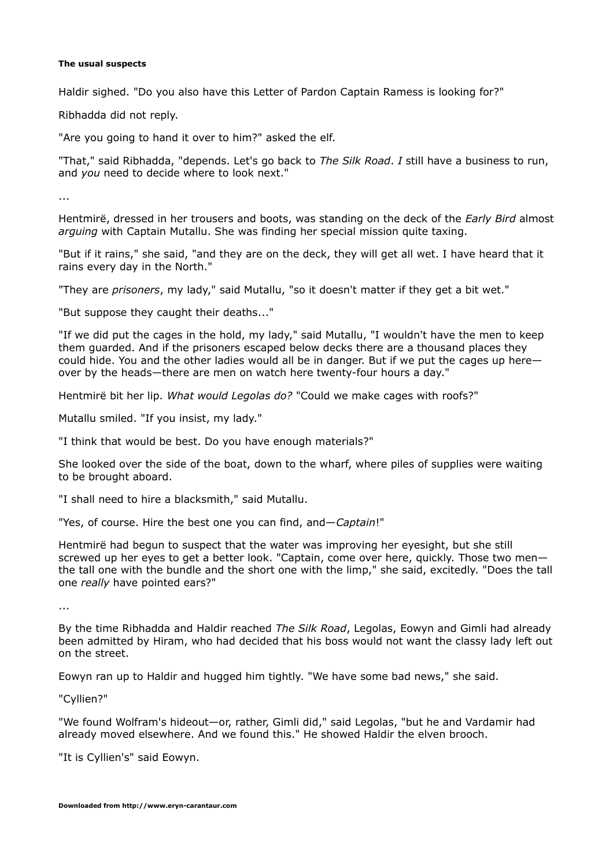Haldir sighed. "Do you also have this Letter of Pardon Captain Ramess is looking for?"

Ribhadda did not reply.

"Are you going to hand it over to him?" asked the elf.

"That," said Ribhadda, "depends. Let's go back to *The Silk Road*. *I* still have a business to run, and *you* need to decide where to look next."

...

Hentmirë, dressed in her trousers and boots, was standing on the deck of the *Early Bird* almost *arguing* with Captain Mutallu. She was finding her special mission quite taxing.

"But if it rains," she said, "and they are on the deck, they will get all wet. I have heard that it rains every day in the North."

"They are *prisoners*, my lady," said Mutallu, "so it doesn't matter if they get a bit wet."

"But suppose they caught their deaths..."

"If we did put the cages in the hold, my lady," said Mutallu, "I wouldn't have the men to keep them guarded. And if the prisoners escaped below decks there are a thousand places they could hide. You and the other ladies would all be in danger. But if we put the cages up here over by the heads—there are men on watch here twenty-four hours a day."

Hentmirë bit her lip. *What would Legolas do?* "Could we make cages with roofs?"

Mutallu smiled. "If you insist, my lady."

"I think that would be best. Do you have enough materials?"

She looked over the side of the boat, down to the wharf, where piles of supplies were waiting to be brought aboard.

"I shall need to hire a blacksmith," said Mutallu.

"Yes, of course. Hire the best one you can find, and—*Captain*!"

Hentmirë had begun to suspect that the water was improving her eyesight, but she still screwed up her eyes to get a better look. "Captain, come over here, quickly. Those two men the tall one with the bundle and the short one with the limp," she said, excitedly. "Does the tall one *really* have pointed ears?"

...

By the time Ribhadda and Haldir reached *The Silk Road*, Legolas, Eowyn and Gimli had already been admitted by Hiram, who had decided that his boss would not want the classy lady left out on the street.

Eowyn ran up to Haldir and hugged him tightly. "We have some bad news," she said.

"Cyllien?"

"We found Wolfram's hideout—or, rather, Gimli did," said Legolas, "but he and Vardamir had already moved elsewhere. And we found this." He showed Haldir the elven brooch.

"It is Cyllien's" said Eowyn.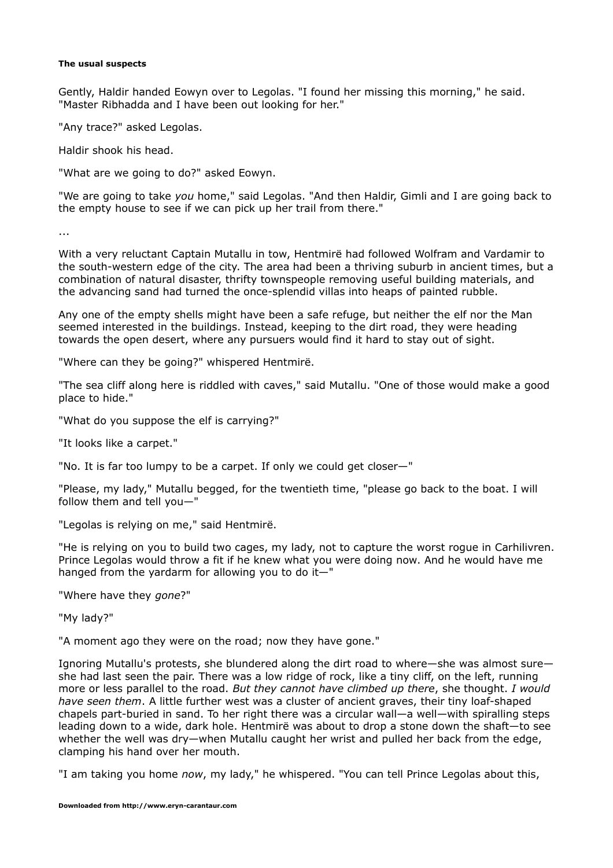Gently, Haldir handed Eowyn over to Legolas. "I found her missing this morning," he said. "Master Ribhadda and I have been out looking for her."

"Any trace?" asked Legolas.

Haldir shook his head.

"What are we going to do?" asked Eowyn.

"We are going to take *you* home," said Legolas. "And then Haldir, Gimli and I are going back to the empty house to see if we can pick up her trail from there."

...

With a very reluctant Captain Mutallu in tow, Hentmirë had followed Wolfram and Vardamir to the south-western edge of the city. The area had been a thriving suburb in ancient times, but a combination of natural disaster, thrifty townspeople removing useful building materials, and the advancing sand had turned the once-splendid villas into heaps of painted rubble.

Any one of the empty shells might have been a safe refuge, but neither the elf nor the Man seemed interested in the buildings. Instead, keeping to the dirt road, they were heading towards the open desert, where any pursuers would find it hard to stay out of sight.

"Where can they be going?" whispered Hentmirë.

"The sea cliff along here is riddled with caves," said Mutallu. "One of those would make a good place to hide."

"What do you suppose the elf is carrying?"

"It looks like a carpet."

"No. It is far too lumpy to be a carpet. If only we could get closer—"

"Please, my lady," Mutallu begged, for the twentieth time, "please go back to the boat. I will follow them and tell you—"

"Legolas is relying on me," said Hentmirë.

"He is relying on you to build two cages, my lady, not to capture the worst rogue in Carhilivren. Prince Legolas would throw a fit if he knew what you were doing now. And he would have me hanged from the yardarm for allowing you to do it—"

"Where have they *gone*?"

"My lady?"

"A moment ago they were on the road; now they have gone."

Ignoring Mutallu's protests, she blundered along the dirt road to where—she was almost sure she had last seen the pair. There was a low ridge of rock, like a tiny cliff, on the left, running more or less parallel to the road. *But they cannot have climbed up there*, she thought. *I would have seen them*. A little further west was a cluster of ancient graves, their tiny loaf-shaped chapels part-buried in sand. To her right there was a circular wall—a well—with spiralling steps leading down to a wide, dark hole. Hentmirë was about to drop a stone down the shaft—to see whether the well was dry—when Mutallu caught her wrist and pulled her back from the edge, clamping his hand over her mouth.

"I am taking you home *now*, my lady," he whispered. "You can tell Prince Legolas about this,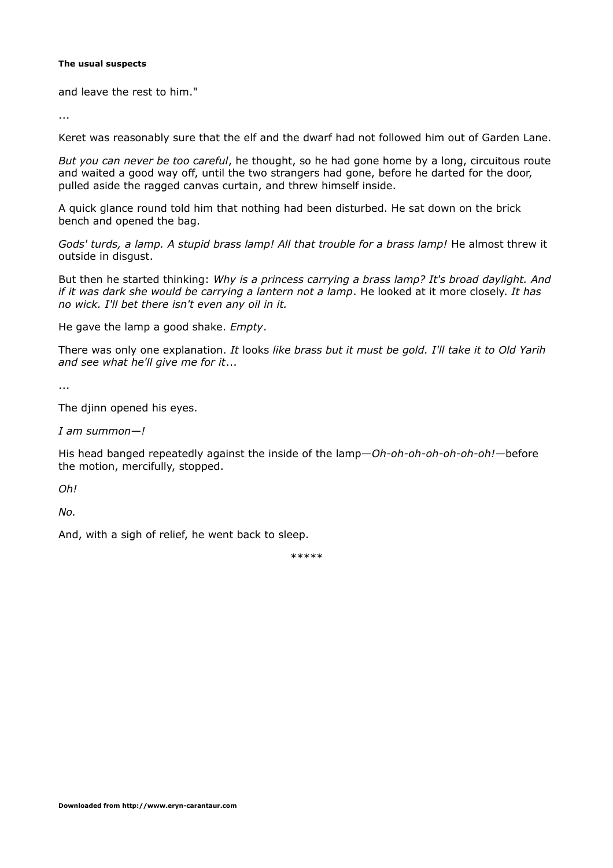and leave the rest to him."

...

Keret was reasonably sure that the elf and the dwarf had not followed him out of Garden Lane.

*But you can never be too careful*, he thought, so he had gone home by a long, circuitous route and waited a good way off, until the two strangers had gone, before he darted for the door, pulled aside the ragged canvas curtain, and threw himself inside.

A quick glance round told him that nothing had been disturbed. He sat down on the brick bench and opened the bag.

*Gods' turds, a lamp. A stupid brass lamp! All that trouble for a brass lamp!* He almost threw it outside in disgust.

But then he started thinking: *Why is a princess carrying a brass lamp? It's broad daylight. And if it was dark she would be carrying a lantern not a lamp*. He looked at it more closely. *It has no wick. I'll bet there isn't even any oil in it.*

He gave the lamp a good shake. *Empty*.

There was only one explanation. *It* looks *like brass but it must be gold. I'll take it to Old Yarih and see what he'll give me for it*...

...

The djinn opened his eyes.

*I am summon—!*

His head banged repeatedly against the inside of the lamp—*Oh-oh-oh-oh-oh-oh-oh!*—before the motion, mercifully, stopped.

*Oh!*

*No.*

And, with a sigh of relief, he went back to sleep.

\*\*\*\*\*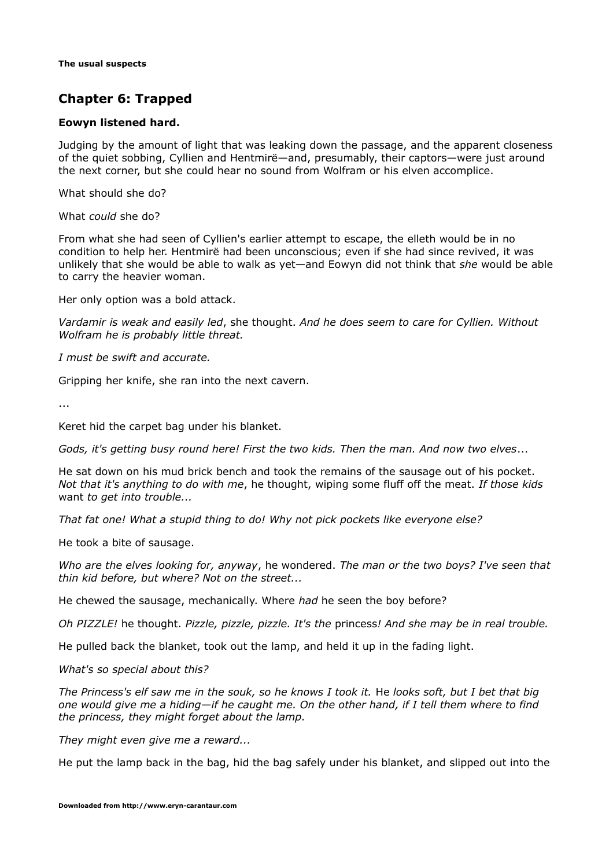# **Chapter 6: Trapped**

# **Eowyn listened hard.**

Judging by the amount of light that was leaking down the passage, and the apparent closeness of the quiet sobbing, Cyllien and Hentmirë—and, presumably, their captors—were just around the next corner, but she could hear no sound from Wolfram or his elven accomplice.

What should she do?

What *could* she do?

From what she had seen of Cyllien's earlier attempt to escape, the elleth would be in no condition to help her. Hentmirë had been unconscious; even if she had since revived, it was unlikely that she would be able to walk as yet—and Eowyn did not think that *she* would be able to carry the heavier woman.

Her only option was a bold attack.

*Vardamir is weak and easily led*, she thought. *And he does seem to care for Cyllien. Without Wolfram he is probably little threat.*

*I must be swift and accurate.*

Gripping her knife, she ran into the next cavern.

...

Keret hid the carpet bag under his blanket.

*Gods, it's getting busy round here! First the two kids. Then the man. And now two elves*...

He sat down on his mud brick bench and took the remains of the sausage out of his pocket. *Not that it's anything to do with me*, he thought, wiping some fluff off the meat. *If those kids* want *to get into trouble...*

*That fat one! What a stupid thing to do! Why not pick pockets like everyone else?*

He took a bite of sausage.

*Who are the elves looking for, anyway*, he wondered. *The man or the two boys? I've seen that thin kid before, but where? Not on the street...*

He chewed the sausage, mechanically. Where *had* he seen the boy before?

*Oh PIZZLE!* he thought. *Pizzle, pizzle, pizzle. It's the* princess*! And she may be in real trouble.*

He pulled back the blanket, took out the lamp, and held it up in the fading light.

*What's so special about this?*

*The Princess's elf saw me in the souk, so he knows I took it.* He *looks soft, but I bet that big one would give me a hiding—if he caught me. On the other hand, if I tell them where to find the princess, they might forget about the lamp.* 

*They might even give me a reward...* 

He put the lamp back in the bag, hid the bag safely under his blanket, and slipped out into the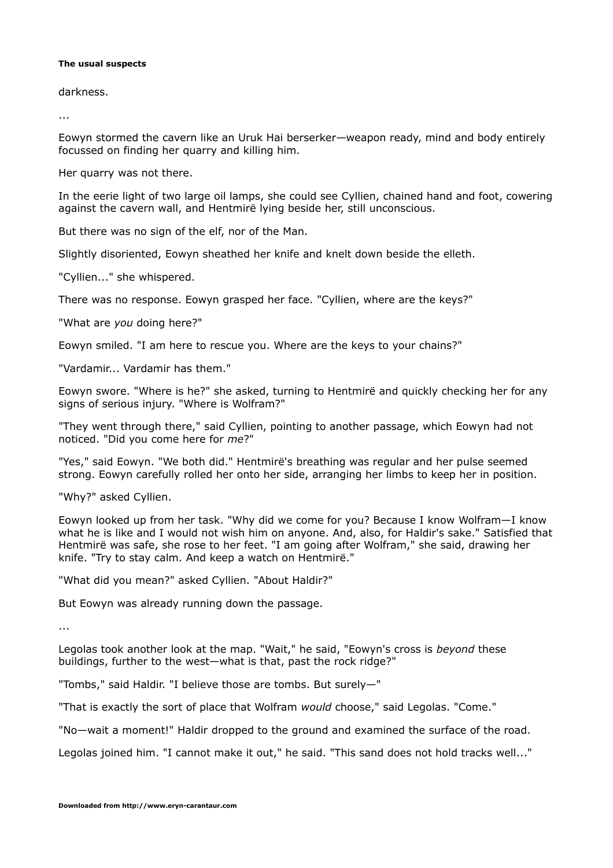darkness.

...

Eowyn stormed the cavern like an Uruk Hai berserker—weapon ready, mind and body entirely focussed on finding her quarry and killing him.

Her quarry was not there.

In the eerie light of two large oil lamps, she could see Cyllien, chained hand and foot, cowering against the cavern wall, and Hentmirë lying beside her, still unconscious.

But there was no sign of the elf, nor of the Man.

Slightly disoriented, Eowyn sheathed her knife and knelt down beside the elleth.

"Cyllien..." she whispered.

There was no response. Eowyn grasped her face. "Cyllien, where are the keys?"

"What are *you* doing here?"

Eowyn smiled. "I am here to rescue you. Where are the keys to your chains?"

"Vardamir... Vardamir has them."

Eowyn swore. "Where is he?" she asked, turning to Hentmirë and quickly checking her for any signs of serious injury. "Where is Wolfram?"

"They went through there," said Cyllien, pointing to another passage, which Eowyn had not noticed. "Did you come here for *me*?"

"Yes," said Eowyn. "We both did." Hentmirë's breathing was regular and her pulse seemed strong. Eowyn carefully rolled her onto her side, arranging her limbs to keep her in position.

"Why?" asked Cyllien.

Eowyn looked up from her task. "Why did we come for you? Because I know Wolfram—I know what he is like and I would not wish him on anyone. And, also, for Haldir's sake." Satisfied that Hentmirë was safe, she rose to her feet. "I am going after Wolfram," she said, drawing her knife. "Try to stay calm. And keep a watch on Hentmirë."

"What did you mean?" asked Cyllien. "About Haldir?"

But Eowyn was already running down the passage.

...

Legolas took another look at the map. "Wait," he said, "Eowyn's cross is *beyond* these buildings, further to the west—what is that, past the rock ridge?"

"Tombs," said Haldir. "I believe those are tombs. But surely—"

"That is exactly the sort of place that Wolfram *would* choose," said Legolas. "Come."

"No—wait a moment!" Haldir dropped to the ground and examined the surface of the road.

Legolas joined him. "I cannot make it out," he said. "This sand does not hold tracks well..."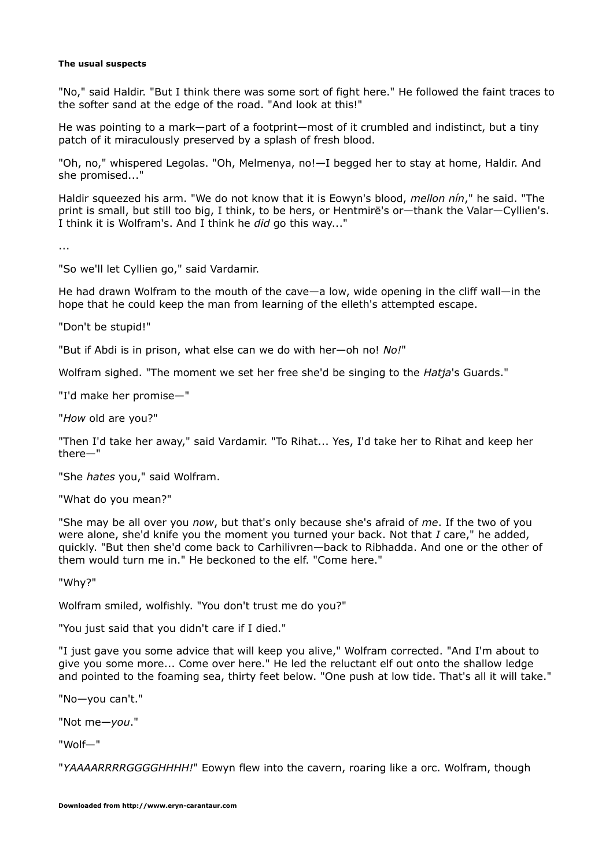"No," said Haldir. "But I think there was some sort of fight here." He followed the faint traces to the softer sand at the edge of the road. "And look at this!"

He was pointing to a mark—part of a footprint—most of it crumbled and indistinct, but a tiny patch of it miraculously preserved by a splash of fresh blood.

"Oh, no," whispered Legolas. "Oh, Melmenya, no!—I begged her to stay at home, Haldir. And she promised..."

Haldir squeezed his arm. "We do not know that it is Eowyn's blood, *mellon nín*," he said. "The print is small, but still too big, I think, to be hers, or Hentmirë's or—thank the Valar—Cyllien's. I think it is Wolfram's. And I think he *did* go this way..."

```
...
```
"So we'll let Cyllien go," said Vardamir.

He had drawn Wolfram to the mouth of the cave—a low, wide opening in the cliff wall—in the hope that he could keep the man from learning of the elleth's attempted escape.

"Don't be stupid!"

"But if Abdi is in prison, what else can we do with her—oh no! *No!*"

Wolfram sighed. "The moment we set her free she'd be singing to the *Hatja*'s Guards."

"I'd make her promise—"

"*How* old are you?"

"Then I'd take her away," said Vardamir. "To Rihat... Yes, I'd take her to Rihat and keep her there—"

"She *hates* you," said Wolfram.

"What do you mean?"

"She may be all over you *now*, but that's only because she's afraid of *me*. If the two of you were alone, she'd knife you the moment you turned your back. Not that *I* care," he added, quickly. "But then she'd come back to Carhilivren—back to Ribhadda. And one or the other of them would turn me in." He beckoned to the elf. "Come here."

"Why?"

Wolfram smiled, wolfishly. "You don't trust me do you?"

"You just said that you didn't care if I died."

"I just gave you some advice that will keep you alive," Wolfram corrected. "And I'm about to give you some more... Come over here." He led the reluctant elf out onto the shallow ledge and pointed to the foaming sea, thirty feet below. "One push at low tide. That's all it will take."

"No—you can't."

"Not me—*you*."

"Wolf—"

"*YAAAARRRRGGGGHHHH!*" Eowyn flew into the cavern, roaring like a orc. Wolfram, though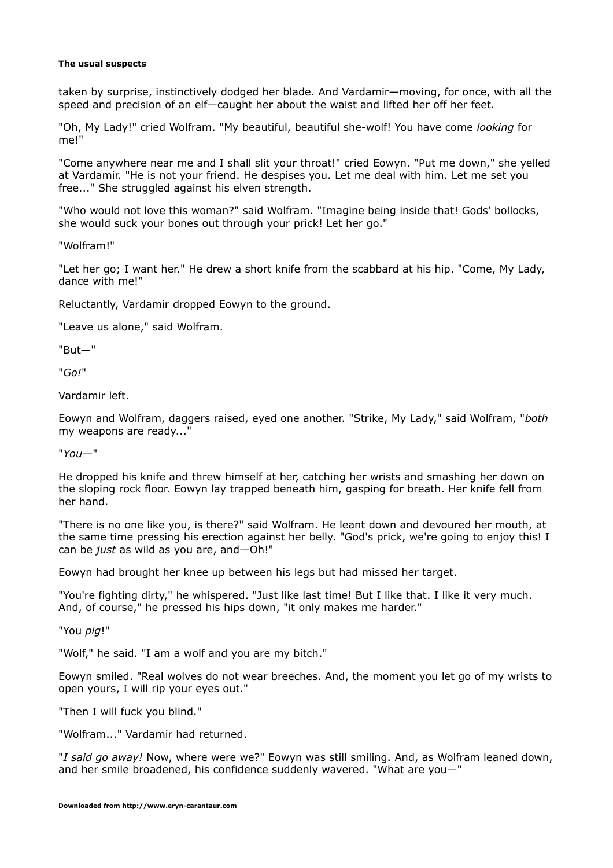taken by surprise, instinctively dodged her blade. And Vardamir—moving, for once, with all the speed and precision of an elf—caught her about the waist and lifted her off her feet.

"Oh, My Lady!" cried Wolfram. "My beautiful, beautiful she-wolf! You have come *looking* for me!"

"Come anywhere near me and I shall slit your throat!" cried Eowyn. "Put me down," she yelled at Vardamir. "He is not your friend. He despises you. Let me deal with him. Let me set you free..." She struggled against his elven strength.

"Who would not love this woman?" said Wolfram. "Imagine being inside that! Gods' bollocks, she would suck your bones out through your prick! Let her go."

"Wolfram!"

"Let her go; I want her." He drew a short knife from the scabbard at his hip. "Come, My Lady, dance with me!"

Reluctantly, Vardamir dropped Eowyn to the ground.

"Leave us alone," said Wolfram.

"But—"

"*Go!*"

Vardamir left.

Eowyn and Wolfram, daggers raised, eyed one another. "Strike, My Lady," said Wolfram, "*both* my weapons are ready..."

"*You*—"

He dropped his knife and threw himself at her, catching her wrists and smashing her down on the sloping rock floor. Eowyn lay trapped beneath him, gasping for breath. Her knife fell from her hand.

"There is no one like you, is there?" said Wolfram. He leant down and devoured her mouth, at the same time pressing his erection against her belly. "God's prick, we're going to enjoy this! I can be *just* as wild as you are, and—Oh!"

Eowyn had brought her knee up between his legs but had missed her target.

"You're fighting dirty," he whispered. "Just like last time! But I like that. I like it very much. And, of course," he pressed his hips down, "it only makes me harder."

"You *pig*!"

"Wolf," he said. "I am a wolf and you are my bitch."

Eowyn smiled. "Real wolves do not wear breeches. And, the moment you let go of my wrists to open yours, I will rip your eyes out."

"Then I will fuck you blind."

"Wolfram..." Vardamir had returned.

"*I said go away!* Now, where were we?" Eowyn was still smiling. And, as Wolfram leaned down, and her smile broadened, his confidence suddenly wavered. "What are you—"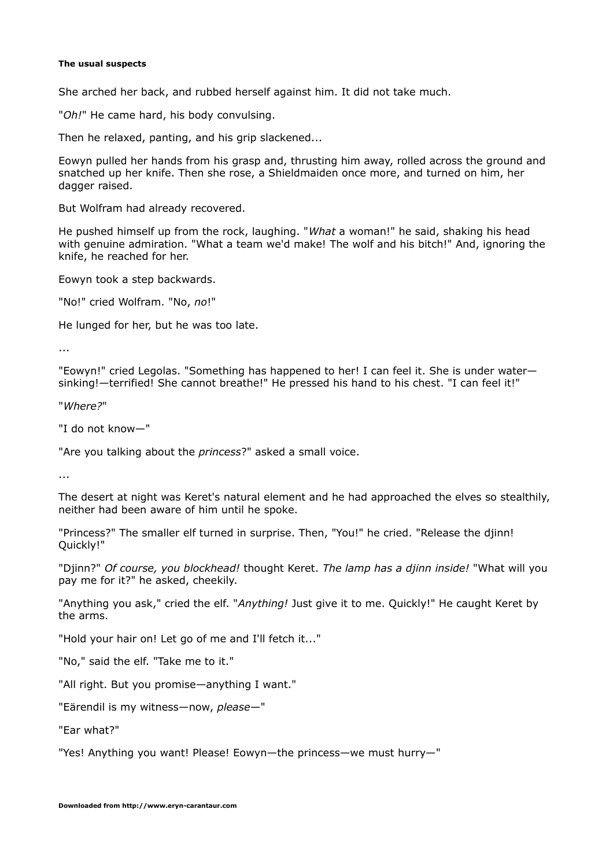She arched her back, and rubbed herself against him. It did not take much.

"*Oh!*" He came hard, his body convulsing.

Then he relaxed, panting, and his grip slackened...

Eowyn pulled her hands from his grasp and, thrusting him away, rolled across the ground and snatched up her knife. Then she rose, a Shieldmaiden once more, and turned on him, her dagger raised.

But Wolfram had already recovered.

He pushed himself up from the rock, laughing. "*What* a woman!" he said, shaking his head with genuine admiration. "What a team we'd make! The wolf and his bitch!" And, ignoring the knife, he reached for her.

Eowyn took a step backwards.

"No!" cried Wolfram. "No, *no*!"

He lunged for her, but he was too late.

...

"Eowyn!" cried Legolas. "Something has happened to her! I can feel it. She is under water sinking!—terrified! She cannot breathe!" He pressed his hand to his chest. "I can feel it!"

"*Where?*"

"I do not know—"

"Are you talking about the *princess*?" asked a small voice.

...

The desert at night was Keret's natural element and he had approached the elves so stealthily, neither had been aware of him until he spoke.

"Princess?" The smaller elf turned in surprise. Then, "You!" he cried. "Release the djinn! Quickly!"

"Djinn?" *Of course, you blockhead!* thought Keret. *The lamp has a djinn inside!* "What will you pay me for it?" he asked, cheekily.

"Anything you ask," cried the elf. "*Anything!* Just give it to me. Quickly!" He caught Keret by the arms.

"Hold your hair on! Let go of me and I'll fetch it..."

"No," said the elf. "Take me to it."

"All right. But you promise—anything I want."

"Eärendil is my witness—now, *please*—"

"Ear what?"

"Yes! Anything you want! Please! Eowyn—the princess—we must hurry—"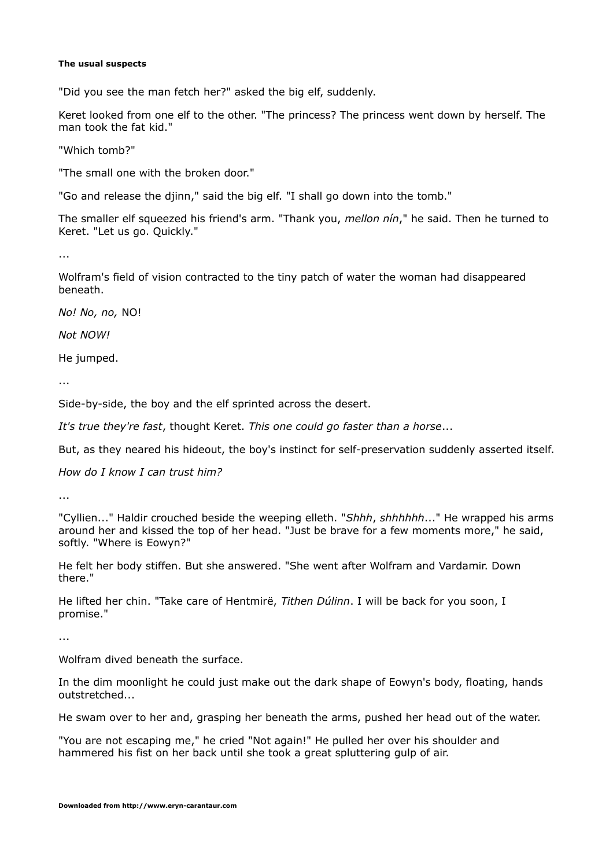"Did you see the man fetch her?" asked the big elf, suddenly.

Keret looked from one elf to the other. "The princess? The princess went down by herself. The man took the fat kid."

"Which tomb?"

"The small one with the broken door."

"Go and release the djinn," said the big elf. "I shall go down into the tomb."

The smaller elf squeezed his friend's arm. "Thank you, *mellon nín*," he said. Then he turned to Keret. "Let us go. Quickly."

...

Wolfram's field of vision contracted to the tiny patch of water the woman had disappeared beneath.

*No! No, no,* NO!

*Not NOW!*

He jumped.

...

Side-by-side, the boy and the elf sprinted across the desert.

*It's true they're fast*, thought Keret. *This one could go faster than a horse*...

But, as they neared his hideout, the boy's instinct for self-preservation suddenly asserted itself.

*How do I know I can trust him?*

...

"Cyllien..." Haldir crouched beside the weeping elleth. "*Shhh*, *shhhhhh*..." He wrapped his arms around her and kissed the top of her head. "Just be brave for a few moments more," he said, softly. "Where is Eowyn?"

He felt her body stiffen. But she answered. "She went after Wolfram and Vardamir. Down there."

He lifted her chin. "Take care of Hentmirë, *Tithen Dúlinn*. I will be back for you soon, I promise."

...

Wolfram dived beneath the surface.

In the dim moonlight he could just make out the dark shape of Eowyn's body, floating, hands outstretched...

He swam over to her and, grasping her beneath the arms, pushed her head out of the water.

"You are not escaping me," he cried "Not again!" He pulled her over his shoulder and hammered his fist on her back until she took a great spluttering gulp of air.

**Downloaded from http://www.eryn-carantaur.com**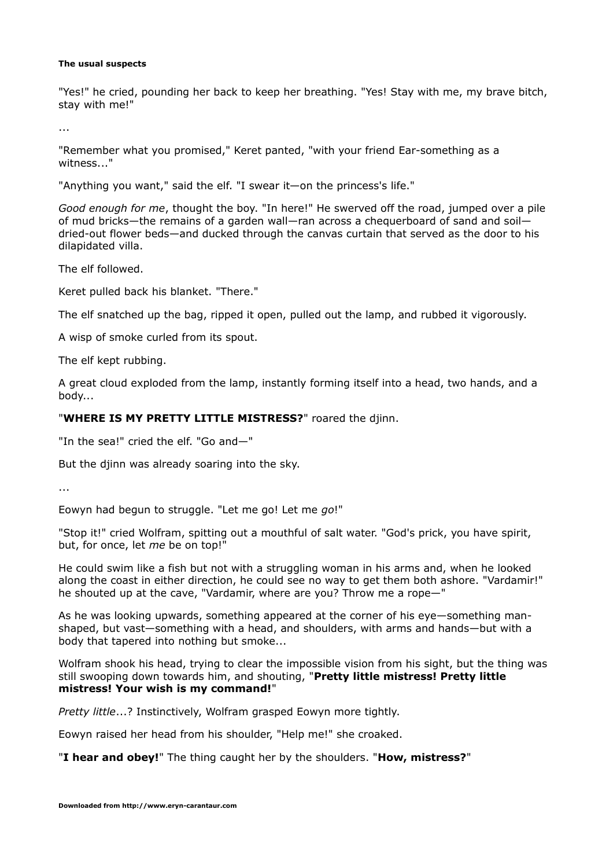"Yes!" he cried, pounding her back to keep her breathing. "Yes! Stay with me, my brave bitch, stay with me!"

...

"Remember what you promised," Keret panted, "with your friend Ear-something as a witness..."

"Anything you want," said the elf. "I swear it—on the princess's life."

*Good enough for me*, thought the boy. "In here!" He swerved off the road, jumped over a pile of mud bricks—the remains of a garden wall—ran across a chequerboard of sand and soil dried-out flower beds—and ducked through the canvas curtain that served as the door to his dilapidated villa.

The elf followed.

Keret pulled back his blanket. "There."

The elf snatched up the bag, ripped it open, pulled out the lamp, and rubbed it vigorously.

A wisp of smoke curled from its spout.

The elf kept rubbing.

A great cloud exploded from the lamp, instantly forming itself into a head, two hands, and a body...

# "**WHERE IS MY PRETTY LITTLE MISTRESS?**" roared the djinn.

"In the sea!" cried the elf. "Go and—"

But the djinn was already soaring into the sky.

...

Eowyn had begun to struggle. "Let me go! Let me *go*!"

"Stop it!" cried Wolfram, spitting out a mouthful of salt water. "God's prick, you have spirit, but, for once, let *me* be on top!"

He could swim like a fish but not with a struggling woman in his arms and, when he looked along the coast in either direction, he could see no way to get them both ashore. "Vardamir!" he shouted up at the cave, "Vardamir, where are you? Throw me a rope—"

As he was looking upwards, something appeared at the corner of his eye—something manshaped, but vast—something with a head, and shoulders, with arms and hands—but with a body that tapered into nothing but smoke...

Wolfram shook his head, trying to clear the impossible vision from his sight, but the thing was still swooping down towards him, and shouting, "**Pretty little mistress! Pretty little mistress! Your wish is my command!**"

*Pretty little*...? Instinctively, Wolfram grasped Eowyn more tightly.

Eowyn raised her head from his shoulder, "Help me!" she croaked.

"**I hear and obey!**" The thing caught her by the shoulders. "**How, mistress?**"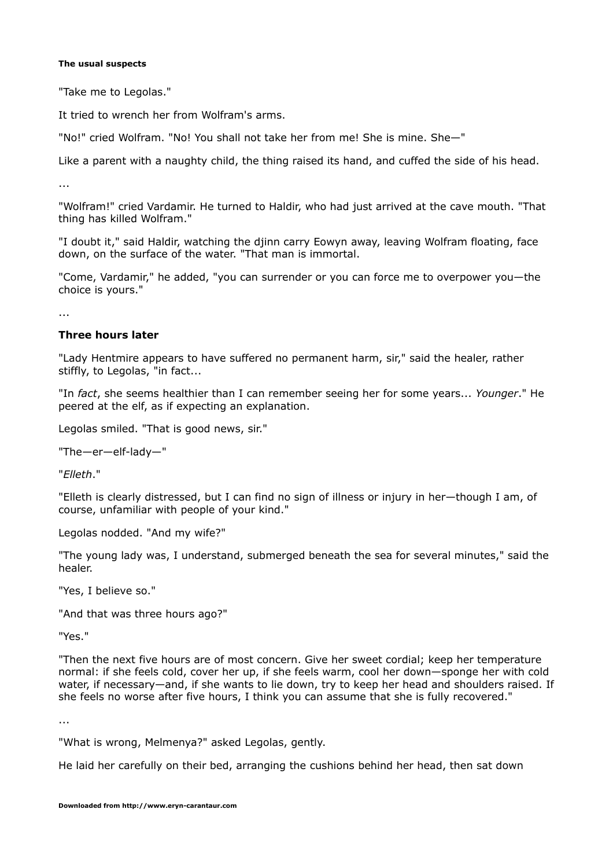"Take me to Legolas."

It tried to wrench her from Wolfram's arms.

"No!" cried Wolfram. "No! You shall not take her from me! She is mine. She—"

Like a parent with a naughty child, the thing raised its hand, and cuffed the side of his head.

...

"Wolfram!" cried Vardamir. He turned to Haldir, who had just arrived at the cave mouth. "That thing has killed Wolfram."

"I doubt it," said Haldir, watching the djinn carry Eowyn away, leaving Wolfram floating, face down, on the surface of the water. "That man is immortal.

"Come, Vardamir," he added, "you can surrender or you can force me to overpower you—the choice is yours."

...

# **Three hours later**

"Lady Hentmire appears to have suffered no permanent harm, sir," said the healer, rather stiffly, to Legolas, "in fact...

"In *fact*, she seems healthier than I can remember seeing her for some years... *Younger*." He peered at the elf, as if expecting an explanation.

Legolas smiled. "That is good news, sir."

"The—er—elf-lady—"

"*Elleth*."

"Elleth is clearly distressed, but I can find no sign of illness or injury in her—though I am, of course, unfamiliar with people of your kind."

Legolas nodded. "And my wife?"

"The young lady was, I understand, submerged beneath the sea for several minutes," said the healer.

"Yes, I believe so."

"And that was three hours ago?"

"Yes."

"Then the next five hours are of most concern. Give her sweet cordial; keep her temperature normal: if she feels cold, cover her up, if she feels warm, cool her down—sponge her with cold water, if necessary—and, if she wants to lie down, try to keep her head and shoulders raised. If she feels no worse after five hours, I think you can assume that she is fully recovered."

...

"What is wrong, Melmenya?" asked Legolas, gently.

He laid her carefully on their bed, arranging the cushions behind her head, then sat down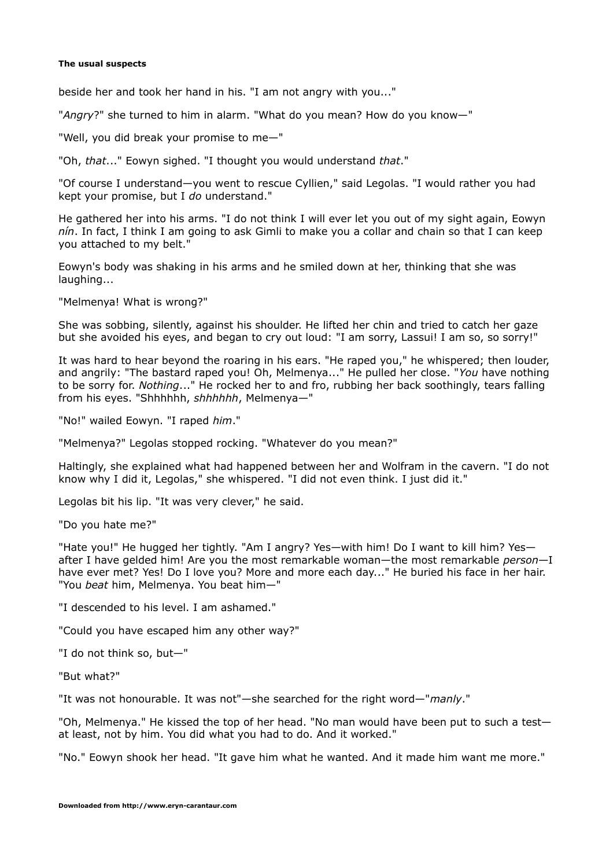beside her and took her hand in his. "I am not angry with you..."

"*Angry*?" she turned to him in alarm. "What do you mean? How do you know—"

"Well, you did break your promise to me—"

"Oh, *that*..." Eowyn sighed. "I thought you would understand *that*."

"Of course I understand—you went to rescue Cyllien," said Legolas. "I would rather you had kept your promise, but I *do* understand."

He gathered her into his arms. "I do not think I will ever let you out of my sight again, Eowyn *nín*. In fact, I think I am going to ask Gimli to make you a collar and chain so that I can keep you attached to my belt."

Eowyn's body was shaking in his arms and he smiled down at her, thinking that she was laughing...

"Melmenya! What is wrong?"

She was sobbing, silently, against his shoulder. He lifted her chin and tried to catch her gaze but she avoided his eyes, and began to cry out loud: "I am sorry, Lassui! I am so, so sorry!"

It was hard to hear beyond the roaring in his ears. "He raped you," he whispered; then louder, and angrily: "The bastard raped you! Oh, Melmenya..." He pulled her close. "*You* have nothing to be sorry for. *Nothing*..." He rocked her to and fro, rubbing her back soothingly, tears falling from his eyes. "Shhhhhh, *shhhhhh*, Melmenya—"

"No!" wailed Eowyn. "I raped *him*."

"Melmenya?" Legolas stopped rocking. "Whatever do you mean?"

Haltingly, she explained what had happened between her and Wolfram in the cavern. "I do not know why I did it, Legolas," she whispered. "I did not even think. I just did it."

Legolas bit his lip. "It was very clever," he said.

"Do you hate me?"

"Hate you!" He hugged her tightly. "Am I angry? Yes—with him! Do I want to kill him? Yes after I have gelded him! Are you the most remarkable woman—the most remarkable *person*—I have ever met? Yes! Do I love you? More and more each day..." He buried his face in her hair. "You *beat* him, Melmenya. You beat him—"

"I descended to his level. I am ashamed."

"Could you have escaped him any other way?"

"I do not think so, but—"

"But what?"

"It was not honourable. It was not"—she searched for the right word—"*manly*."

"Oh, Melmenya." He kissed the top of her head. "No man would have been put to such a test at least, not by him. You did what you had to do. And it worked."

"No." Eowyn shook her head. "It gave him what he wanted. And it made him want me more."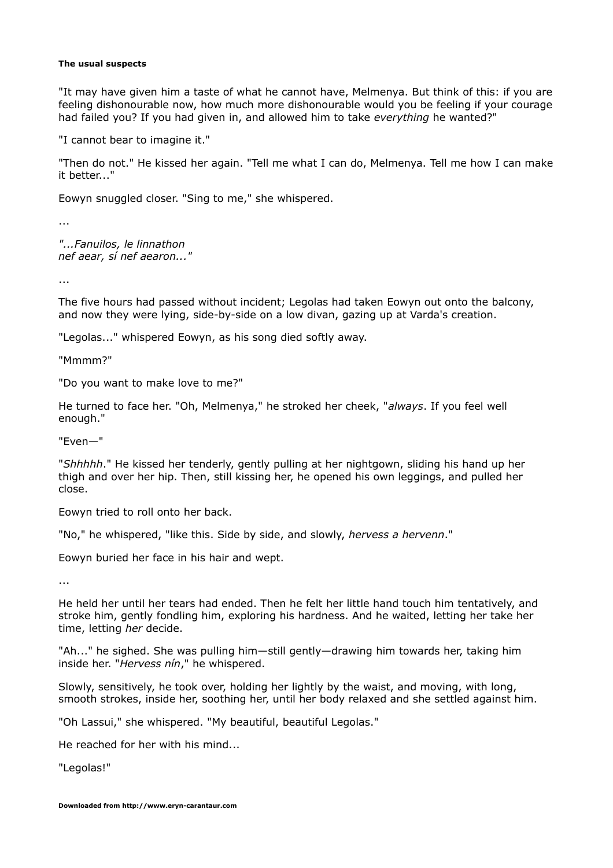"It may have given him a taste of what he cannot have, Melmenya. But think of this: if you are feeling dishonourable now, how much more dishonourable would you be feeling if your courage had failed you? If you had given in, and allowed him to take *everything* he wanted?"

"I cannot bear to imagine it."

"Then do not." He kissed her again. "Tell me what I can do, Melmenya. Tell me how I can make it better..."

Eowyn snuggled closer. "Sing to me," she whispered.

...

*"...Fanuilos, le linnathon nef aear, sí nef aearon..."*

...

The five hours had passed without incident; Legolas had taken Eowyn out onto the balcony, and now they were lying, side-by-side on a low divan, gazing up at Varda's creation.

"Legolas..." whispered Eowyn, as his song died softly away.

"Mmmm?"

"Do you want to make love to me?"

He turned to face her. "Oh, Melmenya," he stroked her cheek, "*always*. If you feel well enough."

"Even—"

"*Shhhhh*." He kissed her tenderly, gently pulling at her nightgown, sliding his hand up her thigh and over her hip. Then, still kissing her, he opened his own leggings, and pulled her close.

Eowyn tried to roll onto her back.

"No," he whispered, "like this. Side by side, and slowly, *hervess a hervenn*."

Eowyn buried her face in his hair and wept.

...

He held her until her tears had ended. Then he felt her little hand touch him tentatively, and stroke him, gently fondling him, exploring his hardness. And he waited, letting her take her time, letting *her* decide.

"Ah..." he sighed. She was pulling him—still gently—drawing him towards her, taking him inside her. "*Hervess nín*," he whispered.

Slowly, sensitively, he took over, holding her lightly by the waist, and moving, with long, smooth strokes, inside her, soothing her, until her body relaxed and she settled against him.

"Oh Lassui," she whispered. "My beautiful, beautiful Legolas."

He reached for her with his mind...

"Legolas!"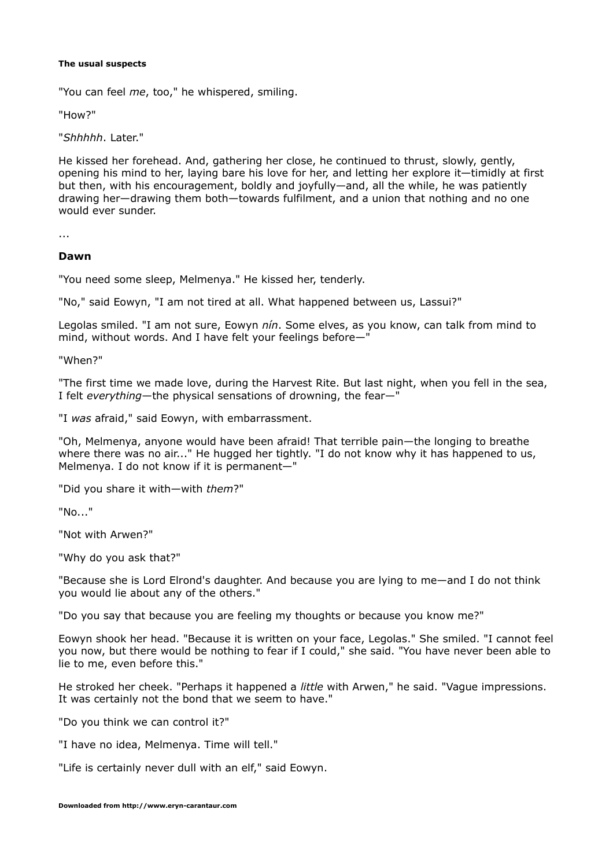"You can feel *me*, too," he whispered, smiling.

"How?"

"*Shhhhh*. Later."

He kissed her forehead. And, gathering her close, he continued to thrust, slowly, gently, opening his mind to her, laying bare his love for her, and letting her explore it—timidly at first but then, with his encouragement, boldly and joyfully—and, all the while, he was patiently drawing her—drawing them both—towards fulfilment, and a union that nothing and no one would ever sunder.

...

# **Dawn**

"You need some sleep, Melmenya." He kissed her, tenderly.

"No," said Eowyn, "I am not tired at all. What happened between us, Lassui?"

Legolas smiled. "I am not sure, Eowyn *nín*. Some elves, as you know, can talk from mind to mind, without words. And I have felt your feelings before—"

"When?"

"The first time we made love, during the Harvest Rite. But last night, when you fell in the sea, I felt *everything*—the physical sensations of drowning, the fear—"

"I *was* afraid," said Eowyn, with embarrassment.

"Oh, Melmenya, anyone would have been afraid! That terrible pain—the longing to breathe where there was no air..." He hugged her tightly. "I do not know why it has happened to us, Melmenya. I do not know if it is permanent—"

"Did you share it with—with *them*?"

"No..."

"Not with Arwen?"

"Why do you ask that?"

"Because she is Lord Elrond's daughter. And because you are lying to me—and I do not think you would lie about any of the others."

"Do you say that because you are feeling my thoughts or because you know me?"

Eowyn shook her head. "Because it is written on your face, Legolas." She smiled. "I cannot feel you now, but there would be nothing to fear if I could," she said. "You have never been able to lie to me, even before this."

He stroked her cheek. "Perhaps it happened a *little* with Arwen," he said. "Vague impressions. It was certainly not the bond that we seem to have."

"Do you think we can control it?"

"I have no idea, Melmenya. Time will tell."

"Life is certainly never dull with an elf," said Eowyn.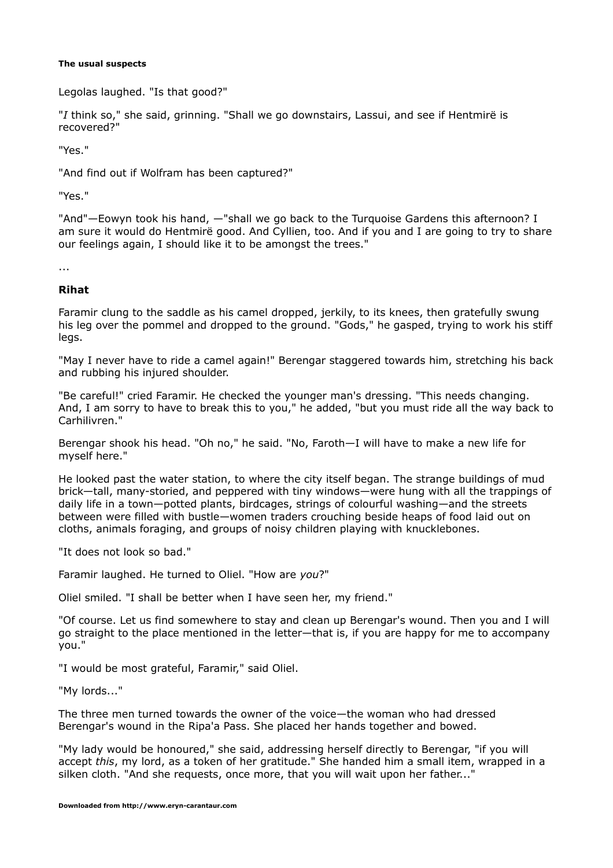Legolas laughed. "Is that good?"

"*I* think so," she said, grinning. "Shall we go downstairs, Lassui, and see if Hentmirë is recovered?"

"Yes."

"And find out if Wolfram has been captured?"

"Yes."

"And"—Eowyn took his hand, —"shall we go back to the Turquoise Gardens this afternoon? I am sure it would do Hentmirë good. And Cyllien, too. And if you and I are going to try to share our feelings again, I should like it to be amongst the trees."

...

# **Rihat**

Faramir clung to the saddle as his camel dropped, jerkily, to its knees, then gratefully swung his leg over the pommel and dropped to the ground. "Gods," he gasped, trying to work his stiff legs.

"May I never have to ride a camel again!" Berengar staggered towards him, stretching his back and rubbing his injured shoulder.

"Be careful!" cried Faramir. He checked the younger man's dressing. "This needs changing. And, I am sorry to have to break this to you," he added, "but you must ride all the way back to Carhilivren."

Berengar shook his head. "Oh no," he said. "No, Faroth—I will have to make a new life for myself here."

He looked past the water station, to where the city itself began. The strange buildings of mud brick—tall, many-storied, and peppered with tiny windows—were hung with all the trappings of daily life in a town—potted plants, birdcages, strings of colourful washing—and the streets between were filled with bustle—women traders crouching beside heaps of food laid out on cloths, animals foraging, and groups of noisy children playing with knucklebones.

"It does not look so bad."

Faramir laughed. He turned to Oliel. "How are *you*?"

Oliel smiled. "I shall be better when I have seen her, my friend."

"Of course. Let us find somewhere to stay and clean up Berengar's wound. Then you and I will go straight to the place mentioned in the letter—that is, if you are happy for me to accompany you."

"I would be most grateful, Faramir," said Oliel.

"My lords..."

The three men turned towards the owner of the voice—the woman who had dressed Berengar's wound in the Ripa'a Pass. She placed her hands together and bowed.

"My lady would be honoured," she said, addressing herself directly to Berengar, "if you will accept *this*, my lord, as a token of her gratitude." She handed him a small item, wrapped in a silken cloth. "And she requests, once more, that you will wait upon her father..."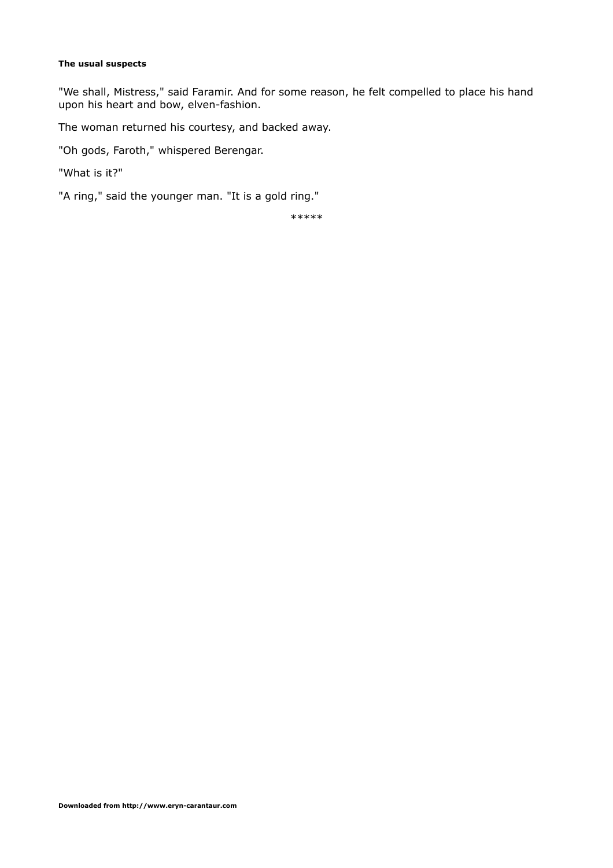"We shall, Mistress," said Faramir. And for some reason, he felt compelled to place his hand upon his heart and bow, elven-fashion.

The woman returned his courtesy, and backed away.

"Oh gods, Faroth," whispered Berengar.

"What is it?"

"A ring," said the younger man. "It is a gold ring."

\*\*\*\*\*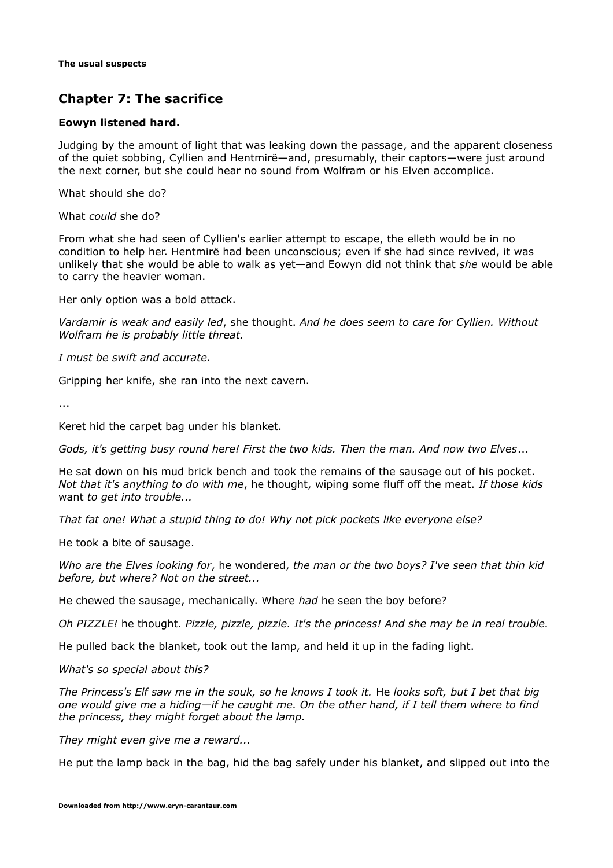# **Chapter 7: The sacrifice**

# **Eowyn listened hard.**

Judging by the amount of light that was leaking down the passage, and the apparent closeness of the quiet sobbing, Cyllien and Hentmirë—and, presumably, their captors—were just around the next corner, but she could hear no sound from Wolfram or his Elven accomplice.

What should she do?

What *could* she do?

From what she had seen of Cyllien's earlier attempt to escape, the elleth would be in no condition to help her. Hentmirë had been unconscious; even if she had since revived, it was unlikely that she would be able to walk as yet—and Eowyn did not think that *she* would be able to carry the heavier woman.

Her only option was a bold attack.

*Vardamir is weak and easily led*, she thought. *And he does seem to care for Cyllien. Without Wolfram he is probably little threat.*

*I must be swift and accurate.*

Gripping her knife, she ran into the next cavern.

...

Keret hid the carpet bag under his blanket.

*Gods, it's getting busy round here! First the two kids. Then the man. And now two Elves*...

He sat down on his mud brick bench and took the remains of the sausage out of his pocket. *Not that it's anything to do with me*, he thought, wiping some fluff off the meat. *If those kids* want *to get into trouble...*

*That fat one! What a stupid thing to do! Why not pick pockets like everyone else?*

He took a bite of sausage.

*Who are the Elves looking for*, he wondered, *the man or the two boys? I've seen that thin kid before, but where? Not on the street...*

He chewed the sausage, mechanically. Where *had* he seen the boy before?

*Oh PIZZLE!* he thought. *Pizzle, pizzle, pizzle. It's the princess! And she may be in real trouble.*

He pulled back the blanket, took out the lamp, and held it up in the fading light.

*What's so special about this?*

*The Princess's Elf saw me in the souk, so he knows I took it.* He *looks soft, but I bet that big one would give me a hiding—if he caught me. On the other hand, if I tell them where to find the princess, they might forget about the lamp.* 

*They might even give me a reward...* 

He put the lamp back in the bag, hid the bag safely under his blanket, and slipped out into the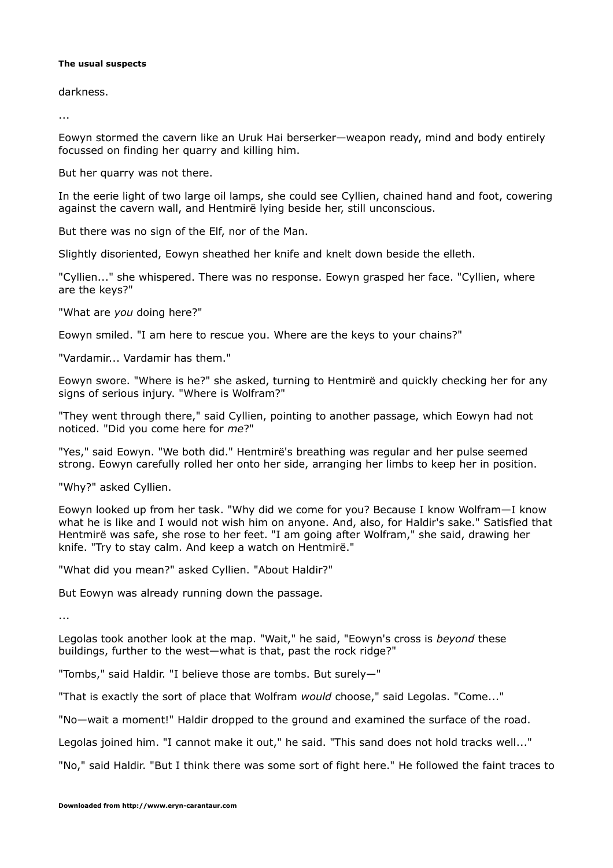darkness.

...

Eowyn stormed the cavern like an Uruk Hai berserker—weapon ready, mind and body entirely focussed on finding her quarry and killing him.

But her quarry was not there.

In the eerie light of two large oil lamps, she could see Cyllien, chained hand and foot, cowering against the cavern wall, and Hentmirë lying beside her, still unconscious.

But there was no sign of the Elf, nor of the Man.

Slightly disoriented, Eowyn sheathed her knife and knelt down beside the elleth.

"Cyllien..." she whispered. There was no response. Eowyn grasped her face. "Cyllien, where are the keys?"

"What are *you* doing here?"

Eowyn smiled. "I am here to rescue you. Where are the keys to your chains?"

"Vardamir... Vardamir has them."

Eowyn swore. "Where is he?" she asked, turning to Hentmirë and quickly checking her for any signs of serious injury. "Where is Wolfram?"

"They went through there," said Cyllien, pointing to another passage, which Eowyn had not noticed. "Did you come here for *me*?"

"Yes," said Eowyn. "We both did." Hentmirë's breathing was regular and her pulse seemed strong. Eowyn carefully rolled her onto her side, arranging her limbs to keep her in position.

"Why?" asked Cyllien.

Eowyn looked up from her task. "Why did we come for you? Because I know Wolfram—I know what he is like and I would not wish him on anyone. And, also, for Haldir's sake." Satisfied that Hentmirë was safe, she rose to her feet. "I am going after Wolfram," she said, drawing her knife. "Try to stay calm. And keep a watch on Hentmirë."

"What did you mean?" asked Cyllien. "About Haldir?"

But Eowyn was already running down the passage.

...

Legolas took another look at the map. "Wait," he said, "Eowyn's cross is *beyond* these buildings, further to the west—what is that, past the rock ridge?"

"Tombs," said Haldir. "I believe those are tombs. But surely—"

"That is exactly the sort of place that Wolfram *would* choose," said Legolas. "Come..."

"No—wait a moment!" Haldir dropped to the ground and examined the surface of the road.

Legolas joined him. "I cannot make it out," he said. "This sand does not hold tracks well..."

"No," said Haldir. "But I think there was some sort of fight here." He followed the faint traces to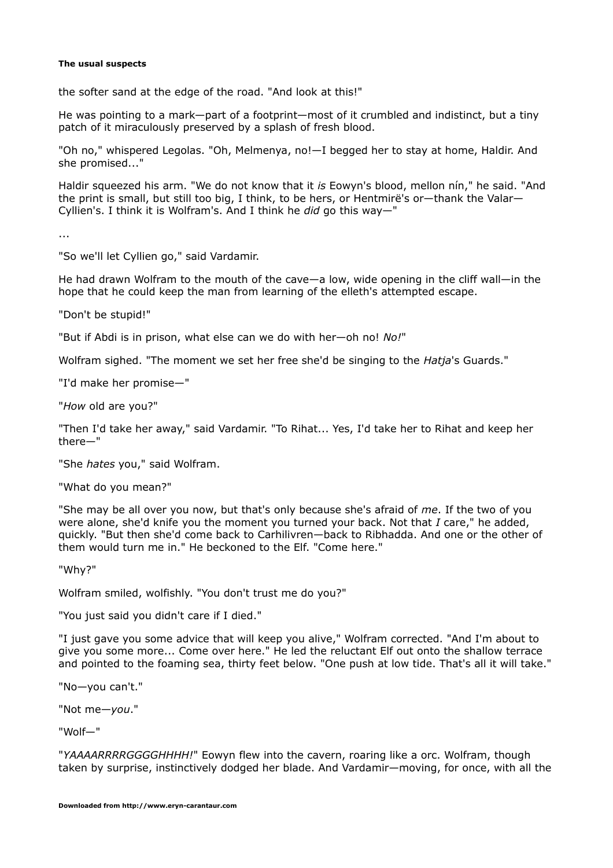the softer sand at the edge of the road. "And look at this!"

He was pointing to a mark—part of a footprint—most of it crumbled and indistinct, but a tiny patch of it miraculously preserved by a splash of fresh blood.

"Oh no," whispered Legolas. "Oh, Melmenya, no!—I begged her to stay at home, Haldir. And she promised..."

Haldir squeezed his arm. "We do not know that it *is* Eowyn's blood, mellon nín," he said. "And the print is small, but still too big, I think, to be hers, or Hentmirë's or—thank the Valar— Cyllien's. I think it is Wolfram's. And I think he *did* go this way—"

```
...
```
"So we'll let Cyllien go," said Vardamir.

He had drawn Wolfram to the mouth of the cave—a low, wide opening in the cliff wall—in the hope that he could keep the man from learning of the elleth's attempted escape.

"Don't be stupid!"

"But if Abdi is in prison, what else can we do with her—oh no! *No!*"

Wolfram sighed. "The moment we set her free she'd be singing to the *Hatja*'s Guards."

"I'd make her promise—"

"*How* old are you?"

"Then I'd take her away," said Vardamir. "To Rihat... Yes, I'd take her to Rihat and keep her there—"

"She *hates* you," said Wolfram.

"What do you mean?"

"She may be all over you now, but that's only because she's afraid of *me*. If the two of you were alone, she'd knife you the moment you turned your back. Not that *I* care," he added, quickly. "But then she'd come back to Carhilivren—back to Ribhadda. And one or the other of them would turn me in." He beckoned to the Elf. "Come here."

"Why?"

Wolfram smiled, wolfishly. "You don't trust me do you?"

"You just said you didn't care if I died."

"I just gave you some advice that will keep you alive," Wolfram corrected. "And I'm about to give you some more... Come over here." He led the reluctant Elf out onto the shallow terrace and pointed to the foaming sea, thirty feet below. "One push at low tide. That's all it will take."

"No—you can't."

"Not me—*you*."

"Wolf—"

"*YAAAARRRRGGGGHHHH!*" Eowyn flew into the cavern, roaring like a orc. Wolfram, though taken by surprise, instinctively dodged her blade. And Vardamir—moving, for once, with all the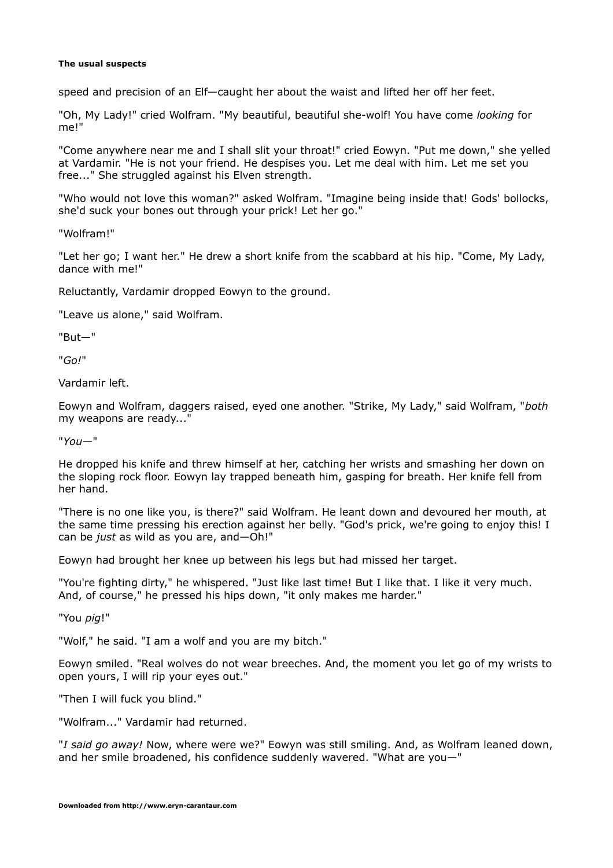speed and precision of an Elf—caught her about the waist and lifted her off her feet.

"Oh, My Lady!" cried Wolfram. "My beautiful, beautiful she-wolf! You have come *looking* for me!"

"Come anywhere near me and I shall slit your throat!" cried Eowyn. "Put me down," she yelled at Vardamir. "He is not your friend. He despises you. Let me deal with him. Let me set you free..." She struggled against his Elven strength.

"Who would not love this woman?" asked Wolfram. "Imagine being inside that! Gods' bollocks, she'd suck your bones out through your prick! Let her go."

"Wolfram!"

"Let her go; I want her." He drew a short knife from the scabbard at his hip. "Come, My Lady, dance with me!"

Reluctantly, Vardamir dropped Eowyn to the ground.

"Leave us alone," said Wolfram.

"But—"

"*Go!*"

Vardamir left.

Eowyn and Wolfram, daggers raised, eyed one another. "Strike, My Lady," said Wolfram, "*both* my weapons are ready..."

"*You*—"

He dropped his knife and threw himself at her, catching her wrists and smashing her down on the sloping rock floor. Eowyn lay trapped beneath him, gasping for breath. Her knife fell from her hand.

"There is no one like you, is there?" said Wolfram. He leant down and devoured her mouth, at the same time pressing his erection against her belly. "God's prick, we're going to enjoy this! I can be *just* as wild as you are, and—Oh!"

Eowyn had brought her knee up between his legs but had missed her target.

"You're fighting dirty," he whispered. "Just like last time! But I like that. I like it very much. And, of course," he pressed his hips down, "it only makes me harder."

"You *pig*!"

"Wolf," he said. "I am a wolf and you are my bitch."

Eowyn smiled. "Real wolves do not wear breeches. And, the moment you let go of my wrists to open yours, I will rip your eyes out."

"Then I will fuck you blind."

"Wolfram..." Vardamir had returned.

"I said go away! Now, where were we?" Eowyn was still smiling. And, as Wolfram leaned down, and her smile broadened, his confidence suddenly wavered. "What are you—"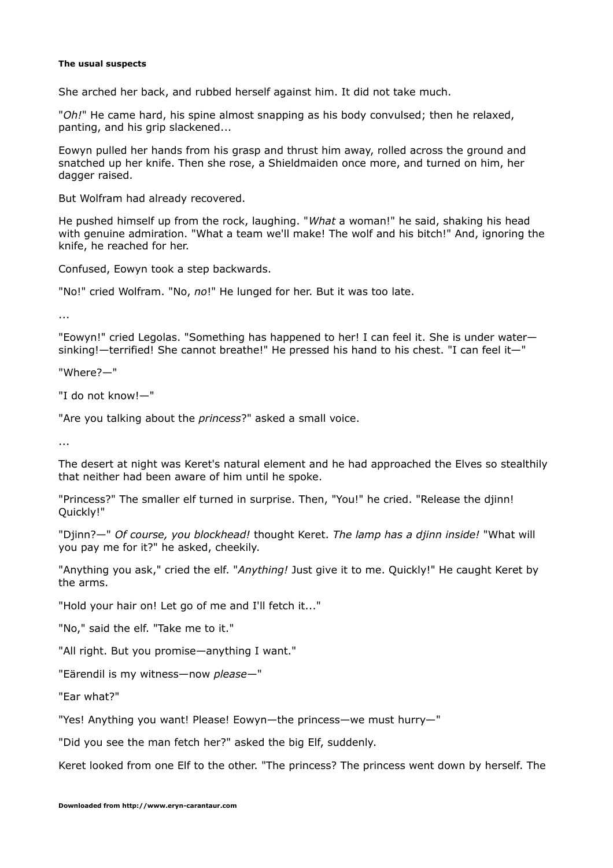She arched her back, and rubbed herself against him. It did not take much.

"*Oh!*" He came hard, his spine almost snapping as his body convulsed; then he relaxed, panting, and his grip slackened...

Eowyn pulled her hands from his grasp and thrust him away, rolled across the ground and snatched up her knife. Then she rose, a Shieldmaiden once more, and turned on him, her dagger raised.

But Wolfram had already recovered.

He pushed himself up from the rock, laughing. "*What* a woman!" he said, shaking his head with genuine admiration. "What a team we'll make! The wolf and his bitch!" And, ignoring the knife, he reached for her.

Confused, Eowyn took a step backwards.

"No!" cried Wolfram. "No, *no*!" He lunged for her. But it was too late.

...

"Eowyn!" cried Legolas. "Something has happened to her! I can feel it. She is under water sinking!—terrified! She cannot breathe!" He pressed his hand to his chest. "I can feel it—"

"Where?—"

"I do not know!—"

"Are you talking about the *princess*?" asked a small voice.

...

The desert at night was Keret's natural element and he had approached the Elves so stealthily that neither had been aware of him until he spoke.

"Princess?" The smaller elf turned in surprise. Then, "You!" he cried. "Release the djinn! Quickly!"

"Djinn?—" *Of course, you blockhead!* thought Keret. *The lamp has a djinn inside!* "What will you pay me for it?" he asked, cheekily.

"Anything you ask," cried the elf. "*Anything!* Just give it to me. Quickly!" He caught Keret by the arms.

"Hold your hair on! Let go of me and I'll fetch it..."

"No," said the elf. "Take me to it."

"All right. But you promise—anything I want."

"Eärendil is my witness—now *please*—"

"Ear what?"

"Yes! Anything you want! Please! Eowyn—the princess—we must hurry—"

"Did you see the man fetch her?" asked the big Elf, suddenly.

Keret looked from one Elf to the other. "The princess? The princess went down by herself. The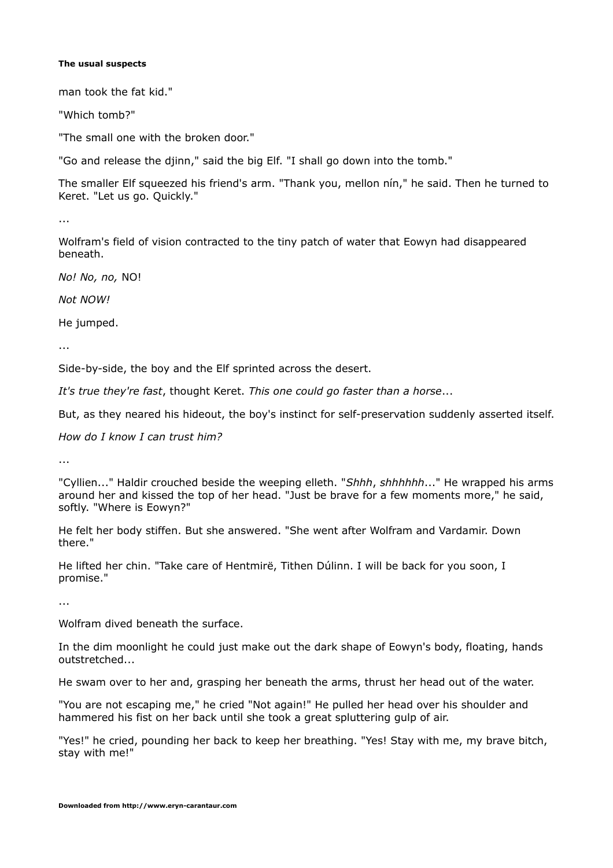man took the fat kid."

"Which tomb?"

"The small one with the broken door."

"Go and release the djinn," said the big Elf. "I shall go down into the tomb."

The smaller Elf squeezed his friend's arm. "Thank you, mellon nín," he said. Then he turned to Keret. "Let us go. Quickly."

...

Wolfram's field of vision contracted to the tiny patch of water that Eowyn had disappeared beneath.

*No! No, no,* NO!

*Not NOW!*

He jumped.

...

Side-by-side, the boy and the Elf sprinted across the desert.

*It's true they're fast*, thought Keret. *This one could go faster than a horse*...

But, as they neared his hideout, the boy's instinct for self-preservation suddenly asserted itself.

*How do I know I can trust him?*

...

"Cyllien..." Haldir crouched beside the weeping elleth. "*Shhh*, *shhhhhh*..." He wrapped his arms around her and kissed the top of her head. "Just be brave for a few moments more," he said, softly. "Where is Eowyn?"

He felt her body stiffen. But she answered. "She went after Wolfram and Vardamir. Down there."

He lifted her chin. "Take care of Hentmirë, Tithen Dúlinn. I will be back for you soon, I promise."

...

Wolfram dived beneath the surface.

In the dim moonlight he could just make out the dark shape of Eowyn's body, floating, hands outstretched...

He swam over to her and, grasping her beneath the arms, thrust her head out of the water.

"You are not escaping me," he cried "Not again!" He pulled her head over his shoulder and hammered his fist on her back until she took a great spluttering gulp of air.

"Yes!" he cried, pounding her back to keep her breathing. "Yes! Stay with me, my brave bitch, stay with me!"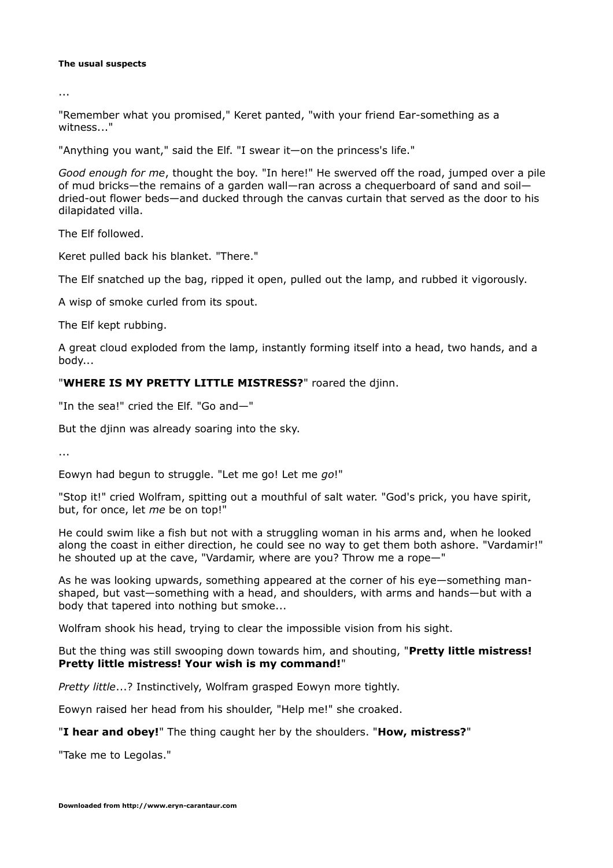...

"Remember what you promised," Keret panted, "with your friend Ear-something as a witness..."

"Anything you want," said the Elf. "I swear it—on the princess's life."

*Good enough for me*, thought the boy. "In here!" He swerved off the road, jumped over a pile of mud bricks—the remains of a garden wall—ran across a chequerboard of sand and soil dried-out flower beds—and ducked through the canvas curtain that served as the door to his dilapidated villa.

The Elf followed.

Keret pulled back his blanket. "There."

The Elf snatched up the bag, ripped it open, pulled out the lamp, and rubbed it vigorously.

A wisp of smoke curled from its spout.

The Elf kept rubbing.

A great cloud exploded from the lamp, instantly forming itself into a head, two hands, and a body...

# "**WHERE IS MY PRETTY LITTLE MISTRESS?**" roared the djinn.

"In the sea!" cried the Elf. "Go and—"

But the djinn was already soaring into the sky.

...

Eowyn had begun to struggle. "Let me go! Let me *go*!"

"Stop it!" cried Wolfram, spitting out a mouthful of salt water. "God's prick, you have spirit, but, for once, let *me* be on top!"

He could swim like a fish but not with a struggling woman in his arms and, when he looked along the coast in either direction, he could see no way to get them both ashore. "Vardamir!" he shouted up at the cave, "Vardamir, where are you? Throw me a rope—"

As he was looking upwards, something appeared at the corner of his eye—something manshaped, but vast—something with a head, and shoulders, with arms and hands—but with a body that tapered into nothing but smoke...

Wolfram shook his head, trying to clear the impossible vision from his sight.

But the thing was still swooping down towards him, and shouting, "**Pretty little mistress! Pretty little mistress! Your wish is my command!**"

*Pretty little*...? Instinctively, Wolfram grasped Eowyn more tightly.

Eowyn raised her head from his shoulder, "Help me!" she croaked.

"**I hear and obey!**" The thing caught her by the shoulders. "**How, mistress?**"

"Take me to Legolas."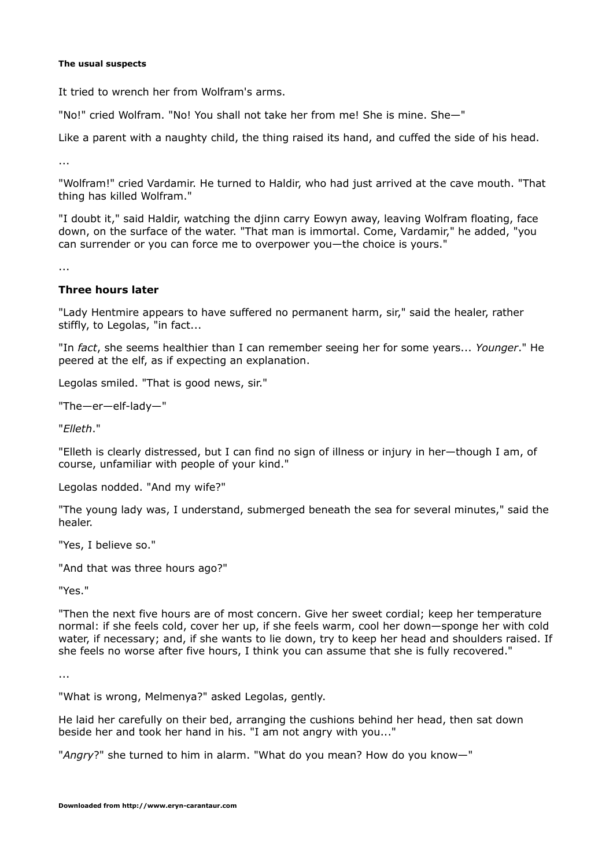It tried to wrench her from Wolfram's arms.

"No!" cried Wolfram. "No! You shall not take her from me! She is mine. She—"

Like a parent with a naughty child, the thing raised its hand, and cuffed the side of his head.

...

"Wolfram!" cried Vardamir. He turned to Haldir, who had just arrived at the cave mouth. "That thing has killed Wolfram."

"I doubt it," said Haldir, watching the djinn carry Eowyn away, leaving Wolfram floating, face down, on the surface of the water. "That man is immortal. Come, Vardamir," he added, "you can surrender or you can force me to overpower you—the choice is yours."

...

# **Three hours later**

"Lady Hentmire appears to have suffered no permanent harm, sir," said the healer, rather stiffly, to Legolas, "in fact...

"In *fact*, she seems healthier than I can remember seeing her for some years... *Younger*." He peered at the elf, as if expecting an explanation.

Legolas smiled. "That is good news, sir."

"The—er—elf-lady—"

"*Elleth*."

"Elleth is clearly distressed, but I can find no sign of illness or injury in her—though I am, of course, unfamiliar with people of your kind."

Legolas nodded. "And my wife?"

"The young lady was, I understand, submerged beneath the sea for several minutes," said the healer.

"Yes, I believe so."

"And that was three hours ago?"

"Yes."

"Then the next five hours are of most concern. Give her sweet cordial; keep her temperature normal: if she feels cold, cover her up, if she feels warm, cool her down—sponge her with cold water, if necessary; and, if she wants to lie down, try to keep her head and shoulders raised. If she feels no worse after five hours, I think you can assume that she is fully recovered."

...

"What is wrong, Melmenya?" asked Legolas, gently.

He laid her carefully on their bed, arranging the cushions behind her head, then sat down beside her and took her hand in his. "I am not angry with you..."

"*Angry*?" she turned to him in alarm. "What do you mean? How do you know—"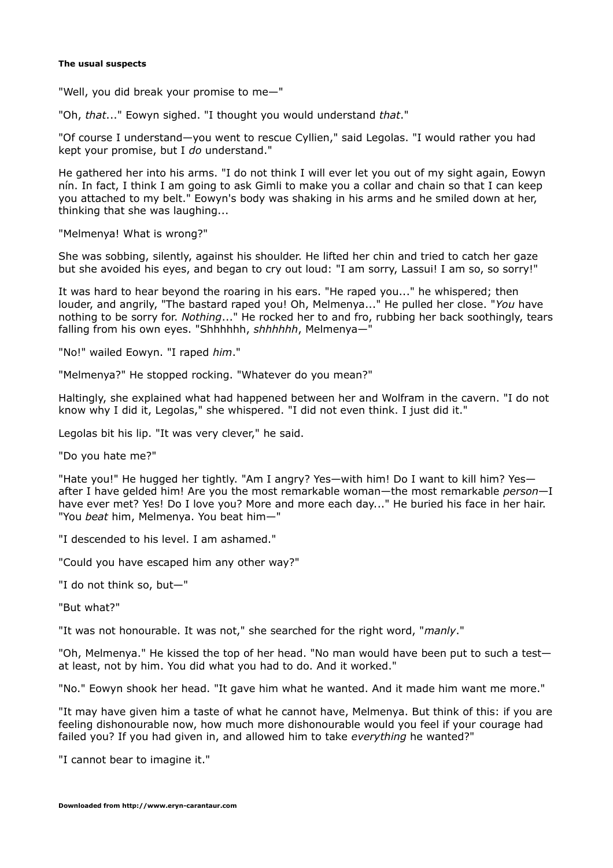"Well, you did break your promise to me—"

"Oh, *that*..." Eowyn sighed. "I thought you would understand *that*."

"Of course I understand—you went to rescue Cyllien," said Legolas. "I would rather you had kept your promise, but I *do* understand."

He gathered her into his arms. "I do not think I will ever let you out of my sight again, Eowyn nín. In fact, I think I am going to ask Gimli to make you a collar and chain so that I can keep you attached to my belt." Eowyn's body was shaking in his arms and he smiled down at her, thinking that she was laughing...

"Melmenya! What is wrong?"

She was sobbing, silently, against his shoulder. He lifted her chin and tried to catch her gaze but she avoided his eyes, and began to cry out loud: "I am sorry, Lassui! I am so, so sorry!"

It was hard to hear beyond the roaring in his ears. "He raped you..." he whispered; then louder, and angrily, "The bastard raped you! Oh, Melmenya..." He pulled her close. "*You* have nothing to be sorry for. *Nothing*..." He rocked her to and fro, rubbing her back soothingly, tears falling from his own eyes. "Shhhhhh, *shhhhhh*, Melmenya—"

"No!" wailed Eowyn. "I raped *him*."

"Melmenya?" He stopped rocking. "Whatever do you mean?"

Haltingly, she explained what had happened between her and Wolfram in the cavern. "I do not know why I did it, Legolas," she whispered. "I did not even think. I just did it."

Legolas bit his lip. "It was very clever," he said.

"Do you hate me?"

"Hate you!" He hugged her tightly. "Am I angry? Yes—with him! Do I want to kill him? Yes after I have gelded him! Are you the most remarkable woman—the most remarkable *person*—I have ever met? Yes! Do I love you? More and more each day..." He buried his face in her hair. "You *beat* him, Melmenya. You beat him—"

"I descended to his level. I am ashamed."

"Could you have escaped him any other way?"

"I do not think so, but—"

"But what?"

"It was not honourable. It was not," she searched for the right word, "*manly*."

"Oh, Melmenya." He kissed the top of her head. "No man would have been put to such a test at least, not by him. You did what you had to do. And it worked."

"No." Eowyn shook her head. "It gave him what he wanted. And it made him want me more."

"It may have given him a taste of what he cannot have, Melmenya. But think of this: if you are feeling dishonourable now, how much more dishonourable would you feel if your courage had failed you? If you had given in, and allowed him to take *everything* he wanted?"

"I cannot bear to imagine it."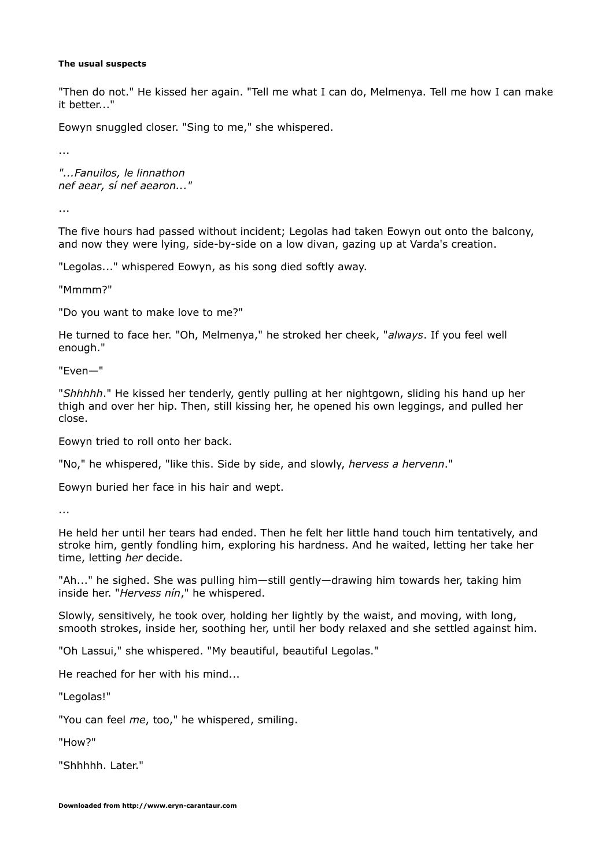"Then do not." He kissed her again. "Tell me what I can do, Melmenya. Tell me how I can make it better..."

Eowyn snuggled closer. "Sing to me," she whispered.

...

*"...Fanuilos, le linnathon nef aear, sí nef aearon..."*

...

The five hours had passed without incident; Legolas had taken Eowyn out onto the balcony, and now they were lying, side-by-side on a low divan, gazing up at Varda's creation.

"Legolas..." whispered Eowyn, as his song died softly away.

"Mmmm?"

"Do you want to make love to me?"

He turned to face her. "Oh, Melmenya," he stroked her cheek, "*always*. If you feel well enough."

"Even—"

"*Shhhhh*." He kissed her tenderly, gently pulling at her nightgown, sliding his hand up her thigh and over her hip. Then, still kissing her, he opened his own leggings, and pulled her close.

Eowyn tried to roll onto her back.

"No," he whispered, "like this. Side by side, and slowly, *hervess a hervenn*."

Eowyn buried her face in his hair and wept.

...

He held her until her tears had ended. Then he felt her little hand touch him tentatively, and stroke him, gently fondling him, exploring his hardness. And he waited, letting her take her time, letting *her* decide.

"Ah..." he sighed. She was pulling him—still gently—drawing him towards her, taking him inside her. "*Hervess nín*," he whispered.

Slowly, sensitively, he took over, holding her lightly by the waist, and moving, with long, smooth strokes, inside her, soothing her, until her body relaxed and she settled against him.

"Oh Lassui," she whispered. "My beautiful, beautiful Legolas."

He reached for her with his mind...

"Legolas!"

"You can feel *me*, too," he whispered, smiling.

"How?"

"Shhhhh. Later."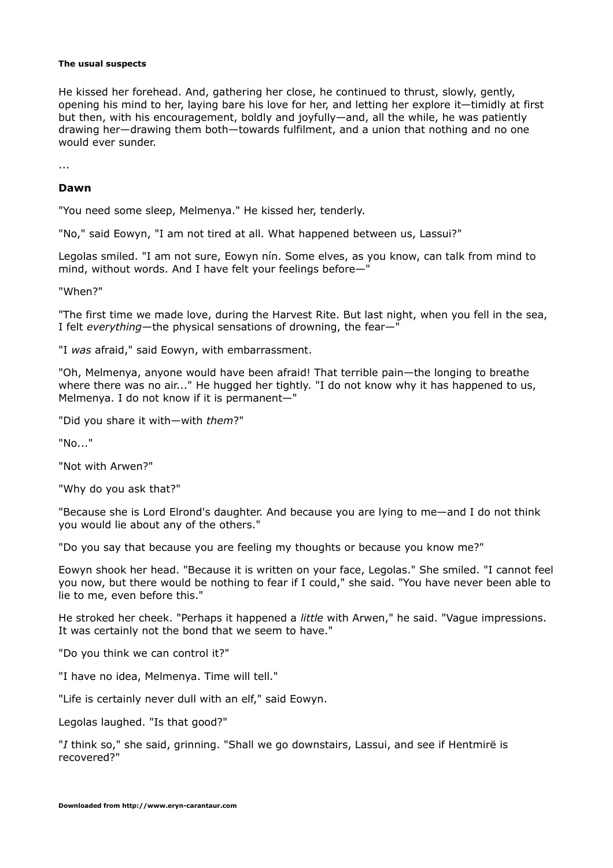He kissed her forehead. And, gathering her close, he continued to thrust, slowly, gently, opening his mind to her, laying bare his love for her, and letting her explore it—timidly at first but then, with his encouragement, boldly and joyfully—and, all the while, he was patiently drawing her—drawing them both—towards fulfilment, and a union that nothing and no one would ever sunder.

...

# **Dawn**

"You need some sleep, Melmenya." He kissed her, tenderly.

"No," said Eowyn, "I am not tired at all. What happened between us, Lassui?"

Legolas smiled. "I am not sure, Eowyn nín. Some elves, as you know, can talk from mind to mind, without words. And I have felt your feelings before—"

"When?"

"The first time we made love, during the Harvest Rite. But last night, when you fell in the sea, I felt *everything*—the physical sensations of drowning, the fear—"

"I *was* afraid," said Eowyn, with embarrassment.

"Oh, Melmenya, anyone would have been afraid! That terrible pain—the longing to breathe where there was no air..." He hugged her tightly. "I do not know why it has happened to us, Melmenya. I do not know if it is permanent—"

"Did you share it with—with *them*?"

"No..."

"Not with Arwen?"

"Why do you ask that?"

"Because she is Lord Elrond's daughter. And because you are lying to me—and I do not think you would lie about any of the others."

"Do you say that because you are feeling my thoughts or because you know me?"

Eowyn shook her head. "Because it is written on your face, Legolas." She smiled. "I cannot feel you now, but there would be nothing to fear if I could," she said. "You have never been able to lie to me, even before this."

He stroked her cheek. "Perhaps it happened a *little* with Arwen," he said. "Vague impressions. It was certainly not the bond that we seem to have."

"Do you think we can control it?"

"I have no idea, Melmenya. Time will tell."

"Life is certainly never dull with an elf," said Eowyn.

Legolas laughed. "Is that good?"

"*I* think so," she said, grinning. "Shall we go downstairs, Lassui, and see if Hentmirë is recovered?"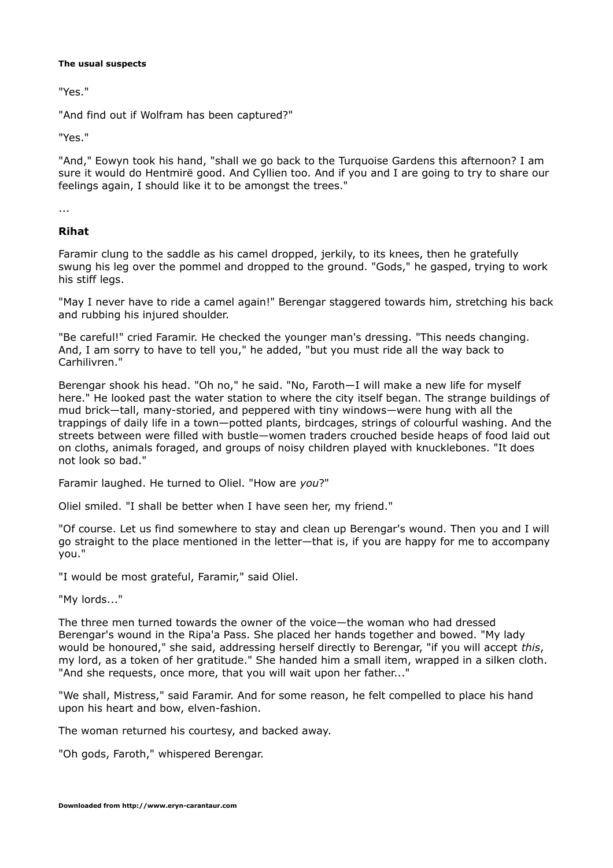"Yes."

"And find out if Wolfram has been captured?"

"Yes."

"And," Eowyn took his hand, "shall we go back to the Turquoise Gardens this afternoon? I am sure it would do Hentmirë good. And Cyllien too. And if you and I are going to try to share our feelings again, I should like it to be amongst the trees."

...

# **Rihat**

Faramir clung to the saddle as his camel dropped, jerkily, to its knees, then he gratefully swung his leg over the pommel and dropped to the ground. "Gods," he gasped, trying to work his stiff legs.

"May I never have to ride a camel again!" Berengar staggered towards him, stretching his back and rubbing his injured shoulder.

"Be careful!" cried Faramir. He checked the younger man's dressing. "This needs changing. And, I am sorry to have to tell you," he added, "but you must ride all the way back to Carhilivren."

Berengar shook his head. "Oh no," he said. "No, Faroth—I will make a new life for myself here." He looked past the water station to where the city itself began. The strange buildings of mud brick—tall, many-storied, and peppered with tiny windows—were hung with all the trappings of daily life in a town—potted plants, birdcages, strings of colourful washing. And the streets between were filled with bustle—women traders crouched beside heaps of food laid out on cloths, animals foraged, and groups of noisy children played with knucklebones. "It does not look so bad."

Faramir laughed. He turned to Oliel. "How are *you*?"

Oliel smiled. "I shall be better when I have seen her, my friend."

"Of course. Let us find somewhere to stay and clean up Berengar's wound. Then you and I will go straight to the place mentioned in the letter—that is, if you are happy for me to accompany you."

"I would be most grateful, Faramir," said Oliel.

"My lords..."

The three men turned towards the owner of the voice—the woman who had dressed Berengar's wound in the Ripa'a Pass. She placed her hands together and bowed. "My lady would be honoured," she said, addressing herself directly to Berengar, "if you will accept *this*, my lord, as a token of her gratitude." She handed him a small item, wrapped in a silken cloth. "And she requests, once more, that you will wait upon her father..."

"We shall, Mistress," said Faramir. And for some reason, he felt compelled to place his hand upon his heart and bow, elven-fashion.

The woman returned his courtesy, and backed away.

"Oh gods, Faroth," whispered Berengar.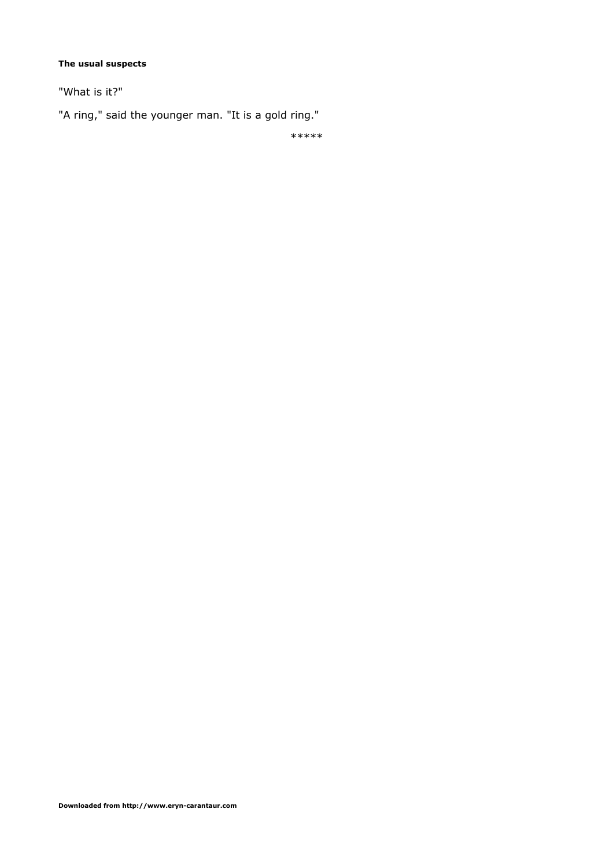"What is it?"

"A ring," said the younger man. "It is a gold ring."

\*\*\*\*\*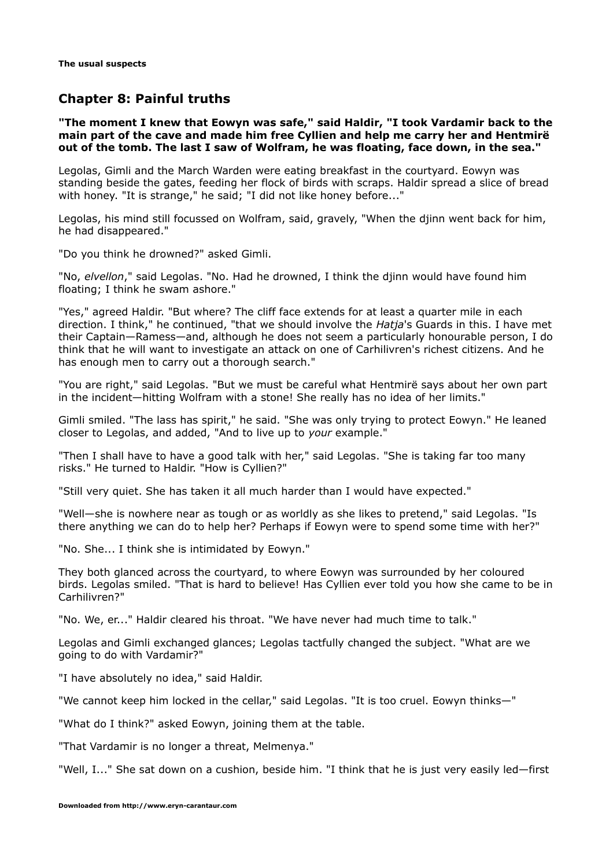# **Chapter 8: Painful truths**

**"The moment I knew that Eowyn was safe," said Haldir, "I took Vardamir back to the main part of the cave and made him free Cyllien and help me carry her and Hentmirë out of the tomb. The last I saw of Wolfram, he was floating, face down, in the sea."** 

Legolas, Gimli and the March Warden were eating breakfast in the courtyard. Eowyn was standing beside the gates, feeding her flock of birds with scraps. Haldir spread a slice of bread with honey. "It is strange," he said; "I did not like honey before..."

Legolas, his mind still focussed on Wolfram, said, gravely, "When the djinn went back for him, he had disappeared."

"Do you think he drowned?" asked Gimli.

"No, *elvellon*," said Legolas. "No. Had he drowned, I think the djinn would have found him floating; I think he swam ashore."

"Yes," agreed Haldir. "But where? The cliff face extends for at least a quarter mile in each direction. I think," he continued, "that we should involve the *Hatja*'s Guards in this. I have met their Captain—Ramess—and, although he does not seem a particularly honourable person, I do think that he will want to investigate an attack on one of Carhilivren's richest citizens. And he has enough men to carry out a thorough search."

"You are right," said Legolas. "But we must be careful what Hentmirë says about her own part in the incident—hitting Wolfram with a stone! She really has no idea of her limits."

Gimli smiled. "The lass has spirit," he said. "She was only trying to protect Eowyn." He leaned closer to Legolas, and added, "And to live up to *your* example."

"Then I shall have to have a good talk with her," said Legolas. "She is taking far too many risks." He turned to Haldir. "How is Cyllien?"

"Still very quiet. She has taken it all much harder than I would have expected."

"Well—she is nowhere near as tough or as worldly as she likes to pretend," said Legolas. "Is there anything we can do to help her? Perhaps if Eowyn were to spend some time with her?"

"No. She... I think she is intimidated by Eowyn."

They both glanced across the courtyard, to where Eowyn was surrounded by her coloured birds. Legolas smiled. "That is hard to believe! Has Cyllien ever told you how she came to be in Carhilivren?"

"No. We, er..." Haldir cleared his throat. "We have never had much time to talk."

Legolas and Gimli exchanged glances; Legolas tactfully changed the subject. "What are we going to do with Vardamir?"

"I have absolutely no idea," said Haldir.

"We cannot keep him locked in the cellar," said Legolas. "It is too cruel. Eowyn thinks—"

"What do I think?" asked Eowyn, joining them at the table.

"That Vardamir is no longer a threat, Melmenya."

"Well, I..." She sat down on a cushion, beside him. "I think that he is just very easily led—first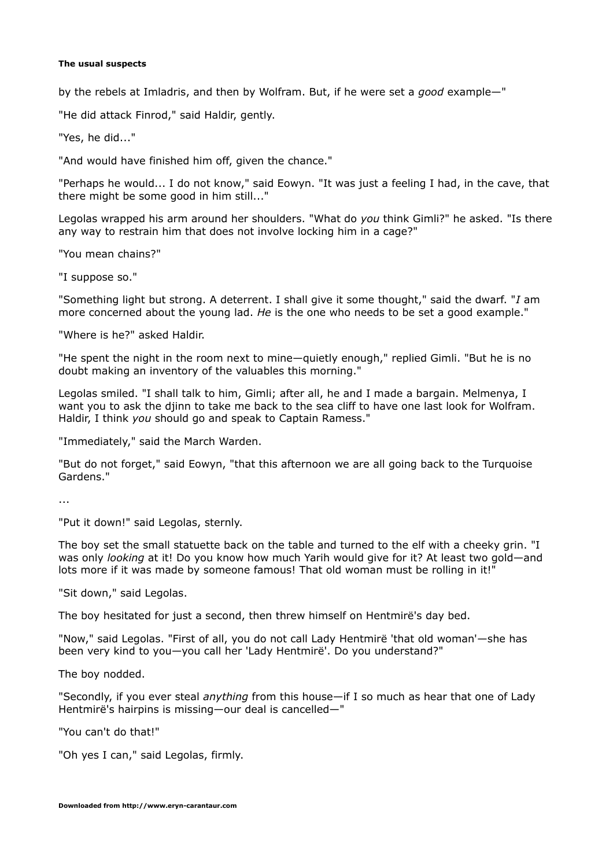by the rebels at Imladris, and then by Wolfram. But, if he were set a *good* example—"

"He did attack Finrod," said Haldir, gently.

"Yes, he did..."

"And would have finished him off, given the chance."

"Perhaps he would... I do not know," said Eowyn. "It was just a feeling I had, in the cave, that there might be some good in him still..."

Legolas wrapped his arm around her shoulders. "What do *you* think Gimli?" he asked. "Is there any way to restrain him that does not involve locking him in a cage?"

"You mean chains?"

"I suppose so."

"Something light but strong. A deterrent. I shall give it some thought," said the dwarf. "*I* am more concerned about the young lad. *He* is the one who needs to be set a good example."

"Where is he?" asked Haldir.

"He spent the night in the room next to mine—quietly enough," replied Gimli. "But he is no doubt making an inventory of the valuables this morning."

Legolas smiled. "I shall talk to him, Gimli; after all, he and I made a bargain. Melmenya, I want you to ask the djinn to take me back to the sea cliff to have one last look for Wolfram. Haldir, I think *you* should go and speak to Captain Ramess."

"Immediately," said the March Warden.

"But do not forget," said Eowyn, "that this afternoon we are all going back to the Turquoise Gardens."

...

"Put it down!" said Legolas, sternly.

The boy set the small statuette back on the table and turned to the elf with a cheeky grin. "I was only *looking* at it! Do you know how much Yarih would give for it? At least two gold—and lots more if it was made by someone famous! That old woman must be rolling in it!"

"Sit down," said Legolas.

The boy hesitated for just a second, then threw himself on Hentmirë's day bed.

"Now," said Legolas. "First of all, you do not call Lady Hentmirë 'that old woman'—she has been very kind to you—you call her 'Lady Hentmirë'. Do you understand?"

The boy nodded.

"Secondly, if you ever steal *anything* from this house—if I so much as hear that one of Lady Hentmirë's hairpins is missing—our deal is cancelled—"

"You can't do that!"

"Oh yes I can," said Legolas, firmly.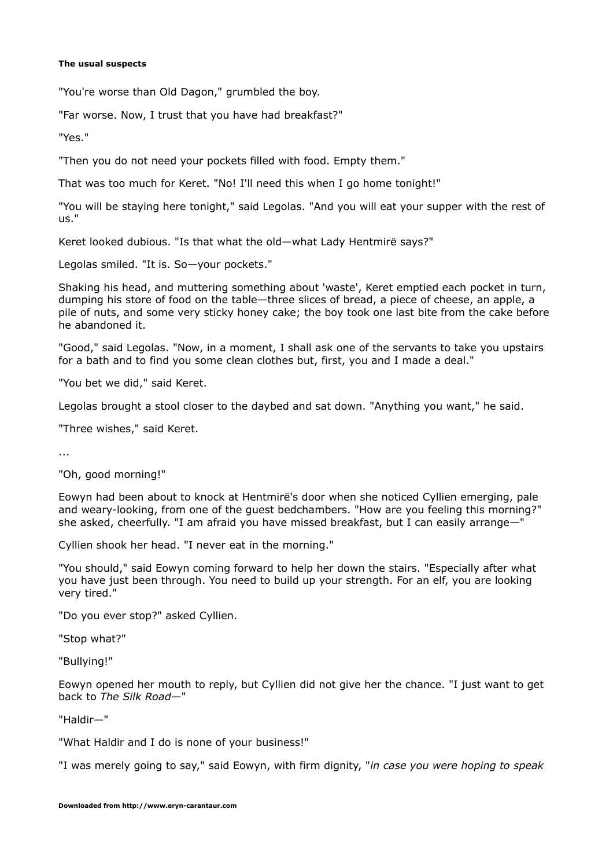"You're worse than Old Dagon," grumbled the boy.

"Far worse. Now, I trust that you have had breakfast?"

"Yes."

"Then you do not need your pockets filled with food. Empty them."

That was too much for Keret. "No! I'll need this when I go home tonight!"

"You will be staying here tonight," said Legolas. "And you will eat your supper with the rest of us."

Keret looked dubious. "Is that what the old—what Lady Hentmirë says?"

Legolas smiled. "It is. So—your pockets."

Shaking his head, and muttering something about 'waste', Keret emptied each pocket in turn, dumping his store of food on the table—three slices of bread, a piece of cheese, an apple, a pile of nuts, and some very sticky honey cake; the boy took one last bite from the cake before he abandoned it.

"Good," said Legolas. "Now, in a moment, I shall ask one of the servants to take you upstairs for a bath and to find you some clean clothes but, first, you and I made a deal."

"You bet we did," said Keret.

Legolas brought a stool closer to the daybed and sat down. "Anything you want," he said.

"Three wishes," said Keret.

...

"Oh, good morning!"

Eowyn had been about to knock at Hentmirë's door when she noticed Cyllien emerging, pale and weary-looking, from one of the guest bedchambers. "How are you feeling this morning?" she asked, cheerfully. "I am afraid you have missed breakfast, but I can easily arrange—"

Cyllien shook her head. "I never eat in the morning."

"You should," said Eowyn coming forward to help her down the stairs. "Especially after what you have just been through. You need to build up your strength. For an elf, you are looking very tired."

"Do you ever stop?" asked Cyllien.

"Stop what?"

"Bullying!"

Eowyn opened her mouth to reply, but Cyllien did not give her the chance. "I just want to get back to *The Silk Road*—"

"Haldir—"

"What Haldir and I do is none of your business!"

"I was merely going to say," said Eowyn, with firm dignity, "*in case you were hoping to speak*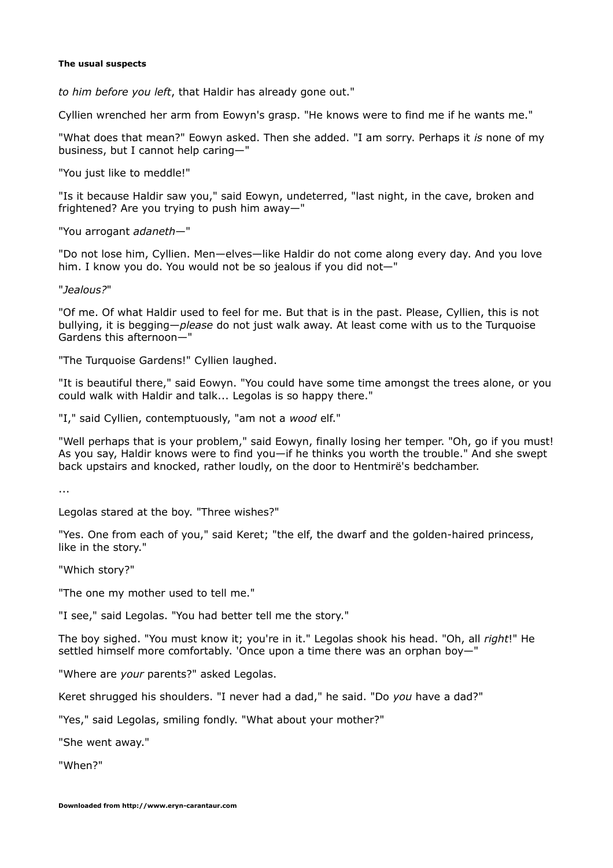*to him before you left*, that Haldir has already gone out."

Cyllien wrenched her arm from Eowyn's grasp. "He knows were to find me if he wants me."

"What does that mean?" Eowyn asked. Then she added. "I am sorry. Perhaps it *is* none of my business, but I cannot help caring—"

"You just like to meddle!"

"Is it because Haldir saw you," said Eowyn, undeterred, "last night, in the cave, broken and frightened? Are you trying to push him away—"

"You arrogant *adaneth*—"

"Do not lose him, Cyllien. Men—elves—like Haldir do not come along every day. And you love him. I know you do. You would not be so jealous if you did not—"

"*Jealous?*"

"Of me. Of what Haldir used to feel for me. But that is in the past. Please, Cyllien, this is not bullying, it is begging—*please* do not just walk away. At least come with us to the Turquoise Gardens this afternoon—"

"The Turquoise Gardens!" Cyllien laughed.

"It is beautiful there," said Eowyn. "You could have some time amongst the trees alone, or you could walk with Haldir and talk... Legolas is so happy there."

"I," said Cyllien, contemptuously, "am not a *wood* elf."

"Well perhaps that is your problem," said Eowyn, finally losing her temper. "Oh, go if you must! As you say, Haldir knows were to find you—if he thinks you worth the trouble." And she swept back upstairs and knocked, rather loudly, on the door to Hentmirë's bedchamber.

...

Legolas stared at the boy. "Three wishes?"

"Yes. One from each of you," said Keret; "the elf, the dwarf and the golden-haired princess, like in the story."

"Which story?"

"The one my mother used to tell me."

"I see," said Legolas. "You had better tell me the story."

The boy sighed. "You must know it; you're in it." Legolas shook his head. "Oh, all *right*!" He settled himself more comfortably. 'Once upon a time there was an orphan boy—"

"Where are *your* parents?" asked Legolas.

Keret shrugged his shoulders. "I never had a dad," he said. "Do *you* have a dad?"

"Yes," said Legolas, smiling fondly. "What about your mother?"

"She went away."

"When?"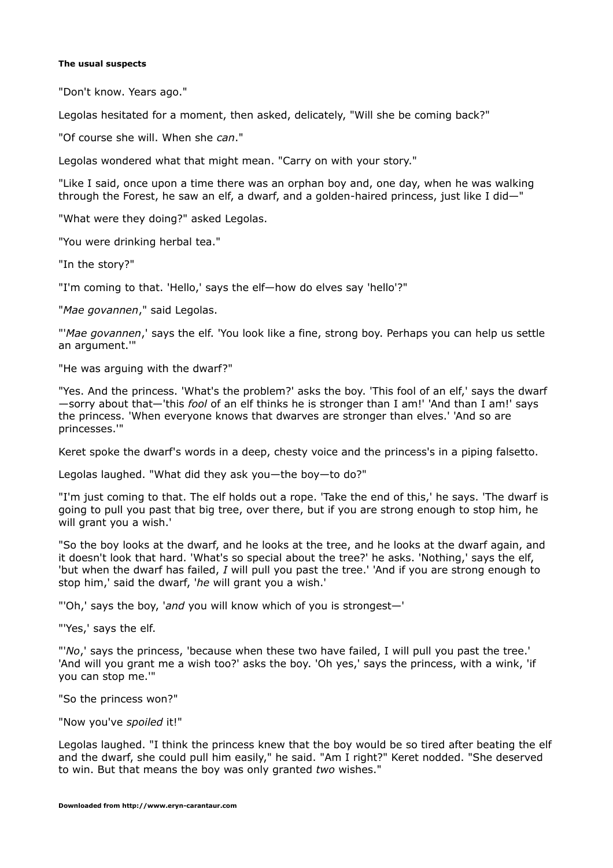"Don't know. Years ago."

Legolas hesitated for a moment, then asked, delicately, "Will she be coming back?"

"Of course she will. When she *can*."

Legolas wondered what that might mean. "Carry on with your story."

"Like I said, once upon a time there was an orphan boy and, one day, when he was walking through the Forest, he saw an elf, a dwarf, and a golden-haired princess, just like I did—"

"What were they doing?" asked Legolas.

"You were drinking herbal tea."

"In the story?"

"I'm coming to that. 'Hello,' says the elf—how do elves say 'hello'?"

"*Mae govannen*," said Legolas.

"'*Mae govannen*,' says the elf. 'You look like a fine, strong boy. Perhaps you can help us settle an argument.'"

"He was arguing with the dwarf?"

"Yes. And the princess. 'What's the problem?' asks the boy. 'This fool of an elf,' says the dwarf —sorry about that—'this *fool* of an elf thinks he is stronger than I am!' 'And than I am!' says the princess. 'When everyone knows that dwarves are stronger than elves.' 'And so are princesses.'"

Keret spoke the dwarf's words in a deep, chesty voice and the princess's in a piping falsetto.

Legolas laughed. "What did they ask you—the boy—to do?"

"I'm just coming to that. The elf holds out a rope. 'Take the end of this,' he says. 'The dwarf is going to pull you past that big tree, over there, but if you are strong enough to stop him, he will grant you a wish.'

"So the boy looks at the dwarf, and he looks at the tree, and he looks at the dwarf again, and it doesn't look that hard. 'What's so special about the tree?' he asks. 'Nothing,' says the elf, 'but when the dwarf has failed, *I* will pull you past the tree.' 'And if you are strong enough to stop him,' said the dwarf, '*he* will grant you a wish.'

"'Oh,' says the boy, '*and* you will know which of you is strongest—'

"'Yes,' says the elf.

"'*No*,' says the princess, 'because when these two have failed, I will pull you past the tree.' 'And will you grant me a wish too?' asks the boy. 'Oh yes,' says the princess, with a wink, 'if you can stop me.'"

"So the princess won?"

"Now you've *spoiled* it!"

Legolas laughed. "I think the princess knew that the boy would be so tired after beating the elf and the dwarf, she could pull him easily," he said. "Am I right?" Keret nodded. "She deserved to win. But that means the boy was only granted *two* wishes."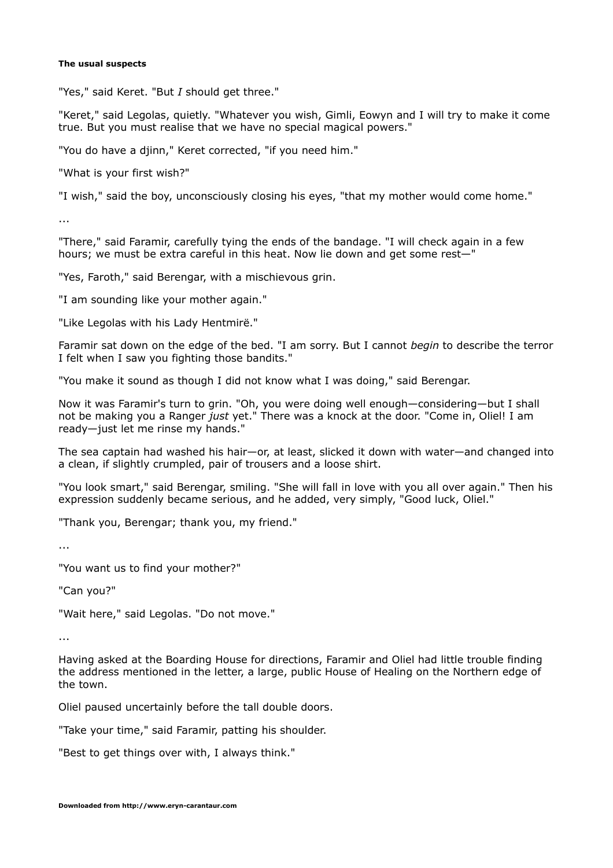"Yes," said Keret. "But *I* should get three."

"Keret," said Legolas, quietly. "Whatever you wish, Gimli, Eowyn and I will try to make it come true. But you must realise that we have no special magical powers."

"You do have a djinn," Keret corrected, "if you need him."

"What is your first wish?"

"I wish," said the boy, unconsciously closing his eyes, "that my mother would come home."

...

"There," said Faramir, carefully tying the ends of the bandage. "I will check again in a few hours; we must be extra careful in this heat. Now lie down and get some rest—"

"Yes, Faroth," said Berengar, with a mischievous grin.

"I am sounding like your mother again."

"Like Legolas with his Lady Hentmirë."

Faramir sat down on the edge of the bed. "I am sorry. But I cannot *begin* to describe the terror I felt when I saw you fighting those bandits."

"You make it sound as though I did not know what I was doing," said Berengar.

Now it was Faramir's turn to grin. "Oh, you were doing well enough—considering—but I shall not be making you a Ranger *just* yet." There was a knock at the door. "Come in, Oliel! I am ready—just let me rinse my hands."

The sea captain had washed his hair—or, at least, slicked it down with water—and changed into a clean, if slightly crumpled, pair of trousers and a loose shirt.

"You look smart," said Berengar, smiling. "She will fall in love with you all over again." Then his expression suddenly became serious, and he added, very simply, "Good luck, Oliel."

"Thank you, Berengar; thank you, my friend."

...

"You want us to find your mother?"

"Can you?"

"Wait here," said Legolas. "Do not move."

...

Having asked at the Boarding House for directions, Faramir and Oliel had little trouble finding the address mentioned in the letter, a large, public House of Healing on the Northern edge of the town.

Oliel paused uncertainly before the tall double doors.

"Take your time," said Faramir, patting his shoulder.

"Best to get things over with, I always think."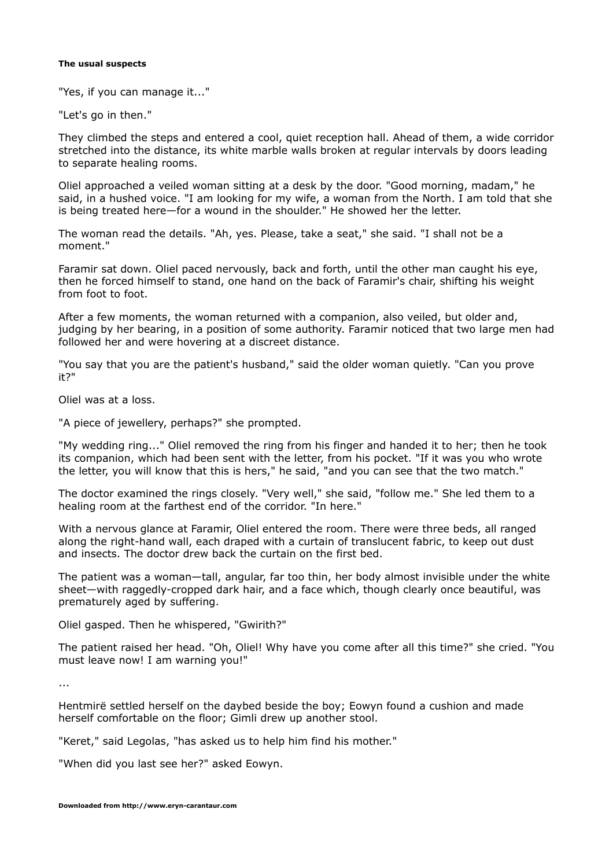"Yes, if you can manage it..."

"Let's go in then."

They climbed the steps and entered a cool, quiet reception hall. Ahead of them, a wide corridor stretched into the distance, its white marble walls broken at regular intervals by doors leading to separate healing rooms.

Oliel approached a veiled woman sitting at a desk by the door. "Good morning, madam," he said, in a hushed voice. "I am looking for my wife, a woman from the North. I am told that she is being treated here—for a wound in the shoulder." He showed her the letter.

The woman read the details. "Ah, yes. Please, take a seat," she said. "I shall not be a moment."

Faramir sat down. Oliel paced nervously, back and forth, until the other man caught his eye, then he forced himself to stand, one hand on the back of Faramir's chair, shifting his weight from foot to foot.

After a few moments, the woman returned with a companion, also veiled, but older and, judging by her bearing, in a position of some authority. Faramir noticed that two large men had followed her and were hovering at a discreet distance.

"You say that you are the patient's husband," said the older woman quietly. "Can you prove it?"

Oliel was at a loss.

"A piece of jewellery, perhaps?" she prompted.

"My wedding ring..." Oliel removed the ring from his finger and handed it to her; then he took its companion, which had been sent with the letter, from his pocket. "If it was you who wrote the letter, you will know that this is hers," he said, "and you can see that the two match."

The doctor examined the rings closely. "Very well," she said, "follow me." She led them to a healing room at the farthest end of the corridor. "In here."

With a nervous glance at Faramir, Oliel entered the room. There were three beds, all ranged along the right-hand wall, each draped with a curtain of translucent fabric, to keep out dust and insects. The doctor drew back the curtain on the first bed.

The patient was a woman—tall, angular, far too thin, her body almost invisible under the white sheet—with raggedly-cropped dark hair, and a face which, though clearly once beautiful, was prematurely aged by suffering.

Oliel gasped. Then he whispered, "Gwirith?"

The patient raised her head. "Oh, Oliel! Why have you come after all this time?" she cried. "You must leave now! I am warning you!"

...

Hentmirë settled herself on the daybed beside the boy; Eowyn found a cushion and made herself comfortable on the floor; Gimli drew up another stool.

"Keret," said Legolas, "has asked us to help him find his mother."

"When did you last see her?" asked Eowyn.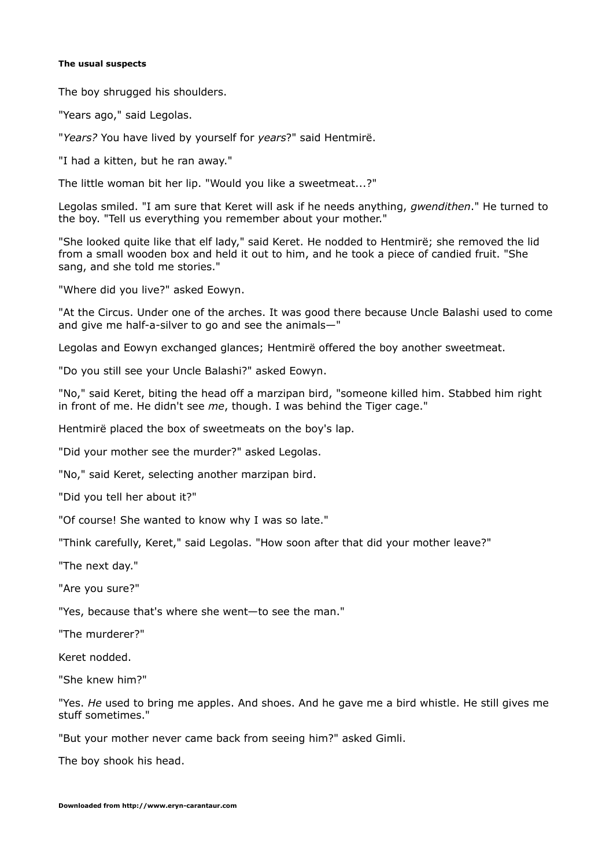The boy shrugged his shoulders.

"Years ago," said Legolas.

"*Years?* You have lived by yourself for *years*?" said Hentmirë.

"I had a kitten, but he ran away."

The little woman bit her lip. "Would you like a sweetmeat...?"

Legolas smiled. "I am sure that Keret will ask if he needs anything, *gwendithen*." He turned to the boy. "Tell us everything you remember about your mother."

"She looked quite like that elf lady," said Keret. He nodded to Hentmirë; she removed the lid from a small wooden box and held it out to him, and he took a piece of candied fruit. "She sang, and she told me stories."

"Where did you live?" asked Eowyn.

"At the Circus. Under one of the arches. It was good there because Uncle Balashi used to come and give me half-a-silver to go and see the animals—"

Legolas and Eowyn exchanged glances; Hentmirë offered the boy another sweetmeat.

"Do you still see your Uncle Balashi?" asked Eowyn.

"No," said Keret, biting the head off a marzipan bird, "someone killed him. Stabbed him right in front of me. He didn't see *me*, though. I was behind the Tiger cage."

Hentmirë placed the box of sweetmeats on the boy's lap.

"Did your mother see the murder?" asked Legolas.

"No," said Keret, selecting another marzipan bird.

"Did you tell her about it?"

"Of course! She wanted to know why I was so late."

"Think carefully, Keret," said Legolas. "How soon after that did your mother leave?"

"The next day."

"Are you sure?"

"Yes, because that's where she went—to see the man."

"The murderer?"

Keret nodded.

"She knew him?"

"Yes. *He* used to bring me apples. And shoes. And he gave me a bird whistle. He still gives me stuff sometimes."

"But your mother never came back from seeing him?" asked Gimli.

The boy shook his head.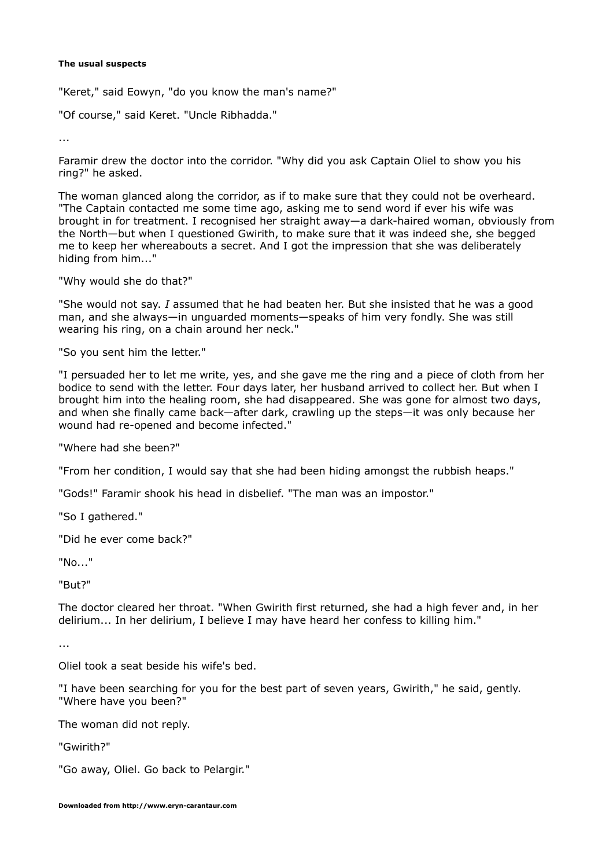"Keret," said Eowyn, "do you know the man's name?"

"Of course," said Keret. "Uncle Ribhadda."

...

Faramir drew the doctor into the corridor. "Why did you ask Captain Oliel to show you his ring?" he asked.

The woman glanced along the corridor, as if to make sure that they could not be overheard. "The Captain contacted me some time ago, asking me to send word if ever his wife was brought in for treatment. I recognised her straight away—a dark-haired woman, obviously from the North—but when I questioned Gwirith, to make sure that it was indeed she, she begged me to keep her whereabouts a secret. And I got the impression that she was deliberately hiding from him..."

"Why would she do that?"

"She would not say. *I* assumed that he had beaten her. But she insisted that he was a good man, and she always—in unguarded moments—speaks of him very fondly. She was still wearing his ring, on a chain around her neck."

"So you sent him the letter."

"I persuaded her to let me write, yes, and she gave me the ring and a piece of cloth from her bodice to send with the letter. Four days later, her husband arrived to collect her. But when I brought him into the healing room, she had disappeared. She was gone for almost two days, and when she finally came back—after dark, crawling up the steps—it was only because her wound had re-opened and become infected."

"Where had she been?"

"From her condition, I would say that she had been hiding amongst the rubbish heaps."

"Gods!" Faramir shook his head in disbelief. "The man was an impostor."

"So I gathered."

"Did he ever come back?"

"No..."

"But?"

The doctor cleared her throat. "When Gwirith first returned, she had a high fever and, in her delirium... In her delirium, I believe I may have heard her confess to killing him."

...

Oliel took a seat beside his wife's bed.

"I have been searching for you for the best part of seven years, Gwirith," he said, gently. "Where have you been?"

The woman did not reply.

"Gwirith?"

"Go away, Oliel. Go back to Pelargir."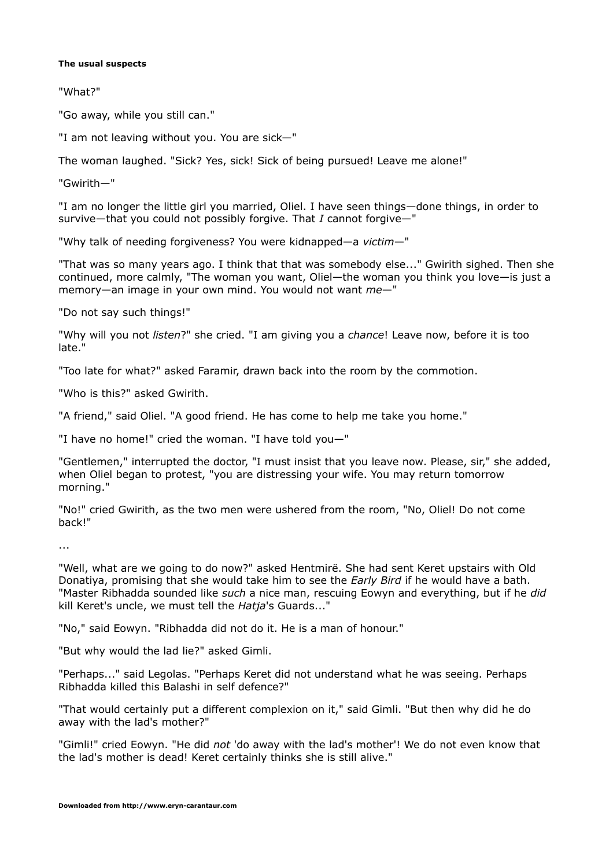"What?"

"Go away, while you still can."

"I am not leaving without you. You are sick—"

The woman laughed. "Sick? Yes, sick! Sick of being pursued! Leave me alone!"

"Gwirith—"

"I am no longer the little girl you married, Oliel. I have seen things—done things, in order to survive—that you could not possibly forgive. That *I* cannot forgive—"

"Why talk of needing forgiveness? You were kidnapped—a *victim*—"

"That was so many years ago. I think that that was somebody else..." Gwirith sighed. Then she continued, more calmly, "The woman you want, Oliel—the woman you think you love—is just a memory—an image in your own mind. You would not want *me*—"

"Do not say such things!"

"Why will you not *listen*?" she cried. "I am giving you a *chance*! Leave now, before it is too late."

"Too late for what?" asked Faramir, drawn back into the room by the commotion.

"Who is this?" asked Gwirith.

"A friend," said Oliel. "A good friend. He has come to help me take you home."

"I have no home!" cried the woman. "I have told you—"

"Gentlemen," interrupted the doctor, "I must insist that you leave now. Please, sir," she added, when Oliel began to protest, "you are distressing your wife. You may return tomorrow morning."

"No!" cried Gwirith, as the two men were ushered from the room, "No, Oliel! Do not come back!"

...

"Well, what are we going to do now?" asked Hentmirë. She had sent Keret upstairs with Old Donatiya, promising that she would take him to see the *Early Bird* if he would have a bath. "Master Ribhadda sounded like *such* a nice man, rescuing Eowyn and everything, but if he *did* kill Keret's uncle, we must tell the *Hatja*'s Guards..."

"No," said Eowyn. "Ribhadda did not do it. He is a man of honour."

"But why would the lad lie?" asked Gimli.

"Perhaps..." said Legolas. "Perhaps Keret did not understand what he was seeing. Perhaps Ribhadda killed this Balashi in self defence?"

"That would certainly put a different complexion on it," said Gimli. "But then why did he do away with the lad's mother?"

"Gimli!" cried Eowyn. "He did *not* 'do away with the lad's mother'! We do not even know that the lad's mother is dead! Keret certainly thinks she is still alive."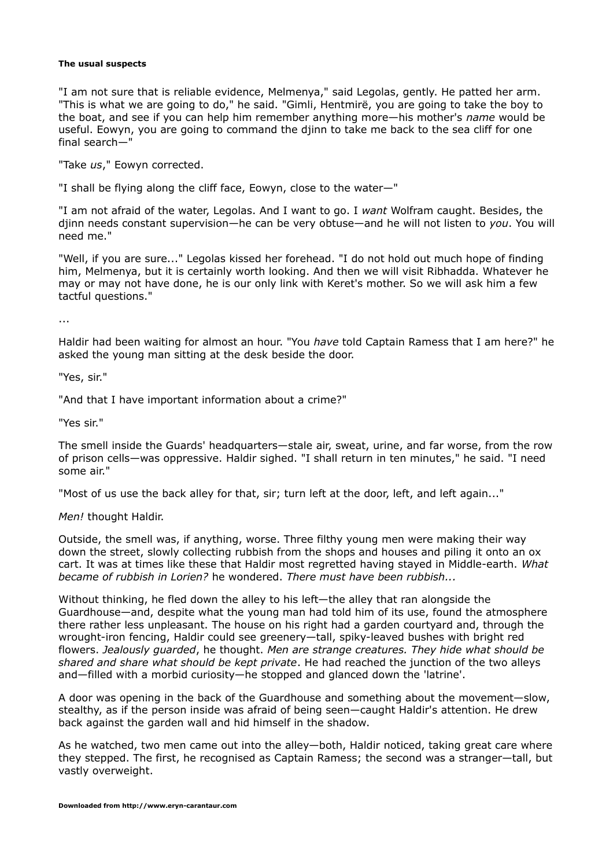"I am not sure that is reliable evidence, Melmenya," said Legolas, gently. He patted her arm. "This is what we are going to do," he said. "Gimli, Hentmirë, you are going to take the boy to the boat, and see if you can help him remember anything more—his mother's *name* would be useful. Eowyn, you are going to command the djinn to take me back to the sea cliff for one final search—"

"Take *us*," Eowyn corrected.

"I shall be flying along the cliff face, Eowyn, close to the water—"

"I am not afraid of the water, Legolas. And I want to go. I *want* Wolfram caught. Besides, the djinn needs constant supervision—he can be very obtuse—and he will not listen to *you*. You will need me."

"Well, if you are sure..." Legolas kissed her forehead. "I do not hold out much hope of finding him, Melmenya, but it is certainly worth looking. And then we will visit Ribhadda. Whatever he may or may not have done, he is our only link with Keret's mother. So we will ask him a few tactful questions."

...

Haldir had been waiting for almost an hour. "You *have* told Captain Ramess that I am here?" he asked the young man sitting at the desk beside the door.

## "Yes, sir."

"And that I have important information about a crime?"

"Yes sir."

The smell inside the Guards' headquarters—stale air, sweat, urine, and far worse, from the row of prison cells—was oppressive. Haldir sighed. "I shall return in ten minutes," he said. "I need some air."

"Most of us use the back alley for that, sir; turn left at the door, left, and left again..."

## *Men!* thought Haldir.

Outside, the smell was, if anything, worse. Three filthy young men were making their way down the street, slowly collecting rubbish from the shops and houses and piling it onto an ox cart. It was at times like these that Haldir most regretted having stayed in Middle-earth. *What became of rubbish in Lorien?* he wondered. *There must have been rubbish...*

Without thinking, he fled down the alley to his left—the alley that ran alongside the Guardhouse—and, despite what the young man had told him of its use, found the atmosphere there rather less unpleasant. The house on his right had a garden courtyard and, through the wrought-iron fencing, Haldir could see greenery—tall, spiky-leaved bushes with bright red flowers. *Jealously guarded*, he thought. *Men are strange creatures. They hide what should be shared and share what should be kept private*. He had reached the junction of the two alleys and—filled with a morbid curiosity—he stopped and glanced down the 'latrine'.

A door was opening in the back of the Guardhouse and something about the movement—slow, stealthy, as if the person inside was afraid of being seen—caught Haldir's attention. He drew back against the garden wall and hid himself in the shadow.

As he watched, two men came out into the alley—both, Haldir noticed, taking great care where they stepped. The first, he recognised as Captain Ramess; the second was a stranger—tall, but vastly overweight.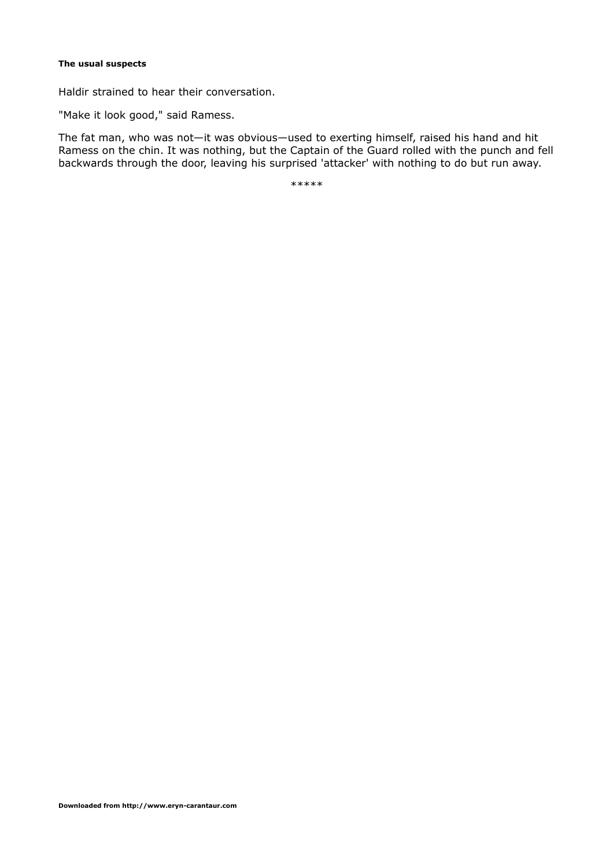Haldir strained to hear their conversation.

"Make it look good," said Ramess.

The fat man, who was not—it was obvious—used to exerting himself, raised his hand and hit Ramess on the chin. It was nothing, but the Captain of the Guard rolled with the punch and fell backwards through the door, leaving his surprised 'attacker' with nothing to do but run away.

\*\*\*\*\*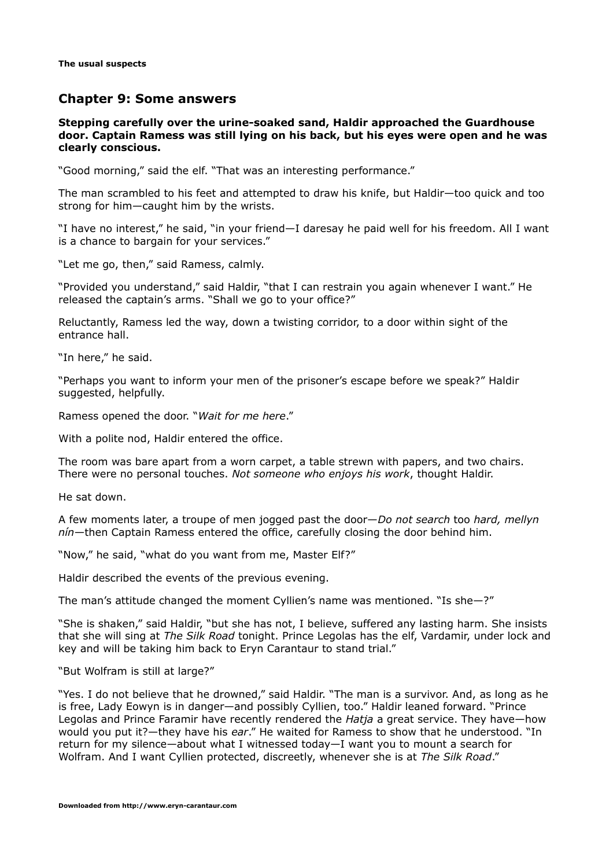# **Chapter 9: Some answers**

# **Stepping carefully over the urine-soaked sand, Haldir approached the Guardhouse door. Captain Ramess was still lying on his back, but his eyes were open and he was clearly conscious.**

"Good morning," said the elf. "That was an interesting performance."

The man scrambled to his feet and attempted to draw his knife, but Haldir—too quick and too strong for him—caught him by the wrists.

"I have no interest," he said, "in your friend—I daresay he paid well for his freedom. All I want is a chance to bargain for your services."

"Let me go, then," said Ramess, calmly.

"Provided you understand," said Haldir, "that I can restrain you again whenever I want." He released the captain's arms. "Shall we go to your office?"

Reluctantly, Ramess led the way, down a twisting corridor, to a door within sight of the entrance hall.

"In here," he said.

"Perhaps you want to inform your men of the prisoner's escape before we speak?" Haldir suggested, helpfully.

Ramess opened the door. "*Wait for me here*."

With a polite nod, Haldir entered the office.

The room was bare apart from a worn carpet, a table strewn with papers, and two chairs. There were no personal touches. *Not someone who enjoys his work*, thought Haldir.

He sat down.

A few moments later, a troupe of men jogged past the door—*Do not search* too *hard, mellyn nín*—then Captain Ramess entered the office, carefully closing the door behind him.

"Now," he said, "what do you want from me, Master Elf?"

Haldir described the events of the previous evening.

The man's attitude changed the moment Cyllien's name was mentioned. "Is she—?"

"She is shaken," said Haldir, "but she has not, I believe, suffered any lasting harm. She insists that she will sing at *The Silk Road* tonight. Prince Legolas has the elf, Vardamir, under lock and key and will be taking him back to Eryn Carantaur to stand trial."

"But Wolfram is still at large?"

"Yes. I do not believe that he drowned," said Haldir. "The man is a survivor. And, as long as he is free, Lady Eowyn is in danger—and possibly Cyllien, too." Haldir leaned forward. "Prince Legolas and Prince Faramir have recently rendered the *Hatja* a great service. They have—how would you put it?—they have his *ear*." He waited for Ramess to show that he understood. "In return for my silence—about what I witnessed today—I want you to mount a search for Wolfram. And I want Cyllien protected, discreetly, whenever she is at *The Silk Road*."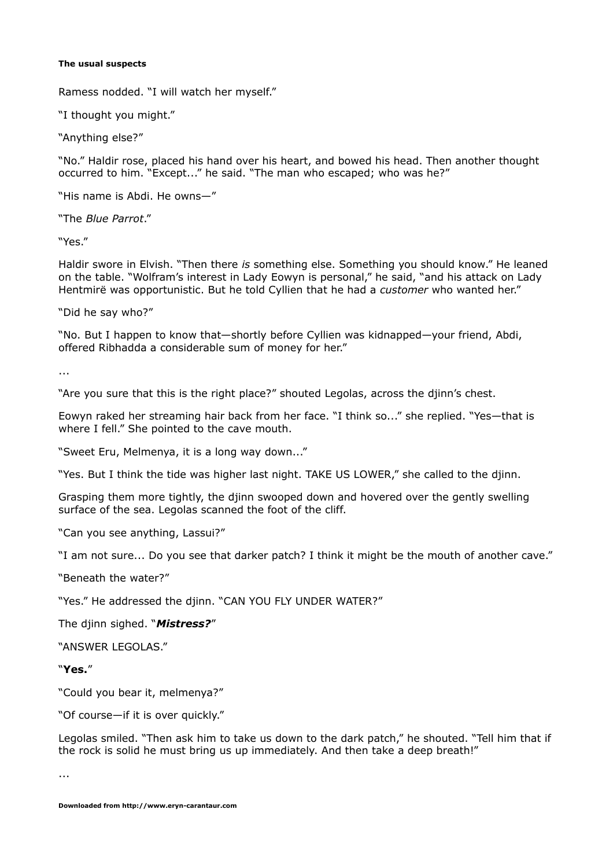Ramess nodded. "I will watch her myself."

"I thought you might."

"Anything else?"

"No." Haldir rose, placed his hand over his heart, and bowed his head. Then another thought occurred to him. "Except..." he said. "The man who escaped; who was he?"

"His name is Abdi. He owns—"

"The *Blue Parrot*."

"Yes."

Haldir swore in Elvish. "Then there *is* something else. Something you should know." He leaned on the table. "Wolfram's interest in Lady Eowyn is personal," he said, "and his attack on Lady Hentmirë was opportunistic. But he told Cyllien that he had a *customer* who wanted her."

"Did he say who?"

"No. But I happen to know that—shortly before Cyllien was kidnapped—your friend, Abdi, offered Ribhadda a considerable sum of money for her."

...

"Are you sure that this is the right place?" shouted Legolas, across the djinn's chest.

Eowyn raked her streaming hair back from her face. "I think so..." she replied. "Yes—that is where I fell." She pointed to the cave mouth.

"Sweet Eru, Melmenya, it is a long way down..."

"Yes. But I think the tide was higher last night. TAKE US LOWER," she called to the djinn.

Grasping them more tightly, the djinn swooped down and hovered over the gently swelling surface of the sea. Legolas scanned the foot of the cliff.

"Can you see anything, Lassui?"

"I am not sure... Do you see that darker patch? I think it might be the mouth of another cave."

"Beneath the water?"

"Yes." He addressed the djinn. "CAN YOU FLY UNDER WATER?"

The djinn sighed. "*Mistress?*"

"ANSWER LEGOLAS."

"**Yes.**"

"Could you bear it, melmenya?"

"Of course—if it is over quickly."

Legolas smiled. "Then ask him to take us down to the dark patch," he shouted. "Tell him that if the rock is solid he must bring us up immediately. And then take a deep breath!"

...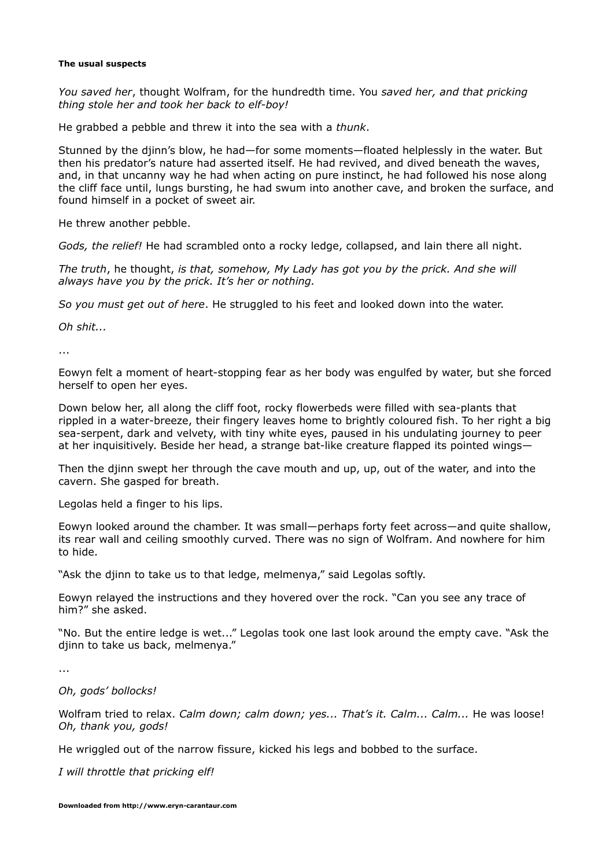*You saved her*, thought Wolfram, for the hundredth time. You *saved her, and that pricking thing stole her and took her back to elf-boy!*

He grabbed a pebble and threw it into the sea with a *thunk*.

Stunned by the djinn's blow, he had—for some moments—floated helplessly in the water. But then his predator's nature had asserted itself. He had revived, and dived beneath the waves, and, in that uncanny way he had when acting on pure instinct, he had followed his nose along the cliff face until, lungs bursting, he had swum into another cave, and broken the surface, and found himself in a pocket of sweet air.

He threw another pebble.

*Gods, the relief!* He had scrambled onto a rocky ledge, collapsed, and lain there all night.

*The truth*, he thought, *is that, somehow, My Lady has got you by the prick. And she will always have you by the prick. It's her or nothing.*

*So you must get out of here*. He struggled to his feet and looked down into the water.

*Oh shit...*

...

Eowyn felt a moment of heart-stopping fear as her body was engulfed by water, but she forced herself to open her eyes.

Down below her, all along the cliff foot, rocky flowerbeds were filled with sea-plants that rippled in a water-breeze, their fingery leaves home to brightly coloured fish. To her right a big sea-serpent, dark and velvety, with tiny white eyes, paused in his undulating journey to peer at her inquisitively. Beside her head, a strange bat-like creature flapped its pointed wings—

Then the djinn swept her through the cave mouth and up, up, out of the water, and into the cavern. She gasped for breath.

Legolas held a finger to his lips.

Eowyn looked around the chamber. It was small—perhaps forty feet across—and quite shallow, its rear wall and ceiling smoothly curved. There was no sign of Wolfram. And nowhere for him to hide.

"Ask the diinn to take us to that ledge, melmenya," said Legolas softly.

Eowyn relayed the instructions and they hovered over the rock. "Can you see any trace of him?" she asked.

"No. But the entire ledge is wet..." Legolas took one last look around the empty cave. "Ask the djinn to take us back, melmenya."

...

*Oh, gods' bollocks!*

Wolfram tried to relax. *Calm down; calm down; yes... That's it. Calm... Calm...* He was loose! *Oh, thank you, gods!*

He wriggled out of the narrow fissure, kicked his legs and bobbed to the surface.

*I will throttle that pricking elf!*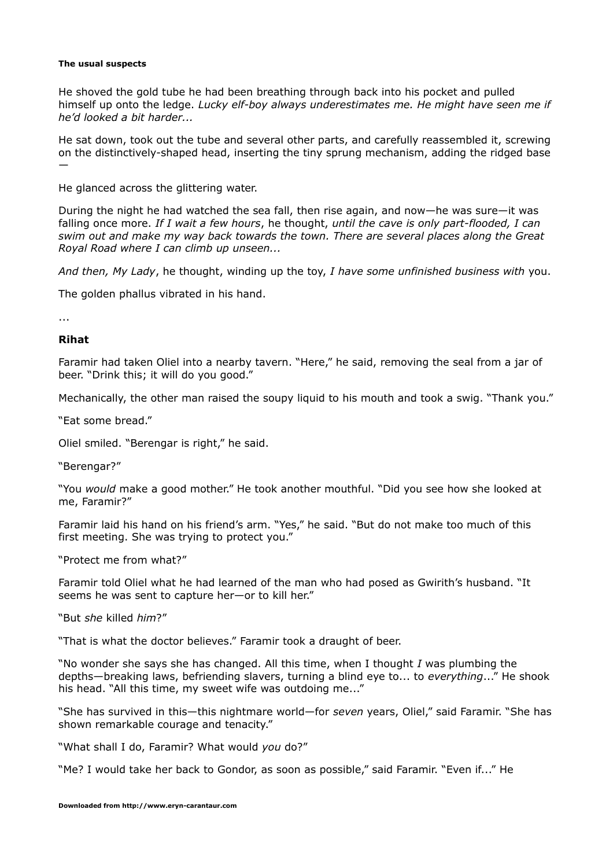He shoved the gold tube he had been breathing through back into his pocket and pulled himself up onto the ledge. *Lucky elf-boy always underestimates me. He might have seen me if he'd looked a bit harder...*

He sat down, took out the tube and several other parts, and carefully reassembled it, screwing on the distinctively-shaped head, inserting the tiny sprung mechanism, adding the ridged base —

He glanced across the glittering water.

During the night he had watched the sea fall, then rise again, and now—he was sure—it was falling once more. *If I wait a few hours*, he thought, *until the cave is only part-flooded, I can swim out and make my way back towards the town. There are several places along the Great Royal Road where I can climb up unseen...*

*And then, My Lady*, he thought, winding up the toy, *I have some unfinished business with* you.

The golden phallus vibrated in his hand.

...

## **Rihat**

Faramir had taken Oliel into a nearby tavern. "Here," he said, removing the seal from a jar of beer. "Drink this; it will do you good."

Mechanically, the other man raised the soupy liquid to his mouth and took a swig. "Thank you."

"Eat some bread."

Oliel smiled. "Berengar is right," he said.

"Berengar?"

"You *would* make a good mother." He took another mouthful. "Did you see how she looked at me, Faramir?"

Faramir laid his hand on his friend's arm. "Yes," he said. "But do not make too much of this first meeting. She was trying to protect you."

"Protect me from what?"

Faramir told Oliel what he had learned of the man who had posed as Gwirith's husband. "It seems he was sent to capture her—or to kill her."

"But *she* killed *him*?"

"That is what the doctor believes." Faramir took a draught of beer.

"No wonder she says she has changed. All this time, when I thought *I* was plumbing the depths—breaking laws, befriending slavers, turning a blind eye to... to *everything*..." He shook his head. "All this time, my sweet wife was outdoing me..."

"She has survived in this—this nightmare world—for *seven* years, Oliel," said Faramir. "She has shown remarkable courage and tenacity."

"What shall I do, Faramir? What would *you* do?"

"Me? I would take her back to Gondor, as soon as possible," said Faramir. "Even if..." He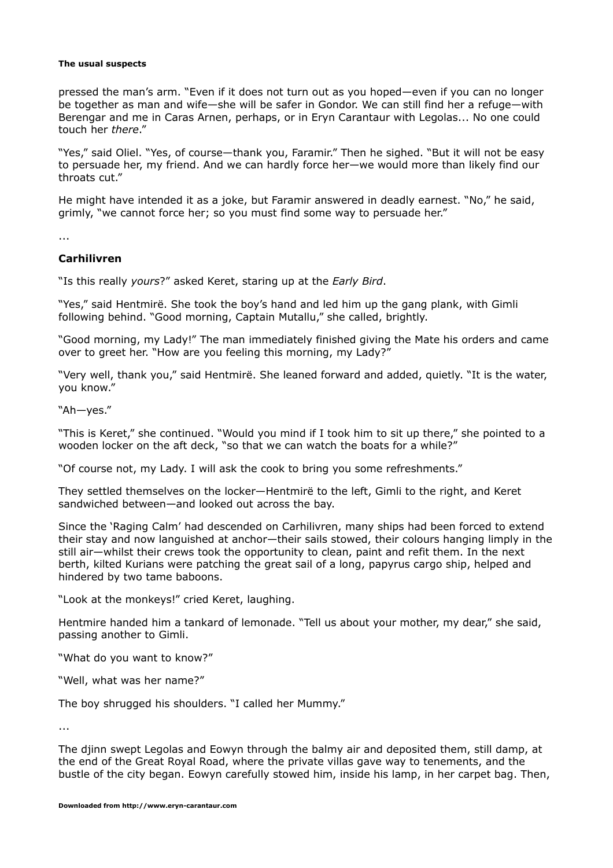pressed the man's arm. "Even if it does not turn out as you hoped—even if you can no longer be together as man and wife—she will be safer in Gondor. We can still find her a refuge—with Berengar and me in Caras Arnen, perhaps, or in Eryn Carantaur with Legolas... No one could touch her *there*."

"Yes," said Oliel. "Yes, of course—thank you, Faramir." Then he sighed. "But it will not be easy to persuade her, my friend. And we can hardly force her—we would more than likely find our throats cut."

He might have intended it as a joke, but Faramir answered in deadly earnest. "No," he said, grimly, "we cannot force her; so you must find some way to persuade her."

...

# **Carhilivren**

"Is this really *yours*?" asked Keret, staring up at the *Early Bird*.

"Yes," said Hentmirë. She took the boy's hand and led him up the gang plank, with Gimli following behind. "Good morning, Captain Mutallu," she called, brightly.

"Good morning, my Lady!" The man immediately finished giving the Mate his orders and came over to greet her. "How are you feeling this morning, my Lady?"

"Very well, thank you," said Hentmirë. She leaned forward and added, quietly. "It is the water, you know."

## "Ah—yes."

"This is Keret," she continued. "Would you mind if I took him to sit up there," she pointed to a wooden locker on the aft deck, "so that we can watch the boats for a while?"

"Of course not, my Lady. I will ask the cook to bring you some refreshments."

They settled themselves on the locker—Hentmirë to the left, Gimli to the right, and Keret sandwiched between—and looked out across the bay.

Since the 'Raging Calm' had descended on Carhilivren, many ships had been forced to extend their stay and now languished at anchor—their sails stowed, their colours hanging limply in the still air—whilst their crews took the opportunity to clean, paint and refit them. In the next berth, kilted Kurians were patching the great sail of a long, papyrus cargo ship, helped and hindered by two tame baboons.

"Look at the monkeys!" cried Keret, laughing.

Hentmire handed him a tankard of lemonade. "Tell us about your mother, my dear," she said, passing another to Gimli.

"What do you want to know?"

"Well, what was her name?"

The boy shrugged his shoulders. "I called her Mummy."

...

The diinn swept Legolas and Eowyn through the balmy air and deposited them, still damp, at the end of the Great Royal Road, where the private villas gave way to tenements, and the bustle of the city began. Eowyn carefully stowed him, inside his lamp, in her carpet bag. Then,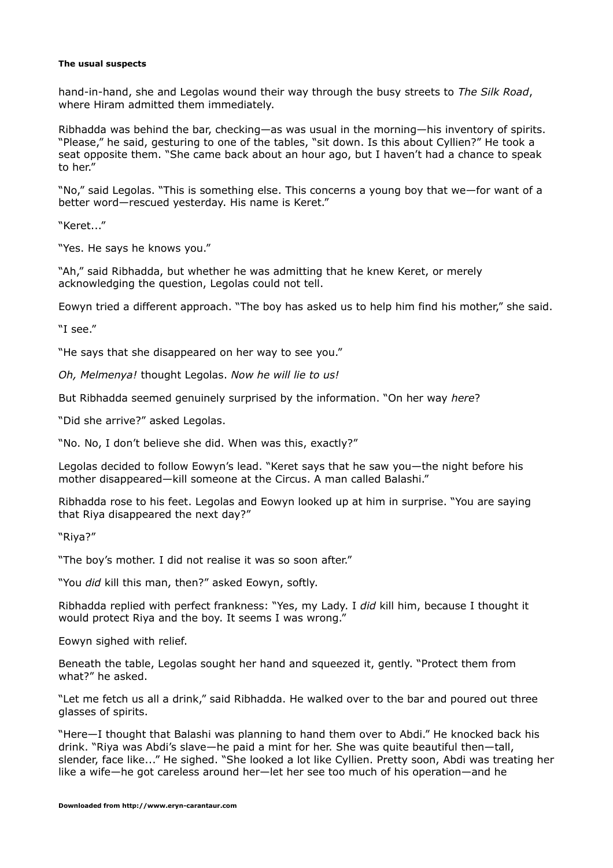hand-in-hand, she and Legolas wound their way through the busy streets to *The Silk Road*, where Hiram admitted them immediately.

Ribhadda was behind the bar, checking—as was usual in the morning—his inventory of spirits. "Please," he said, gesturing to one of the tables, "sit down. Is this about Cyllien?" He took a seat opposite them. "She came back about an hour ago, but I haven't had a chance to speak to her."

"No," said Legolas. "This is something else. This concerns a young boy that we—for want of a better word—rescued yesterday. His name is Keret."

"Keret..."

"Yes. He says he knows you."

"Ah," said Ribhadda, but whether he was admitting that he knew Keret, or merely acknowledging the question, Legolas could not tell.

Eowyn tried a different approach. "The boy has asked us to help him find his mother," she said.

"I see."

"He says that she disappeared on her way to see you."

*Oh, Melmenya!* thought Legolas. *Now he will lie to us!*

But Ribhadda seemed genuinely surprised by the information. "On her way *here*?

"Did she arrive?" asked Legolas.

"No. No, I don't believe she did. When was this, exactly?"

Legolas decided to follow Eowyn's lead. "Keret says that he saw you—the night before his mother disappeared—kill someone at the Circus. A man called Balashi."

Ribhadda rose to his feet. Legolas and Eowyn looked up at him in surprise. "You are saying that Riya disappeared the next day?"

"Riya?"

"The boy's mother. I did not realise it was so soon after."

"You *did* kill this man, then?" asked Eowyn, softly.

Ribhadda replied with perfect frankness: "Yes, my Lady. I *did* kill him, because I thought it would protect Riya and the boy. It seems I was wrong."

Eowyn sighed with relief.

Beneath the table, Legolas sought her hand and squeezed it, gently. "Protect them from what?" he asked.

"Let me fetch us all a drink," said Ribhadda. He walked over to the bar and poured out three glasses of spirits.

"Here—I thought that Balashi was planning to hand them over to Abdi." He knocked back his drink. "Riya was Abdi's slave—he paid a mint for her. She was quite beautiful then—tall, slender, face like..." He sighed. "She looked a lot like Cyllien. Pretty soon, Abdi was treating her like a wife—he got careless around her—let her see too much of his operation—and he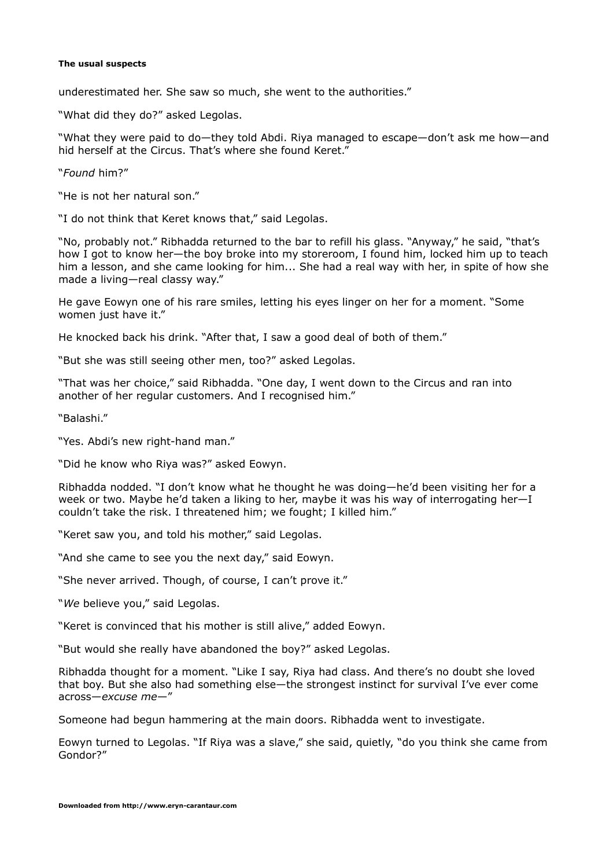underestimated her. She saw so much, she went to the authorities."

"What did they do?" asked Legolas.

"What they were paid to do—they told Abdi. Riya managed to escape—don't ask me how—and hid herself at the Circus. That's where she found Keret."

"*Found* him?"

"He is not her natural son."

"I do not think that Keret knows that," said Legolas.

"No, probably not." Ribhadda returned to the bar to refill his glass. "Anyway," he said, "that's how I got to know her—the boy broke into my storeroom, I found him, locked him up to teach him a lesson, and she came looking for him... She had a real way with her, in spite of how she made a living—real classy way."

He gave Eowyn one of his rare smiles, letting his eyes linger on her for a moment. "Some women just have it."

He knocked back his drink. "After that, I saw a good deal of both of them."

"But she was still seeing other men, too?" asked Legolas.

"That was her choice," said Ribhadda. "One day, I went down to the Circus and ran into another of her regular customers. And I recognised him."

"Balashi."

"Yes. Abdi's new right-hand man."

"Did he know who Riya was?" asked Eowyn.

Ribhadda nodded. "I don't know what he thought he was doing—he'd been visiting her for a week or two. Maybe he'd taken a liking to her, maybe it was his way of interrogating her—I couldn't take the risk. I threatened him; we fought; I killed him."

"Keret saw you, and told his mother," said Legolas.

"And she came to see you the next day," said Eowyn.

"She never arrived. Though, of course, I can't prove it."

"*We* believe you," said Legolas.

"Keret is convinced that his mother is still alive," added Eowyn.

"But would she really have abandoned the boy?" asked Legolas.

Ribhadda thought for a moment. "Like I say, Riya had class. And there's no doubt she loved that boy. But she also had something else—the strongest instinct for survival I've ever come across—*excuse me*—"

Someone had begun hammering at the main doors. Ribhadda went to investigate.

Eowyn turned to Legolas. "If Riya was a slave," she said, quietly, "do you think she came from Gondor?"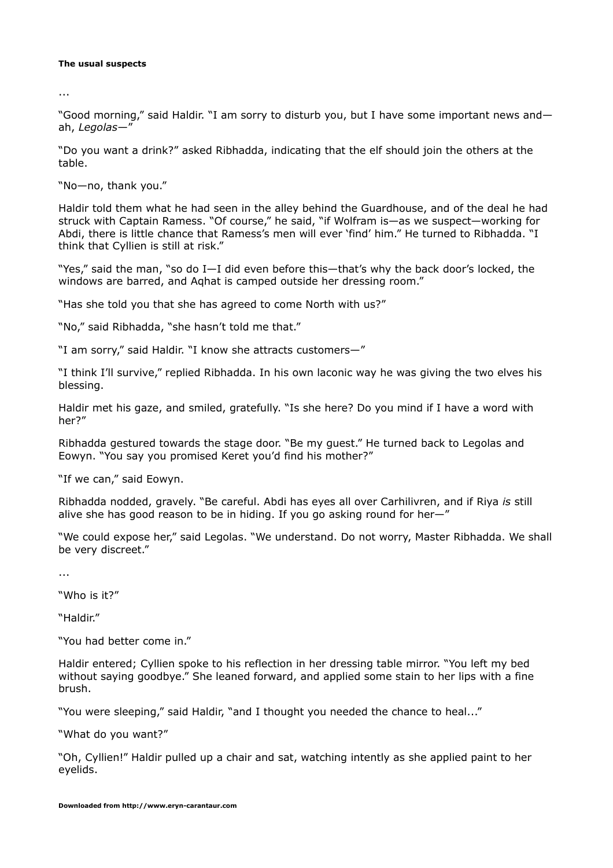...

"Good morning," said Haldir. "I am sorry to disturb you, but I have some important news and ah, *Legolas*—"

"Do you want a drink?" asked Ribhadda, indicating that the elf should join the others at the table.

"No—no, thank you."

Haldir told them what he had seen in the alley behind the Guardhouse, and of the deal he had struck with Captain Ramess. "Of course," he said, "if Wolfram is—as we suspect—working for Abdi, there is little chance that Ramess's men will ever 'find' him." He turned to Ribhadda. "I think that Cyllien is still at risk."

"Yes," said the man, "so do I—I did even before this—that's why the back door's locked, the windows are barred, and Aqhat is camped outside her dressing room."

"Has she told you that she has agreed to come North with us?"

"No," said Ribhadda, "she hasn't told me that."

"I am sorry," said Haldir. "I know she attracts customers—"

"I think I'll survive," replied Ribhadda. In his own laconic way he was giving the two elves his blessing.

Haldir met his gaze, and smiled, gratefully. "Is she here? Do you mind if I have a word with her?"

Ribhadda gestured towards the stage door. "Be my guest." He turned back to Legolas and Eowyn. "You say you promised Keret you'd find his mother?"

"If we can," said Eowyn.

Ribhadda nodded, gravely. "Be careful. Abdi has eyes all over Carhilivren, and if Riya *is* still alive she has good reason to be in hiding. If you go asking round for her—"

"We could expose her," said Legolas. "We understand. Do not worry, Master Ribhadda. We shall be very discreet."

...

"Who is it?"

"Haldir."

"You had better come in."

Haldir entered; Cyllien spoke to his reflection in her dressing table mirror. "You left my bed without saying goodbye." She leaned forward, and applied some stain to her lips with a fine brush.

"You were sleeping," said Haldir, "and I thought you needed the chance to heal..."

"What do you want?"

"Oh, Cyllien!" Haldir pulled up a chair and sat, watching intently as she applied paint to her eyelids.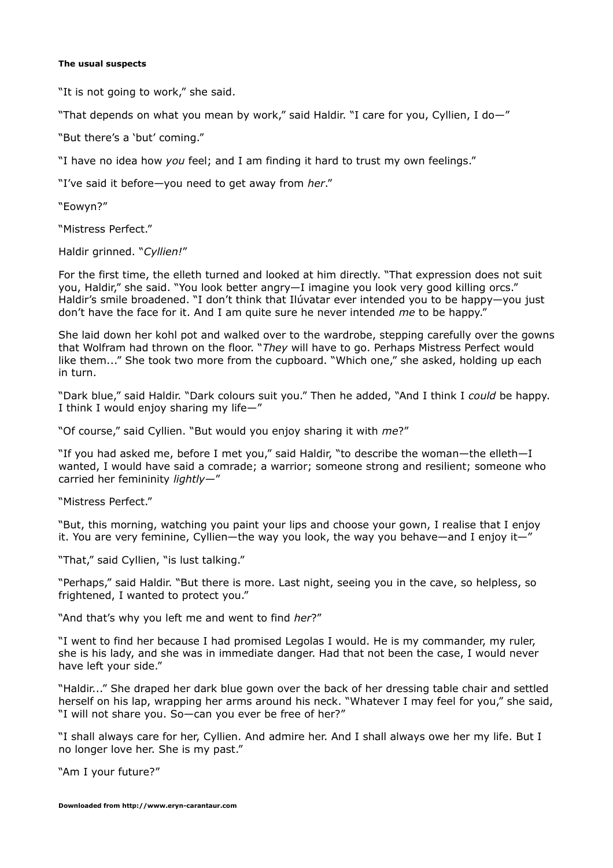"It is not going to work," she said.

"That depends on what you mean by work," said Haldir. "I care for you, Cyllien, I do—"

"But there's a 'but' coming."

"I have no idea how *you* feel; and I am finding it hard to trust my own feelings."

"I've said it before—you need to get away from *her*."

"Eowyn?"

"Mistress Perfect."

Haldir grinned. "*Cyllien!*"

For the first time, the elleth turned and looked at him directly. "That expression does not suit you, Haldir," she said. "You look better angry—I imagine you look very good killing orcs." Haldir's smile broadened. "I don't think that Ilúvatar ever intended you to be happy—you just don't have the face for it. And I am quite sure he never intended *me* to be happy."

She laid down her kohl pot and walked over to the wardrobe, stepping carefully over the gowns that Wolfram had thrown on the floor. "*They* will have to go. Perhaps Mistress Perfect would like them..." She took two more from the cupboard. "Which one," she asked, holding up each in turn.

"Dark blue," said Haldir. "Dark colours suit you." Then he added, "And I think I *could* be happy. I think I would enjoy sharing my life—"

"Of course," said Cyllien. "But would you enjoy sharing it with *me*?"

"If you had asked me, before I met you," said Haldir, "to describe the woman—the elleth—I wanted, I would have said a comrade; a warrior; someone strong and resilient; someone who carried her femininity *lightly*—"

"Mistress Perfect."

"But, this morning, watching you paint your lips and choose your gown, I realise that I enjoy it. You are very feminine, Cyllien—the way you look, the way you behave—and I enjoy it—"

"That," said Cyllien, "is lust talking."

"Perhaps," said Haldir. "But there is more. Last night, seeing you in the cave, so helpless, so frightened, I wanted to protect you."

"And that's why you left me and went to find *her*?"

"I went to find her because I had promised Legolas I would. He is my commander, my ruler, she is his lady, and she was in immediate danger. Had that not been the case, I would never have left your side."

"Haldir..." She draped her dark blue gown over the back of her dressing table chair and settled herself on his lap, wrapping her arms around his neck. "Whatever I may feel for you," she said, "I will not share you. So—can you ever be free of her?"

"I shall always care for her, Cyllien. And admire her. And I shall always owe her my life. But I no longer love her. She is my past."

"Am I your future?"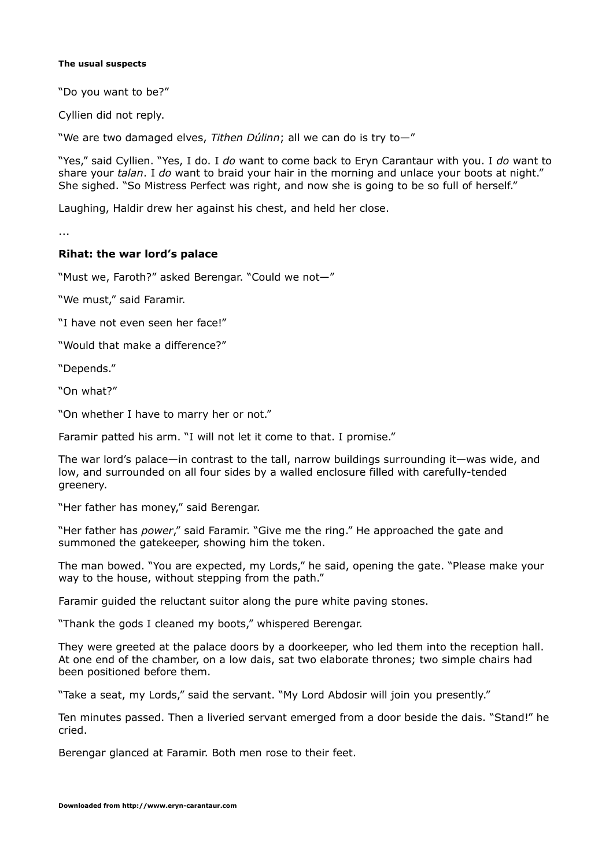"Do you want to be?"

Cyllien did not reply.

"We are two damaged elves, *Tithen Dúlinn*; all we can do is try to—"

"Yes," said Cyllien. "Yes, I do. I *do* want to come back to Eryn Carantaur with you. I *do* want to share your *talan*. I *do* want to braid your hair in the morning and unlace your boots at night." She sighed. "So Mistress Perfect was right, and now she is going to be so full of herself."

Laughing, Haldir drew her against his chest, and held her close.

...

### **Rihat: the war lord's palace**

"Must we, Faroth?" asked Berengar. "Could we not—"

"We must," said Faramir.

"I have not even seen her face!"

"Would that make a difference?"

"Depends."

"On what?"

"On whether I have to marry her or not."

Faramir patted his arm. "I will not let it come to that. I promise."

The war lord's palace—in contrast to the tall, narrow buildings surrounding it—was wide, and low, and surrounded on all four sides by a walled enclosure filled with carefully-tended greenery.

"Her father has money," said Berengar.

"Her father has *power*," said Faramir. "Give me the ring." He approached the gate and summoned the gatekeeper, showing him the token.

The man bowed. "You are expected, my Lords," he said, opening the gate. "Please make your way to the house, without stepping from the path."

Faramir guided the reluctant suitor along the pure white paving stones.

"Thank the gods I cleaned my boots," whispered Berengar.

They were greeted at the palace doors by a doorkeeper, who led them into the reception hall. At one end of the chamber, on a low dais, sat two elaborate thrones; two simple chairs had been positioned before them.

"Take a seat, my Lords," said the servant. "My Lord Abdosir will join you presently."

Ten minutes passed. Then a liveried servant emerged from a door beside the dais. "Stand!" he cried.

Berengar glanced at Faramir. Both men rose to their feet.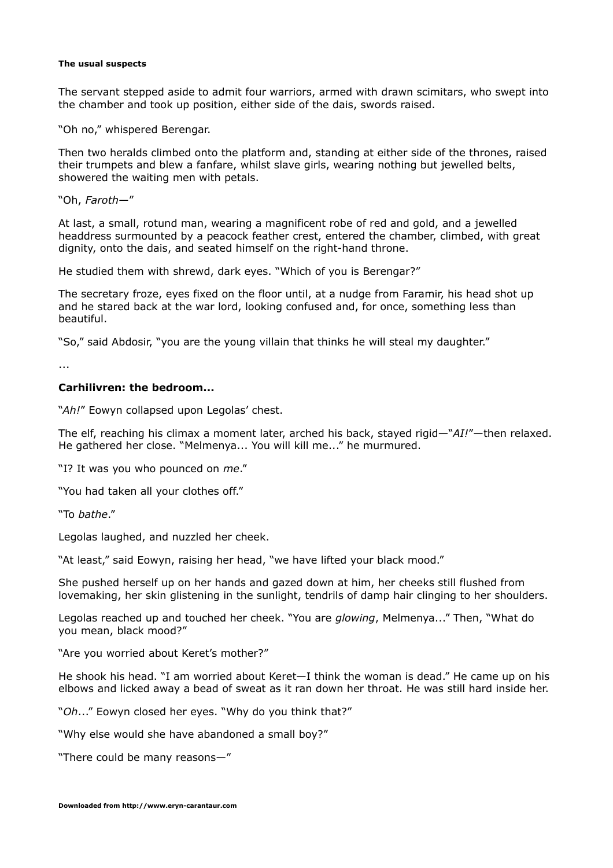The servant stepped aside to admit four warriors, armed with drawn scimitars, who swept into the chamber and took up position, either side of the dais, swords raised.

"Oh no," whispered Berengar.

Then two heralds climbed onto the platform and, standing at either side of the thrones, raised their trumpets and blew a fanfare, whilst slave girls, wearing nothing but jewelled belts, showered the waiting men with petals.

"Oh, *Faroth*—"

At last, a small, rotund man, wearing a magnificent robe of red and gold, and a jewelled headdress surmounted by a peacock feather crest, entered the chamber, climbed, with great dignity, onto the dais, and seated himself on the right-hand throne.

He studied them with shrewd, dark eyes. "Which of you is Berengar?"

The secretary froze, eyes fixed on the floor until, at a nudge from Faramir, his head shot up and he stared back at the war lord, looking confused and, for once, something less than beautiful.

"So," said Abdosir, "you are the young villain that thinks he will steal my daughter."

...

### **Carhilivren: the bedroom...**

"*Ah!*" Eowyn collapsed upon Legolas' chest.

The elf, reaching his climax a moment later, arched his back, stayed rigid—"*AI!*"—then relaxed. He gathered her close. "Melmenya... You will kill me..." he murmured.

"I? It was you who pounced on *me*."

"You had taken all your clothes off."

"To *bathe*."

Legolas laughed, and nuzzled her cheek.

"At least," said Eowyn, raising her head, "we have lifted your black mood."

She pushed herself up on her hands and gazed down at him, her cheeks still flushed from lovemaking, her skin glistening in the sunlight, tendrils of damp hair clinging to her shoulders.

Legolas reached up and touched her cheek. "You are *glowing*, Melmenya..." Then, "What do you mean, black mood?"

"Are you worried about Keret's mother?"

He shook his head. "I am worried about Keret—I think the woman is dead." He came up on his elbows and licked away a bead of sweat as it ran down her throat. He was still hard inside her.

"*Oh*..." Eowyn closed her eyes. "Why do you think that?"

"Why else would she have abandoned a small boy?"

"There could be many reasons—"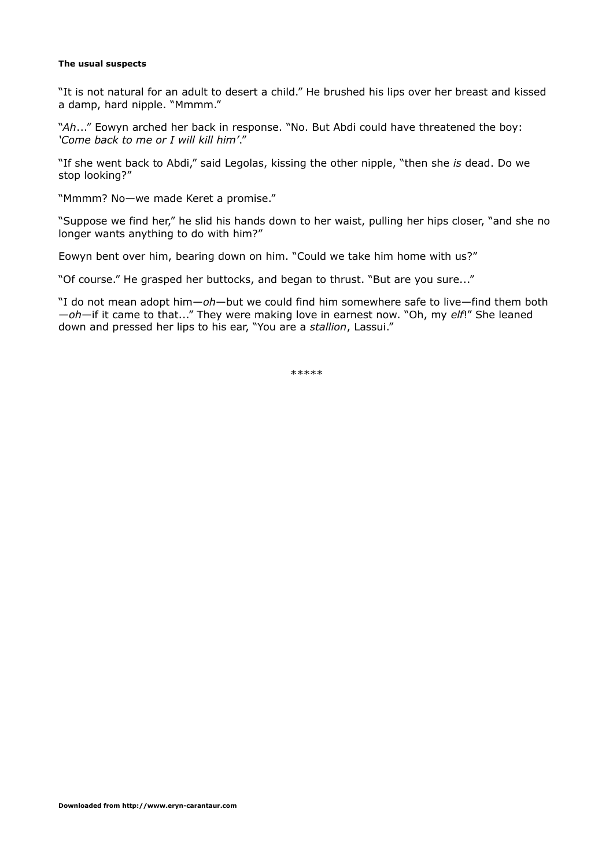"It is not natural for an adult to desert a child." He brushed his lips over her breast and kissed a damp, hard nipple. "Mmmm."

"*Ah*..." Eowyn arched her back in response. "No. But Abdi could have threatened the boy: *'Come back to me or I will kill him'*."

"If she went back to Abdi," said Legolas, kissing the other nipple, "then she *is* dead. Do we stop looking?"

"Mmmm? No—we made Keret a promise."

"Suppose we find her," he slid his hands down to her waist, pulling her hips closer, "and she no longer wants anything to do with him?"

Eowyn bent over him, bearing down on him. "Could we take him home with us?"

"Of course." He grasped her buttocks, and began to thrust. "But are you sure..."

"I do not mean adopt him—*oh*—but we could find him somewhere safe to live—find them both —*oh*—if it came to that..." They were making love in earnest now. "Oh, my *elf*!" She leaned down and pressed her lips to his ear, "You are a *stallion*, Lassui."

\*\*\*\*\*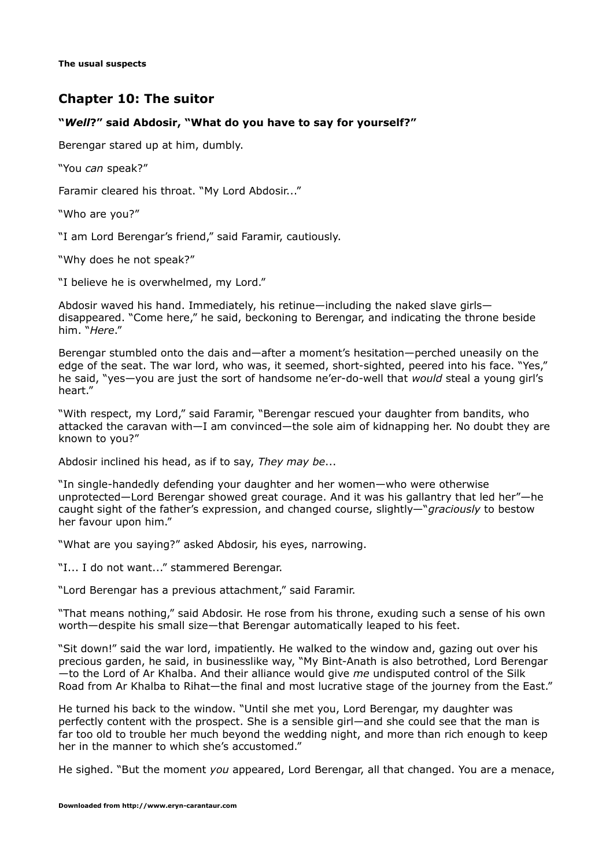# **Chapter 10: The suitor**

## **"***Well***?" said Abdosir, "What do you have to say for yourself?"**

Berengar stared up at him, dumbly.

"You *can* speak?"

Faramir cleared his throat. "My Lord Abdosir..."

"Who are you?"

"I am Lord Berengar's friend," said Faramir, cautiously.

"Why does he not speak?"

"I believe he is overwhelmed, my Lord."

Abdosir waved his hand. Immediately, his retinue—including the naked slave girls disappeared. "Come here," he said, beckoning to Berengar, and indicating the throne beside him. "*Here*."

Berengar stumbled onto the dais and—after a moment's hesitation—perched uneasily on the edge of the seat. The war lord, who was, it seemed, short-sighted, peered into his face. "Yes," he said, "yes—you are just the sort of handsome ne'er-do-well that *would* steal a young girl's heart."

"With respect, my Lord," said Faramir, "Berengar rescued your daughter from bandits, who attacked the caravan with—I am convinced—the sole aim of kidnapping her. No doubt they are known to you?"

Abdosir inclined his head, as if to say, *They may be*...

"In single-handedly defending your daughter and her women—who were otherwise unprotected—Lord Berengar showed great courage. And it was his gallantry that led her"—he caught sight of the father's expression, and changed course, slightly—"*graciously* to bestow her favour upon him."

"What are you saying?" asked Abdosir, his eyes, narrowing.

"I... I do not want..." stammered Berengar.

"Lord Berengar has a previous attachment," said Faramir.

"That means nothing," said Abdosir. He rose from his throne, exuding such a sense of his own worth—despite his small size—that Berengar automatically leaped to his feet.

"Sit down!" said the war lord, impatiently. He walked to the window and, gazing out over his precious garden, he said, in businesslike way, "My Bint-Anath is also betrothed, Lord Berengar —to the Lord of Ar Khalba. And their alliance would give *me* undisputed control of the Silk Road from Ar Khalba to Rihat—the final and most lucrative stage of the journey from the East."

He turned his back to the window. "Until she met you, Lord Berengar, my daughter was perfectly content with the prospect. She is a sensible girl—and she could see that the man is far too old to trouble her much beyond the wedding night, and more than rich enough to keep her in the manner to which she's accustomed."

He sighed. "But the moment *you* appeared, Lord Berengar, all that changed. You are a menace,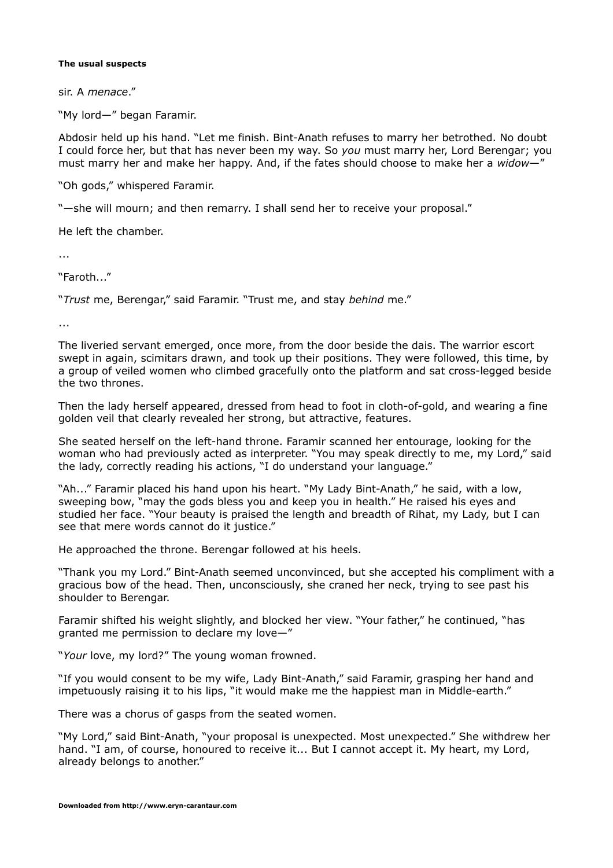sir. A *menace*."

"My lord—" began Faramir.

Abdosir held up his hand. "Let me finish. Bint-Anath refuses to marry her betrothed. No doubt I could force her, but that has never been my way. So *you* must marry her, Lord Berengar; you must marry her and make her happy. And, if the fates should choose to make her a *widow*—"

"Oh gods," whispered Faramir.

"—she will mourn; and then remarry. I shall send her to receive your proposal."

He left the chamber.

...

"Faroth..."

"*Trust* me, Berengar," said Faramir. "Trust me, and stay *behind* me."

...

The liveried servant emerged, once more, from the door beside the dais. The warrior escort swept in again, scimitars drawn, and took up their positions. They were followed, this time, by a group of veiled women who climbed gracefully onto the platform and sat cross-legged beside the two thrones.

Then the lady herself appeared, dressed from head to foot in cloth-of-gold, and wearing a fine golden veil that clearly revealed her strong, but attractive, features.

She seated herself on the left-hand throne. Faramir scanned her entourage, looking for the woman who had previously acted as interpreter. "You may speak directly to me, my Lord," said the lady, correctly reading his actions, "I do understand your language."

"Ah..." Faramir placed his hand upon his heart. "My Lady Bint-Anath," he said, with a low, sweeping bow, "may the gods bless you and keep you in health." He raised his eyes and studied her face. "Your beauty is praised the length and breadth of Rihat, my Lady, but I can see that mere words cannot do it justice."

He approached the throne. Berengar followed at his heels.

"Thank you my Lord." Bint-Anath seemed unconvinced, but she accepted his compliment with a gracious bow of the head. Then, unconsciously, she craned her neck, trying to see past his shoulder to Berengar.

Faramir shifted his weight slightly, and blocked her view. "Your father," he continued, "has granted me permission to declare my love—"

"*Your* love, my lord?" The young woman frowned.

"If you would consent to be my wife, Lady Bint-Anath," said Faramir, grasping her hand and impetuously raising it to his lips, "it would make me the happiest man in Middle-earth."

There was a chorus of gasps from the seated women.

"My Lord," said Bint-Anath, "your proposal is unexpected. Most unexpected." She withdrew her hand. "I am, of course, honoured to receive it... But I cannot accept it. My heart, my Lord, already belongs to another."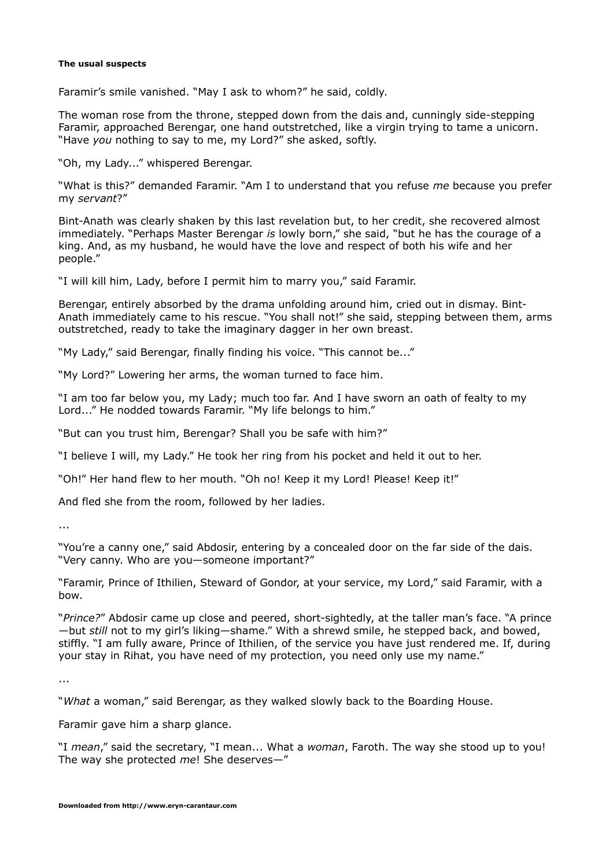Faramir's smile vanished. "May I ask to whom?" he said, coldly.

The woman rose from the throne, stepped down from the dais and, cunningly side-stepping Faramir, approached Berengar, one hand outstretched, like a virgin trying to tame a unicorn. "Have *you* nothing to say to me, my Lord?" she asked, softly.

"Oh, my Lady..." whispered Berengar.

"What is this?" demanded Faramir. "Am I to understand that you refuse *me* because you prefer my *servant*?"

Bint-Anath was clearly shaken by this last revelation but, to her credit, she recovered almost immediately. "Perhaps Master Berengar *is* lowly born," she said, "but he has the courage of a king. And, as my husband, he would have the love and respect of both his wife and her people."

"I will kill him, Lady, before I permit him to marry you," said Faramir.

Berengar, entirely absorbed by the drama unfolding around him, cried out in dismay. Bint-Anath immediately came to his rescue. "You shall not!" she said, stepping between them, arms outstretched, ready to take the imaginary dagger in her own breast.

"My Lady," said Berengar, finally finding his voice. "This cannot be..."

"My Lord?" Lowering her arms, the woman turned to face him.

"I am too far below you, my Lady; much too far. And I have sworn an oath of fealty to my Lord..." He nodded towards Faramir. "My life belongs to him."

"But can you trust him, Berengar? Shall you be safe with him?"

"I believe I will, my Lady." He took her ring from his pocket and held it out to her.

"Oh!" Her hand flew to her mouth. "Oh no! Keep it my Lord! Please! Keep it!"

And fled she from the room, followed by her ladies.

...

"You're a canny one," said Abdosir, entering by a concealed door on the far side of the dais. "Very canny. Who are you—someone important?"

"Faramir, Prince of Ithilien, Steward of Gondor, at your service, my Lord," said Faramir, with a bow.

"*Prince?*" Abdosir came up close and peered, short-sightedly, at the taller man's face. "A prince —but *still* not to my girl's liking—shame." With a shrewd smile, he stepped back, and bowed, stiffly. "I am fully aware, Prince of Ithilien, of the service you have just rendered me. If, during your stay in Rihat, you have need of my protection, you need only use my name."

...

"*What* a woman," said Berengar, as they walked slowly back to the Boarding House.

Faramir gave him a sharp glance.

"I *mean*," said the secretary, "I mean... What a *woman*, Faroth. The way she stood up to you! The way she protected *me*! She deserves—"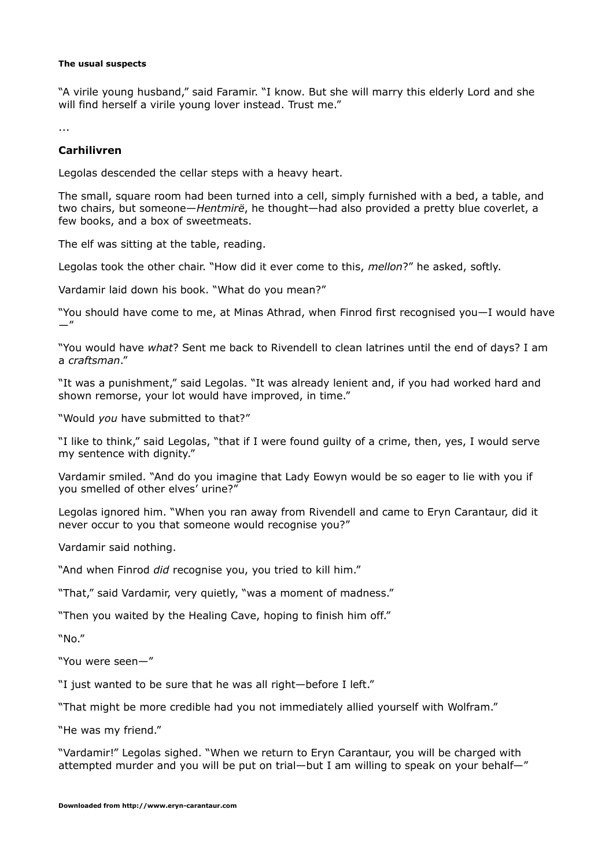"A virile young husband," said Faramir. "I know. But she will marry this elderly Lord and she will find herself a virile young lover instead. Trust me."

...

## **Carhilivren**

Legolas descended the cellar steps with a heavy heart.

The small, square room had been turned into a cell, simply furnished with a bed, a table, and two chairs, but someone—*Hentmirë*, he thought—had also provided a pretty blue coverlet, a few books, and a box of sweetmeats.

The elf was sitting at the table, reading.

Legolas took the other chair. "How did it ever come to this, *mellon*?" he asked, softly.

Vardamir laid down his book. "What do you mean?"

"You should have come to me, at Minas Athrad, when Finrod first recognised you—I would have —"

"You would have *what*? Sent me back to Rivendell to clean latrines until the end of days? I am a *craftsman*."

"It was a punishment," said Legolas. "It was already lenient and, if you had worked hard and shown remorse, your lot would have improved, in time."

"Would *you* have submitted to that?"

"I like to think," said Legolas, "that if I were found guilty of a crime, then, yes, I would serve my sentence with dignity."

Vardamir smiled. "And do you imagine that Lady Eowyn would be so eager to lie with you if you smelled of other elves' urine?"

Legolas ignored him. "When you ran away from Rivendell and came to Eryn Carantaur, did it never occur to you that someone would recognise you?"

Vardamir said nothing.

"And when Finrod *did* recognise you, you tried to kill him."

"That," said Vardamir, very quietly, "was a moment of madness."

"Then you waited by the Healing Cave, hoping to finish him off."

"No."

"You were seen—"

"I just wanted to be sure that he was all right—before I left."

"That might be more credible had you not immediately allied yourself with Wolfram."

"He was my friend."

"Vardamir!" Legolas sighed. "When we return to Eryn Carantaur, you will be charged with attempted murder and you will be put on trial—but I am willing to speak on your behalf—"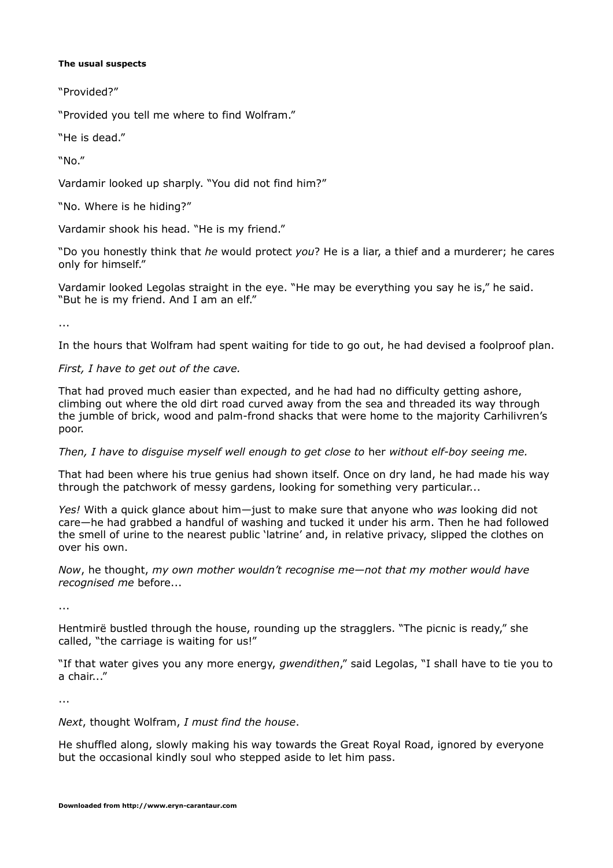"Provided?"

"Provided you tell me where to find Wolfram."

"He is dead."

"No."

Vardamir looked up sharply. "You did not find him?"

"No. Where is he hiding?"

Vardamir shook his head. "He is my friend."

"Do you honestly think that *he* would protect *you*? He is a liar, a thief and a murderer; he cares only for himself."

Vardamir looked Legolas straight in the eye. "He may be everything you say he is," he said. "But he is my friend. And I am an elf."

...

In the hours that Wolfram had spent waiting for tide to go out, he had devised a foolproof plan.

*First, I have to get out of the cave.*

That had proved much easier than expected, and he had had no difficulty getting ashore, climbing out where the old dirt road curved away from the sea and threaded its way through the jumble of brick, wood and palm-frond shacks that were home to the majority Carhilivren's poor.

*Then, I have to disguise myself well enough to get close to* her *without elf-boy seeing me.*

That had been where his true genius had shown itself. Once on dry land, he had made his way through the patchwork of messy gardens, looking for something very particular...

*Yes!* With a quick glance about him—just to make sure that anyone who *was* looking did not care—he had grabbed a handful of washing and tucked it under his arm. Then he had followed the smell of urine to the nearest public 'latrine' and, in relative privacy, slipped the clothes on over his own.

*Now*, he thought, *my own mother wouldn't recognise me—not that my mother would have recognised me* before...

...

Hentmirë bustled through the house, rounding up the stragglers. "The picnic is ready," she called, "the carriage is waiting for us!"

"If that water gives you any more energy, *gwendithen*," said Legolas, "I shall have to tie you to a chair..."

...

*Next*, thought Wolfram, *I must find the house*.

He shuffled along, slowly making his way towards the Great Royal Road, ignored by everyone but the occasional kindly soul who stepped aside to let him pass.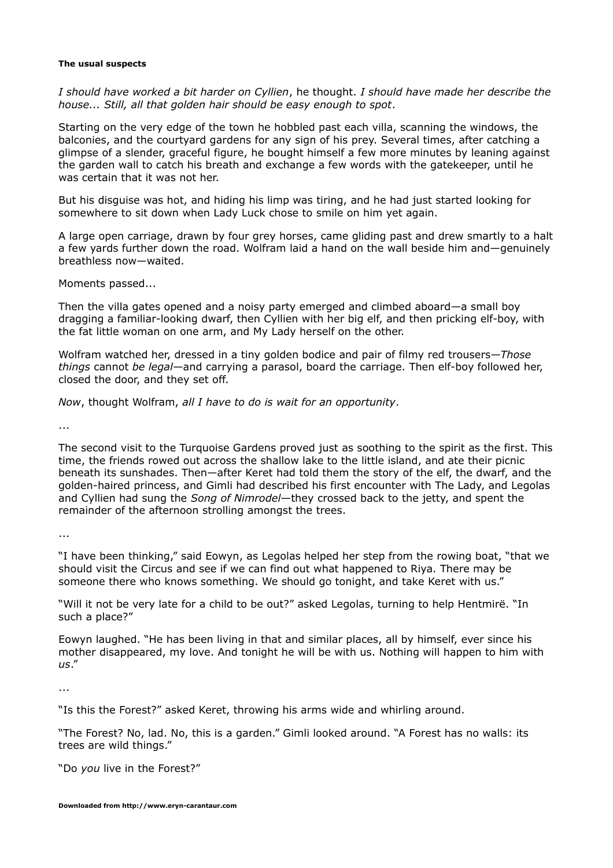*I should have worked a bit harder on Cyllien*, he thought. *I should have made her describe the house... Still, all that golden hair should be easy enough to spot*.

Starting on the very edge of the town he hobbled past each villa, scanning the windows, the balconies, and the courtyard gardens for any sign of his prey. Several times, after catching a glimpse of a slender, graceful figure, he bought himself a few more minutes by leaning against the garden wall to catch his breath and exchange a few words with the gatekeeper, until he was certain that it was not her.

But his disguise was hot, and hiding his limp was tiring, and he had just started looking for somewhere to sit down when Lady Luck chose to smile on him yet again.

A large open carriage, drawn by four grey horses, came gliding past and drew smartly to a halt a few yards further down the road. Wolfram laid a hand on the wall beside him and—genuinely breathless now—waited.

Moments passed...

Then the villa gates opened and a noisy party emerged and climbed aboard—a small boy dragging a familiar-looking dwarf, then Cyllien with her big elf, and then pricking elf-boy, with the fat little woman on one arm, and My Lady herself on the other.

Wolfram watched her, dressed in a tiny golden bodice and pair of filmy red trousers—*Those things* cannot *be legal*—and carrying a parasol, board the carriage. Then elf-boy followed her, closed the door, and they set off.

*Now*, thought Wolfram, *all I have to do is wait for an opportunity*.

...

The second visit to the Turquoise Gardens proved just as soothing to the spirit as the first. This time, the friends rowed out across the shallow lake to the little island, and ate their picnic beneath its sunshades. Then—after Keret had told them the story of the elf, the dwarf, and the golden-haired princess, and Gimli had described his first encounter with The Lady, and Legolas and Cyllien had sung the *Song of Nimrodel*—they crossed back to the jetty, and spent the remainder of the afternoon strolling amongst the trees.

...

"I have been thinking," said Eowyn, as Legolas helped her step from the rowing boat, "that we should visit the Circus and see if we can find out what happened to Riya. There may be someone there who knows something. We should go tonight, and take Keret with us."

"Will it not be very late for a child to be out?" asked Legolas, turning to help Hentmirë. "In such a place?"

Eowyn laughed. "He has been living in that and similar places, all by himself, ever since his mother disappeared, my love. And tonight he will be with us. Nothing will happen to him with *us*."

...

"Is this the Forest?" asked Keret, throwing his arms wide and whirling around.

"The Forest? No, lad. No, this is a garden." Gimli looked around. "A Forest has no walls: its trees are wild things."

"Do *you* live in the Forest?"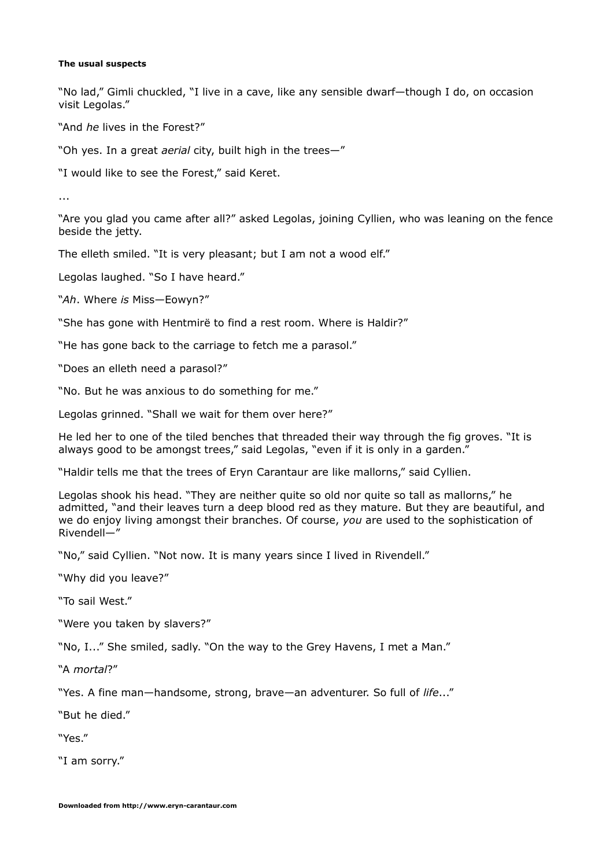"No lad," Gimli chuckled, "I live in a cave, like any sensible dwarf—though I do, on occasion visit Legolas."

"And *he* lives in the Forest?"

"Oh yes. In a great *aerial* city, built high in the trees—"

"I would like to see the Forest," said Keret.

...

"Are you glad you came after all?" asked Legolas, joining Cyllien, who was leaning on the fence beside the jetty.

The elleth smiled. "It is very pleasant; but I am not a wood elf."

Legolas laughed. "So I have heard."

"*Ah*. Where *is* Miss—Eowyn?"

"She has gone with Hentmirë to find a rest room. Where is Haldir?"

"He has gone back to the carriage to fetch me a parasol."

"Does an elleth need a parasol?"

"No. But he was anxious to do something for me."

Legolas grinned. "Shall we wait for them over here?"

He led her to one of the tiled benches that threaded their way through the fig groves. "It is always good to be amongst trees," said Legolas, "even if it is only in a garden."

"Haldir tells me that the trees of Eryn Carantaur are like mallorns," said Cyllien.

Legolas shook his head. "They are neither quite so old nor quite so tall as mallorns," he admitted, "and their leaves turn a deep blood red as they mature. But they are beautiful, and we do enjoy living amongst their branches. Of course, *you* are used to the sophistication of Rivendell—"

"No," said Cyllien. "Not now. It is many years since I lived in Rivendell."

"Why did you leave?"

"To sail West."

"Were you taken by slavers?"

"No, I..." She smiled, sadly. "On the way to the Grey Havens, I met a Man."

"A *mortal*?"

"Yes. A fine man—handsome, strong, brave—an adventurer. So full of *life*..."

"But he died."

"Yes."

"I am sorry."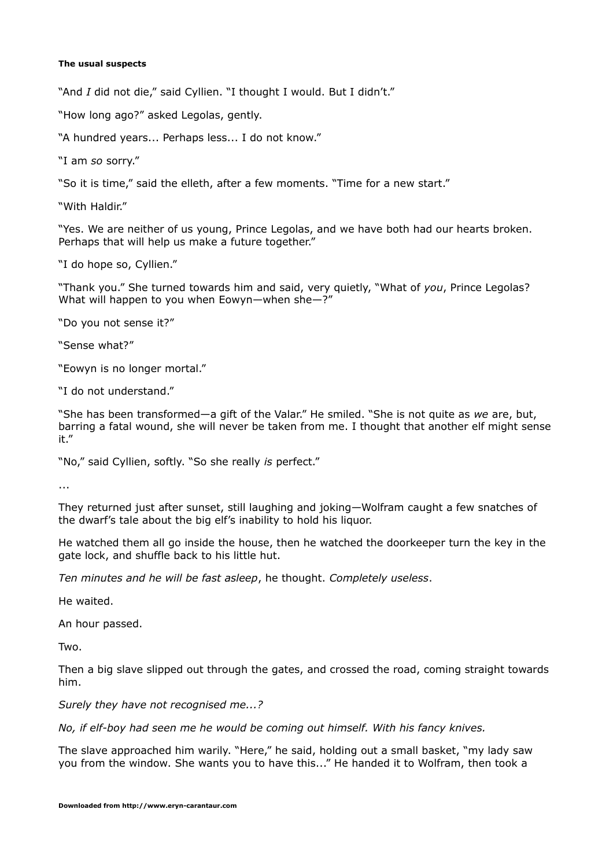"And *I* did not die," said Cyllien. "I thought I would. But I didn't."

"How long ago?" asked Legolas, gently.

"A hundred years... Perhaps less... I do not know."

"I am *so* sorry."

"So it is time," said the elleth, after a few moments. "Time for a new start."

"With Haldir."

"Yes. We are neither of us young, Prince Legolas, and we have both had our hearts broken. Perhaps that will help us make a future together."

"I do hope so, Cyllien."

"Thank you." She turned towards him and said, very quietly, "What of *you*, Prince Legolas? What will happen to you when Eowyn—when she—?"

"Do you not sense it?"

"Sense what?"

"Eowyn is no longer mortal."

"I do not understand."

"She has been transformed—a gift of the Valar." He smiled. "She is not quite as *we* are, but, barring a fatal wound, she will never be taken from me. I thought that another elf might sense it."

"No," said Cyllien, softly. "So she really *is* perfect."

...

They returned just after sunset, still laughing and joking—Wolfram caught a few snatches of the dwarf's tale about the big elf's inability to hold his liquor.

He watched them all go inside the house, then he watched the doorkeeper turn the key in the gate lock, and shuffle back to his little hut.

*Ten minutes and he will be fast asleep*, he thought. *Completely useless*.

He waited.

An hour passed.

Two.

Then a big slave slipped out through the gates, and crossed the road, coming straight towards him.

*Surely they have not recognised me...?*

*No, if elf-boy had seen me he would be coming out himself. With his fancy knives.*

The slave approached him warily. "Here," he said, holding out a small basket, "my lady saw you from the window. She wants you to have this..." He handed it to Wolfram, then took a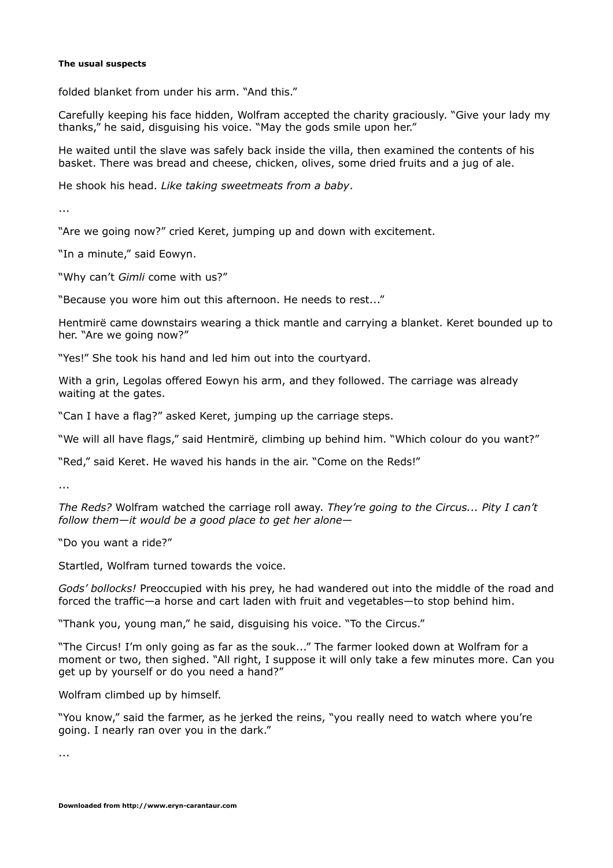folded blanket from under his arm. "And this."

Carefully keeping his face hidden, Wolfram accepted the charity graciously. "Give your lady my thanks," he said, disguising his voice. "May the gods smile upon her."

He waited until the slave was safely back inside the villa, then examined the contents of his basket. There was bread and cheese, chicken, olives, some dried fruits and a jug of ale.

He shook his head. *Like taking sweetmeats from a baby*.

...

"Are we going now?" cried Keret, jumping up and down with excitement.

"In a minute," said Eowyn.

"Why can't *Gimli* come with us?"

"Because you wore him out this afternoon. He needs to rest..."

Hentmirë came downstairs wearing a thick mantle and carrying a blanket. Keret bounded up to her. "Are we going now?"

"Yes!" She took his hand and led him out into the courtyard.

With a grin, Legolas offered Eowyn his arm, and they followed. The carriage was already waiting at the gates.

"Can I have a flag?" asked Keret, jumping up the carriage steps.

"We will all have flags," said Hentmirë, climbing up behind him. "Which colour do you want?"

"Red," said Keret. He waved his hands in the air. "Come on the Reds!"

...

*The Reds?* Wolfram watched the carriage roll away. *They're going to the Circus... Pity I can't follow them—it would be a good place to get her alone—*

"Do you want a ride?"

Startled, Wolfram turned towards the voice.

*Gods' bollocks!* Preoccupied with his prey, he had wandered out into the middle of the road and forced the traffic—a horse and cart laden with fruit and vegetables—to stop behind him.

"Thank you, young man," he said, disguising his voice. "To the Circus."

"The Circus! I'm only going as far as the souk..." The farmer looked down at Wolfram for a moment or two, then sighed. "All right, I suppose it will only take a few minutes more. Can you get up by yourself or do you need a hand?"

Wolfram climbed up by himself.

"You know," said the farmer, as he jerked the reins, "you really need to watch where you're going. I nearly ran over you in the dark."

...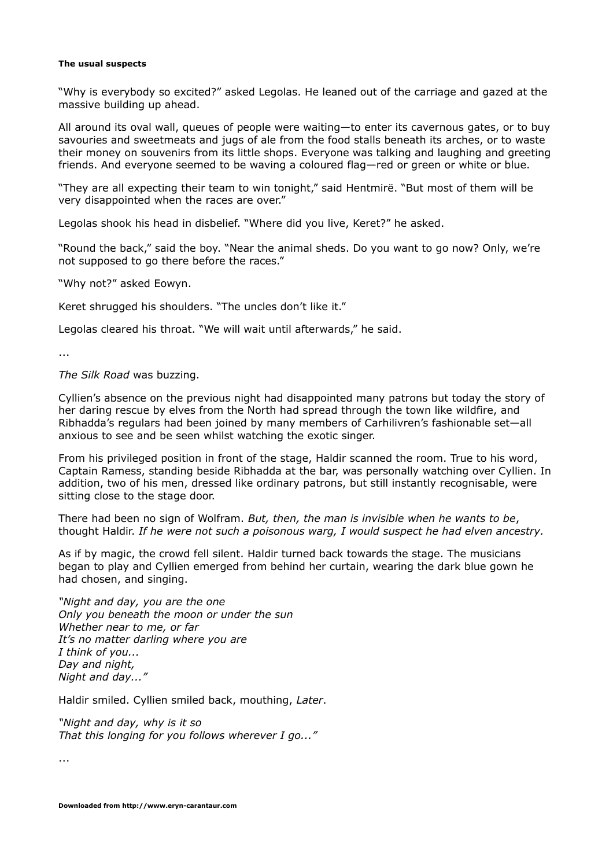"Why is everybody so excited?" asked Legolas. He leaned out of the carriage and gazed at the massive building up ahead.

All around its oval wall, queues of people were waiting—to enter its cavernous gates, or to buy savouries and sweetmeats and jugs of ale from the food stalls beneath its arches, or to waste their money on souvenirs from its little shops. Everyone was talking and laughing and greeting friends. And everyone seemed to be waving a coloured flag—red or green or white or blue.

"They are all expecting their team to win tonight," said Hentmirë. "But most of them will be very disappointed when the races are over."

Legolas shook his head in disbelief. "Where did you live, Keret?" he asked.

"Round the back," said the boy. "Near the animal sheds. Do you want to go now? Only, we're not supposed to go there before the races."

"Why not?" asked Eowyn.

Keret shrugged his shoulders. "The uncles don't like it."

Legolas cleared his throat. "We will wait until afterwards," he said.

...

*The Silk Road* was buzzing.

Cyllien's absence on the previous night had disappointed many patrons but today the story of her daring rescue by elves from the North had spread through the town like wildfire, and Ribhadda's regulars had been joined by many members of Carhilivren's fashionable set—all anxious to see and be seen whilst watching the exotic singer.

From his privileged position in front of the stage, Haldir scanned the room. True to his word, Captain Ramess, standing beside Ribhadda at the bar, was personally watching over Cyllien. In addition, two of his men, dressed like ordinary patrons, but still instantly recognisable, were sitting close to the stage door.

There had been no sign of Wolfram. *But, then, the man is invisible when he wants to be*, thought Haldir. *If he were not such a poisonous warg, I would suspect he had elven ancestry.*

As if by magic, the crowd fell silent. Haldir turned back towards the stage. The musicians began to play and Cyllien emerged from behind her curtain, wearing the dark blue gown he had chosen, and singing.

*"Night and day, you are the one Only you beneath the moon or under the sun Whether near to me, or far It's no matter darling where you are I think of you... Day and night, Night and day..."*

Haldir smiled. Cyllien smiled back, mouthing, *Later*.

*"Night and day, why is it so That this longing for you follows wherever I go..."*

...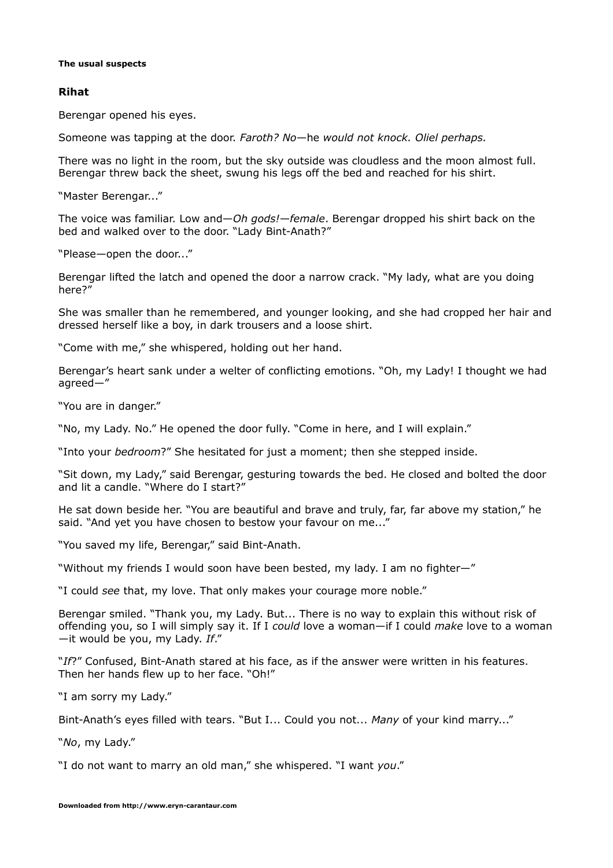### **Rihat**

Berengar opened his eyes.

Someone was tapping at the door. *Faroth? No—*he *would not knock. Oliel perhaps.*

There was no light in the room, but the sky outside was cloudless and the moon almost full. Berengar threw back the sheet, swung his legs off the bed and reached for his shirt.

"Master Berengar..."

The voice was familiar. Low and—*Oh gods!—female*. Berengar dropped his shirt back on the bed and walked over to the door. "Lady Bint-Anath?"

"Please—open the door..."

Berengar lifted the latch and opened the door a narrow crack. "My lady, what are you doing here?"

She was smaller than he remembered, and younger looking, and she had cropped her hair and dressed herself like a boy, in dark trousers and a loose shirt.

"Come with me," she whispered, holding out her hand.

Berengar's heart sank under a welter of conflicting emotions. "Oh, my Lady! I thought we had agreed—"

"You are in danger."

"No, my Lady. No." He opened the door fully. "Come in here, and I will explain."

"Into your *bedroom*?" She hesitated for just a moment; then she stepped inside.

"Sit down, my Lady," said Berengar, gesturing towards the bed. He closed and bolted the door and lit a candle. "Where do I start?"

He sat down beside her. "You are beautiful and brave and truly, far, far above my station," he said. "And yet you have chosen to bestow your favour on me..."

"You saved my life, Berengar," said Bint-Anath.

"Without my friends I would soon have been bested, my lady. I am no fighter—"

"I could *see* that, my love. That only makes your courage more noble."

Berengar smiled. "Thank you, my Lady. But... There is no way to explain this without risk of offending you, so I will simply say it. If I *could* love a woman—if I could *make* love to a woman —it would be you, my Lady. *If*."

"*If*?" Confused, Bint-Anath stared at his face, as if the answer were written in his features. Then her hands flew up to her face. "Oh!"

"I am sorry my Lady."

Bint-Anath's eyes filled with tears. "But I... Could you not... *Many* of your kind marry..."

"*No*, my Lady."

"I do not want to marry an old man," she whispered. "I want *you*."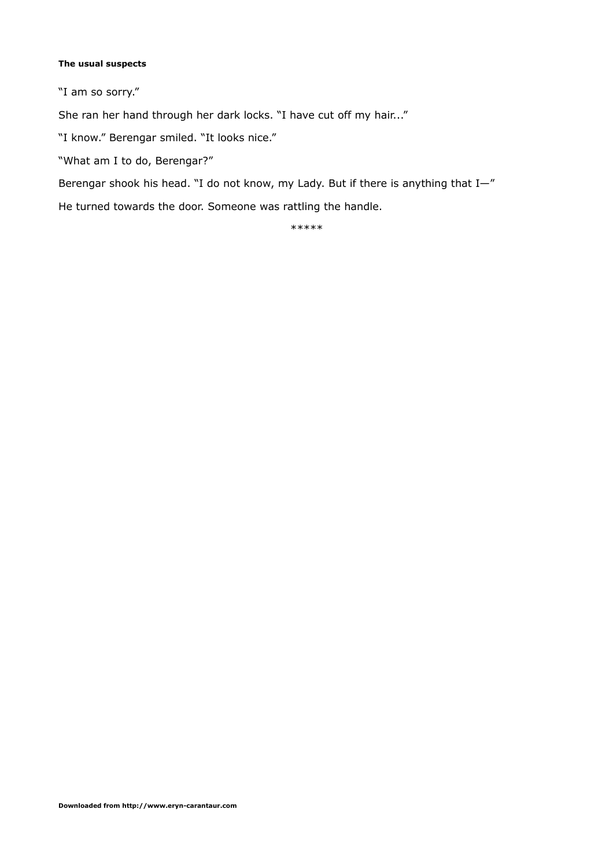"I am so sorry."

She ran her hand through her dark locks. "I have cut off my hair..."

"I know." Berengar smiled. "It looks nice."

"What am I to do, Berengar?"

Berengar shook his head. "I do not know, my Lady. But if there is anything that I—"

He turned towards the door. Someone was rattling the handle.

\*\*\*\*\*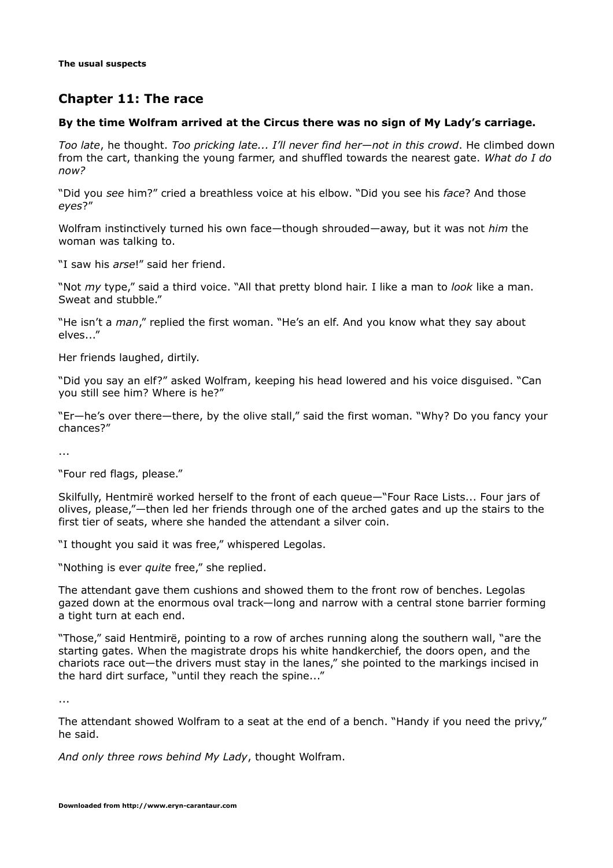# **Chapter 11: The race**

### **By the time Wolfram arrived at the Circus there was no sign of My Lady's carriage.**

*Too late*, he thought. *Too pricking late... I'll never find her—not in this crowd*. He climbed down from the cart, thanking the young farmer, and shuffled towards the nearest gate. *What do I do now?*

"Did you *see* him?" cried a breathless voice at his elbow. "Did you see his *face*? And those *eyes*?"

Wolfram instinctively turned his own face—though shrouded—away, but it was not *him* the woman was talking to.

"I saw his *arse*!" said her friend.

"Not *my* type," said a third voice. "All that pretty blond hair. I like a man to *look* like a man. Sweat and stubble."

"He isn't a *man*," replied the first woman. "He's an elf. And you know what they say about elves..."

Her friends laughed, dirtily.

"Did you say an elf?" asked Wolfram, keeping his head lowered and his voice disguised. "Can you still see him? Where is he?"

"Er—he's over there—there, by the olive stall," said the first woman. "Why? Do you fancy your chances?"

...

"Four red flags, please."

Skilfully, Hentmirë worked herself to the front of each queue—"Four Race Lists... Four jars of olives, please,"—then led her friends through one of the arched gates and up the stairs to the first tier of seats, where she handed the attendant a silver coin.

"I thought you said it was free," whispered Legolas.

"Nothing is ever *quite* free," she replied.

The attendant gave them cushions and showed them to the front row of benches. Legolas gazed down at the enormous oval track—long and narrow with a central stone barrier forming a tight turn at each end.

"Those," said Hentmirë, pointing to a row of arches running along the southern wall, "are the starting gates. When the magistrate drops his white handkerchief, the doors open, and the chariots race out—the drivers must stay in the lanes," she pointed to the markings incised in the hard dirt surface, "until they reach the spine..."

...

The attendant showed Wolfram to a seat at the end of a bench. "Handy if you need the privy," he said.

*And only three rows behind My Lady*, thought Wolfram.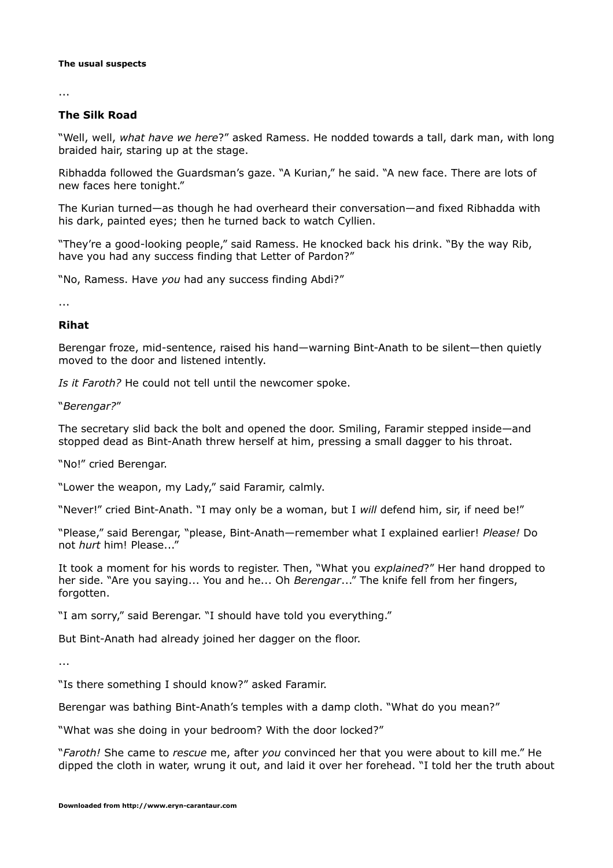...

### **The Silk Road**

"Well, well, *what have we here*?" asked Ramess. He nodded towards a tall, dark man, with long braided hair, staring up at the stage.

Ribhadda followed the Guardsman's gaze. "A Kurian," he said. "A new face. There are lots of new faces here tonight."

The Kurian turned—as though he had overheard their conversation—and fixed Ribhadda with his dark, painted eyes; then he turned back to watch Cyllien.

"They're a good-looking people," said Ramess. He knocked back his drink. "By the way Rib, have you had any success finding that Letter of Pardon?"

"No, Ramess. Have *you* had any success finding Abdi?"

...

### **Rihat**

Berengar froze, mid-sentence, raised his hand—warning Bint-Anath to be silent—then quietly moved to the door and listened intently.

*Is it Faroth?* He could not tell until the newcomer spoke.

"*Berengar?*"

The secretary slid back the bolt and opened the door. Smiling, Faramir stepped inside—and stopped dead as Bint-Anath threw herself at him, pressing a small dagger to his throat.

"No!" cried Berengar.

"Lower the weapon, my Lady," said Faramir, calmly.

"Never!" cried Bint-Anath. "I may only be a woman, but I *will* defend him, sir, if need be!"

"Please," said Berengar, "please, Bint-Anath—remember what I explained earlier! *Please!* Do not *hurt* him! Please..."

It took a moment for his words to register. Then, "What you *explained*?" Her hand dropped to her side. "Are you saying... You and he... Oh *Berengar*..." The knife fell from her fingers, forgotten.

"I am sorry," said Berengar. "I should have told you everything."

But Bint-Anath had already joined her dagger on the floor.

...

"Is there something I should know?" asked Faramir.

Berengar was bathing Bint-Anath's temples with a damp cloth. "What do you mean?"

"What was she doing in your bedroom? With the door locked?"

"*Faroth!* She came to *rescue* me, after *you* convinced her that you were about to kill me." He dipped the cloth in water, wrung it out, and laid it over her forehead. "I told her the truth about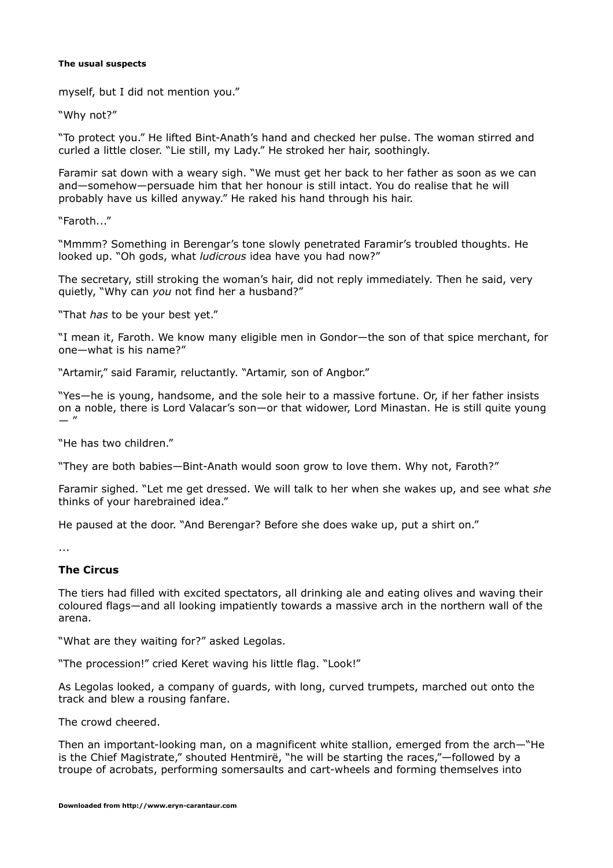myself, but I did not mention you."

"Why not?"

"To protect you." He lifted Bint-Anath's hand and checked her pulse. The woman stirred and curled a little closer. "Lie still, my Lady." He stroked her hair, soothingly.

Faramir sat down with a weary sigh. "We must get her back to her father as soon as we can and—somehow—persuade him that her honour is still intact. You do realise that he will probably have us killed anyway." He raked his hand through his hair.

"Faroth..."

"Mmmm? Something in Berengar's tone slowly penetrated Faramir's troubled thoughts. He looked up. "Oh gods, what *ludicrous* idea have you had now?"

The secretary, still stroking the woman's hair, did not reply immediately. Then he said, very quietly, "Why can *you* not find her a husband?"

"That *has* to be your best yet."

"I mean it, Faroth. We know many eligible men in Gondor—the son of that spice merchant, for one—what is his name?"

"Artamir," said Faramir, reluctantly. "Artamir, son of Angbor."

"Yes—he is young, handsome, and the sole heir to a massive fortune. Or, if her father insists on a noble, there is Lord Valacar's son—or that widower, Lord Minastan. He is still quite young — "

"He has two children."

"They are both babies—Bint-Anath would soon grow to love them. Why not, Faroth?"

Faramir sighed. "Let me get dressed. We will talk to her when she wakes up, and see what *she* thinks of your harebrained idea."

He paused at the door. "And Berengar? Before she does wake up, put a shirt on."

...

## **The Circus**

The tiers had filled with excited spectators, all drinking ale and eating olives and waving their coloured flags—and all looking impatiently towards a massive arch in the northern wall of the arena.

"What are they waiting for?" asked Legolas.

"The procession!" cried Keret waving his little flag. "Look!"

As Legolas looked, a company of guards, with long, curved trumpets, marched out onto the track and blew a rousing fanfare.

The crowd cheered.

Then an important-looking man, on a magnificent white stallion, emerged from the arch—"He is the Chief Magistrate," shouted Hentmirë, "he will be starting the races,"—followed by a troupe of acrobats, performing somersaults and cart-wheels and forming themselves into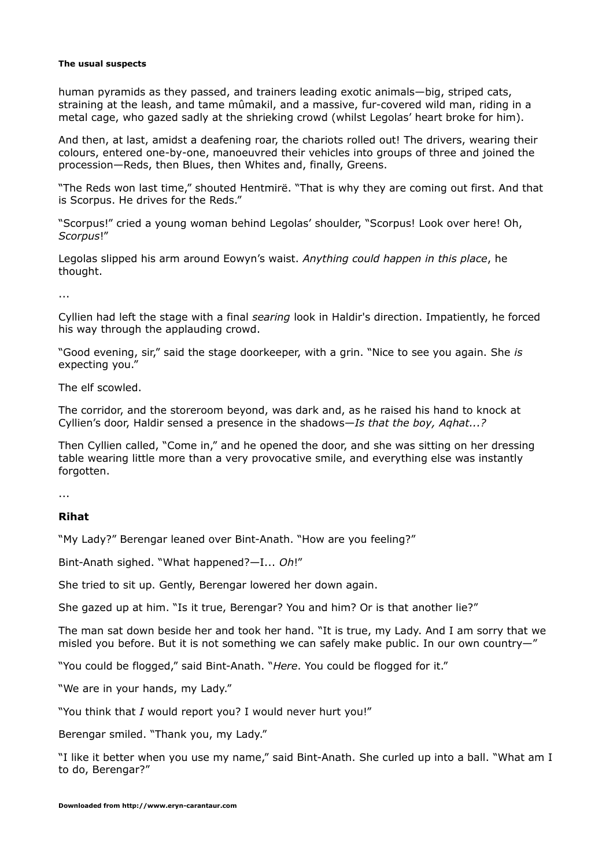human pyramids as they passed, and trainers leading exotic animals—big, striped cats, straining at the leash, and tame mûmakil, and a massive, fur-covered wild man, riding in a metal cage, who gazed sadly at the shrieking crowd (whilst Legolas' heart broke for him).

And then, at last, amidst a deafening roar, the chariots rolled out! The drivers, wearing their colours, entered one-by-one, manoeuvred their vehicles into groups of three and joined the procession—Reds, then Blues, then Whites and, finally, Greens.

"The Reds won last time," shouted Hentmirë. "That is why they are coming out first. And that is Scorpus. He drives for the Reds."

"Scorpus!" cried a young woman behind Legolas' shoulder, "Scorpus! Look over here! Oh, *Scorpus*!"

Legolas slipped his arm around Eowyn's waist. *Anything could happen in this place*, he thought.

...

Cyllien had left the stage with a final *searing* look in Haldir's direction. Impatiently, he forced his way through the applauding crowd.

"Good evening, sir," said the stage doorkeeper, with a grin. "Nice to see you again. She *is* expecting you."

The elf scowled.

The corridor, and the storeroom beyond, was dark and, as he raised his hand to knock at Cyllien's door, Haldir sensed a presence in the shadows—*Is that the boy, Aqhat...?*

Then Cyllien called, "Come in," and he opened the door, and she was sitting on her dressing table wearing little more than a very provocative smile, and everything else was instantly forgotten.

...

# **Rihat**

"My Lady?" Berengar leaned over Bint-Anath. "How are you feeling?"

Bint-Anath sighed. "What happened?—I... *Oh*!"

She tried to sit up. Gently, Berengar lowered her down again.

She gazed up at him. "Is it true, Berengar? You and him? Or is that another lie?"

The man sat down beside her and took her hand. "It is true, my Lady. And I am sorry that we misled you before. But it is not something we can safely make public. In our own country—"

"You could be flogged," said Bint-Anath. "*Here*. You could be flogged for it."

"We are in your hands, my Lady."

"You think that *I* would report you? I would never hurt you!"

Berengar smiled. "Thank you, my Lady."

"I like it better when you use my name," said Bint-Anath. She curled up into a ball. "What am I to do, Berengar?"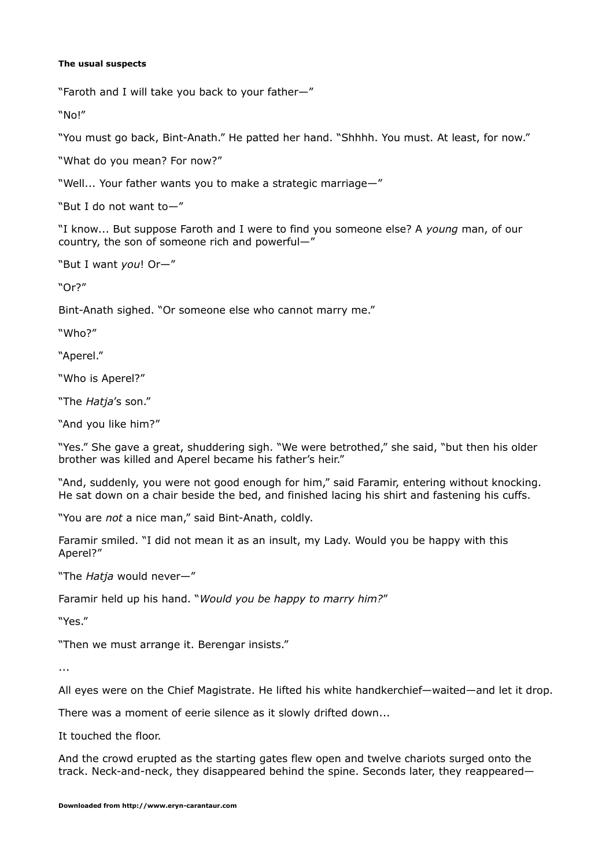"Faroth and I will take you back to your father—"

"No!"

"You must go back, Bint-Anath." He patted her hand. "Shhhh. You must. At least, for now."

"What do you mean? For now?"

"Well... Your father wants you to make a strategic marriage—"

"But I do not want to—"

"I know... But suppose Faroth and I were to find you someone else? A *young* man, of our country, the son of someone rich and powerful—"

"But I want *you*! Or—"

"Or?"

Bint-Anath sighed. "Or someone else who cannot marry me."

"Who?"

"Aperel."

"Who is Aperel?"

"The *Hatja*'s son."

"And you like him?"

"Yes." She gave a great, shuddering sigh. "We were betrothed," she said, "but then his older brother was killed and Aperel became his father's heir."

"And, suddenly, you were not good enough for him," said Faramir, entering without knocking. He sat down on a chair beside the bed, and finished lacing his shirt and fastening his cuffs.

"You are *not* a nice man," said Bint-Anath, coldly.

Faramir smiled. "I did not mean it as an insult, my Lady. Would you be happy with this Aperel?"

"The *Hatja* would never—"

Faramir held up his hand. "*Would you be happy to marry him?*"

"Yes."

"Then we must arrange it. Berengar insists."

...

All eyes were on the Chief Magistrate. He lifted his white handkerchief—waited—and let it drop.

There was a moment of eerie silence as it slowly drifted down...

It touched the floor.

And the crowd erupted as the starting gates flew open and twelve chariots surged onto the track. Neck-and-neck, they disappeared behind the spine. Seconds later, they reappeared—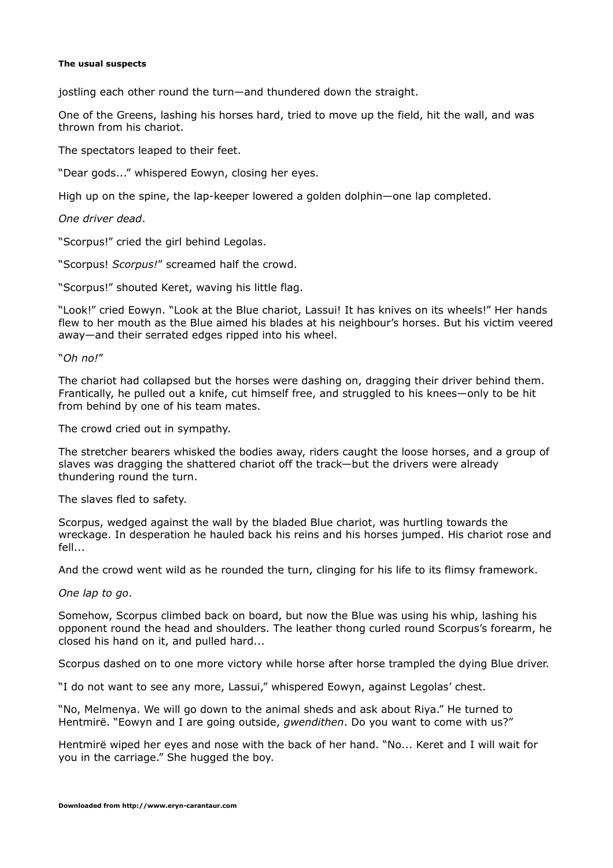jostling each other round the turn—and thundered down the straight.

One of the Greens, lashing his horses hard, tried to move up the field, hit the wall, and was thrown from his chariot.

The spectators leaped to their feet.

"Dear gods..." whispered Eowyn, closing her eyes.

High up on the spine, the lap-keeper lowered a golden dolphin—one lap completed.

*One driver dead*.

"Scorpus!" cried the girl behind Legolas.

"Scorpus! *Scorpus!*" screamed half the crowd.

"Scorpus!" shouted Keret, waving his little flag.

"Look!" cried Eowyn. "Look at the Blue chariot, Lassui! It has knives on its wheels!" Her hands flew to her mouth as the Blue aimed his blades at his neighbour's horses. But his victim veered away—and their serrated edges ripped into his wheel.

"*Oh no!*"

The chariot had collapsed but the horses were dashing on, dragging their driver behind them. Frantically, he pulled out a knife, cut himself free, and struggled to his knees—only to be hit from behind by one of his team mates.

The crowd cried out in sympathy.

The stretcher bearers whisked the bodies away, riders caught the loose horses, and a group of slaves was dragging the shattered chariot off the track—but the drivers were already thundering round the turn.

The slaves fled to safety.

Scorpus, wedged against the wall by the bladed Blue chariot, was hurtling towards the wreckage. In desperation he hauled back his reins and his horses jumped. His chariot rose and fell...

And the crowd went wild as he rounded the turn, clinging for his life to its flimsy framework.

*One lap to go*.

Somehow, Scorpus climbed back on board, but now the Blue was using his whip, lashing his opponent round the head and shoulders. The leather thong curled round Scorpus's forearm, he closed his hand on it, and pulled hard...

Scorpus dashed on to one more victory while horse after horse trampled the dying Blue driver.

"I do not want to see any more, Lassui," whispered Eowyn, against Legolas' chest.

"No, Melmenya. We will go down to the animal sheds and ask about Riya." He turned to Hentmirë. "Eowyn and I are going outside, *gwendithen*. Do you want to come with us?"

Hentmirë wiped her eyes and nose with the back of her hand. "No... Keret and I will wait for you in the carriage." She hugged the boy.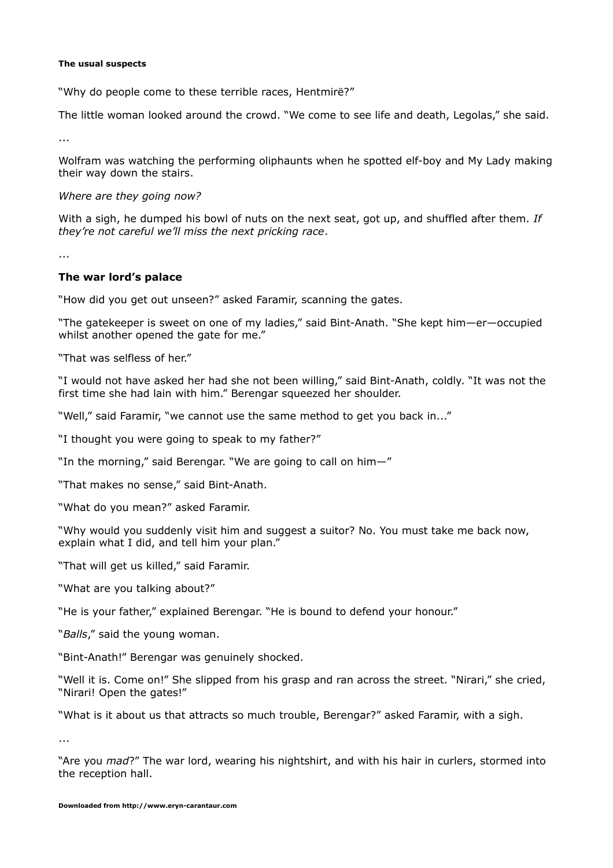"Why do people come to these terrible races, Hentmirë?"

The little woman looked around the crowd. "We come to see life and death, Legolas," she said.

...

Wolfram was watching the performing oliphaunts when he spotted elf-boy and My Lady making their way down the stairs.

*Where are they going now?*

With a sigh, he dumped his bowl of nuts on the next seat, got up, and shuffled after them. *If they're not careful we'll miss the next pricking race*.

...

## **The war lord's palace**

"How did you get out unseen?" asked Faramir, scanning the gates.

"The gatekeeper is sweet on one of my ladies," said Bint-Anath. "She kept him—er—occupied whilst another opened the gate for me."

"That was selfless of her."

"I would not have asked her had she not been willing," said Bint-Anath, coldly. "It was not the first time she had lain with him." Berengar squeezed her shoulder.

"Well," said Faramir, "we cannot use the same method to get you back in..."

"I thought you were going to speak to my father?"

"In the morning," said Berengar. "We are going to call on him—"

"That makes no sense," said Bint-Anath.

"What do you mean?" asked Faramir.

"Why would you suddenly visit him and suggest a suitor? No. You must take me back now, explain what I did, and tell him your plan."

"That will get us killed," said Faramir.

"What are you talking about?"

"He is your father," explained Berengar. "He is bound to defend your honour."

"*Balls*," said the young woman.

"Bint-Anath!" Berengar was genuinely shocked.

"Well it is. Come on!" She slipped from his grasp and ran across the street. "Nirari," she cried, "Nirari! Open the gates!"

"What is it about us that attracts so much trouble, Berengar?" asked Faramir, with a sigh.

...

"Are you *mad*?" The war lord, wearing his nightshirt, and with his hair in curlers, stormed into the reception hall.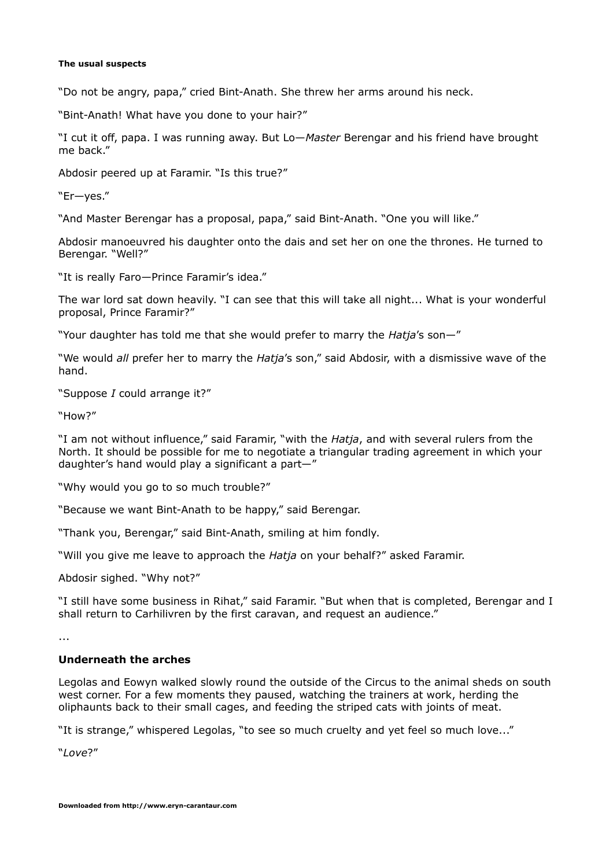"Do not be angry, papa," cried Bint-Anath. She threw her arms around his neck.

"Bint-Anath! What have you done to your hair?"

"I cut it off, papa. I was running away. But Lo—*Master* Berengar and his friend have brought me back."

Abdosir peered up at Faramir. "Is this true?"

"Er—yes."

"And Master Berengar has a proposal, papa," said Bint-Anath. "One you will like."

Abdosir manoeuvred his daughter onto the dais and set her on one the thrones. He turned to Berengar. "Well?"

"It is really Faro—Prince Faramir's idea."

The war lord sat down heavily. "I can see that this will take all night... What is your wonderful proposal, Prince Faramir?"

"Your daughter has told me that she would prefer to marry the *Hatja*'s son—"

"We would *all* prefer her to marry the *Hatja*'s son," said Abdosir, with a dismissive wave of the hand.

"Suppose *I* could arrange it?"

"How?"

"I am not without influence," said Faramir, "with the *Hatja*, and with several rulers from the North. It should be possible for me to negotiate a triangular trading agreement in which your daughter's hand would play a significant a part—"

"Why would you go to so much trouble?"

"Because we want Bint-Anath to be happy," said Berengar.

"Thank you, Berengar," said Bint-Anath, smiling at him fondly.

"Will you give me leave to approach the *Hatja* on your behalf?" asked Faramir.

Abdosir sighed. "Why not?"

"I still have some business in Rihat," said Faramir. "But when that is completed, Berengar and I shall return to Carhilivren by the first caravan, and request an audience."

...

# **Underneath the arches**

Legolas and Eowyn walked slowly round the outside of the Circus to the animal sheds on south west corner. For a few moments they paused, watching the trainers at work, herding the oliphaunts back to their small cages, and feeding the striped cats with joints of meat.

"It is strange," whispered Legolas, "to see so much cruelty and yet feel so much love..."

"*Love*?"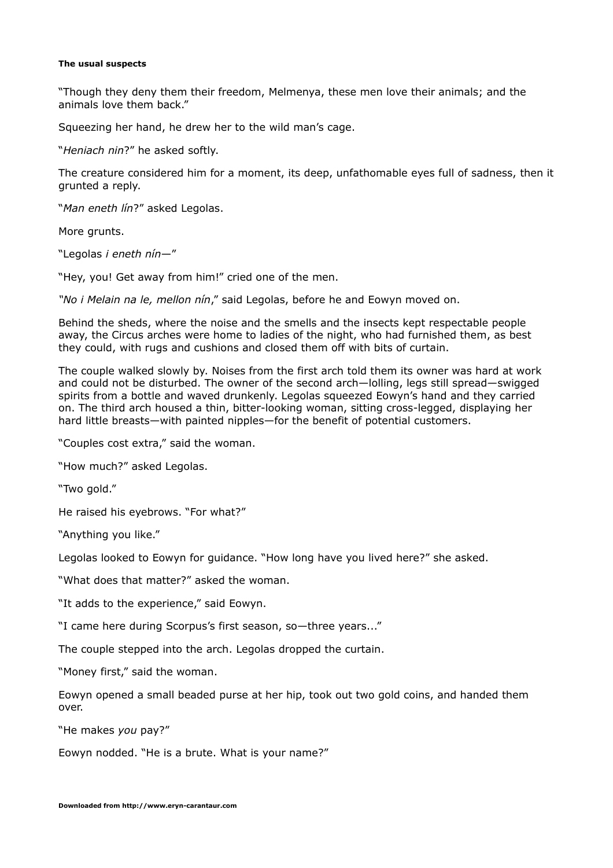"Though they deny them their freedom, Melmenya, these men love their animals; and the animals love them back."

Squeezing her hand, he drew her to the wild man's cage.

"*Heniach nin*?" he asked softly.

The creature considered him for a moment, its deep, unfathomable eyes full of sadness, then it grunted a reply.

"*Man eneth lín*?" asked Legolas.

More grunts.

"Legolas *i eneth nín*—"

"Hey, you! Get away from him!" cried one of the men.

*"No i Melain na le, mellon nín*," said Legolas, before he and Eowyn moved on.

Behind the sheds, where the noise and the smells and the insects kept respectable people away, the Circus arches were home to ladies of the night, who had furnished them, as best they could, with rugs and cushions and closed them off with bits of curtain.

The couple walked slowly by. Noises from the first arch told them its owner was hard at work and could not be disturbed. The owner of the second arch—lolling, legs still spread—swigged spirits from a bottle and waved drunkenly. Legolas squeezed Eowyn's hand and they carried on. The third arch housed a thin, bitter-looking woman, sitting cross-legged, displaying her hard little breasts—with painted nipples—for the benefit of potential customers.

"Couples cost extra," said the woman.

"How much?" asked Legolas.

"Two gold."

He raised his eyebrows. "For what?"

"Anything you like."

Legolas looked to Eowyn for guidance. "How long have you lived here?" she asked.

"What does that matter?" asked the woman.

"It adds to the experience," said Eowyn.

"I came here during Scorpus's first season, so—three years..."

The couple stepped into the arch. Legolas dropped the curtain.

"Money first," said the woman.

Eowyn opened a small beaded purse at her hip, took out two gold coins, and handed them over.

"He makes *you* pay?"

Eowyn nodded. "He is a brute. What is your name?"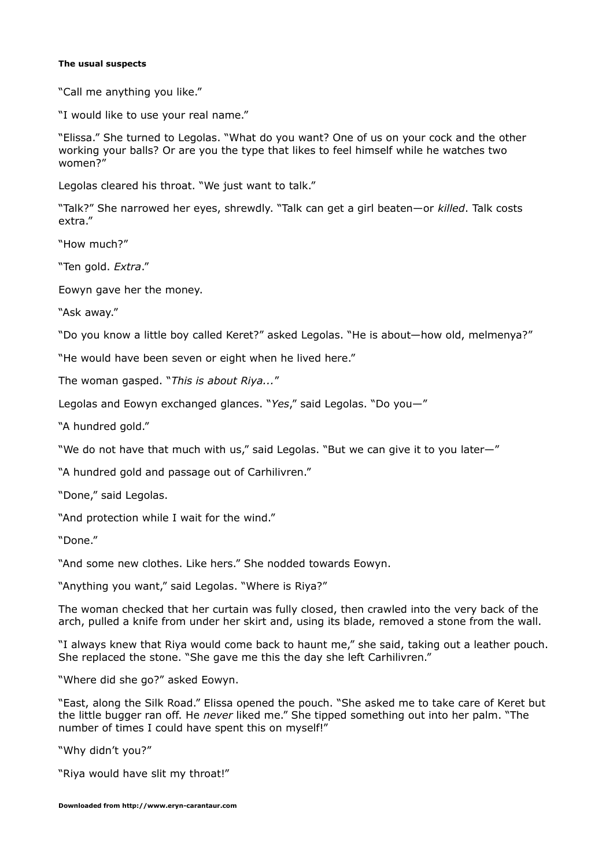"Call me anything you like."

"I would like to use your real name."

"Elissa." She turned to Legolas. "What do you want? One of us on your cock and the other working your balls? Or are you the type that likes to feel himself while he watches two women?"

Legolas cleared his throat. "We just want to talk."

"Talk?" She narrowed her eyes, shrewdly. "Talk can get a girl beaten—or *killed*. Talk costs extra."

"How much?"

"Ten gold. *Extra*."

Eowyn gave her the money.

"Ask away."

"Do you know a little boy called Keret?" asked Legolas. "He is about—how old, melmenya?"

"He would have been seven or eight when he lived here."

The woman gasped. "*This is about Riya...*"

Legolas and Eowyn exchanged glances. "*Yes*," said Legolas. "Do you—"

"A hundred gold."

"We do not have that much with us," said Legolas. "But we can give it to you later—"

"A hundred gold and passage out of Carhilivren."

"Done," said Legolas.

"And protection while I wait for the wind."

"Done."

"And some new clothes. Like hers." She nodded towards Eowyn.

"Anything you want," said Legolas. "Where is Riya?"

The woman checked that her curtain was fully closed, then crawled into the very back of the arch, pulled a knife from under her skirt and, using its blade, removed a stone from the wall.

"I always knew that Riya would come back to haunt me," she said, taking out a leather pouch. She replaced the stone. "She gave me this the day she left Carhilivren."

"Where did she go?" asked Eowyn.

"East, along the Silk Road." Elissa opened the pouch. "She asked me to take care of Keret but the little bugger ran off. He *never* liked me." She tipped something out into her palm. "The number of times I could have spent this on myself!"

"Why didn't you?"

"Riya would have slit my throat!"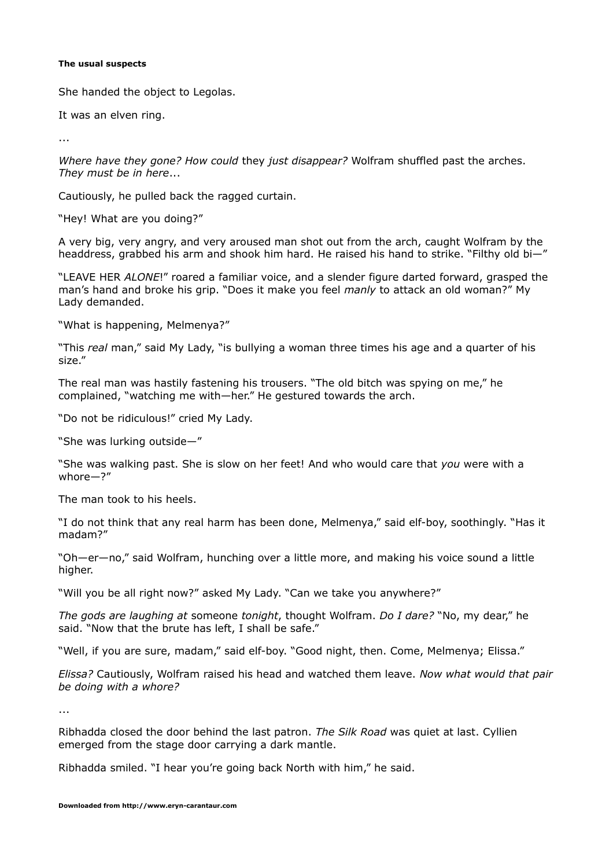She handed the object to Legolas.

It was an elven ring.

...

*Where have they gone? How could* they *just disappear?* Wolfram shuffled past the arches. *They must be in here*...

Cautiously, he pulled back the ragged curtain.

"Hey! What are you doing?"

A very big, very angry, and very aroused man shot out from the arch, caught Wolfram by the headdress, grabbed his arm and shook him hard. He raised his hand to strike. "Filthy old bi—"

"LEAVE HER *ALONE*!" roared a familiar voice, and a slender figure darted forward, grasped the man's hand and broke his grip. "Does it make you feel *manly* to attack an old woman?" My Lady demanded.

"What is happening, Melmenya?"

"This *real* man," said My Lady, "is bullying a woman three times his age and a quarter of his size."

The real man was hastily fastening his trousers. "The old bitch was spying on me," he complained, "watching me with—her." He gestured towards the arch.

"Do not be ridiculous!" cried My Lady.

"She was lurking outside—"

"She was walking past. She is slow on her feet! And who would care that *you* were with a whore—?"

The man took to his heels.

"I do not think that any real harm has been done, Melmenya," said elf-boy, soothingly. "Has it madam?"

"Oh—er—no," said Wolfram, hunching over a little more, and making his voice sound a little higher.

"Will you be all right now?" asked My Lady. "Can we take you anywhere?"

*The gods are laughing at* someone *tonight*, thought Wolfram. *Do I dare?* "No, my dear," he said. "Now that the brute has left, I shall be safe."

"Well, if you are sure, madam," said elf-boy. "Good night, then. Come, Melmenya; Elissa."

*Elissa?* Cautiously, Wolfram raised his head and watched them leave. *Now what would that pair be doing with a whore?*

...

Ribhadda closed the door behind the last patron. *The Silk Road* was quiet at last. Cyllien emerged from the stage door carrying a dark mantle.

Ribhadda smiled. "I hear you're going back North with him," he said.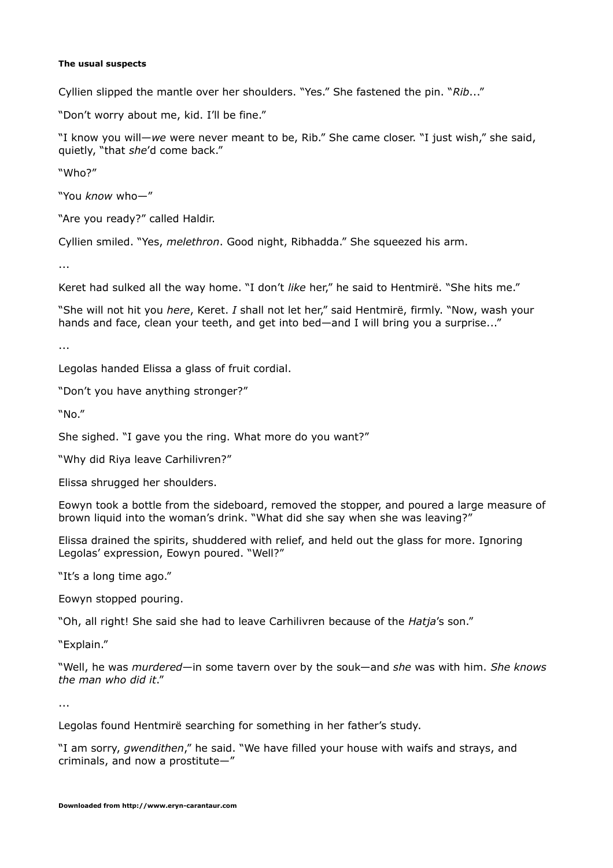Cyllien slipped the mantle over her shoulders. "Yes." She fastened the pin. "*Rib*..."

"Don't worry about me, kid. I'll be fine."

"I know you will—*we* were never meant to be, Rib." She came closer. "I just wish," she said, quietly, "that *she*'d come back."

"Who?"

"You *know* who—"

"Are you ready?" called Haldir.

Cyllien smiled. "Yes, *melethron*. Good night, Ribhadda." She squeezed his arm.

...

Keret had sulked all the way home. "I don't *like* her," he said to Hentmirë. "She hits me."

"She will not hit you *here*, Keret. *I* shall not let her," said Hentmirë, firmly. "Now, wash your hands and face, clean your teeth, and get into bed—and I will bring you a surprise..."

...

Legolas handed Elissa a glass of fruit cordial.

"Don't you have anything stronger?"

"No."

She sighed. "I gave you the ring. What more do you want?"

"Why did Riya leave Carhilivren?"

Elissa shrugged her shoulders.

Eowyn took a bottle from the sideboard, removed the stopper, and poured a large measure of brown liquid into the woman's drink. "What did she say when she was leaving?"

Elissa drained the spirits, shuddered with relief, and held out the glass for more. Ignoring Legolas' expression, Eowyn poured. "Well?"

"It's a long time ago."

Eowyn stopped pouring.

"Oh, all right! She said she had to leave Carhilivren because of the *Hatja*'s son."

"Explain."

"Well, he was *murdered*—in some tavern over by the souk—and *she* was with him. *She knows the man who did it*."

...

Legolas found Hentmirë searching for something in her father's study.

"I am sorry, *gwendithen*," he said. "We have filled your house with waifs and strays, and criminals, and now a prostitute—"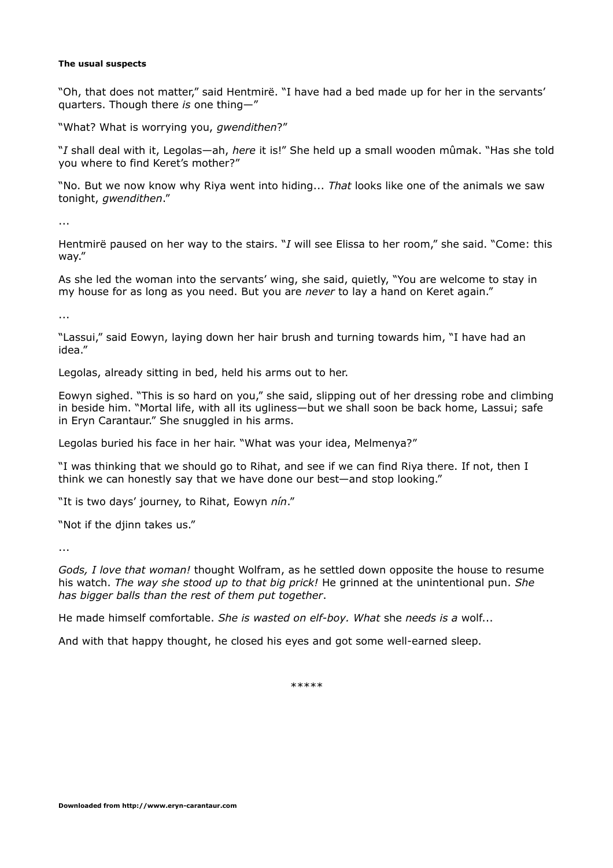"Oh, that does not matter," said Hentmirë. "I have had a bed made up for her in the servants' quarters. Though there *is* one thing—"

"What? What is worrying you, *gwendithen*?"

"*I* shall deal with it, Legolas—ah, *here* it is!" She held up a small wooden mûmak. "Has she told you where to find Keret's mother?"

"No. But we now know why Riya went into hiding... *That* looks like one of the animals we saw tonight, *gwendithen*."

...

Hentmirë paused on her way to the stairs. "*I* will see Elissa to her room," she said. "Come: this way."

As she led the woman into the servants' wing, she said, quietly, "You are welcome to stay in my house for as long as you need. But you are *never* to lay a hand on Keret again."

...

"Lassui," said Eowyn, laying down her hair brush and turning towards him, "I have had an idea."

Legolas, already sitting in bed, held his arms out to her.

Eowyn sighed. "This is so hard on you," she said, slipping out of her dressing robe and climbing in beside him. "Mortal life, with all its ugliness—but we shall soon be back home, Lassui; safe in Eryn Carantaur." She snuggled in his arms.

Legolas buried his face in her hair. "What was your idea, Melmenya?"

"I was thinking that we should go to Rihat, and see if we can find Riya there. If not, then I think we can honestly say that we have done our best—and stop looking."

"It is two days' journey, to Rihat, Eowyn *nín*."

"Not if the djinn takes us."

...

*Gods, I love that woman!* thought Wolfram, as he settled down opposite the house to resume his watch. *The way she stood up to that big prick!* He grinned at the unintentional pun. *She has bigger balls than the rest of them put together*.

He made himself comfortable. *She is wasted on elf-boy. What* she *needs is a* wolf...

And with that happy thought, he closed his eyes and got some well-earned sleep.

\*\*\*\*\*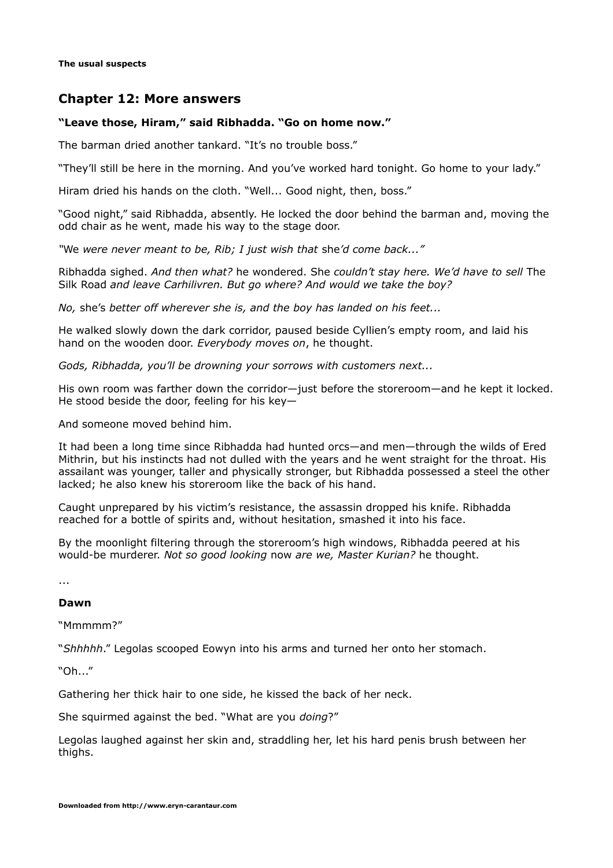# **Chapter 12: More answers**

# **"Leave those, Hiram," said Ribhadda. "Go on home now."**

The barman dried another tankard. "It's no trouble boss."

"They'll still be here in the morning. And you've worked hard tonight. Go home to your lady."

Hiram dried his hands on the cloth. "Well... Good night, then, boss."

"Good night," said Ribhadda, absently. He locked the door behind the barman and, moving the odd chair as he went, made his way to the stage door.

*"*We *were never meant to be, Rib; I just wish that* she*'d come back..."*

Ribhadda sighed. *And then what?* he wondered. She *couldn't stay here. We'd have to sell* The Silk Road *and leave Carhilivren. But go where? And would we take the boy?*

*No,* she's *better off wherever she is, and the boy has landed on his feet...*

He walked slowly down the dark corridor, paused beside Cyllien's empty room, and laid his hand on the wooden door. *Everybody moves on*, he thought.

*Gods, Ribhadda, you'll be drowning your sorrows with customers next...*

His own room was farther down the corridor—just before the storeroom—and he kept it locked. He stood beside the door, feeling for his key—

And someone moved behind him.

It had been a long time since Ribhadda had hunted orcs—and men—through the wilds of Ered Mithrin, but his instincts had not dulled with the years and he went straight for the throat. His assailant was younger, taller and physically stronger, but Ribhadda possessed a steel the other lacked; he also knew his storeroom like the back of his hand.

Caught unprepared by his victim's resistance, the assassin dropped his knife. Ribhadda reached for a bottle of spirits and, without hesitation, smashed it into his face.

By the moonlight filtering through the storeroom's high windows, Ribhadda peered at his would-be murderer. *Not so good looking* now *are we, Master Kurian?* he thought.

...

# **Dawn**

"Mmmmm?"

"*Shhhhh*." Legolas scooped Eowyn into his arms and turned her onto her stomach.

"Oh..."

Gathering her thick hair to one side, he kissed the back of her neck.

She squirmed against the bed. "What are you *doing*?"

Legolas laughed against her skin and, straddling her, let his hard penis brush between her thighs.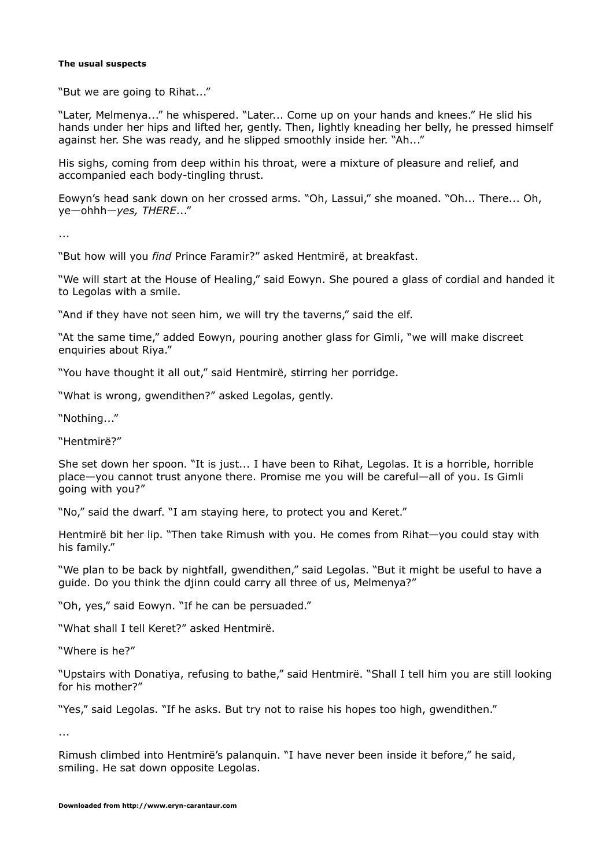"But we are going to Rihat..."

"Later, Melmenya..." he whispered. "Later... Come up on your hands and knees." He slid his hands under her hips and lifted her, gently. Then, lightly kneading her belly, he pressed himself against her. She was ready, and he slipped smoothly inside her. "Ah..."

His sighs, coming from deep within his throat, were a mixture of pleasure and relief, and accompanied each body-tingling thrust.

Eowyn's head sank down on her crossed arms. "Oh, Lassui," she moaned. "Oh... There... Oh, ye—ohhh—*yes, THERE*..."

...

"But how will you *find* Prince Faramir?" asked Hentmirë, at breakfast.

"We will start at the House of Healing," said Eowyn. She poured a glass of cordial and handed it to Legolas with a smile.

"And if they have not seen him, we will try the taverns," said the elf.

"At the same time," added Eowyn, pouring another glass for Gimli, "we will make discreet enquiries about Riya."

"You have thought it all out," said Hentmirë, stirring her porridge.

"What is wrong, gwendithen?" asked Legolas, gently.

"Nothing..."

"Hentmirë?"

She set down her spoon. "It is just... I have been to Rihat, Legolas. It is a horrible, horrible place—you cannot trust anyone there. Promise me you will be careful—all of you. Is Gimli going with you?"

"No," said the dwarf. "I am staying here, to protect you and Keret."

Hentmirë bit her lip. "Then take Rimush with you. He comes from Rihat—you could stay with his family."

"We plan to be back by nightfall, gwendithen," said Legolas. "But it might be useful to have a guide. Do you think the djinn could carry all three of us, Melmenya?"

"Oh, yes," said Eowyn. "If he can be persuaded."

"What shall I tell Keret?" asked Hentmirë.

"Where is he?"

"Upstairs with Donatiya, refusing to bathe," said Hentmirë. "Shall I tell him you are still looking for his mother?"

"Yes," said Legolas. "If he asks. But try not to raise his hopes too high, gwendithen."

...

Rimush climbed into Hentmirë's palanquin. "I have never been inside it before," he said, smiling. He sat down opposite Legolas.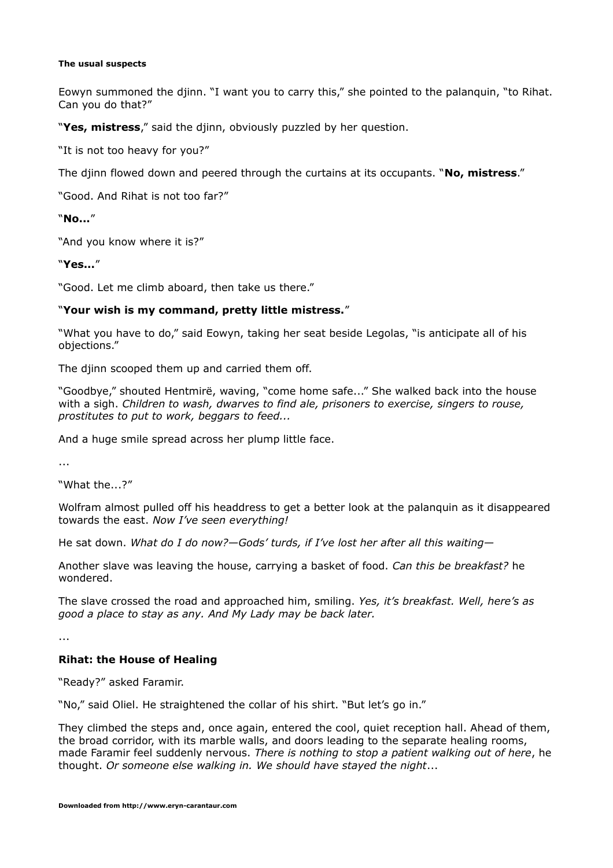Eowyn summoned the djinn. "I want you to carry this," she pointed to the palanquin, "to Rihat. Can you do that?"

"**Yes, mistress**," said the djinn, obviously puzzled by her question.

"It is not too heavy for you?"

The djinn flowed down and peered through the curtains at its occupants. "**No, mistress**."

"Good. And Rihat is not too far?"

"**No...**"

"And you know where it is?"

"**Yes...**"

"Good. Let me climb aboard, then take us there."

## "**Your wish is my command, pretty little mistress.**"

"What you have to do," said Eowyn, taking her seat beside Legolas, "is anticipate all of his objections."

The diinn scooped them up and carried them off.

"Goodbye," shouted Hentmirë, waving, "come home safe..." She walked back into the house with a sigh. *Children to wash, dwarves to find ale, prisoners to exercise, singers to rouse, prostitutes to put to work, beggars to feed...*

And a huge smile spread across her plump little face.

...

"What the...?"

Wolfram almost pulled off his headdress to get a better look at the palanquin as it disappeared towards the east. *Now I've seen everything!*

He sat down. *What do I do now?—Gods' turds, if I've lost her after all this waiting—*

Another slave was leaving the house, carrying a basket of food. *Can this be breakfast?* he wondered.

The slave crossed the road and approached him, smiling. *Yes, it's breakfast. Well, here's as good a place to stay as any. And My Lady may be back later.*

...

## **Rihat: the House of Healing**

"Ready?" asked Faramir.

"No," said Oliel. He straightened the collar of his shirt. "But let's go in."

They climbed the steps and, once again, entered the cool, quiet reception hall. Ahead of them, the broad corridor, with its marble walls, and doors leading to the separate healing rooms, made Faramir feel suddenly nervous. *There is nothing to stop a patient walking out of here*, he thought. *Or someone else walking in. We should have stayed the night*...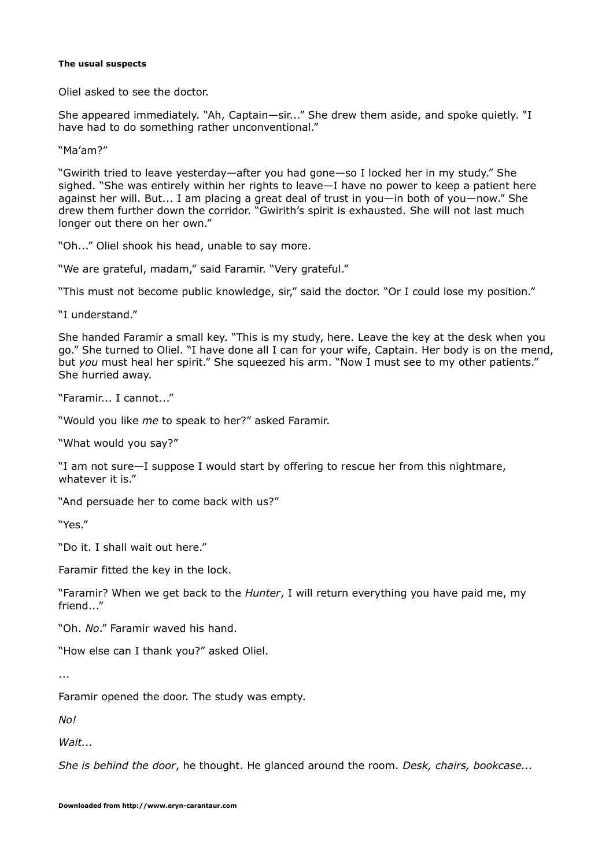Oliel asked to see the doctor.

She appeared immediately. "Ah, Captain—sir..." She drew them aside, and spoke quietly. "I have had to do something rather unconventional."

"Ma'am?"

"Gwirith tried to leave yesterday—after you had gone—so I locked her in my study." She sighed. "She was entirely within her rights to leave—I have no power to keep a patient here against her will. But... I am placing a great deal of trust in you—in both of you—now." She drew them further down the corridor. "Gwirith's spirit is exhausted. She will not last much longer out there on her own."

"Oh..." Oliel shook his head, unable to say more.

"We are grateful, madam," said Faramir. "Very grateful."

"This must not become public knowledge, sir," said the doctor. "Or I could lose my position."

"I understand."

She handed Faramir a small key. "This is my study, here. Leave the key at the desk when you go." She turned to Oliel. "I have done all I can for your wife, Captain. Her body is on the mend, but *you* must heal her spirit." She squeezed his arm. "Now I must see to my other patients." She hurried away.

"Faramir... I cannot..."

"Would you like *me* to speak to her?" asked Faramir.

"What would you say?"

"I am not sure—I suppose I would start by offering to rescue her from this nightmare, whatever it is "

"And persuade her to come back with us?"

"Yes."

"Do it. I shall wait out here."

Faramir fitted the key in the lock.

"Faramir? When we get back to the *Hunter*, I will return everything you have paid me, my friend..."

"Oh. *No*." Faramir waved his hand.

"How else can I thank you?" asked Oliel.

...

Faramir opened the door. The study was empty.

*No!*

*Wait...*

*She is behind the door*, he thought. He glanced around the room. *Desk, chairs, bookcase...*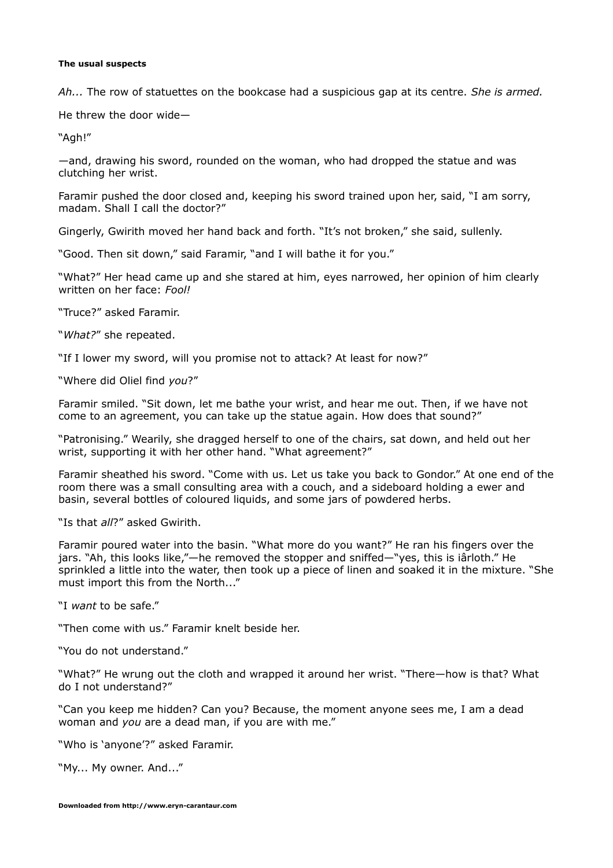*Ah...* The row of statuettes on the bookcase had a suspicious gap at its centre. *She is armed.*

He threw the door wide—

"Agh!"

—and, drawing his sword, rounded on the woman, who had dropped the statue and was clutching her wrist.

Faramir pushed the door closed and, keeping his sword trained upon her, said, "I am sorry, madam. Shall I call the doctor?"

Gingerly, Gwirith moved her hand back and forth. "It's not broken," she said, sullenly.

"Good. Then sit down," said Faramir, "and I will bathe it for you."

"What?" Her head came up and she stared at him, eyes narrowed, her opinion of him clearly written on her face: *Fool!*

"Truce?" asked Faramir.

"*What?*" she repeated.

"If I lower my sword, will you promise not to attack? At least for now?"

"Where did Oliel find *you*?"

Faramir smiled. "Sit down, let me bathe your wrist, and hear me out. Then, if we have not come to an agreement, you can take up the statue again. How does that sound?"

"Patronising." Wearily, she dragged herself to one of the chairs, sat down, and held out her wrist, supporting it with her other hand. "What agreement?"

Faramir sheathed his sword. "Come with us. Let us take you back to Gondor." At one end of the room there was a small consulting area with a couch, and a sideboard holding a ewer and basin, several bottles of coloured liquids, and some jars of powdered herbs.

"Is that *all*?" asked Gwirith.

Faramir poured water into the basin. "What more do you want?" He ran his fingers over the jars. "Ah, this looks like,"—he removed the stopper and sniffed—"yes, this is iârloth." He sprinkled a little into the water, then took up a piece of linen and soaked it in the mixture. "She must import this from the North..."

"I *want* to be safe."

"Then come with us." Faramir knelt beside her.

"You do not understand."

"What?" He wrung out the cloth and wrapped it around her wrist. "There—how is that? What do I not understand?"

"Can you keep me hidden? Can you? Because, the moment anyone sees me, I am a dead woman and *you* are a dead man, if you are with me."

"Who is 'anyone'?" asked Faramir.

"My... My owner. And..."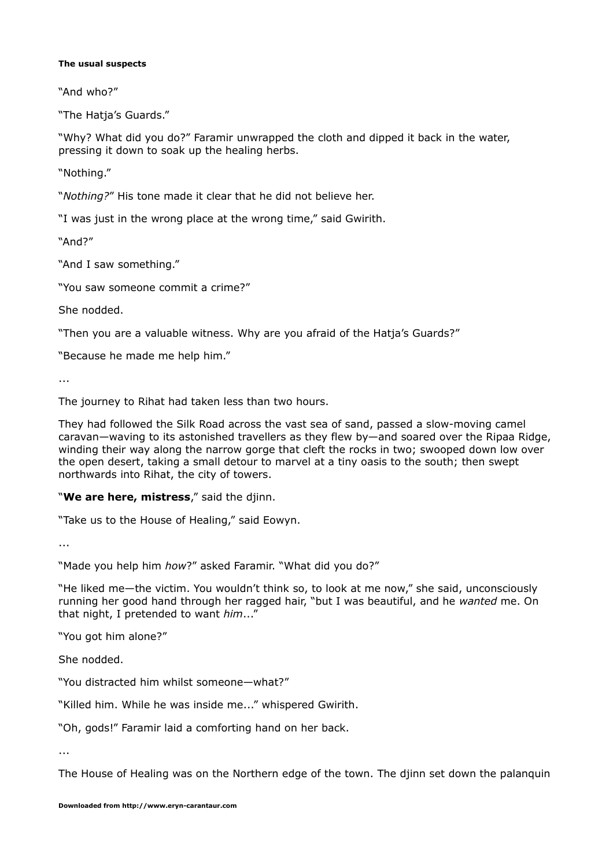"And who?"

"The Hatja's Guards."

"Why? What did you do?" Faramir unwrapped the cloth and dipped it back in the water, pressing it down to soak up the healing herbs.

"Nothing."

"*Nothing?*" His tone made it clear that he did not believe her.

"I was just in the wrong place at the wrong time," said Gwirith.

"And?"

"And I saw something."

"You saw someone commit a crime?"

She nodded.

"Then you are a valuable witness. Why are you afraid of the Hatja's Guards?"

"Because he made me help him."

...

The journey to Rihat had taken less than two hours.

They had followed the Silk Road across the vast sea of sand, passed a slow-moving camel caravan—waving to its astonished travellers as they flew by—and soared over the Ripaa Ridge, winding their way along the narrow gorge that cleft the rocks in two; swooped down low over the open desert, taking a small detour to marvel at a tiny oasis to the south; then swept northwards into Rihat, the city of towers.

"**We are here, mistress**," said the djinn.

"Take us to the House of Healing," said Eowyn.

...

"Made you help him *how*?" asked Faramir. "What did you do?"

"He liked me—the victim. You wouldn't think so, to look at me now," she said, unconsciously running her good hand through her ragged hair, "but I was beautiful, and he *wanted* me. On that night, I pretended to want *him*..."

"You got him alone?"

She nodded.

"You distracted him whilst someone—what?"

"Killed him. While he was inside me..." whispered Gwirith.

"Oh, gods!" Faramir laid a comforting hand on her back.

...

The House of Healing was on the Northern edge of the town. The djinn set down the palanquin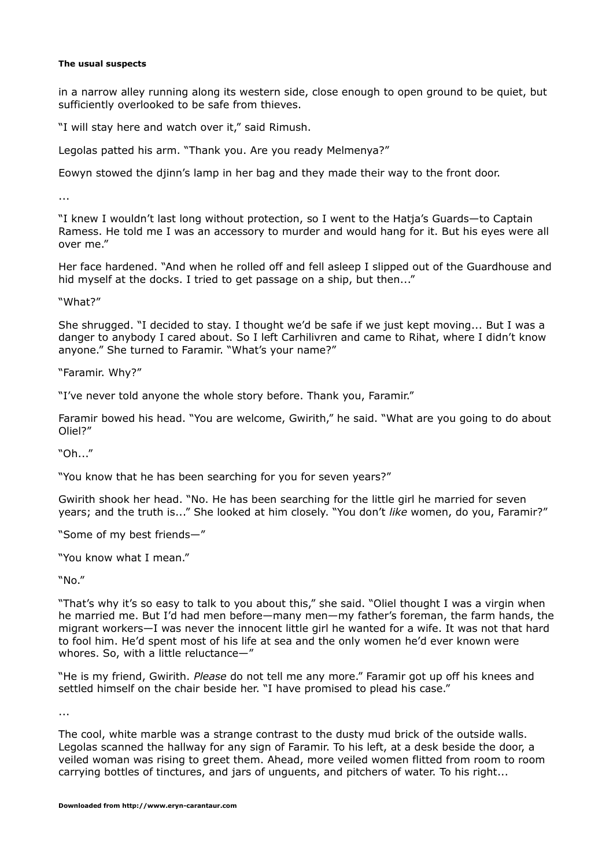in a narrow alley running along its western side, close enough to open ground to be quiet, but sufficiently overlooked to be safe from thieves.

"I will stay here and watch over it," said Rimush.

Legolas patted his arm. "Thank you. Are you ready Melmenya?"

Eowyn stowed the djinn's lamp in her bag and they made their way to the front door.

...

"I knew I wouldn't last long without protection, so I went to the Hatja's Guards—to Captain Ramess. He told me I was an accessory to murder and would hang for it. But his eyes were all over me."

Her face hardened. "And when he rolled off and fell asleep I slipped out of the Guardhouse and hid myself at the docks. I tried to get passage on a ship, but then..."

"What?"

She shrugged. "I decided to stay. I thought we'd be safe if we just kept moving... But I was a danger to anybody I cared about. So I left Carhilivren and came to Rihat, where I didn't know anyone." She turned to Faramir. "What's your name?"

"Faramir. Why?"

"I've never told anyone the whole story before. Thank you, Faramir."

Faramir bowed his head. "You are welcome, Gwirith," he said. "What are you going to do about Oliel?"

"Oh..."

"You know that he has been searching for you for seven years?"

Gwirith shook her head. "No. He has been searching for the little girl he married for seven years; and the truth is..." She looked at him closely. "You don't *like* women, do you, Faramir?"

"Some of my best friends—"

"You know what I mean."

"No."

"That's why it's so easy to talk to you about this," she said. "Oliel thought I was a virgin when he married me. But I'd had men before—many men—my father's foreman, the farm hands, the migrant workers—I was never the innocent little girl he wanted for a wife. It was not that hard to fool him. He'd spent most of his life at sea and the only women he'd ever known were whores. So, with a little reluctance—"

"He is my friend, Gwirith. *Please* do not tell me any more." Faramir got up off his knees and settled himself on the chair beside her. "I have promised to plead his case."

...

The cool, white marble was a strange contrast to the dusty mud brick of the outside walls. Legolas scanned the hallway for any sign of Faramir. To his left, at a desk beside the door, a veiled woman was rising to greet them. Ahead, more veiled women flitted from room to room carrying bottles of tinctures, and jars of unguents, and pitchers of water. To his right...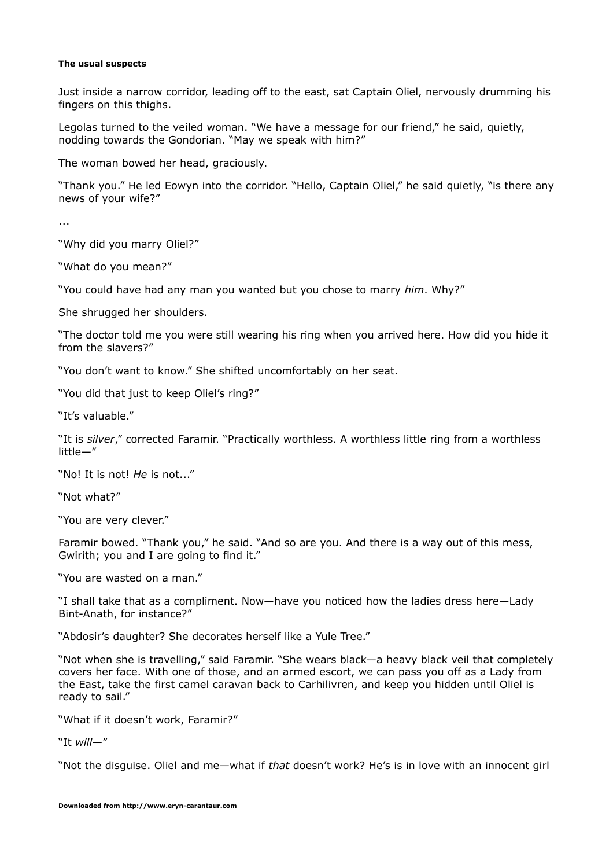Just inside a narrow corridor, leading off to the east, sat Captain Oliel, nervously drumming his fingers on this thighs.

Legolas turned to the veiled woman. "We have a message for our friend," he said, quietly, nodding towards the Gondorian. "May we speak with him?"

The woman bowed her head, graciously.

"Thank you." He led Eowyn into the corridor. "Hello, Captain Oliel," he said quietly, "is there any news of your wife?"

...

"Why did you marry Oliel?"

"What do you mean?"

"You could have had any man you wanted but you chose to marry *him*. Why?"

She shrugged her shoulders.

"The doctor told me you were still wearing his ring when you arrived here. How did you hide it from the slavers?"

"You don't want to know." She shifted uncomfortably on her seat.

"You did that just to keep Oliel's ring?"

"It's valuable."

"It is *silver*," corrected Faramir. "Practically worthless. A worthless little ring from a worthless little—"

"No! It is not! *He* is not..."

"Not what?"

"You are very clever."

Faramir bowed. "Thank you," he said. "And so are you. And there is a way out of this mess, Gwirith; you and I are going to find it."

"You are wasted on a man."

"I shall take that as a compliment. Now—have you noticed how the ladies dress here—Lady Bint-Anath, for instance?"

"Abdosir's daughter? She decorates herself like a Yule Tree."

"Not when she is travelling," said Faramir. "She wears black—a heavy black veil that completely covers her face. With one of those, and an armed escort, we can pass you off as a Lady from the East, take the first camel caravan back to Carhilivren, and keep you hidden until Oliel is ready to sail."

"What if it doesn't work, Faramir?"

"It *will*—"

"Not the disguise. Oliel and me—what if *that* doesn't work? He's is in love with an innocent girl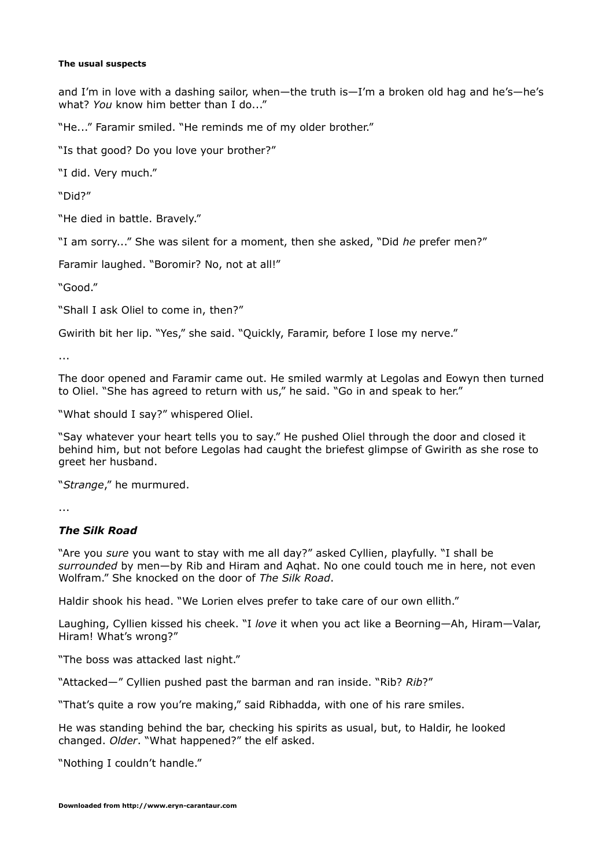and I'm in love with a dashing sailor, when—the truth is—I'm a broken old hag and he's—he's what? *You* know him better than I do..."

"He..." Faramir smiled. "He reminds me of my older brother."

"Is that good? Do you love your brother?"

"I did. Very much."

"Did?"

"He died in battle. Bravely."

"I am sorry..." She was silent for a moment, then she asked, "Did *he* prefer men?"

Faramir laughed. "Boromir? No, not at all!"

"Good."

"Shall I ask Oliel to come in, then?"

Gwirith bit her lip. "Yes," she said. "Quickly, Faramir, before I lose my nerve."

...

The door opened and Faramir came out. He smiled warmly at Legolas and Eowyn then turned to Oliel. "She has agreed to return with us," he said. "Go in and speak to her."

"What should I say?" whispered Oliel.

"Say whatever your heart tells you to say." He pushed Oliel through the door and closed it behind him, but not before Legolas had caught the briefest glimpse of Gwirith as she rose to greet her husband.

"*Strange*," he murmured.

...

# *The Silk Road*

"Are you *sure* you want to stay with me all day?" asked Cyllien, playfully. "I shall be *surrounded* by men—by Rib and Hiram and Aqhat. No one could touch me in here, not even Wolfram." She knocked on the door of *The Silk Road*.

Haldir shook his head. "We Lorien elves prefer to take care of our own ellith."

Laughing, Cyllien kissed his cheek. "I *love* it when you act like a Beorning—Ah, Hiram—Valar, Hiram! What's wrong?"

"The boss was attacked last night."

"Attacked—" Cyllien pushed past the barman and ran inside. "Rib? *Rib*?"

"That's quite a row you're making," said Ribhadda, with one of his rare smiles.

He was standing behind the bar, checking his spirits as usual, but, to Haldir, he looked changed. *Older*. "What happened?" the elf asked.

"Nothing I couldn't handle."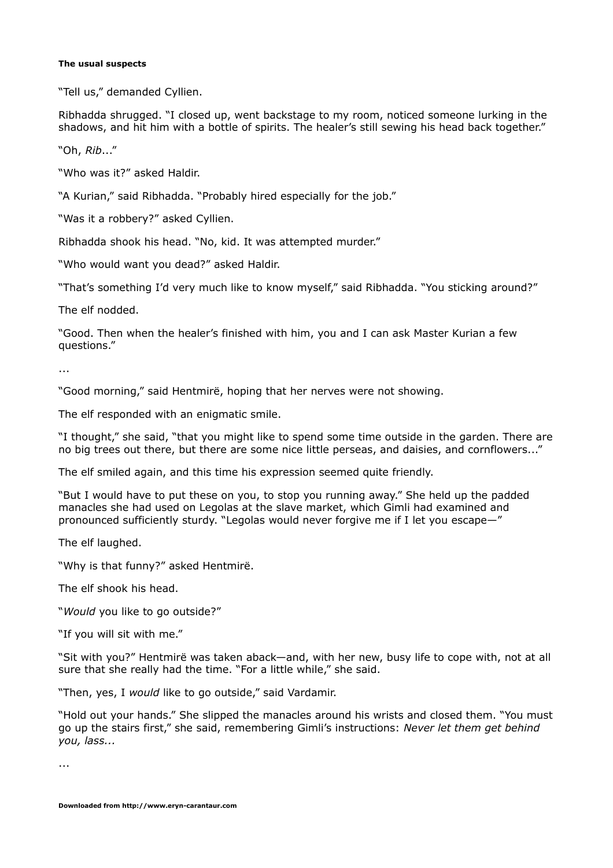"Tell us," demanded Cyllien.

Ribhadda shrugged. "I closed up, went backstage to my room, noticed someone lurking in the shadows, and hit him with a bottle of spirits. The healer's still sewing his head back together."

"Oh, *Rib*..."

"Who was it?" asked Haldir.

"A Kurian," said Ribhadda. "Probably hired especially for the job."

"Was it a robbery?" asked Cyllien.

Ribhadda shook his head. "No, kid. It was attempted murder."

"Who would want you dead?" asked Haldir.

"That's something I'd very much like to know myself," said Ribhadda. "You sticking around?"

The elf nodded.

"Good. Then when the healer's finished with him, you and I can ask Master Kurian a few questions."

...

"Good morning," said Hentmirë, hoping that her nerves were not showing.

The elf responded with an enigmatic smile.

"I thought," she said, "that you might like to spend some time outside in the garden. There are no big trees out there, but there are some nice little perseas, and daisies, and cornflowers..."

The elf smiled again, and this time his expression seemed quite friendly.

"But I would have to put these on you, to stop you running away." She held up the padded manacles she had used on Legolas at the slave market, which Gimli had examined and pronounced sufficiently sturdy. "Legolas would never forgive me if I let you escape—"

The elf laughed.

"Why is that funny?" asked Hentmirë.

The elf shook his head.

"*Would* you like to go outside?"

"If you will sit with me."

"Sit with you?" Hentmirë was taken aback—and, with her new, busy life to cope with, not at all sure that she really had the time. "For a little while," she said.

"Then, yes, I *would* like to go outside," said Vardamir.

"Hold out your hands." She slipped the manacles around his wrists and closed them. "You must go up the stairs first," she said, remembering Gimli's instructions: *Never let them get behind you, lass...*

...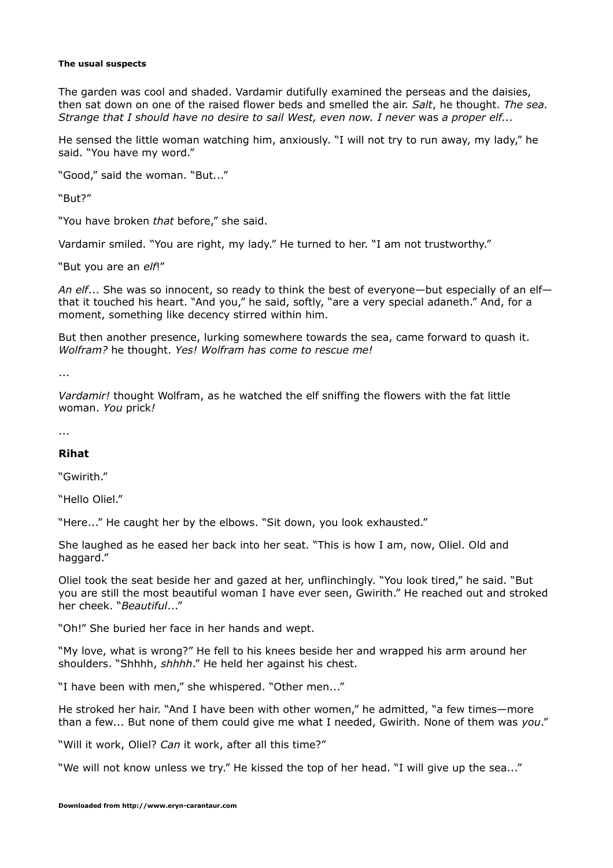The garden was cool and shaded. Vardamir dutifully examined the perseas and the daisies, then sat down on one of the raised flower beds and smelled the air. *Salt*, he thought. *The sea. Strange that I should have no desire to sail West, even now. I never was a proper elf...* 

He sensed the little woman watching him, anxiously. "I will not try to run away, my lady," he said. "You have my word."

"Good," said the woman. "But..."

"But?"

"You have broken *that* before," she said.

Vardamir smiled. "You are right, my lady." He turned to her. "I am not trustworthy."

"But you are an *elf*!"

*An elf*... She was so innocent, so ready to think the best of everyone—but especially of an elf that it touched his heart. "And you," he said, softly, "are a very special adaneth." And, for a moment, something like decency stirred within him.

But then another presence, lurking somewhere towards the sea, came forward to quash it. *Wolfram?* he thought. *Yes! Wolfram has come to rescue me!*

...

*Vardamir!* thought Wolfram, as he watched the elf sniffing the flowers with the fat little woman. *You* prick*!*

...

### **Rihat**

"Gwirith."

"Hello Oliel."

"Here..." He caught her by the elbows. "Sit down, you look exhausted."

She laughed as he eased her back into her seat. "This is how I am, now, Oliel. Old and haggard."

Oliel took the seat beside her and gazed at her, unflinchingly. "You look tired," he said. "But you are still the most beautiful woman I have ever seen, Gwirith." He reached out and stroked her cheek. "*Beautiful*..."

"Oh!" She buried her face in her hands and wept.

"My love, what is wrong?" He fell to his knees beside her and wrapped his arm around her shoulders. "Shhhh, *shhhh*." He held her against his chest.

"I have been with men," she whispered. "Other men..."

He stroked her hair. "And I have been with other women," he admitted, "a few times—more than a few... But none of them could give me what I needed, Gwirith. None of them was *you*."

"Will it work, Oliel? *Can* it work, after all this time?"

"We will not know unless we try." He kissed the top of her head. "I will give up the sea..."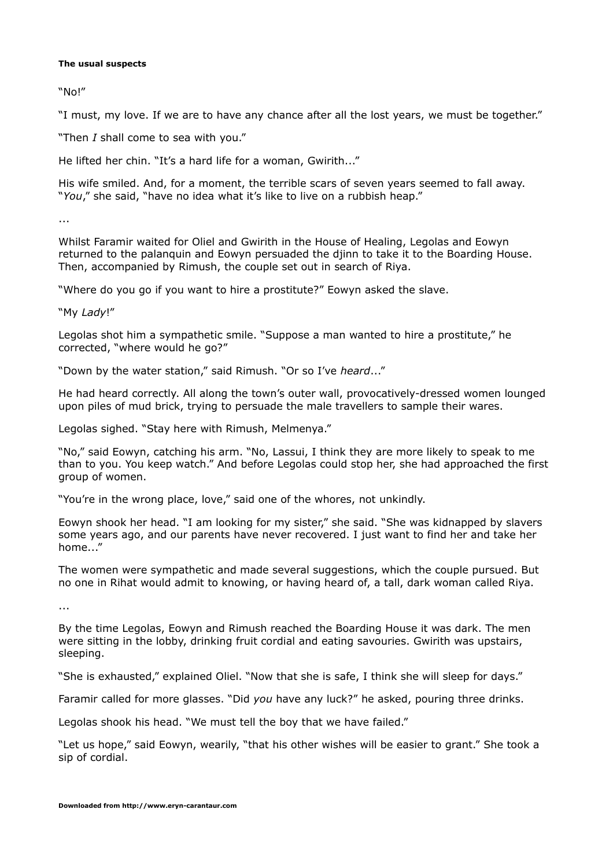"No!"

"I must, my love. If we are to have any chance after all the lost years, we must be together."

"Then *I* shall come to sea with you."

He lifted her chin. "It's a hard life for a woman, Gwirith..."

His wife smiled. And, for a moment, the terrible scars of seven years seemed to fall away. "*You*," she said, "have no idea what it's like to live on a rubbish heap."

...

Whilst Faramir waited for Oliel and Gwirith in the House of Healing, Legolas and Eowyn returned to the palanquin and Eowyn persuaded the djinn to take it to the Boarding House. Then, accompanied by Rimush, the couple set out in search of Riya.

"Where do you go if you want to hire a prostitute?" Eowyn asked the slave.

"My *Lady*!"

Legolas shot him a sympathetic smile. "Suppose a man wanted to hire a prostitute," he corrected, "where would he go?"

"Down by the water station," said Rimush. "Or so I've *heard*..."

He had heard correctly. All along the town's outer wall, provocatively-dressed women lounged upon piles of mud brick, trying to persuade the male travellers to sample their wares.

Legolas sighed. "Stay here with Rimush, Melmenya."

"No," said Eowyn, catching his arm. "No, Lassui, I think they are more likely to speak to me than to you. You keep watch." And before Legolas could stop her, she had approached the first group of women.

"You're in the wrong place, love," said one of the whores, not unkindly.

Eowyn shook her head. "I am looking for my sister," she said. "She was kidnapped by slavers some years ago, and our parents have never recovered. I just want to find her and take her home..."

The women were sympathetic and made several suggestions, which the couple pursued. But no one in Rihat would admit to knowing, or having heard of, a tall, dark woman called Riya.

...

By the time Legolas, Eowyn and Rimush reached the Boarding House it was dark. The men were sitting in the lobby, drinking fruit cordial and eating savouries. Gwirith was upstairs, sleeping.

"She is exhausted," explained Oliel. "Now that she is safe, I think she will sleep for days."

Faramir called for more glasses. "Did *you* have any luck?" he asked, pouring three drinks.

Legolas shook his head. "We must tell the boy that we have failed."

"Let us hope," said Eowyn, wearily, "that his other wishes will be easier to grant." She took a sip of cordial.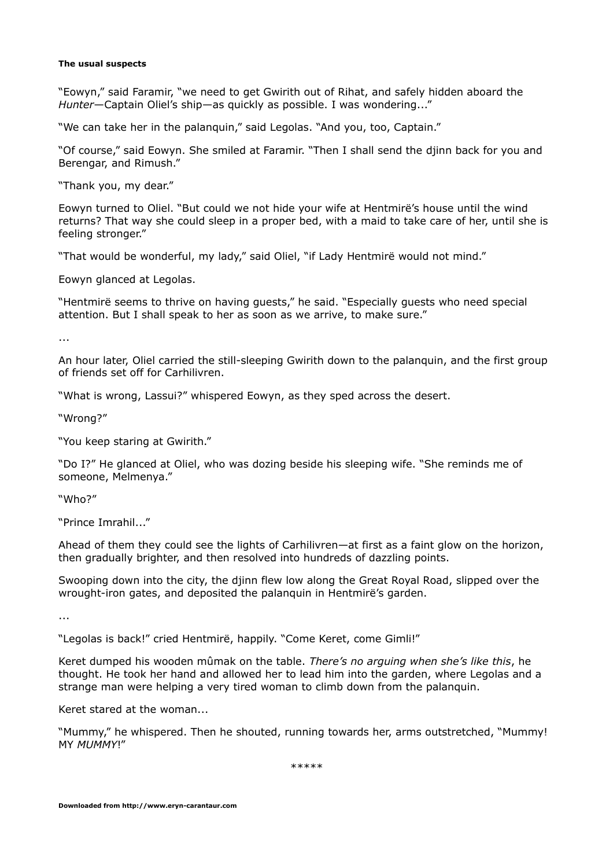"Eowyn," said Faramir, "we need to get Gwirith out of Rihat, and safely hidden aboard the *Hunter*—Captain Oliel's ship—as quickly as possible. I was wondering..."

"We can take her in the palanquin," said Legolas. "And you, too, Captain."

"Of course," said Eowyn. She smiled at Faramir. "Then I shall send the djinn back for you and Berengar, and Rimush."

"Thank you, my dear."

Eowyn turned to Oliel. "But could we not hide your wife at Hentmirë's house until the wind returns? That way she could sleep in a proper bed, with a maid to take care of her, until she is feeling stronger."

"That would be wonderful, my lady," said Oliel, "if Lady Hentmirë would not mind."

Eowyn glanced at Legolas.

"Hentmirë seems to thrive on having guests," he said. "Especially guests who need special attention. But I shall speak to her as soon as we arrive, to make sure."

...

An hour later, Oliel carried the still-sleeping Gwirith down to the palanquin, and the first group of friends set off for Carhilivren.

"What is wrong, Lassui?" whispered Eowyn, as they sped across the desert.

"Wrong?"

"You keep staring at Gwirith."

"Do I?" He glanced at Oliel, who was dozing beside his sleeping wife. "She reminds me of someone, Melmenya."

"Who?"

"Prince Imrahil..."

Ahead of them they could see the lights of Carhilivren—at first as a faint glow on the horizon, then gradually brighter, and then resolved into hundreds of dazzling points.

Swooping down into the city, the djinn flew low along the Great Royal Road, slipped over the wrought-iron gates, and deposited the palanquin in Hentmirë's garden.

...

"Legolas is back!" cried Hentmirë, happily. "Come Keret, come Gimli!"

Keret dumped his wooden mûmak on the table. *There's no arguing when she's like this*, he thought. He took her hand and allowed her to lead him into the garden, where Legolas and a strange man were helping a very tired woman to climb down from the palanquin.

Keret stared at the woman...

"Mummy," he whispered. Then he shouted, running towards her, arms outstretched, "Mummy! MY *MUMMY*!"

\*\*\*\*\*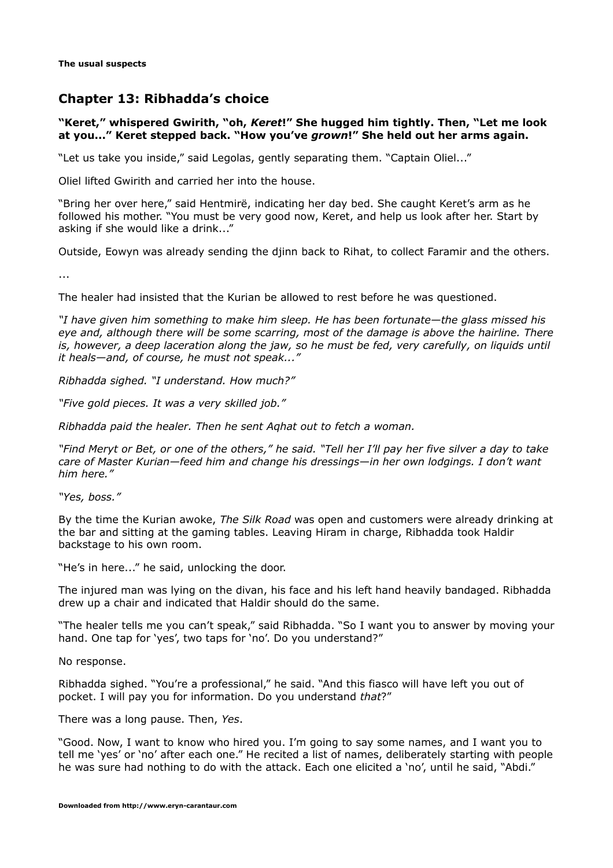# **Chapter 13: Ribhadda's choice**

## **"Keret," whispered Gwirith, "oh,** *Keret***!" She hugged him tightly. Then, "Let me look at you..." Keret stepped back. "How you've** *grown***!" She held out her arms again.**

"Let us take you inside," said Legolas, gently separating them. "Captain Oliel..."

Oliel lifted Gwirith and carried her into the house.

"Bring her over here," said Hentmirë, indicating her day bed. She caught Keret's arm as he followed his mother. "You must be very good now, Keret, and help us look after her. Start by asking if she would like a drink..."

Outside, Eowyn was already sending the djinn back to Rihat, to collect Faramir and the others.

...

The healer had insisted that the Kurian be allowed to rest before he was questioned.

*"I have given him something to make him sleep. He has been fortunate—the glass missed his eye and, although there will be some scarring, most of the damage is above the hairline. There is, however, a deep laceration along the jaw, so he must be fed, very carefully, on liquids until it heals—and, of course, he must not speak..."*

*Ribhadda sighed. "I understand. How much?"*

*"Five gold pieces. It was a very skilled job."*

*Ribhadda paid the healer. Then he sent Aqhat out to fetch a woman.* 

*"Find Meryt or Bet, or one of the others," he said. "Tell her I'll pay her five silver a day to take care of Master Kurian—feed him and change his dressings—in her own lodgings. I don't want him here."*

*"Yes, boss."*

By the time the Kurian awoke, *The Silk Road* was open and customers were already drinking at the bar and sitting at the gaming tables. Leaving Hiram in charge, Ribhadda took Haldir backstage to his own room.

"He's in here..." he said, unlocking the door.

The injured man was lying on the divan, his face and his left hand heavily bandaged. Ribhadda drew up a chair and indicated that Haldir should do the same.

"The healer tells me you can't speak," said Ribhadda. "So I want you to answer by moving your hand. One tap for 'yes', two taps for 'no'. Do you understand?"

No response.

Ribhadda sighed. "You're a professional," he said. "And this fiasco will have left you out of pocket. I will pay you for information. Do you understand *that*?"

There was a long pause. Then, *Yes*.

"Good. Now, I want to know who hired you. I'm going to say some names, and I want you to tell me 'yes' or 'no' after each one." He recited a list of names, deliberately starting with people he was sure had nothing to do with the attack. Each one elicited a 'no', until he said, "Abdi."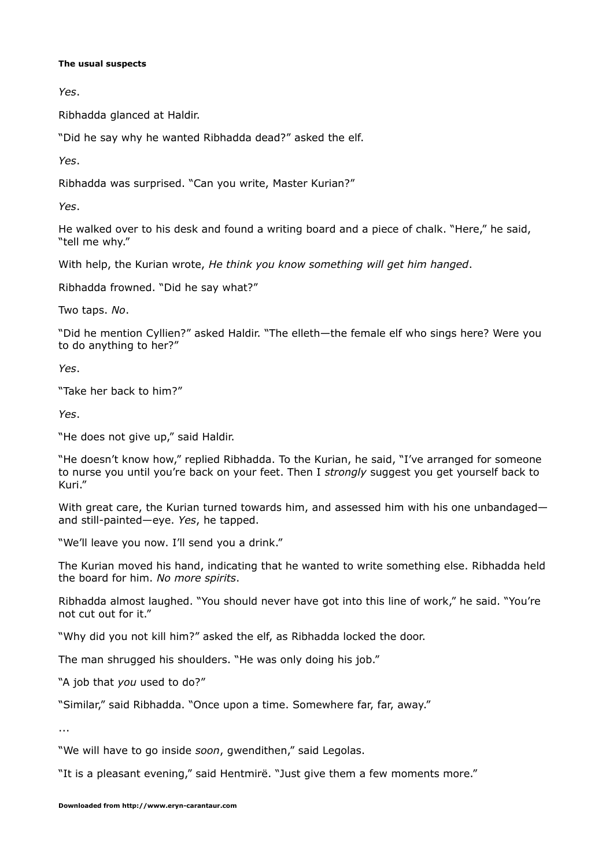*Yes*.

Ribhadda glanced at Haldir.

"Did he say why he wanted Ribhadda dead?" asked the elf.

*Yes*.

Ribhadda was surprised. "Can you write, Master Kurian?"

*Yes*.

He walked over to his desk and found a writing board and a piece of chalk. "Here," he said, "tell me why."

With help, the Kurian wrote, *He think you know something will get him hanged*.

Ribhadda frowned. "Did he say what?"

Two taps. *No*.

"Did he mention Cyllien?" asked Haldir. "The elleth—the female elf who sings here? Were you to do anything to her?"

*Yes*.

"Take her back to him?"

*Yes*.

"He does not give up," said Haldir.

"He doesn't know how," replied Ribhadda. To the Kurian, he said, "I've arranged for someone to nurse you until you're back on your feet. Then I *strongly* suggest you get yourself back to Kuri."

With great care, the Kurian turned towards him, and assessed him with his one unbandaged and still-painted—eye. *Yes*, he tapped.

"We'll leave you now. I'll send you a drink."

The Kurian moved his hand, indicating that he wanted to write something else. Ribhadda held the board for him. *No more spirits*.

Ribhadda almost laughed. "You should never have got into this line of work," he said. "You're not cut out for it."

"Why did you not kill him?" asked the elf, as Ribhadda locked the door.

The man shrugged his shoulders. "He was only doing his job."

"A job that *you* used to do?"

"Similar," said Ribhadda. "Once upon a time. Somewhere far, far, away."

...

"We will have to go inside *soon*, gwendithen," said Legolas.

"It is a pleasant evening," said Hentmirë. "Just give them a few moments more."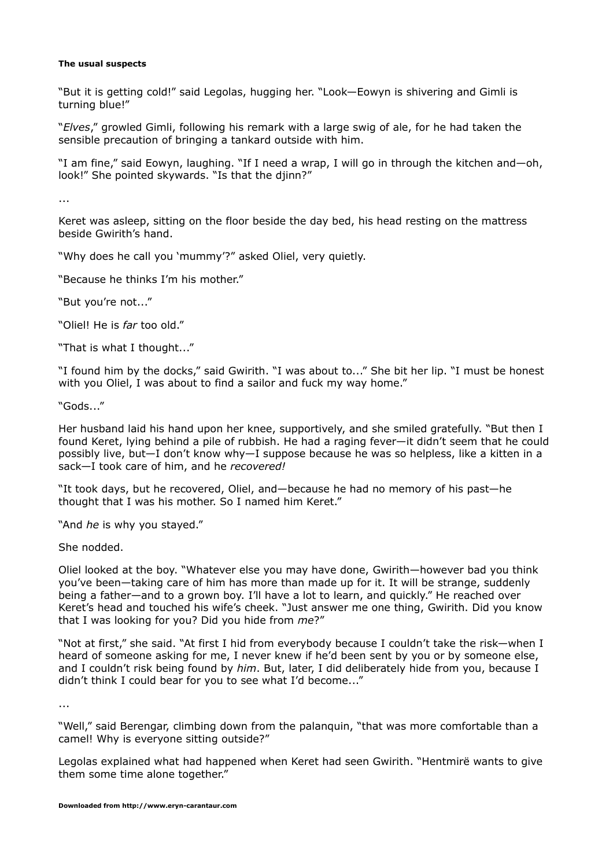"But it is getting cold!" said Legolas, hugging her. "Look—Eowyn is shivering and Gimli is turning blue!"

"*Elves*," growled Gimli, following his remark with a large swig of ale, for he had taken the sensible precaution of bringing a tankard outside with him.

"I am fine," said Eowyn, laughing. "If I need a wrap, I will go in through the kitchen and—oh, look!" She pointed skywards. "Is that the djinn?"

...

Keret was asleep, sitting on the floor beside the day bed, his head resting on the mattress beside Gwirith's hand.

"Why does he call you 'mummy'?" asked Oliel, very quietly.

"Because he thinks I'm his mother."

"But you're not..."

"Oliel! He is *far* too old."

"That is what I thought..."

"I found him by the docks," said Gwirith. "I was about to..." She bit her lip. "I must be honest with you Oliel, I was about to find a sailor and fuck my way home."

"Gods..."

Her husband laid his hand upon her knee, supportively, and she smiled gratefully. "But then I found Keret, lying behind a pile of rubbish. He had a raging fever—it didn't seem that he could possibly live, but—I don't know why—I suppose because he was so helpless, like a kitten in a sack—I took care of him, and he *recovered!*

"It took days, but he recovered, Oliel, and—because he had no memory of his past—he thought that I was his mother. So I named him Keret."

"And *he* is why you stayed."

She nodded.

Oliel looked at the boy. "Whatever else you may have done, Gwirith—however bad you think you've been—taking care of him has more than made up for it. It will be strange, suddenly being a father—and to a grown boy. I'll have a lot to learn, and quickly." He reached over Keret's head and touched his wife's cheek. "Just answer me one thing, Gwirith. Did you know that I was looking for you? Did you hide from *me*?"

"Not at first," she said. "At first I hid from everybody because I couldn't take the risk—when I heard of someone asking for me, I never knew if he'd been sent by you or by someone else, and I couldn't risk being found by *him*. But, later, I did deliberately hide from you, because I didn't think I could bear for you to see what I'd become..."

...

"Well," said Berengar, climbing down from the palanquin, "that was more comfortable than a camel! Why is everyone sitting outside?"

Legolas explained what had happened when Keret had seen Gwirith. "Hentmirë wants to give them some time alone together."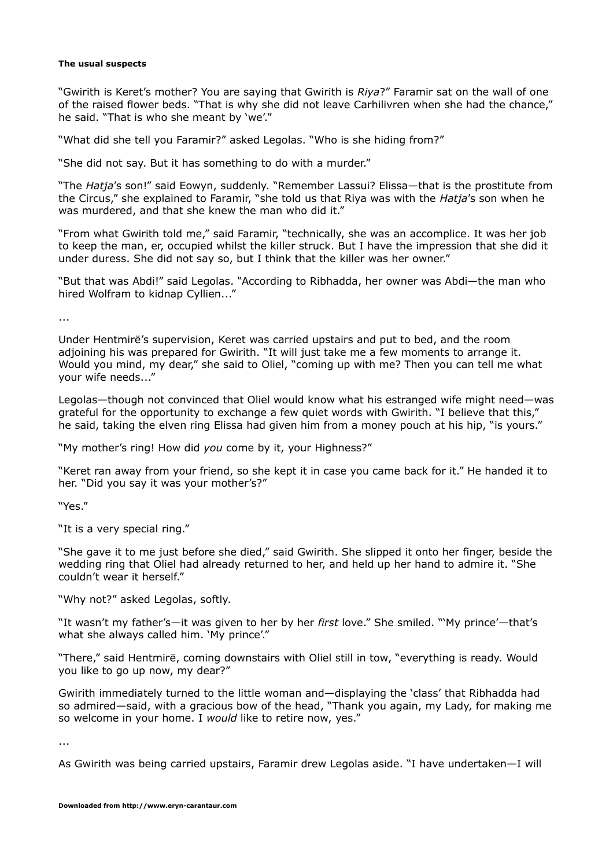"Gwirith is Keret's mother? You are saying that Gwirith is *Riya*?" Faramir sat on the wall of one of the raised flower beds. "That is why she did not leave Carhilivren when she had the chance," he said. "That is who she meant by 'we'."

"What did she tell you Faramir?" asked Legolas. "Who is she hiding from?"

"She did not say. But it has something to do with a murder."

"The *Hatja*'s son!" said Eowyn, suddenly. "Remember Lassui? Elissa—that is the prostitute from the Circus," she explained to Faramir, "she told us that Riya was with the *Hatja*'s son when he was murdered, and that she knew the man who did it."

"From what Gwirith told me," said Faramir, "technically, she was an accomplice. It was her job to keep the man, er, occupied whilst the killer struck. But I have the impression that she did it under duress. She did not say so, but I think that the killer was her owner."

"But that was Abdi!" said Legolas. "According to Ribhadda, her owner was Abdi—the man who hired Wolfram to kidnap Cyllien..."

...

Under Hentmirë's supervision, Keret was carried upstairs and put to bed, and the room adjoining his was prepared for Gwirith. "It will just take me a few moments to arrange it. Would you mind, my dear," she said to Oliel, "coming up with me? Then you can tell me what your wife needs..."

Legolas—though not convinced that Oliel would know what his estranged wife might need—was grateful for the opportunity to exchange a few quiet words with Gwirith. "I believe that this," he said, taking the elven ring Elissa had given him from a money pouch at his hip, "is yours."

"My mother's ring! How did *you* come by it, your Highness?"

"Keret ran away from your friend, so she kept it in case you came back for it." He handed it to her. "Did you say it was your mother's?"

"Yes."

"It is a very special ring."

"She gave it to me just before she died," said Gwirith. She slipped it onto her finger, beside the wedding ring that Oliel had already returned to her, and held up her hand to admire it. "She couldn't wear it herself"

"Why not?" asked Legolas, softly.

"It wasn't my father's—it was given to her by her *first* love." She smiled. "'My prince'—that's what she always called him. 'My prince'."

"There," said Hentmirë, coming downstairs with Oliel still in tow, "everything is ready. Would you like to go up now, my dear?"

Gwirith immediately turned to the little woman and—displaying the 'class' that Ribhadda had so admired—said, with a gracious bow of the head, "Thank you again, my Lady, for making me so welcome in your home. I *would* like to retire now, yes."

...

As Gwirith was being carried upstairs, Faramir drew Legolas aside. "I have undertaken—I will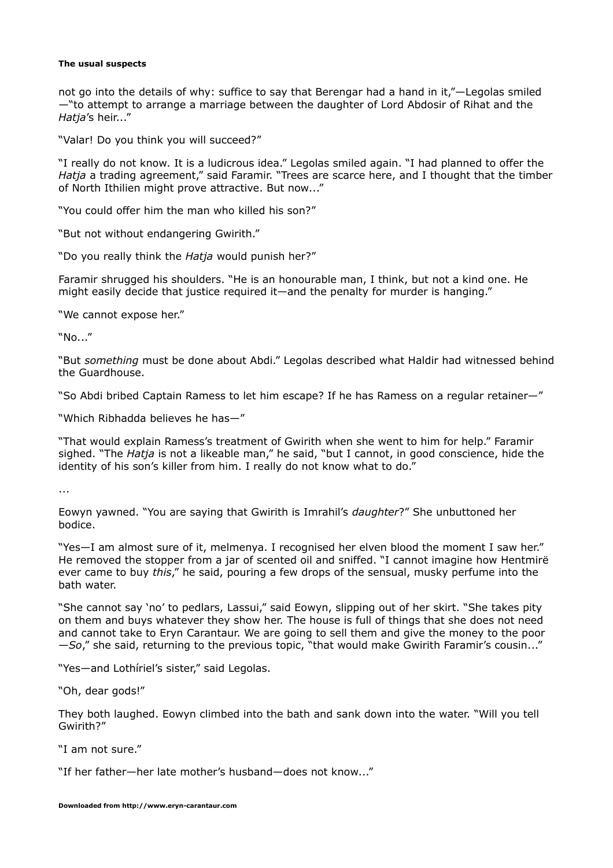not go into the details of why: suffice to say that Berengar had a hand in it,"—Legolas smiled —"to attempt to arrange a marriage between the daughter of Lord Abdosir of Rihat and the *Hatja*'s heir..."

"Valar! Do you think you will succeed?"

"I really do not know. It is a ludicrous idea." Legolas smiled again. "I had planned to offer the *Hatja* a trading agreement," said Faramir. "Trees are scarce here, and I thought that the timber of North Ithilien might prove attractive. But now..."

"You could offer him the man who killed his son?"

"But not without endangering Gwirith."

"Do you really think the *Hatja* would punish her?"

Faramir shrugged his shoulders. "He is an honourable man, I think, but not a kind one. He might easily decide that justice required it—and the penalty for murder is hanging."

"We cannot expose her."

"No..."

"But *something* must be done about Abdi." Legolas described what Haldir had witnessed behind the Guardhouse.

"So Abdi bribed Captain Ramess to let him escape? If he has Ramess on a regular retainer—"

"Which Ribhadda believes he has—"

"That would explain Ramess's treatment of Gwirith when she went to him for help." Faramir sighed. "The *Hatja* is not a likeable man," he said, "but I cannot, in good conscience, hide the identity of his son's killer from him. I really do not know what to do."

...

Eowyn yawned. "You are saying that Gwirith is Imrahil's *daughter*?" She unbuttoned her bodice.

"Yes—I am almost sure of it, melmenya. I recognised her elven blood the moment I saw her." He removed the stopper from a jar of scented oil and sniffed. "I cannot imagine how Hentmirë ever came to buy *this*," he said, pouring a few drops of the sensual, musky perfume into the bath water.

"She cannot say 'no' to pedlars, Lassui," said Eowyn, slipping out of her skirt. "She takes pity on them and buys whatever they show her. The house is full of things that she does not need and cannot take to Eryn Carantaur. We are going to sell them and give the money to the poor —*So*," she said, returning to the previous topic, "that would make Gwirith Faramir's cousin..."

"Yes—and Lothíriel's sister," said Legolas.

"Oh, dear gods!"

They both laughed. Eowyn climbed into the bath and sank down into the water. "Will you tell Gwirith?"

"I am not sure."

"If her father—her late mother's husband—does not know..."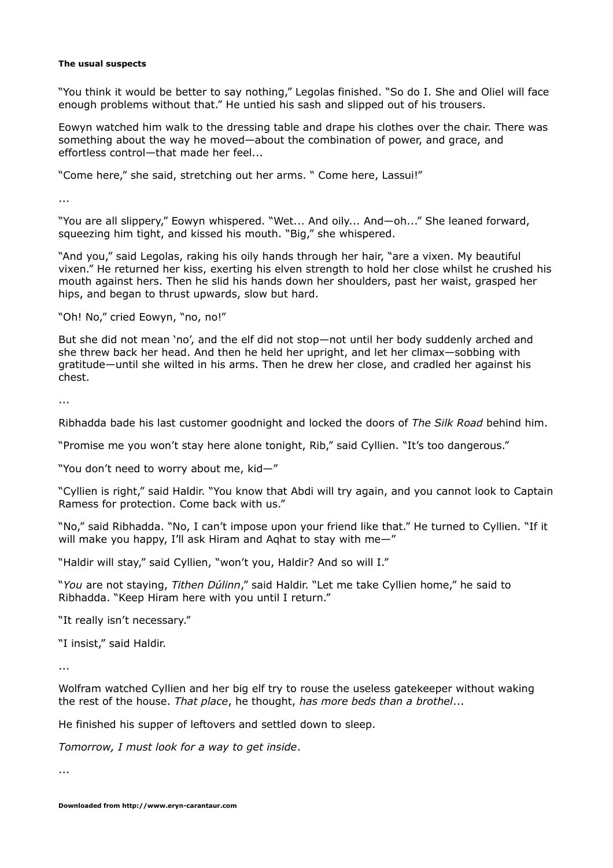"You think it would be better to say nothing," Legolas finished. "So do I. She and Oliel will face enough problems without that." He untied his sash and slipped out of his trousers.

Eowyn watched him walk to the dressing table and drape his clothes over the chair. There was something about the way he moved—about the combination of power, and grace, and effortless control—that made her feel...

"Come here," she said, stretching out her arms. " Come here, Lassui!"

...

"You are all slippery," Eowyn whispered. "Wet... And oily... And—oh..." She leaned forward, squeezing him tight, and kissed his mouth. "Big," she whispered.

"And you," said Legolas, raking his oily hands through her hair, "are a vixen. My beautiful vixen." He returned her kiss, exerting his elven strength to hold her close whilst he crushed his mouth against hers. Then he slid his hands down her shoulders, past her waist, grasped her hips, and began to thrust upwards, slow but hard.

"Oh! No," cried Eowyn, "no, no!"

But she did not mean 'no', and the elf did not stop—not until her body suddenly arched and she threw back her head. And then he held her upright, and let her climax—sobbing with gratitude—until she wilted in his arms. Then he drew her close, and cradled her against his chest.

...

Ribhadda bade his last customer goodnight and locked the doors of *The Silk Road* behind him.

"Promise me you won't stay here alone tonight, Rib," said Cyllien. "It's too dangerous."

"You don't need to worry about me, kid—"

"Cyllien is right," said Haldir. "You know that Abdi will try again, and you cannot look to Captain Ramess for protection. Come back with us."

"No," said Ribhadda. "No, I can't impose upon your friend like that." He turned to Cyllien. "If it will make you happy, I'll ask Hiram and Aghat to stay with me-"

"Haldir will stay," said Cyllien, "won't you, Haldir? And so will I."

"*You* are not staying, *Tithen Dúlinn*," said Haldir. "Let me take Cyllien home," he said to Ribhadda. "Keep Hiram here with you until I return."

"It really isn't necessary."

"I insist," said Haldir.

...

Wolfram watched Cyllien and her big elf try to rouse the useless gatekeeper without waking the rest of the house. *That place*, he thought, *has more beds than a brothel*...

He finished his supper of leftovers and settled down to sleep.

*Tomorrow, I must look for a way to get inside*.

...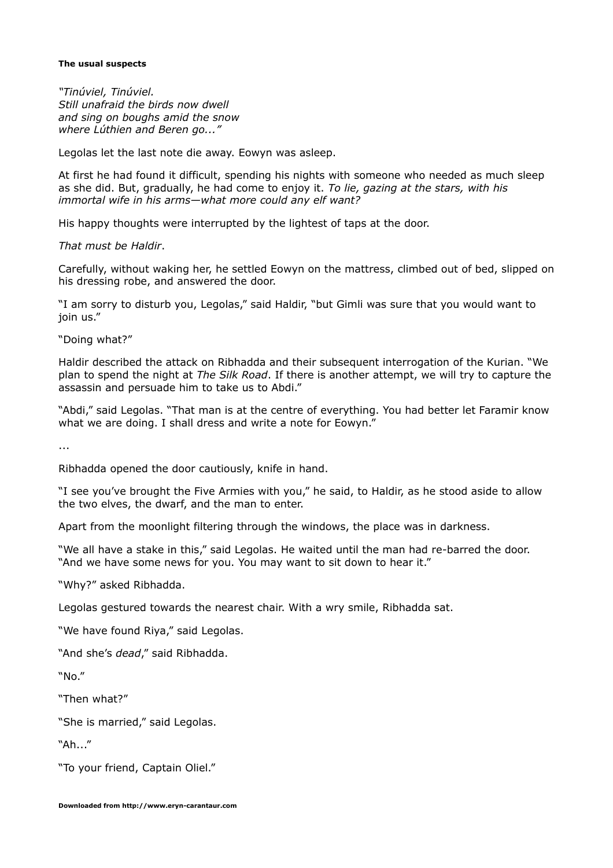*"Tinúviel, Tinúviel. Still unafraid the birds now dwell and sing on boughs amid the snow where Lúthien and Beren go..."*

Legolas let the last note die away. Eowyn was asleep.

At first he had found it difficult, spending his nights with someone who needed as much sleep as she did. But, gradually, he had come to enjoy it. *To lie, gazing at the stars, with his immortal wife in his arms—what more could any elf want?*

His happy thoughts were interrupted by the lightest of taps at the door.

*That must be Haldir*.

Carefully, without waking her, he settled Eowyn on the mattress, climbed out of bed, slipped on his dressing robe, and answered the door.

"I am sorry to disturb you, Legolas," said Haldir, "but Gimli was sure that you would want to join us."

"Doing what?"

Haldir described the attack on Ribhadda and their subsequent interrogation of the Kurian. "We plan to spend the night at *The Silk Road*. If there is another attempt, we will try to capture the assassin and persuade him to take us to Abdi."

"Abdi," said Legolas. "That man is at the centre of everything. You had better let Faramir know what we are doing. I shall dress and write a note for Eowyn."

...

Ribhadda opened the door cautiously, knife in hand.

"I see you've brought the Five Armies with you," he said, to Haldir, as he stood aside to allow the two elves, the dwarf, and the man to enter.

Apart from the moonlight filtering through the windows, the place was in darkness.

"We all have a stake in this," said Legolas. He waited until the man had re-barred the door. "And we have some news for you. You may want to sit down to hear it."

"Why?" asked Ribhadda.

Legolas gestured towards the nearest chair. With a wry smile, Ribhadda sat.

"We have found Riya," said Legolas.

"And she's *dead*," said Ribhadda.

"No."

"Then what?"

"She is married," said Legolas.

"Ah..."

"To your friend, Captain Oliel."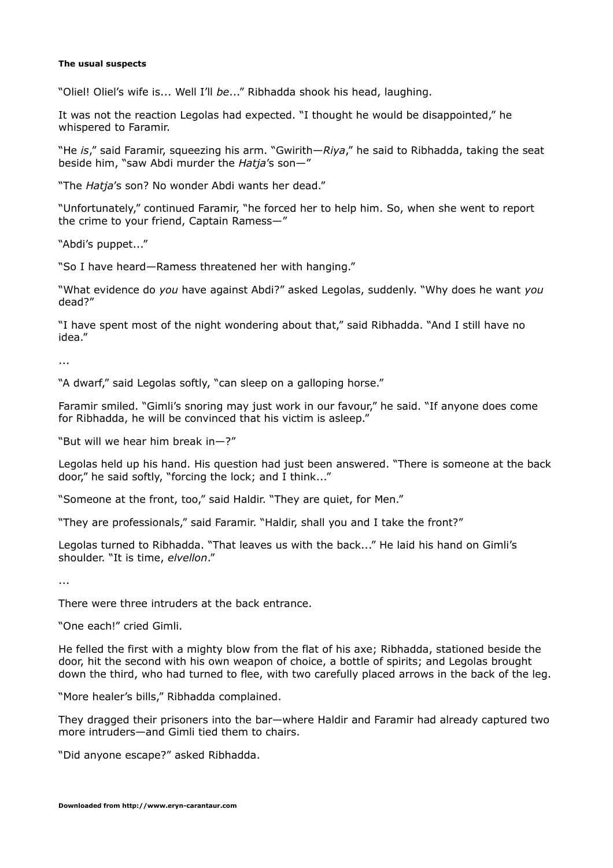"Oliel! Oliel's wife is... Well I'll *be*..." Ribhadda shook his head, laughing.

It was not the reaction Legolas had expected. "I thought he would be disappointed," he whispered to Faramir.

"He *is*," said Faramir, squeezing his arm. "Gwirith—*Riya*," he said to Ribhadda, taking the seat beside him, "saw Abdi murder the *Hatja*'s son—"

"The *Hatja*'s son? No wonder Abdi wants her dead."

"Unfortunately," continued Faramir, "he forced her to help him. So, when she went to report the crime to your friend, Captain Ramess—"

"Abdi's puppet..."

"So I have heard—Ramess threatened her with hanging."

"What evidence do *you* have against Abdi?" asked Legolas, suddenly. "Why does he want *you* dead?"

"I have spent most of the night wondering about that," said Ribhadda. "And I still have no idea."

...

"A dwarf," said Legolas softly, "can sleep on a galloping horse."

Faramir smiled. "Gimli's snoring may just work in our favour," he said. "If anyone does come for Ribhadda, he will be convinced that his victim is asleep."

"But will we hear him break in—?"

Legolas held up his hand. His question had just been answered. "There is someone at the back door," he said softly, "forcing the lock; and I think..."

"Someone at the front, too," said Haldir. "They are quiet, for Men."

"They are professionals," said Faramir. "Haldir, shall you and I take the front?"

Legolas turned to Ribhadda. "That leaves us with the back..." He laid his hand on Gimli's shoulder. "It is time, *elvellon*."

...

There were three intruders at the back entrance.

"One each!" cried Gimli.

He felled the first with a mighty blow from the flat of his axe; Ribhadda, stationed beside the door, hit the second with his own weapon of choice, a bottle of spirits; and Legolas brought down the third, who had turned to flee, with two carefully placed arrows in the back of the leg.

"More healer's bills," Ribhadda complained.

They dragged their prisoners into the bar—where Haldir and Faramir had already captured two more intruders—and Gimli tied them to chairs.

"Did anyone escape?" asked Ribhadda.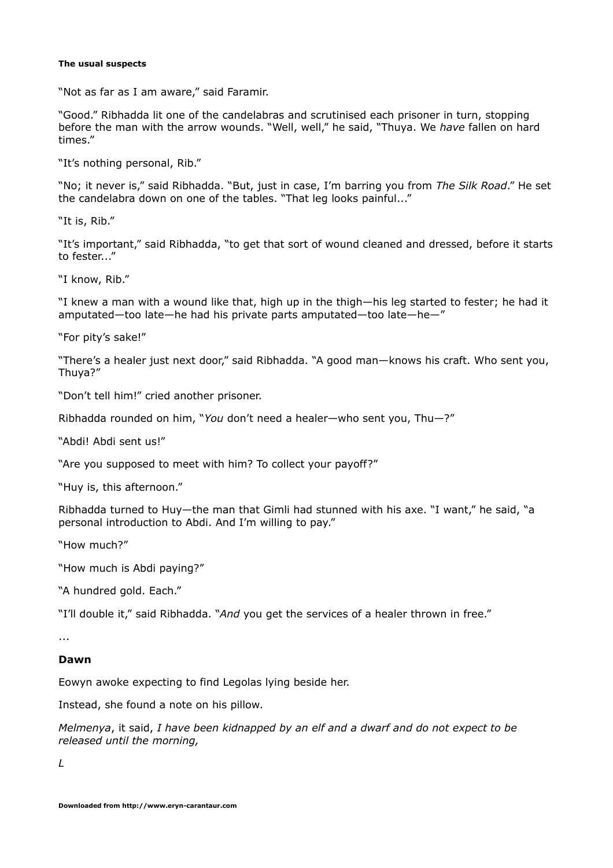"Not as far as I am aware," said Faramir.

"Good." Ribhadda lit one of the candelabras and scrutinised each prisoner in turn, stopping before the man with the arrow wounds. "Well, well," he said, "Thuya. We *have* fallen on hard times."

"It's nothing personal, Rib."

"No; it never is," said Ribhadda. "But, just in case, I'm barring you from *The Silk Road*." He set the candelabra down on one of the tables. "That leg looks painful..."

"It is, Rib."

"It's important," said Ribhadda, "to get that sort of wound cleaned and dressed, before it starts to fester..."

"I know, Rib."

"I knew a man with a wound like that, high up in the thigh—his leg started to fester; he had it amputated—too late—he had his private parts amputated—too late—he—"

"For pity's sake!"

"There's a healer just next door," said Ribhadda. "A good man—knows his craft. Who sent you, Thuya?"

"Don't tell him!" cried another prisoner.

Ribhadda rounded on him, "*You* don't need a healer—who sent you, Thu—?"

"Abdi! Abdi sent us!"

"Are you supposed to meet with him? To collect your payoff?"

"Huy is, this afternoon."

Ribhadda turned to Huy—the man that Gimli had stunned with his axe. "I want," he said, "a personal introduction to Abdi. And I'm willing to pay."

"How much?"

"How much is Abdi paying?"

"A hundred gold. Each."

"I'll double it," said Ribhadda. "*And* you get the services of a healer thrown in free."

...

### **Dawn**

Eowyn awoke expecting to find Legolas lying beside her.

Instead, she found a note on his pillow.

*Melmenya*, it said, *I have been kidnapped by an elf and a dwarf and do not expect to be released until the morning,*

*L*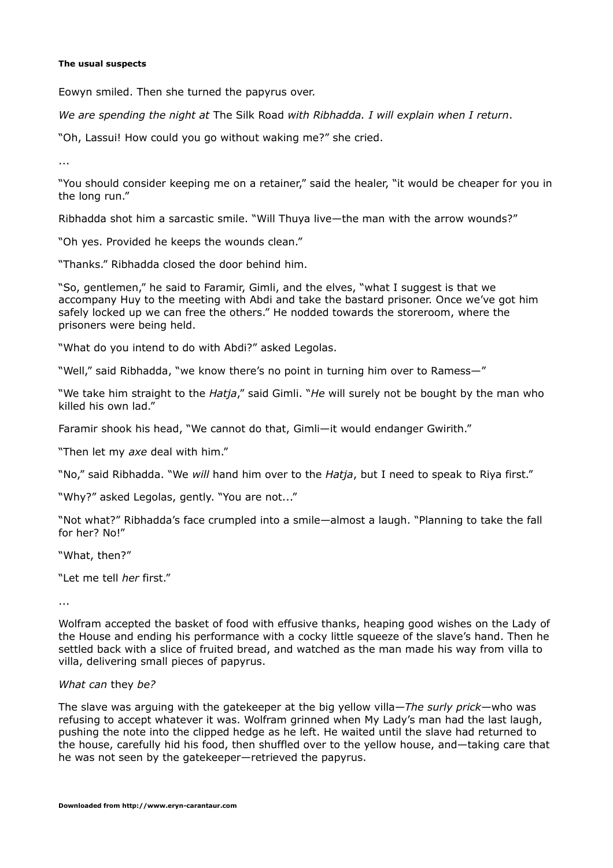Eowyn smiled. Then she turned the papyrus over.

*We are spending the night at* The Silk Road *with Ribhadda. I will explain when I return*.

"Oh, Lassui! How could you go without waking me?" she cried.

...

"You should consider keeping me on a retainer," said the healer, "it would be cheaper for you in the long run."

Ribhadda shot him a sarcastic smile. "Will Thuya live—the man with the arrow wounds?"

"Oh yes. Provided he keeps the wounds clean."

"Thanks." Ribhadda closed the door behind him.

"So, gentlemen," he said to Faramir, Gimli, and the elves, "what I suggest is that we accompany Huy to the meeting with Abdi and take the bastard prisoner. Once we've got him safely locked up we can free the others." He nodded towards the storeroom, where the prisoners were being held.

"What do you intend to do with Abdi?" asked Legolas.

"Well," said Ribhadda, "we know there's no point in turning him over to Ramess—"

"We take him straight to the *Hatja*," said Gimli. "*He* will surely not be bought by the man who killed his own lad."

Faramir shook his head, "We cannot do that, Gimli—it would endanger Gwirith."

"Then let my *axe* deal with him."

"No," said Ribhadda. "We *will* hand him over to the *Hatja*, but I need to speak to Riya first."

"Why?" asked Legolas, gently. "You are not..."

"Not what?" Ribhadda's face crumpled into a smile—almost a laugh. "Planning to take the fall for her? No!"

"What, then?"

"Let me tell *her* first."

...

Wolfram accepted the basket of food with effusive thanks, heaping good wishes on the Lady of the House and ending his performance with a cocky little squeeze of the slave's hand. Then he settled back with a slice of fruited bread, and watched as the man made his way from villa to villa, delivering small pieces of papyrus.

### *What can* they *be?*

The slave was arguing with the gatekeeper at the big yellow villa—*The surly prick*—who was refusing to accept whatever it was. Wolfram grinned when My Lady's man had the last laugh, pushing the note into the clipped hedge as he left. He waited until the slave had returned to the house, carefully hid his food, then shuffled over to the yellow house, and—taking care that he was not seen by the gatekeeper—retrieved the papyrus.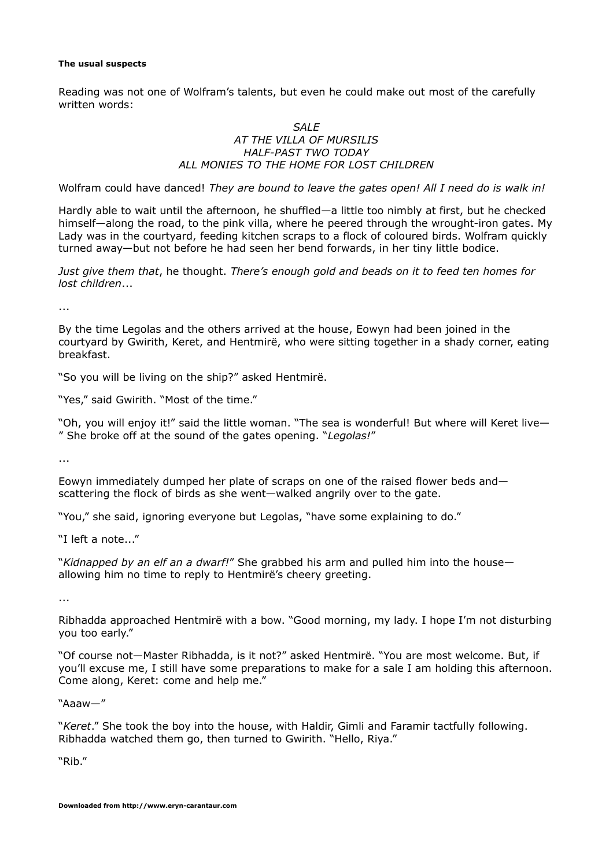Reading was not one of Wolfram's talents, but even he could make out most of the carefully written words:

### *SALE AT THE VILLA OF MURSILIS HALF-PAST TWO TODAY ALL MONIES TO THE HOME FOR LOST CHILDREN*

Wolfram could have danced! *They are bound to leave the gates open! All I need do is walk in!*

Hardly able to wait until the afternoon, he shuffled—a little too nimbly at first, but he checked himself—along the road, to the pink villa, where he peered through the wrought-iron gates. My Lady was in the courtyard, feeding kitchen scraps to a flock of coloured birds. Wolfram quickly turned away—but not before he had seen her bend forwards, in her tiny little bodice.

*Just give them that*, he thought. *There's enough gold and beads on it to feed ten homes for lost children*...

...

By the time Legolas and the others arrived at the house, Eowyn had been joined in the courtyard by Gwirith, Keret, and Hentmirë, who were sitting together in a shady corner, eating breakfast.

"So you will be living on the ship?" asked Hentmirë.

"Yes," said Gwirith. "Most of the time."

"Oh, you will enjoy it!" said the little woman. "The sea is wonderful! But where will Keret live— " She broke off at the sound of the gates opening. "*Legolas!*"

...

Eowyn immediately dumped her plate of scraps on one of the raised flower beds and scattering the flock of birds as she went—walked angrily over to the gate.

"You," she said, ignoring everyone but Legolas, "have some explaining to do."

"I left a note..."

"*Kidnapped by an elf an a dwarf!*" She grabbed his arm and pulled him into the house allowing him no time to reply to Hentmirë's cheery greeting.

...

Ribhadda approached Hentmirë with a bow. "Good morning, my lady. I hope I'm not disturbing you too early."

"Of course not—Master Ribhadda, is it not?" asked Hentmirë. "You are most welcome. But, if you'll excuse me, I still have some preparations to make for a sale I am holding this afternoon. Come along, Keret: come and help me."

### "Aaaw—"

"*Keret*." She took the boy into the house, with Haldir, Gimli and Faramir tactfully following. Ribhadda watched them go, then turned to Gwirith. "Hello, Riya."

"Rib."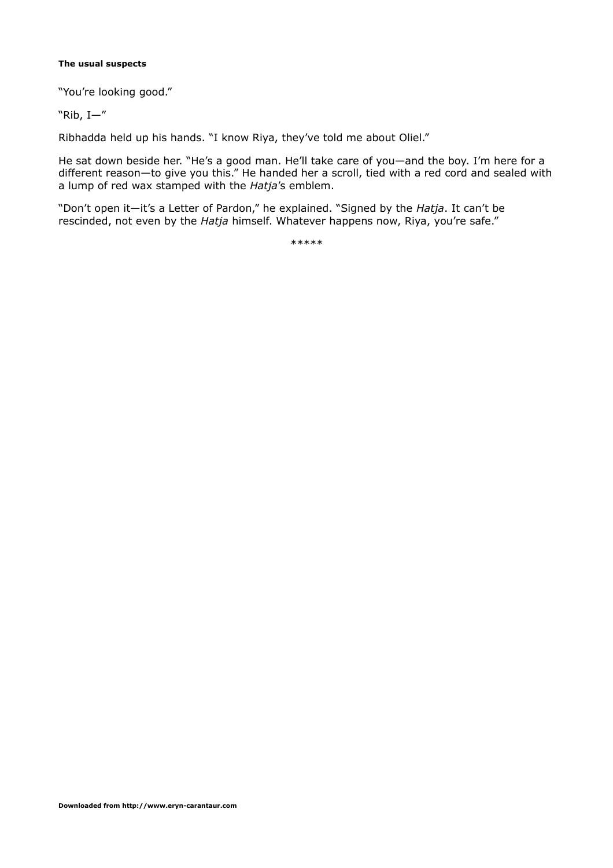"You're looking good."

"Rib, I—"

Ribhadda held up his hands. "I know Riya, they've told me about Oliel."

He sat down beside her. "He's a good man. He'll take care of you—and the boy. I'm here for a different reason—to give you this." He handed her a scroll, tied with a red cord and sealed with a lump of red wax stamped with the *Hatja*'s emblem.

"Don't open it—it's a Letter of Pardon," he explained. "Signed by the *Hatja*. It can't be rescinded, not even by the *Hatja* himself. Whatever happens now, Riya, you're safe."

\*\*\*\*\*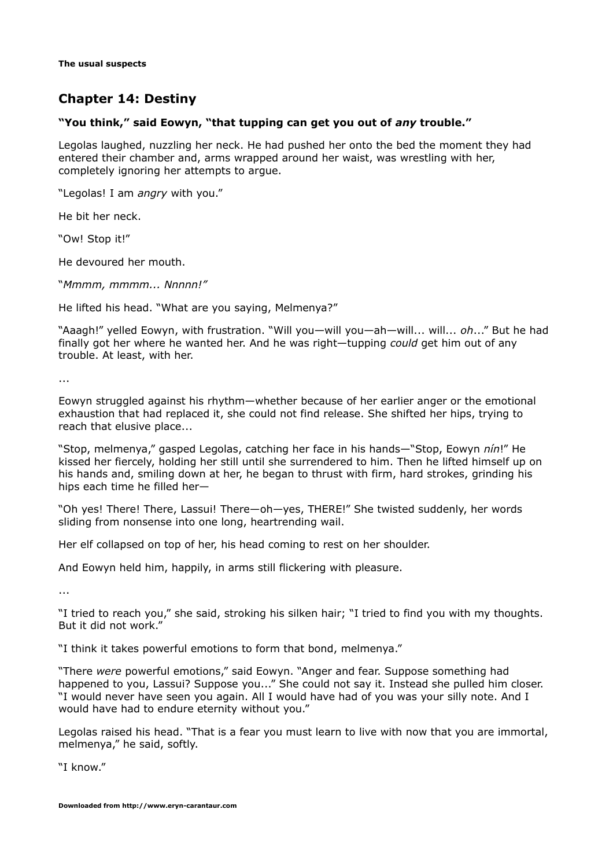# **Chapter 14: Destiny**

### **"You think," said Eowyn, "that tupping can get you out of** *any* **trouble."**

Legolas laughed, nuzzling her neck. He had pushed her onto the bed the moment they had entered their chamber and, arms wrapped around her waist, was wrestling with her, completely ignoring her attempts to argue.

"Legolas! I am *angry* with you."

He bit her neck.

"Ow! Stop it!"

He devoured her mouth.

"*Mmmm, mmmm... Nnnnn!"*

He lifted his head. "What are you saying, Melmenya?"

"Aaagh!" yelled Eowyn, with frustration. "Will you—will you—ah—will... will... *oh*..." But he had finally got her where he wanted her. And he was right—tupping *could* get him out of any trouble. At least, with her.

...

Eowyn struggled against his rhythm—whether because of her earlier anger or the emotional exhaustion that had replaced it, she could not find release. She shifted her hips, trying to reach that elusive place...

"Stop, melmenya," gasped Legolas, catching her face in his hands—"Stop, Eowyn *nín*!" He kissed her fiercely, holding her still until she surrendered to him. Then he lifted himself up on his hands and, smiling down at her, he began to thrust with firm, hard strokes, grinding his hips each time he filled her—

"Oh yes! There! There, Lassui! There—oh—yes, THERE!" She twisted suddenly, her words sliding from nonsense into one long, heartrending wail.

Her elf collapsed on top of her, his head coming to rest on her shoulder.

And Eowyn held him, happily, in arms still flickering with pleasure.

...

"I tried to reach you," she said, stroking his silken hair; "I tried to find you with my thoughts. But it did not work."

"I think it takes powerful emotions to form that bond, melmenya."

"There *were* powerful emotions," said Eowyn. "Anger and fear. Suppose something had happened to you, Lassui? Suppose you..." She could not say it. Instead she pulled him closer. "I would never have seen you again. All I would have had of you was your silly note. And I would have had to endure eternity without you."

Legolas raised his head. "That is a fear you must learn to live with now that you are immortal, melmenya," he said, softly.

"I know."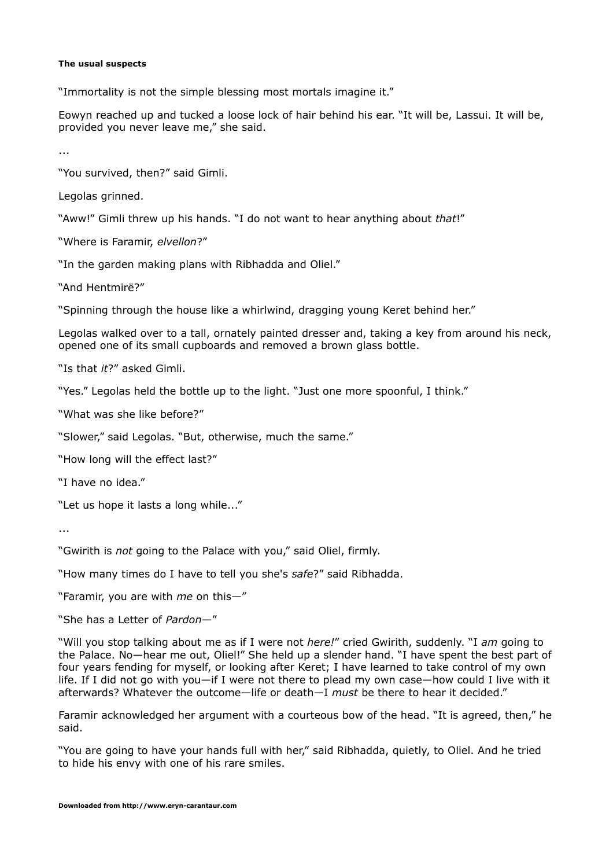"Immortality is not the simple blessing most mortals imagine it."

Eowyn reached up and tucked a loose lock of hair behind his ear. "It will be, Lassui. It will be, provided you never leave me," she said.

...

"You survived, then?" said Gimli.

Legolas grinned.

"Aww!" Gimli threw up his hands. "I do not want to hear anything about *that*!"

"Where is Faramir, *elvellon*?"

"In the garden making plans with Ribhadda and Oliel."

"And Hentmirë?"

"Spinning through the house like a whirlwind, dragging young Keret behind her."

Legolas walked over to a tall, ornately painted dresser and, taking a key from around his neck, opened one of its small cupboards and removed a brown glass bottle.

"Is that *it*?" asked Gimli.

"Yes." Legolas held the bottle up to the light. "Just one more spoonful, I think."

"What was she like before?"

"Slower," said Legolas. "But, otherwise, much the same."

"How long will the effect last?"

"I have no idea."

"Let us hope it lasts a long while..."

...

"Gwirith is *not* going to the Palace with you," said Oliel, firmly.

"How many times do I have to tell you she's *safe*?" said Ribhadda.

"Faramir, you are with *me* on this—"

"She has a Letter of *Pardon*—"

"Will you stop talking about me as if I were not *here!*" cried Gwirith, suddenly. "I *am* going to the Palace. No—hear me out, Oliel!" She held up a slender hand. "I have spent the best part of four years fending for myself, or looking after Keret; I have learned to take control of my own life. If I did not go with you—if I were not there to plead my own case—how could I live with it afterwards? Whatever the outcome—life or death—I *must* be there to hear it decided."

Faramir acknowledged her argument with a courteous bow of the head. "It is agreed, then," he said.

"You are going to have your hands full with her," said Ribhadda, quietly, to Oliel. And he tried to hide his envy with one of his rare smiles.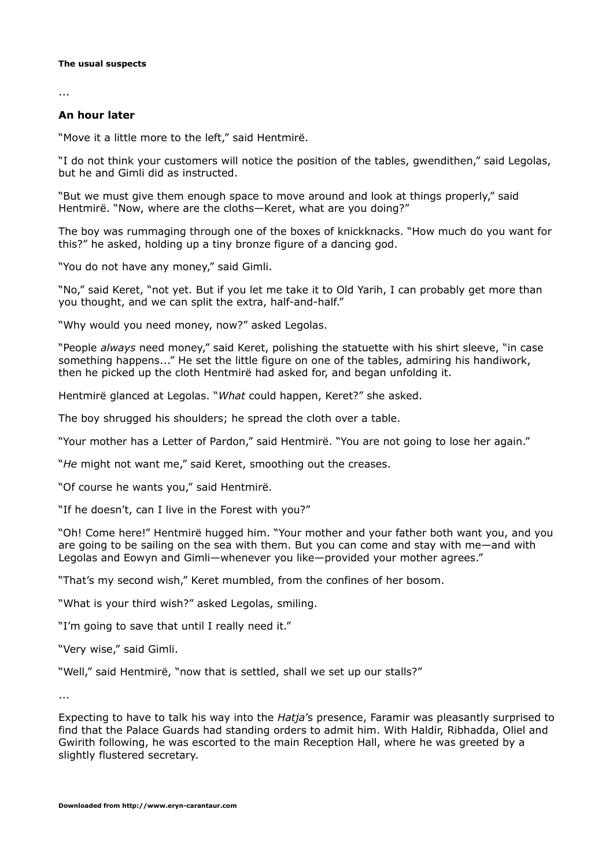...

### **An hour later**

"Move it a little more to the left," said Hentmirë.

"I do not think your customers will notice the position of the tables, gwendithen," said Legolas, but he and Gimli did as instructed.

"But we must give them enough space to move around and look at things properly," said Hentmirë. "Now, where are the cloths—Keret, what are you doing?"

The boy was rummaging through one of the boxes of knickknacks. "How much do you want for this?" he asked, holding up a tiny bronze figure of a dancing god.

"You do not have any money," said Gimli.

"No," said Keret, "not yet. But if you let me take it to Old Yarih, I can probably get more than you thought, and we can split the extra, half-and-half."

"Why would you need money, now?" asked Legolas.

"People *always* need money," said Keret, polishing the statuette with his shirt sleeve, "in case something happens..." He set the little figure on one of the tables, admiring his handiwork, then he picked up the cloth Hentmirë had asked for, and began unfolding it.

Hentmirë glanced at Legolas. "*What* could happen, Keret?" she asked.

The boy shrugged his shoulders; he spread the cloth over a table.

"Your mother has a Letter of Pardon," said Hentmirë. "You are not going to lose her again."

"*He* might not want me," said Keret, smoothing out the creases.

"Of course he wants you," said Hentmirë.

"If he doesn't, can I live in the Forest with you?"

"Oh! Come here!" Hentmirë hugged him. "Your mother and your father both want you, and you are going to be sailing on the sea with them. But you can come and stay with me—and with Legolas and Eowyn and Gimli—whenever you like—provided your mother agrees."

"That's my second wish," Keret mumbled, from the confines of her bosom.

"What is your third wish?" asked Legolas, smiling.

"I'm going to save that until I really need it."

"Very wise," said Gimli.

"Well," said Hentmirë, "now that is settled, shall we set up our stalls?"

...

Expecting to have to talk his way into the *Hatja*'s presence, Faramir was pleasantly surprised to find that the Palace Guards had standing orders to admit him. With Haldir, Ribhadda, Oliel and Gwirith following, he was escorted to the main Reception Hall, where he was greeted by a slightly flustered secretary.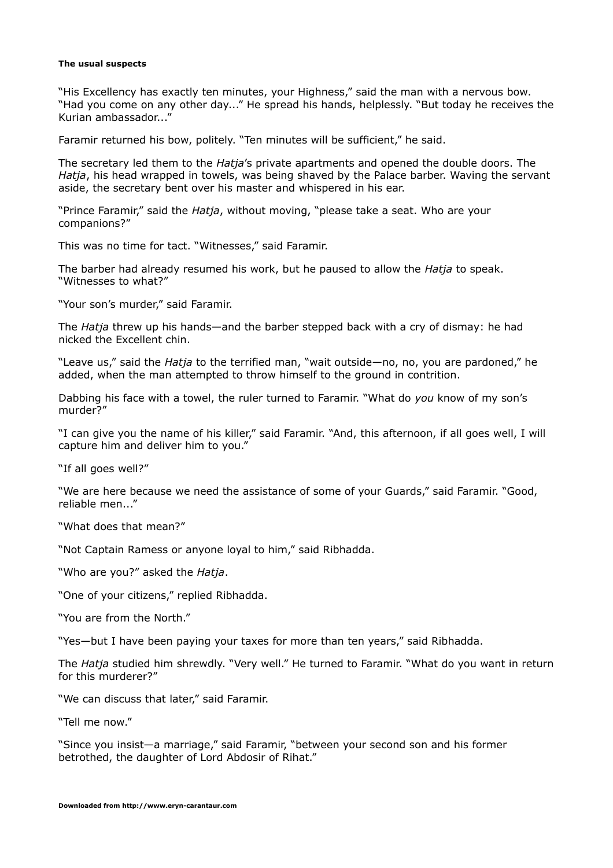"His Excellency has exactly ten minutes, your Highness," said the man with a nervous bow. "Had you come on any other day..." He spread his hands, helplessly. "But today he receives the Kurian ambassador..."

Faramir returned his bow, politely. "Ten minutes will be sufficient," he said.

The secretary led them to the *Hatja*'s private apartments and opened the double doors. The *Hatja*, his head wrapped in towels, was being shaved by the Palace barber. Waving the servant aside, the secretary bent over his master and whispered in his ear.

"Prince Faramir," said the *Hatja*, without moving, "please take a seat. Who are your companions?"

This was no time for tact. "Witnesses," said Faramir.

The barber had already resumed his work, but he paused to allow the *Hatja* to speak. "Witnesses to what?"

"Your son's murder," said Faramir.

The *Hatja* threw up his hands—and the barber stepped back with a cry of dismay: he had nicked the Excellent chin.

"Leave us," said the *Hatja* to the terrified man, "wait outside—no, no, you are pardoned," he added, when the man attempted to throw himself to the ground in contrition.

Dabbing his face with a towel, the ruler turned to Faramir. "What do *you* know of my son's murder?"

"I can give you the name of his killer," said Faramir. "And, this afternoon, if all goes well, I will capture him and deliver him to you."

"If all goes well?"

"We are here because we need the assistance of some of your Guards," said Faramir. "Good, reliable men..."

"What does that mean?"

"Not Captain Ramess or anyone loyal to him," said Ribhadda.

"Who are you?" asked the *Hatja*.

"One of your citizens," replied Ribhadda.

"You are from the North."

"Yes—but I have been paying your taxes for more than ten years," said Ribhadda.

The *Hatja* studied him shrewdly. "Very well." He turned to Faramir. "What do you want in return for this murderer?"

"We can discuss that later," said Faramir.

"Tell me now."

"Since you insist—a marriage," said Faramir, "between your second son and his former betrothed, the daughter of Lord Abdosir of Rihat."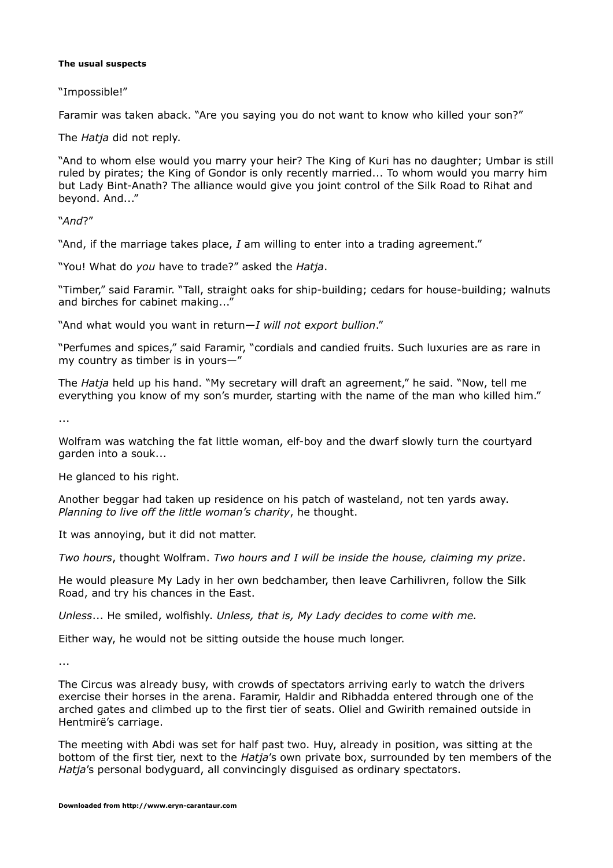"Impossible!"

Faramir was taken aback. "Are you saying you do not want to know who killed your son?"

The *Hatja* did not reply.

"And to whom else would you marry your heir? The King of Kuri has no daughter; Umbar is still ruled by pirates; the King of Gondor is only recently married... To whom would you marry him but Lady Bint-Anath? The alliance would give you joint control of the Silk Road to Rihat and beyond. And..."

"*And*?"

"And, if the marriage takes place, *I* am willing to enter into a trading agreement."

"You! What do *you* have to trade?" asked the *Hatja*.

"Timber," said Faramir. "Tall, straight oaks for ship-building; cedars for house-building; walnuts and birches for cabinet making..."

"And what would you want in return—*I will not export bullion*."

"Perfumes and spices," said Faramir, "cordials and candied fruits. Such luxuries are as rare in my country as timber is in yours—"

The *Hatja* held up his hand. "My secretary will draft an agreement," he said. "Now, tell me everything you know of my son's murder, starting with the name of the man who killed him."

...

Wolfram was watching the fat little woman, elf-boy and the dwarf slowly turn the courtyard garden into a souk...

He glanced to his right.

Another beggar had taken up residence on his patch of wasteland, not ten yards away. *Planning to live off the little woman's charity*, he thought.

It was annoying, but it did not matter.

*Two hours*, thought Wolfram. *Two hours and I will be inside the house, claiming my prize*.

He would pleasure My Lady in her own bedchamber, then leave Carhilivren, follow the Silk Road, and try his chances in the East.

*Unless*... He smiled, wolfishly. *Unless, that is, My Lady decides to come with me.*

Either way, he would not be sitting outside the house much longer.

...

The Circus was already busy, with crowds of spectators arriving early to watch the drivers exercise their horses in the arena. Faramir, Haldir and Ribhadda entered through one of the arched gates and climbed up to the first tier of seats. Oliel and Gwirith remained outside in Hentmirë's carriage.

The meeting with Abdi was set for half past two. Huy, already in position, was sitting at the bottom of the first tier, next to the *Hatja*'s own private box, surrounded by ten members of the *Hatja*'s personal bodyguard, all convincingly disguised as ordinary spectators.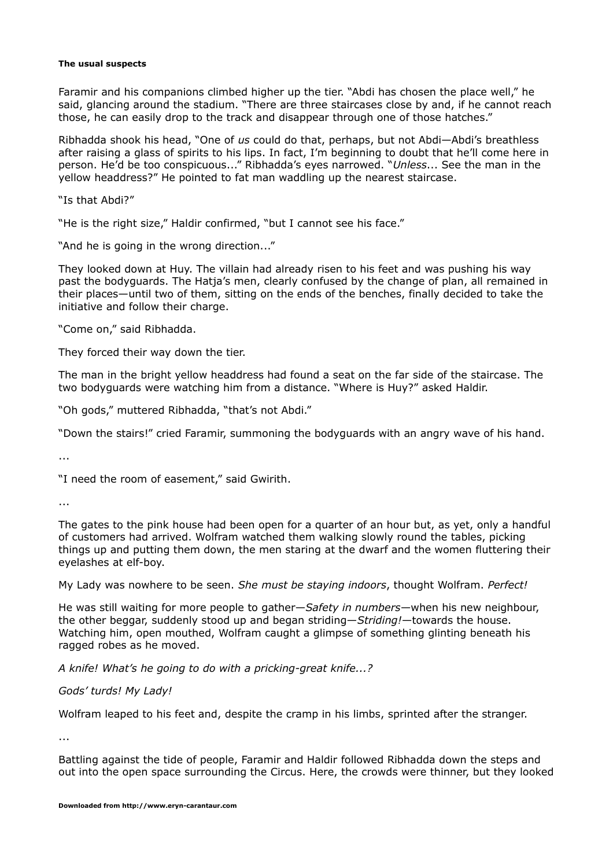Faramir and his companions climbed higher up the tier. "Abdi has chosen the place well," he said, glancing around the stadium. "There are three staircases close by and, if he cannot reach those, he can easily drop to the track and disappear through one of those hatches."

Ribhadda shook his head, "One of *us* could do that, perhaps, but not Abdi—Abdi's breathless after raising a glass of spirits to his lips. In fact, I'm beginning to doubt that he'll come here in person. He'd be too conspicuous..." Ribhadda's eyes narrowed. "*Unless*... See the man in the yellow headdress?" He pointed to fat man waddling up the nearest staircase.

"Is that Abdi?"

"He is the right size," Haldir confirmed, "but I cannot see his face."

"And he is going in the wrong direction..."

They looked down at Huy. The villain had already risen to his feet and was pushing his way past the bodyguards. The Hatja's men, clearly confused by the change of plan, all remained in their places—until two of them, sitting on the ends of the benches, finally decided to take the initiative and follow their charge.

"Come on," said Ribhadda.

They forced their way down the tier.

The man in the bright yellow headdress had found a seat on the far side of the staircase. The two bodyguards were watching him from a distance. "Where is Huy?" asked Haldir.

"Oh gods," muttered Ribhadda, "that's not Abdi."

"Down the stairs!" cried Faramir, summoning the bodyguards with an angry wave of his hand.

...

"I need the room of easement," said Gwirith.

...

The gates to the pink house had been open for a quarter of an hour but, as yet, only a handful of customers had arrived. Wolfram watched them walking slowly round the tables, picking things up and putting them down, the men staring at the dwarf and the women fluttering their eyelashes at elf-boy.

My Lady was nowhere to be seen. *She must be staying indoors*, thought Wolfram. *Perfect!*

He was still waiting for more people to gather—*Safety in numbers*—when his new neighbour, the other beggar, suddenly stood up and began striding—*Striding!*—towards the house. Watching him, open mouthed, Wolfram caught a glimpse of something glinting beneath his ragged robes as he moved.

*A knife! What's he going to do with a pricking-great knife...?*

### *Gods' turds! My Lady!*

Wolfram leaped to his feet and, despite the cramp in his limbs, sprinted after the stranger.

...

Battling against the tide of people, Faramir and Haldir followed Ribhadda down the steps and out into the open space surrounding the Circus. Here, the crowds were thinner, but they looked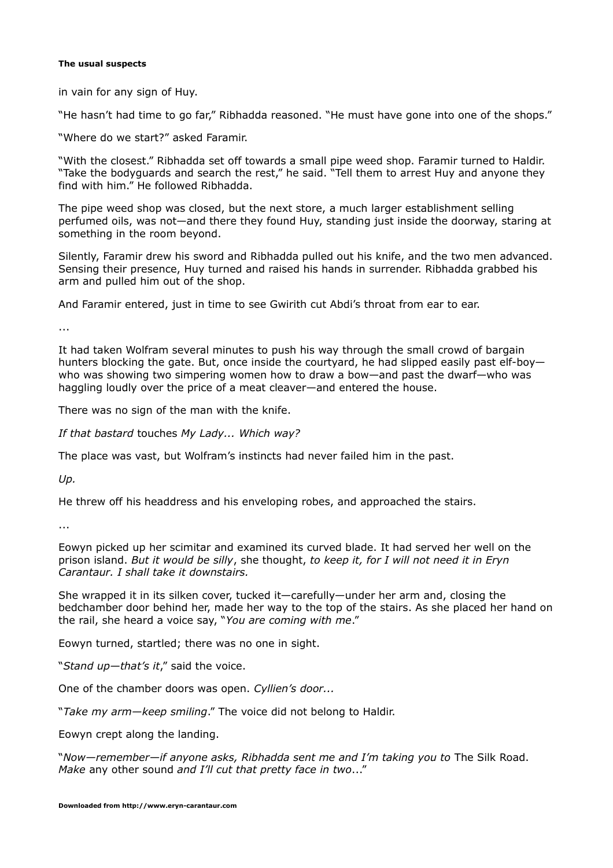in vain for any sign of Huy.

"He hasn't had time to go far," Ribhadda reasoned. "He must have gone into one of the shops."

"Where do we start?" asked Faramir.

"With the closest." Ribhadda set off towards a small pipe weed shop. Faramir turned to Haldir. "Take the bodyguards and search the rest," he said. "Tell them to arrest Huy and anyone they find with him." He followed Ribhadda.

The pipe weed shop was closed, but the next store, a much larger establishment selling perfumed oils, was not—and there they found Huy, standing just inside the doorway, staring at something in the room beyond.

Silently, Faramir drew his sword and Ribhadda pulled out his knife, and the two men advanced. Sensing their presence, Huy turned and raised his hands in surrender. Ribhadda grabbed his arm and pulled him out of the shop.

And Faramir entered, just in time to see Gwirith cut Abdi's throat from ear to ear.

...

It had taken Wolfram several minutes to push his way through the small crowd of bargain hunters blocking the gate. But, once inside the courtyard, he had slipped easily past elf-boy who was showing two simpering women how to draw a bow—and past the dwarf—who was haggling loudly over the price of a meat cleaver—and entered the house.

There was no sign of the man with the knife.

*If that bastard* touches *My Lady... Which way?*

The place was vast, but Wolfram's instincts had never failed him in the past.

*Up.*

He threw off his headdress and his enveloping robes, and approached the stairs.

...

Eowyn picked up her scimitar and examined its curved blade. It had served her well on the prison island. *But it would be silly*, she thought, *to keep it, for I will not need it in Eryn Carantaur. I shall take it downstairs.*

She wrapped it in its silken cover, tucked it—carefully—under her arm and, closing the bedchamber door behind her, made her way to the top of the stairs. As she placed her hand on the rail, she heard a voice say, "*You are coming with me*."

Eowyn turned, startled; there was no one in sight.

"*Stand up—that's it*," said the voice.

One of the chamber doors was open. *Cyllien's door...*

"*Take my arm—keep smiling*." The voice did not belong to Haldir.

Eowyn crept along the landing.

"*Now—remember—if anyone asks, Ribhadda sent me and I'm taking you to* The Silk Road. *Make* any other sound *and I'll cut that pretty face in two*..."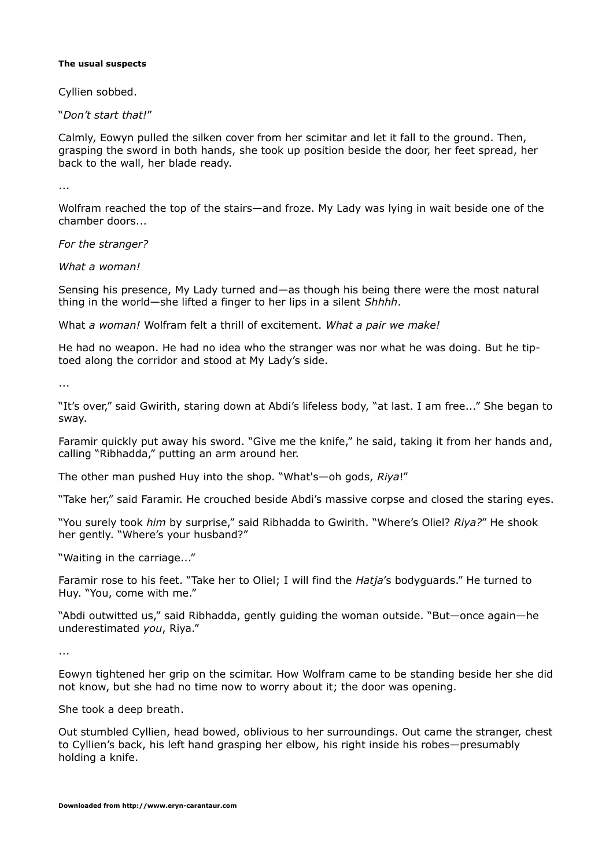Cyllien sobbed.

"*Don't start that!*"

Calmly, Eowyn pulled the silken cover from her scimitar and let it fall to the ground. Then, grasping the sword in both hands, she took up position beside the door, her feet spread, her back to the wall, her blade ready.

...

Wolfram reached the top of the stairs—and froze. My Lady was lying in wait beside one of the chamber doors...

*For the stranger?*

*What a woman!*

Sensing his presence, My Lady turned and—as though his being there were the most natural thing in the world—she lifted a finger to her lips in a silent *Shhhh*.

What *a woman!* Wolfram felt a thrill of excitement. *What a pair we make!*

He had no weapon. He had no idea who the stranger was nor what he was doing. But he tiptoed along the corridor and stood at My Lady's side.

...

"It's over," said Gwirith, staring down at Abdi's lifeless body, "at last. I am free..." She began to sway.

Faramir quickly put away his sword. "Give me the knife," he said, taking it from her hands and, calling "Ribhadda," putting an arm around her.

The other man pushed Huy into the shop. "What's—oh gods, *Riya*!"

"Take her," said Faramir. He crouched beside Abdi's massive corpse and closed the staring eyes.

"You surely took *him* by surprise," said Ribhadda to Gwirith. "Where's Oliel? *Riya?*" He shook her gently. "Where's your husband?"

"Waiting in the carriage..."

Faramir rose to his feet. "Take her to Oliel; I will find the *Hatja*'s bodyguards." He turned to Huy. "You, come with me."

"Abdi outwitted us," said Ribhadda, gently guiding the woman outside. "But—once again—he underestimated *you*, Riya."

...

Eowyn tightened her grip on the scimitar. How Wolfram came to be standing beside her she did not know, but she had no time now to worry about it; the door was opening.

She took a deep breath.

Out stumbled Cyllien, head bowed, oblivious to her surroundings. Out came the stranger, chest to Cyllien's back, his left hand grasping her elbow, his right inside his robes—presumably holding a knife.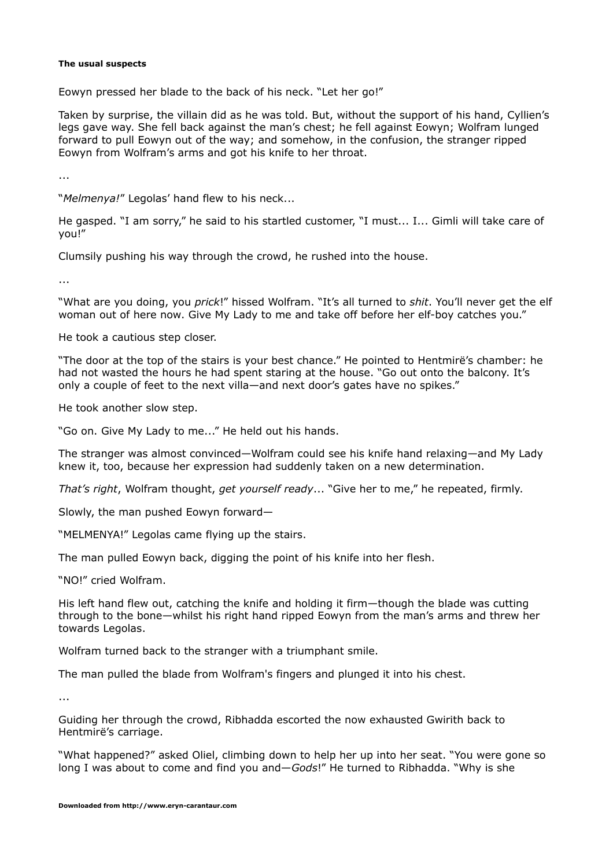Eowyn pressed her blade to the back of his neck. "Let her go!"

Taken by surprise, the villain did as he was told. But, without the support of his hand, Cyllien's legs gave way. She fell back against the man's chest; he fell against Eowyn; Wolfram lunged forward to pull Eowyn out of the way; and somehow, in the confusion, the stranger ripped Eowyn from Wolfram's arms and got his knife to her throat.

...

"*Melmenya!*" Legolas' hand flew to his neck...

He gasped. "I am sorry," he said to his startled customer, "I must... I... Gimli will take care of you!"

Clumsily pushing his way through the crowd, he rushed into the house.

...

"What are you doing, you *prick*!" hissed Wolfram. "It's all turned to *shit*. You'll never get the elf woman out of here now. Give My Lady to me and take off before her elf-boy catches you."

He took a cautious step closer.

"The door at the top of the stairs is your best chance." He pointed to Hentmirë's chamber: he had not wasted the hours he had spent staring at the house. "Go out onto the balcony. It's only a couple of feet to the next villa—and next door's gates have no spikes."

He took another slow step.

"Go on. Give My Lady to me..." He held out his hands.

The stranger was almost convinced—Wolfram could see his knife hand relaxing—and My Lady knew it, too, because her expression had suddenly taken on a new determination.

*That's right*, Wolfram thought, *get yourself ready*... "Give her to me," he repeated, firmly.

Slowly, the man pushed Eowyn forward—

"MELMENYA!" Legolas came flying up the stairs.

The man pulled Eowyn back, digging the point of his knife into her flesh.

"NO!" cried Wolfram.

His left hand flew out, catching the knife and holding it firm—though the blade was cutting through to the bone—whilst his right hand ripped Eowyn from the man's arms and threw her towards Legolas.

Wolfram turned back to the stranger with a triumphant smile.

The man pulled the blade from Wolfram's fingers and plunged it into his chest.

...

Guiding her through the crowd, Ribhadda escorted the now exhausted Gwirith back to Hentmirë's carriage.

"What happened?" asked Oliel, climbing down to help her up into her seat. "You were gone so long I was about to come and find you and—*Gods*!" He turned to Ribhadda. "Why is she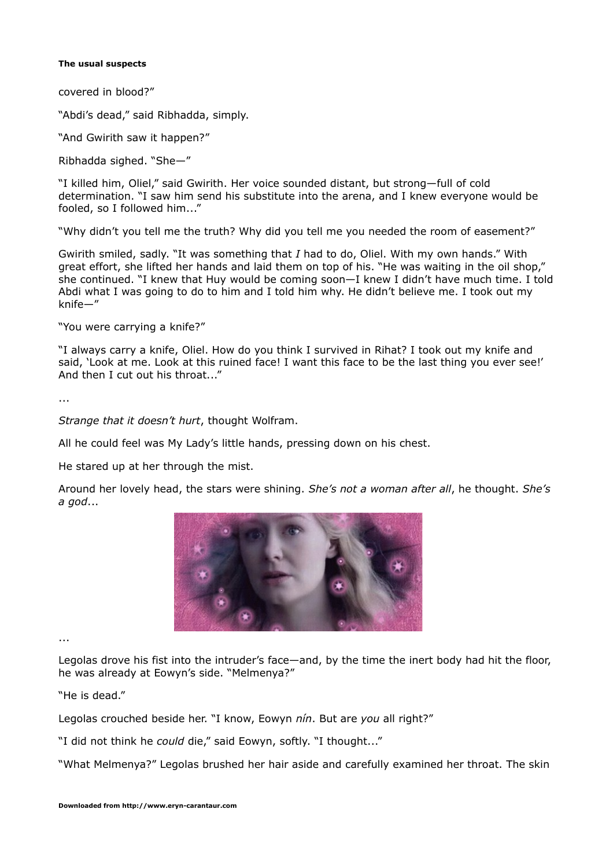covered in blood?"

"Abdi's dead," said Ribhadda, simply.

"And Gwirith saw it happen?"

Ribhadda sighed. "She—"

"I killed him, Oliel," said Gwirith. Her voice sounded distant, but strong—full of cold determination. "I saw him send his substitute into the arena, and I knew everyone would be fooled, so I followed him..."

"Why didn't you tell me the truth? Why did you tell me you needed the room of easement?"

Gwirith smiled, sadly. "It was something that *I* had to do, Oliel. With my own hands." With great effort, she lifted her hands and laid them on top of his. "He was waiting in the oil shop," she continued. "I knew that Huy would be coming soon—I knew I didn't have much time. I told Abdi what I was going to do to him and I told him why. He didn't believe me. I took out my knife—"

"You were carrying a knife?"

"I always carry a knife, Oliel. How do you think I survived in Rihat? I took out my knife and said, 'Look at me. Look at this ruined face! I want this face to be the last thing you ever see!' And then I cut out his throat..."

...

*Strange that it doesn't hurt*, thought Wolfram.

All he could feel was My Lady's little hands, pressing down on his chest.

He stared up at her through the mist.

Around her lovely head, the stars were shining. *She's not a woman after all*, he thought. *She's a god*...



...

Legolas drove his fist into the intruder's face—and, by the time the inert body had hit the floor, he was already at Eowyn's side. "Melmenya?"

"He is dead."

Legolas crouched beside her. "I know, Eowyn *nín*. But are *you* all right?"

"I did not think he *could* die," said Eowyn, softly. "I thought..."

"What Melmenya?" Legolas brushed her hair aside and carefully examined her throat. The skin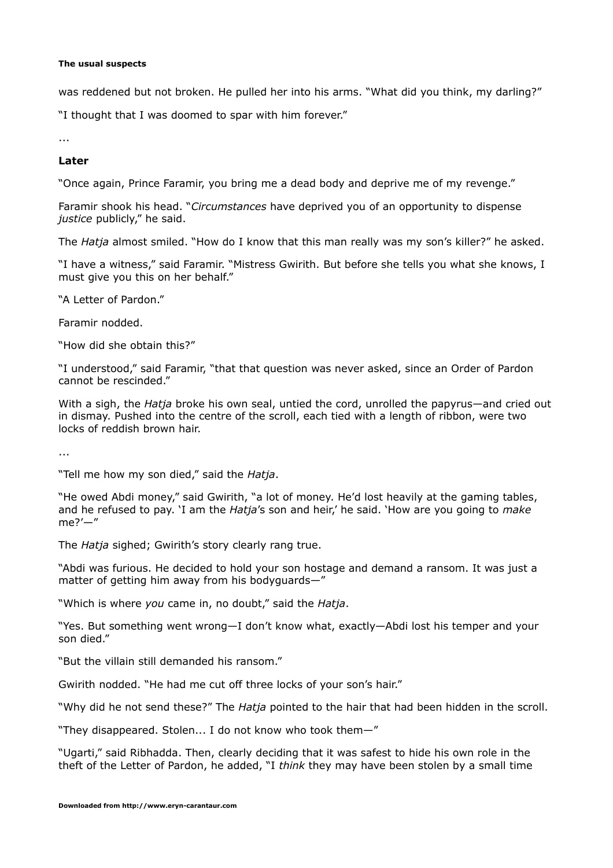was reddened but not broken. He pulled her into his arms. "What did you think, my darling?"

"I thought that I was doomed to spar with him forever."

...

## **Later**

"Once again, Prince Faramir, you bring me a dead body and deprive me of my revenge."

Faramir shook his head. "*Circumstances* have deprived you of an opportunity to dispense *justice* publicly," he said.

The *Hatja* almost smiled. "How do I know that this man really was my son's killer?" he asked.

"I have a witness," said Faramir. "Mistress Gwirith. But before she tells you what she knows, I must give you this on her behalf."

"A Letter of Pardon."

Faramir nodded.

"How did she obtain this?"

"I understood," said Faramir, "that that question was never asked, since an Order of Pardon cannot be rescinded."

With a sigh, the *Hatja* broke his own seal, untied the cord, unrolled the papyrus—and cried out in dismay. Pushed into the centre of the scroll, each tied with a length of ribbon, were two locks of reddish brown hair.

...

"Tell me how my son died," said the *Hatja*.

"He owed Abdi money," said Gwirith, "a lot of money. He'd lost heavily at the gaming tables, and he refused to pay. 'I am the *Hatja*'s son and heir,' he said. 'How are you going to *make* me?'—"

The *Hatja* sighed; Gwirith's story clearly rang true.

"Abdi was furious. He decided to hold your son hostage and demand a ransom. It was just a matter of getting him away from his bodyguards—"

"Which is where *you* came in, no doubt," said the *Hatja*.

"Yes. But something went wrong—I don't know what, exactly—Abdi lost his temper and your son died."

"But the villain still demanded his ransom."

Gwirith nodded. "He had me cut off three locks of your son's hair."

"Why did he not send these?" The *Hatja* pointed to the hair that had been hidden in the scroll.

"They disappeared. Stolen... I do not know who took them—"

"Ugarti," said Ribhadda. Then, clearly deciding that it was safest to hide his own role in the theft of the Letter of Pardon, he added, "I *think* they may have been stolen by a small time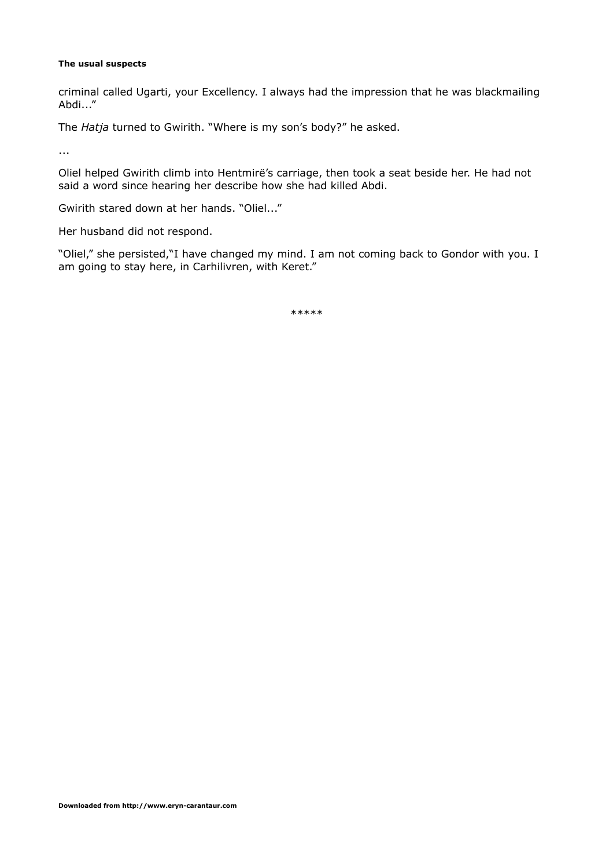criminal called Ugarti, your Excellency. I always had the impression that he was blackmailing Abdi..."

The *Hatja* turned to Gwirith. "Where is my son's body?" he asked.

...

Oliel helped Gwirith climb into Hentmirë's carriage, then took a seat beside her. He had not said a word since hearing her describe how she had killed Abdi.

Gwirith stared down at her hands. "Oliel..."

Her husband did not respond.

"Oliel," she persisted,"I have changed my mind. I am not coming back to Gondor with you. I am going to stay here, in Carhilivren, with Keret."

\*\*\*\*\*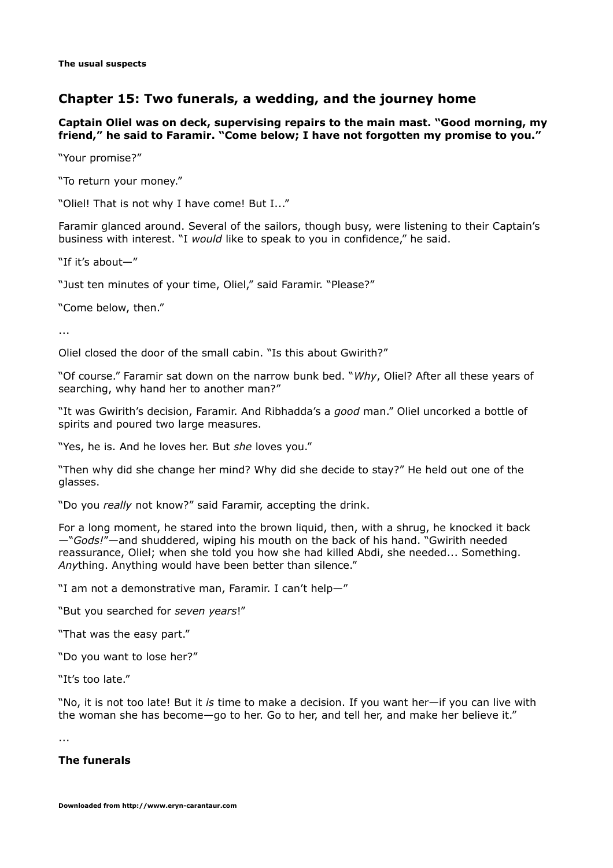# **Chapter 15: Two funerals, a wedding, and the journey home**

**Captain Oliel was on deck, supervising repairs to the main mast. "Good morning, my friend," he said to Faramir. "Come below; I have not forgotten my promise to you."**

"Your promise?"

"To return your money."

"Oliel! That is not why I have come! But I..."

Faramir glanced around. Several of the sailors, though busy, were listening to their Captain's business with interest. "I *would* like to speak to you in confidence," he said.

"If it's about—"

"Just ten minutes of your time, Oliel," said Faramir. "Please?"

"Come below, then."

...

Oliel closed the door of the small cabin. "Is this about Gwirith?"

"Of course." Faramir sat down on the narrow bunk bed. "*Why*, Oliel? After all these years of searching, why hand her to another man?"

"It was Gwirith's decision, Faramir. And Ribhadda's a *good* man." Oliel uncorked a bottle of spirits and poured two large measures.

"Yes, he is. And he loves her. But *she* loves you."

"Then why did she change her mind? Why did she decide to stay?" He held out one of the glasses.

"Do you *really* not know?" said Faramir, accepting the drink.

For a long moment, he stared into the brown liquid, then, with a shrug, he knocked it back —"*Gods!*"—and shuddered, wiping his mouth on the back of his hand. "Gwirith needed reassurance, Oliel; when she told you how she had killed Abdi, she needed... Something. *Any*thing. Anything would have been better than silence."

"I am not a demonstrative man, Faramir. I can't help—"

"But you searched for *seven years*!"

"That was the easy part."

"Do you want to lose her?"

"It's too late."

"No, it is not too late! But it *is* time to make a decision. If you want her—if you can live with the woman she has become—go to her. Go to her, and tell her, and make her believe it."

...

**The funerals**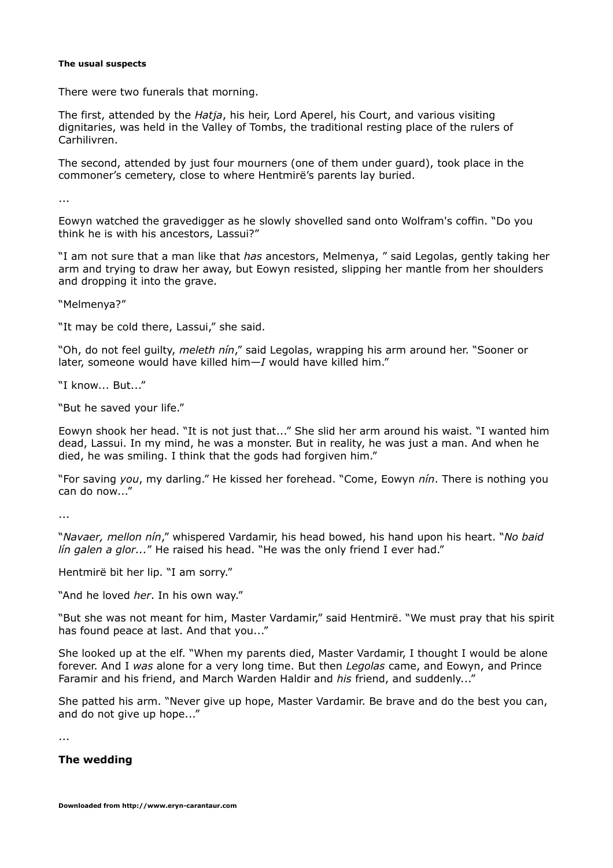There were two funerals that morning.

The first, attended by the *Hatja*, his heir, Lord Aperel, his Court, and various visiting dignitaries, was held in the Valley of Tombs, the traditional resting place of the rulers of Carhilivren.

The second, attended by just four mourners (one of them under guard), took place in the commoner's cemetery, close to where Hentmirë's parents lay buried.

...

Eowyn watched the gravedigger as he slowly shovelled sand onto Wolfram's coffin. "Do you think he is with his ancestors, Lassui?"

"I am not sure that a man like that *has* ancestors, Melmenya, " said Legolas, gently taking her arm and trying to draw her away, but Eowyn resisted, slipping her mantle from her shoulders and dropping it into the grave.

"Melmenya?"

"It may be cold there, Lassui," she said.

"Oh, do not feel guilty, *meleth nín*," said Legolas, wrapping his arm around her. "Sooner or later, someone would have killed him—*I* would have killed him."

"I know... But..."

"But he saved your life."

Eowyn shook her head. "It is not just that..." She slid her arm around his waist. "I wanted him dead, Lassui. In my mind, he was a monster. But in reality, he was just a man. And when he died, he was smiling. I think that the gods had forgiven him."

"For saving *you*, my darling." He kissed her forehead. "Come, Eowyn *nín*. There is nothing you can do now..."

...

"*Navaer, mellon nín*," whispered Vardamir, his head bowed, his hand upon his heart. "*No baid lín galen a glor...*" He raised his head. "He was the only friend I ever had."

Hentmirë bit her lip. "I am sorry."

"And he loved *her*. In his own way."

"But she was not meant for him, Master Vardamir," said Hentmirë. "We must pray that his spirit has found peace at last. And that you..."

She looked up at the elf. "When my parents died, Master Vardamir, I thought I would be alone forever. And I *was* alone for a very long time. But then *Legolas* came, and Eowyn, and Prince Faramir and his friend, and March Warden Haldir and *his* friend, and suddenly..."

She patted his arm. "Never give up hope, Master Vardamir. Be brave and do the best you can, and do not give up hope..."

...

**The wedding**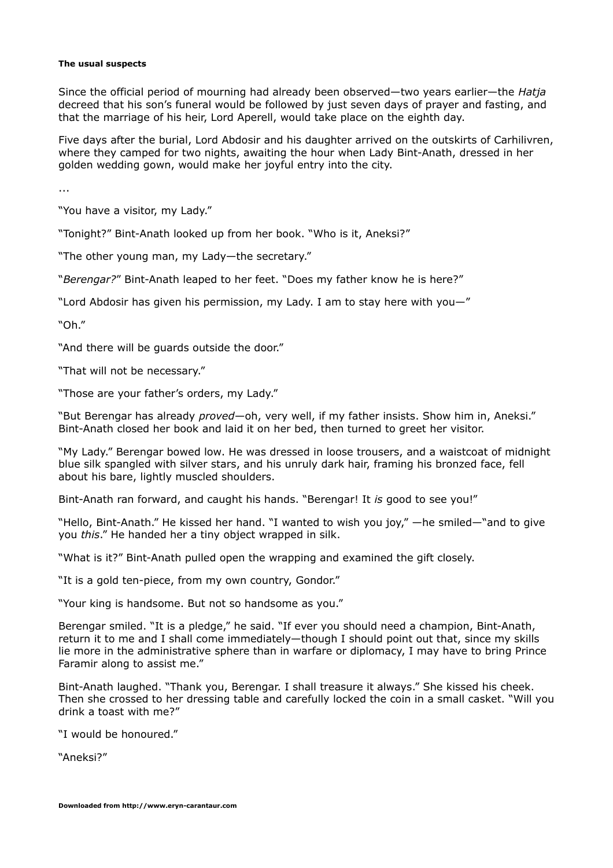Since the official period of mourning had already been observed—two years earlier—the *Hatja* decreed that his son's funeral would be followed by just seven days of prayer and fasting, and that the marriage of his heir, Lord Aperell, would take place on the eighth day.

Five days after the burial, Lord Abdosir and his daughter arrived on the outskirts of Carhilivren, where they camped for two nights, awaiting the hour when Lady Bint-Anath, dressed in her golden wedding gown, would make her joyful entry into the city.

...

"You have a visitor, my Lady."

"Tonight?" Bint-Anath looked up from her book. "Who is it, Aneksi?"

"The other young man, my Lady—the secretary."

"*Berengar?*" Bint-Anath leaped to her feet. "Does my father know he is here?"

"Lord Abdosir has given his permission, my Lady. I am to stay here with you—"

"Oh."

"And there will be guards outside the door."

"That will not be necessary."

"Those are your father's orders, my Lady."

"But Berengar has already *proved*—oh, very well, if my father insists. Show him in, Aneksi." Bint-Anath closed her book and laid it on her bed, then turned to greet her visitor.

"My Lady." Berengar bowed low. He was dressed in loose trousers, and a waistcoat of midnight blue silk spangled with silver stars, and his unruly dark hair, framing his bronzed face, fell about his bare, lightly muscled shoulders.

Bint-Anath ran forward, and caught his hands. "Berengar! It *is* good to see you!"

"Hello, Bint-Anath." He kissed her hand. "I wanted to wish you joy," —he smiled—"and to give you *this*." He handed her a tiny object wrapped in silk.

"What is it?" Bint-Anath pulled open the wrapping and examined the gift closely.

"It is a gold ten-piece, from my own country, Gondor."

"Your king is handsome. But not so handsome as you."

Berengar smiled. "It is a pledge," he said. "If ever you should need a champion, Bint-Anath, return it to me and I shall come immediately—though I should point out that, since my skills lie more in the administrative sphere than in warfare or diplomacy, I may have to bring Prince Faramir along to assist me."

Bint-Anath laughed. "Thank you, Berengar. I shall treasure it always." She kissed his cheek. Then she crossed to her dressing table and carefully locked the coin in a small casket. "Will you drink a toast with me?"

"I would be honoured."

"Aneksi?"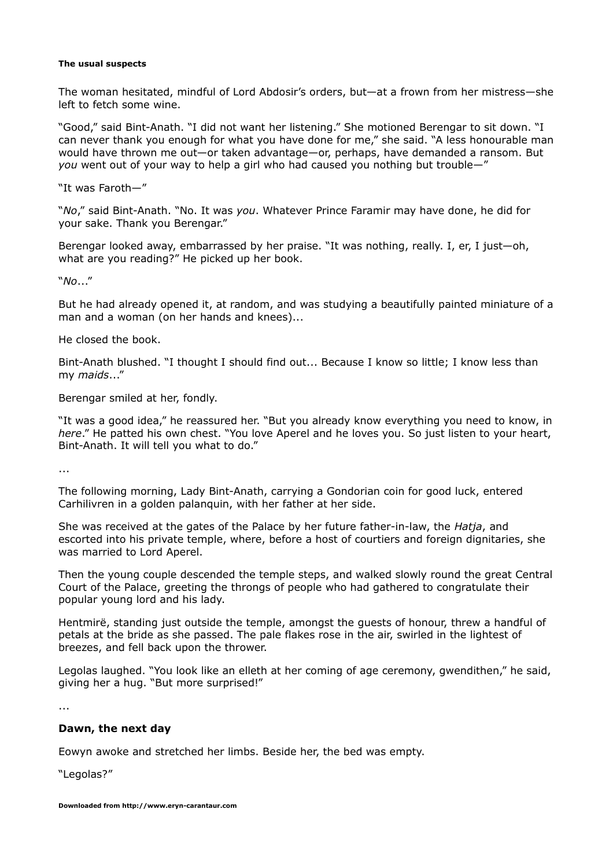The woman hesitated, mindful of Lord Abdosir's orders, but—at a frown from her mistress—she left to fetch some wine.

"Good," said Bint-Anath. "I did not want her listening." She motioned Berengar to sit down. "I can never thank you enough for what you have done for me," she said. "A less honourable man would have thrown me out—or taken advantage—or, perhaps, have demanded a ransom. But *you* went out of your way to help a girl who had caused you nothing but trouble—"

"It was Faroth—"

"*No*," said Bint-Anath. "No. It was *you*. Whatever Prince Faramir may have done, he did for your sake. Thank you Berengar."

Berengar looked away, embarrassed by her praise. "It was nothing, really. I, er, I just—oh, what are you reading?" He picked up her book.

"*No*..."

But he had already opened it, at random, and was studying a beautifully painted miniature of a man and a woman (on her hands and knees)...

He closed the book.

Bint-Anath blushed. "I thought I should find out... Because I know so little; I know less than my *maids*..."

Berengar smiled at her, fondly.

"It was a good idea," he reassured her. "But you already know everything you need to know, in *here*." He patted his own chest. "You love Aperel and he loves you. So just listen to your heart, Bint-Anath. It will tell you what to do."

...

The following morning, Lady Bint-Anath, carrying a Gondorian coin for good luck, entered Carhilivren in a golden palanquin, with her father at her side.

She was received at the gates of the Palace by her future father-in-law, the *Hatja*, and escorted into his private temple, where, before a host of courtiers and foreign dignitaries, she was married to Lord Aperel.

Then the young couple descended the temple steps, and walked slowly round the great Central Court of the Palace, greeting the throngs of people who had gathered to congratulate their popular young lord and his lady.

Hentmirë, standing just outside the temple, amongst the guests of honour, threw a handful of petals at the bride as she passed. The pale flakes rose in the air, swirled in the lightest of breezes, and fell back upon the thrower.

Legolas laughed. "You look like an elleth at her coming of age ceremony, gwendithen," he said, giving her a hug. "But more surprised!"

...

### **Dawn, the next day**

Eowyn awoke and stretched her limbs. Beside her, the bed was empty.

"Legolas?"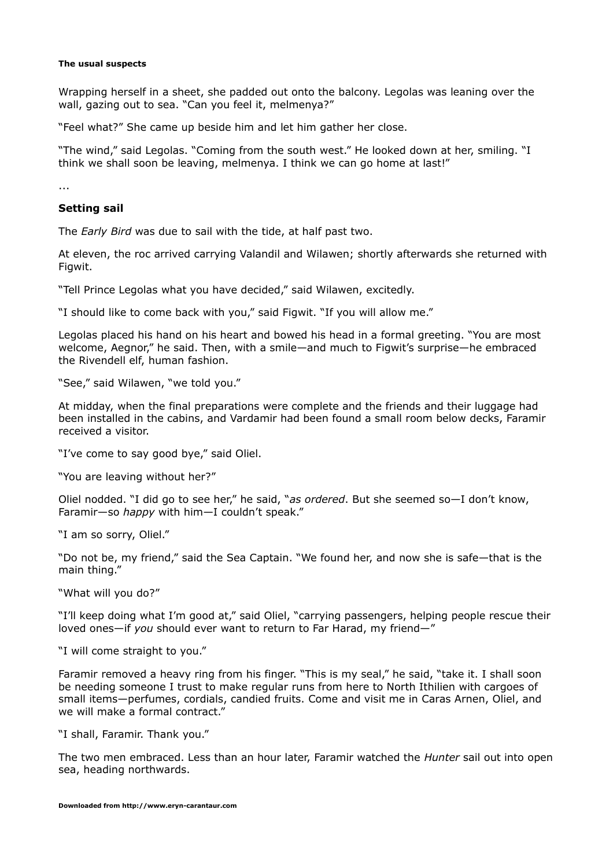Wrapping herself in a sheet, she padded out onto the balcony. Legolas was leaning over the wall, gazing out to sea. "Can you feel it, melmenya?"

"Feel what?" She came up beside him and let him gather her close.

"The wind," said Legolas. "Coming from the south west." He looked down at her, smiling. "I think we shall soon be leaving, melmenya. I think we can go home at last!"

...

## **Setting sail**

The *Early Bird* was due to sail with the tide, at half past two.

At eleven, the roc arrived carrying Valandil and Wilawen; shortly afterwards she returned with Figwit.

"Tell Prince Legolas what you have decided," said Wilawen, excitedly.

"I should like to come back with you," said Figwit. "If you will allow me."

Legolas placed his hand on his heart and bowed his head in a formal greeting. "You are most welcome, Aegnor," he said. Then, with a smile—and much to Figwit's surprise—he embraced the Rivendell elf, human fashion.

"See," said Wilawen, "we told you."

At midday, when the final preparations were complete and the friends and their luggage had been installed in the cabins, and Vardamir had been found a small room below decks, Faramir received a visitor.

"I've come to say good bye," said Oliel.

"You are leaving without her?"

Oliel nodded. "I did go to see her," he said, "*as ordered*. But she seemed so—I don't know, Faramir—so *happy* with him—I couldn't speak."

"I am so sorry, Oliel."

"Do not be, my friend," said the Sea Captain. "We found her, and now she is safe—that is the main thing."

"What will you do?"

"I'll keep doing what I'm good at," said Oliel, "carrying passengers, helping people rescue their loved ones—if *you* should ever want to return to Far Harad, my friend—"

"I will come straight to you."

Faramir removed a heavy ring from his finger. "This is my seal," he said, "take it. I shall soon be needing someone I trust to make regular runs from here to North Ithilien with cargoes of small items—perfumes, cordials, candied fruits. Come and visit me in Caras Arnen, Oliel, and we will make a formal contract."

"I shall, Faramir. Thank you."

The two men embraced. Less than an hour later, Faramir watched the *Hunter* sail out into open sea, heading northwards.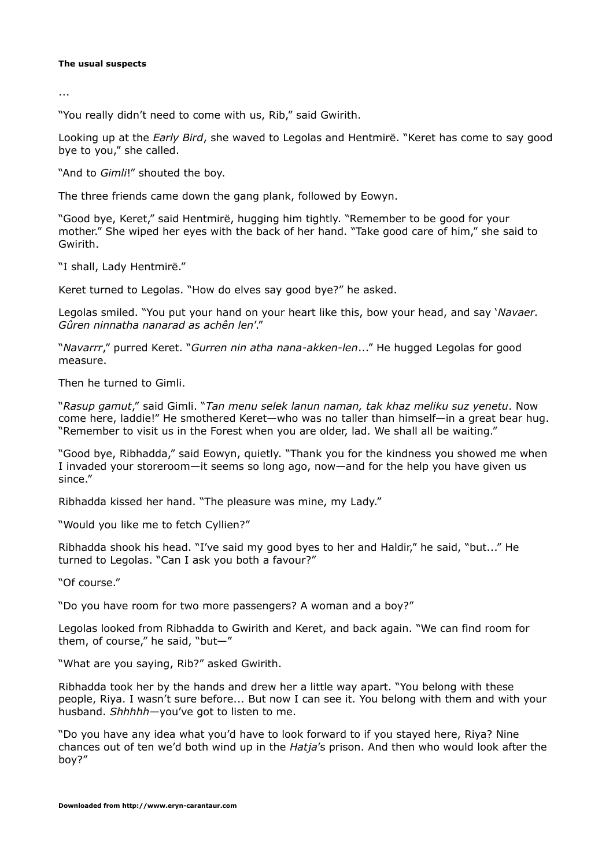...

"You really didn't need to come with us, Rib," said Gwirith.

Looking up at the *Early Bird*, she waved to Legolas and Hentmirë. "Keret has come to say good bye to you," she called.

"And to *Gimli*!" shouted the boy.

The three friends came down the gang plank, followed by Eowyn.

"Good bye, Keret," said Hentmirë, hugging him tightly. "Remember to be good for your mother." She wiped her eyes with the back of her hand. "Take good care of him," she said to Gwirith.

"I shall, Lady Hentmirë."

Keret turned to Legolas. "How do elves say good bye?" he asked.

Legolas smiled. "You put your hand on your heart like this, bow your head, and say '*Navaer. Gûren ninnatha nanarad as achên len*'."

"*Navarrr*," purred Keret. "*Gurren nin atha nana-akken-len*..." He hugged Legolas for good measure.

Then he turned to Gimli.

"*Rasup gamut*," said Gimli. "*Tan menu selek lanun naman, tak khaz meliku suz yenetu*. Now come here, laddie!" He smothered Keret—who was no taller than himself—in a great bear hug. "Remember to visit us in the Forest when you are older, lad. We shall all be waiting."

"Good bye, Ribhadda," said Eowyn, quietly. "Thank you for the kindness you showed me when I invaded your storeroom—it seems so long ago, now—and for the help you have given us since."

Ribhadda kissed her hand. "The pleasure was mine, my Lady."

"Would you like me to fetch Cyllien?"

Ribhadda shook his head. "I've said my good byes to her and Haldir," he said, "but..." He turned to Legolas. "Can I ask you both a favour?"

"Of course."

"Do you have room for two more passengers? A woman and a boy?"

Legolas looked from Ribhadda to Gwirith and Keret, and back again. "We can find room for them, of course," he said, "but—"

"What are you saying, Rib?" asked Gwirith.

Ribhadda took her by the hands and drew her a little way apart. "You belong with these people, Riya. I wasn't sure before... But now I can see it. You belong with them and with your husband. *Shhhhh*—you've got to listen to me.

"Do you have any idea what you'd have to look forward to if you stayed here, Riya? Nine chances out of ten we'd both wind up in the *Hatja*'s prison. And then who would look after the boy?"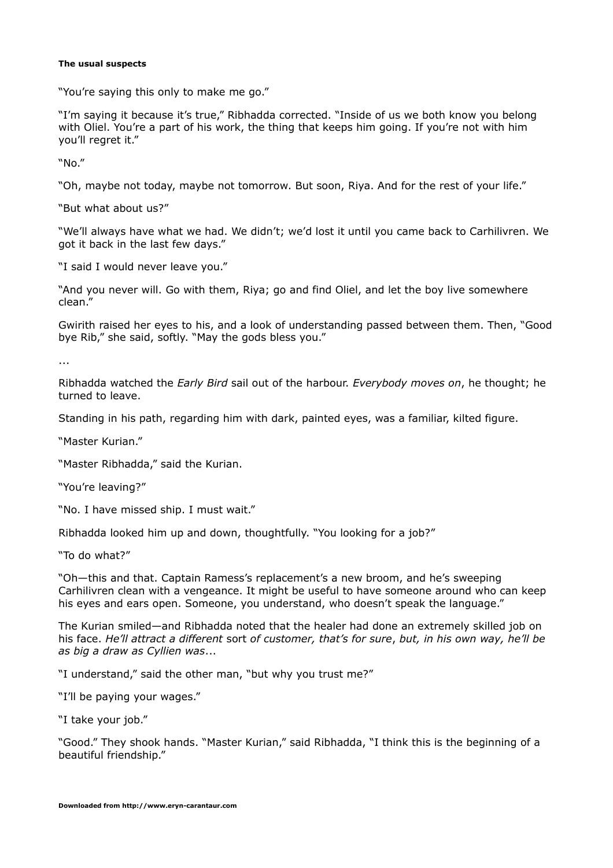"You're saying this only to make me go."

"I'm saying it because it's true," Ribhadda corrected. "Inside of us we both know you belong with Oliel. You're a part of his work, the thing that keeps him going. If you're not with him you'll regret it."

"No."

"Oh, maybe not today, maybe not tomorrow. But soon, Riya. And for the rest of your life."

"But what about us?"

"We'll always have what we had. We didn't; we'd lost it until you came back to Carhilivren. We got it back in the last few days."

"I said I would never leave you."

"And you never will. Go with them, Riya; go and find Oliel, and let the boy live somewhere clean."

Gwirith raised her eyes to his, and a look of understanding passed between them. Then, "Good bye Rib," she said, softly. "May the gods bless you."

...

Ribhadda watched the *Early Bird* sail out of the harbour. *Everybody moves on*, he thought; he turned to leave.

Standing in his path, regarding him with dark, painted eyes, was a familiar, kilted figure.

"Master Kurian."

"Master Ribhadda," said the Kurian.

"You're leaving?"

"No. I have missed ship. I must wait."

Ribhadda looked him up and down, thoughtfully. "You looking for a job?"

"To do what?"

"Oh—this and that. Captain Ramess's replacement's a new broom, and he's sweeping Carhilivren clean with a vengeance. It might be useful to have someone around who can keep his eyes and ears open. Someone, you understand, who doesn't speak the language."

The Kurian smiled—and Ribhadda noted that the healer had done an extremely skilled job on his face. *He'll attract a different* sort *of customer, that's for sure*, *but, in his own way, he'll be as big a draw as Cyllien was*...

"I understand," said the other man, "but why you trust me?"

"I'll be paying your wages."

"I take your job."

"Good." They shook hands. "Master Kurian," said Ribhadda, "I think this is the beginning of a beautiful friendship."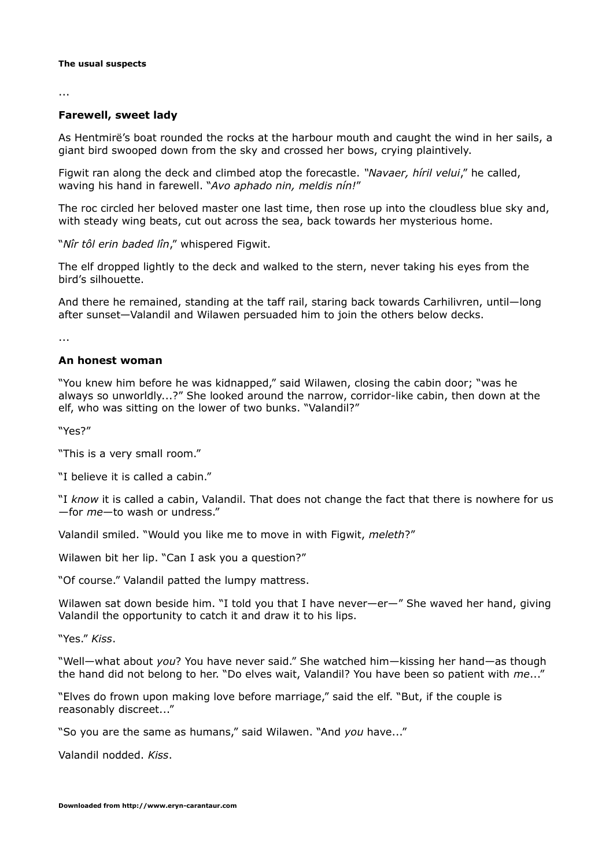...

### **Farewell, sweet lady**

As Hentmirë's boat rounded the rocks at the harbour mouth and caught the wind in her sails, a giant bird swooped down from the sky and crossed her bows, crying plaintively.

Figwit ran along the deck and climbed atop the forecastle. *"Navaer, híril velui*," he called, waving his hand in farewell. "*Avo aphado nin, meldis nín!*"

The roc circled her beloved master one last time, then rose up into the cloudless blue sky and, with steady wing beats, cut out across the sea, back towards her mysterious home.

"*Nîr tôl erin baded lîn*," whispered Figwit.

The elf dropped lightly to the deck and walked to the stern, never taking his eyes from the bird's silhouette.

And there he remained, standing at the taff rail, staring back towards Carhilivren, until—long after sunset—Valandil and Wilawen persuaded him to join the others below decks.

...

## **An honest woman**

"You knew him before he was kidnapped," said Wilawen, closing the cabin door; "was he always so unworldly...?" She looked around the narrow, corridor-like cabin, then down at the elf, who was sitting on the lower of two bunks. "Valandil?"

"Yes?"

"This is a very small room."

"I believe it is called a cabin."

"I *know* it is called a cabin, Valandil. That does not change the fact that there is nowhere for us —for *me*—to wash or undress."

Valandil smiled. "Would you like me to move in with Figwit, *meleth*?"

Wilawen bit her lip. "Can I ask you a question?"

"Of course." Valandil patted the lumpy mattress.

Wilawen sat down beside him. "I told you that I have never—er—" She waved her hand, giving Valandil the opportunity to catch it and draw it to his lips.

"Yes." *Kiss*.

"Well—what about *you*? You have never said." She watched him—kissing her hand—as though the hand did not belong to her. "Do elves wait, Valandil? You have been so patient with *me*..."

"Elves do frown upon making love before marriage," said the elf. "But, if the couple is reasonably discreet..."

"So you are the same as humans," said Wilawen. "And *you* have..."

Valandil nodded. *Kiss*.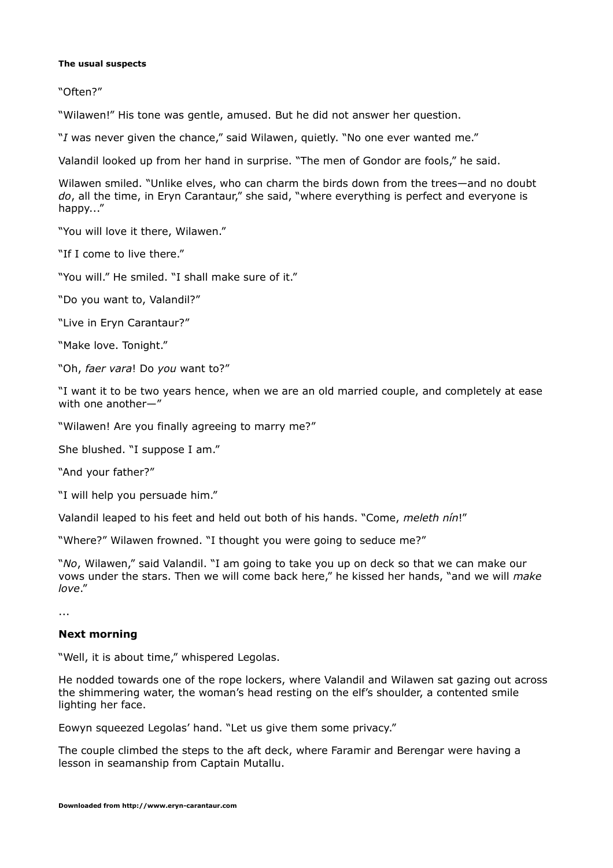"Often?"

"Wilawen!" His tone was gentle, amused. But he did not answer her question.

"*I* was never given the chance," said Wilawen, quietly. "No one ever wanted me."

Valandil looked up from her hand in surprise. "The men of Gondor are fools," he said.

Wilawen smiled. "Unlike elves, who can charm the birds down from the trees—and no doubt *do*, all the time, in Eryn Carantaur," she said, "where everything is perfect and everyone is happy..."

"You will love it there, Wilawen."

"If I come to live there."

"You will." He smiled. "I shall make sure of it."

"Do you want to, Valandil?"

"Live in Eryn Carantaur?"

"Make love. Tonight."

"Oh, *faer vara*! Do *you* want to?"

"I want it to be two years hence, when we are an old married couple, and completely at ease with one another—"

"Wilawen! Are you finally agreeing to marry me?"

She blushed. "I suppose I am."

"And your father?"

"I will help you persuade him."

Valandil leaped to his feet and held out both of his hands. "Come, *meleth nín*!"

"Where?" Wilawen frowned. "I thought you were going to seduce me?"

"*No*, Wilawen," said Valandil. "I am going to take you up on deck so that we can make our vows under the stars. Then we will come back here," he kissed her hands, "and we will *make love*."

...

## **Next morning**

"Well, it is about time," whispered Legolas.

He nodded towards one of the rope lockers, where Valandil and Wilawen sat gazing out across the shimmering water, the woman's head resting on the elf's shoulder, a contented smile lighting her face.

Eowyn squeezed Legolas' hand. "Let us give them some privacy."

The couple climbed the steps to the aft deck, where Faramir and Berengar were having a lesson in seamanship from Captain Mutallu.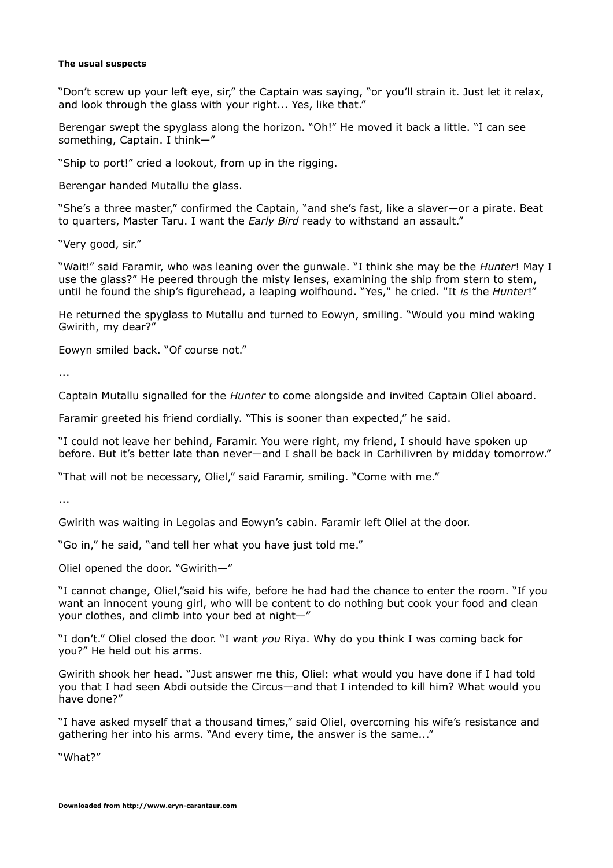"Don't screw up your left eye, sir," the Captain was saying, "or you'll strain it. Just let it relax, and look through the glass with your right... Yes, like that."

Berengar swept the spyglass along the horizon. "Oh!" He moved it back a little. "I can see something, Captain. I think—"

"Ship to port!" cried a lookout, from up in the rigging.

Berengar handed Mutallu the glass.

"She's a three master," confirmed the Captain, "and she's fast, like a slaver—or a pirate. Beat to quarters, Master Taru. I want the *Early Bird* ready to withstand an assault."

"Very good, sir."

"Wait!" said Faramir, who was leaning over the gunwale. "I think she may be the *Hunter*! May I use the glass?" He peered through the misty lenses, examining the ship from stern to stem, until he found the ship's figurehead, a leaping wolfhound. "Yes," he cried. "It *is* the *Hunter*!"

He returned the spyglass to Mutallu and turned to Eowyn, smiling. "Would you mind waking Gwirith, my dear?"

Eowyn smiled back. "Of course not."

...

Captain Mutallu signalled for the *Hunter* to come alongside and invited Captain Oliel aboard.

Faramir greeted his friend cordially. "This is sooner than expected," he said.

"I could not leave her behind, Faramir. You were right, my friend, I should have spoken up before. But it's better late than never—and I shall be back in Carhilivren by midday tomorrow."

"That will not be necessary, Oliel," said Faramir, smiling. "Come with me."

...

Gwirith was waiting in Legolas and Eowyn's cabin. Faramir left Oliel at the door.

"Go in," he said, "and tell her what you have just told me."

Oliel opened the door. "Gwirith—"

"I cannot change, Oliel,"said his wife, before he had had the chance to enter the room. "If you want an innocent young girl, who will be content to do nothing but cook your food and clean your clothes, and climb into your bed at night—"

"I don't." Oliel closed the door. "I want *you* Riya. Why do you think I was coming back for you?" He held out his arms.

Gwirith shook her head. "Just answer me this, Oliel: what would you have done if I had told you that I had seen Abdi outside the Circus—and that I intended to kill him? What would you have done?"

"I have asked myself that a thousand times," said Oliel, overcoming his wife's resistance and gathering her into his arms. "And every time, the answer is the same..."

"What?"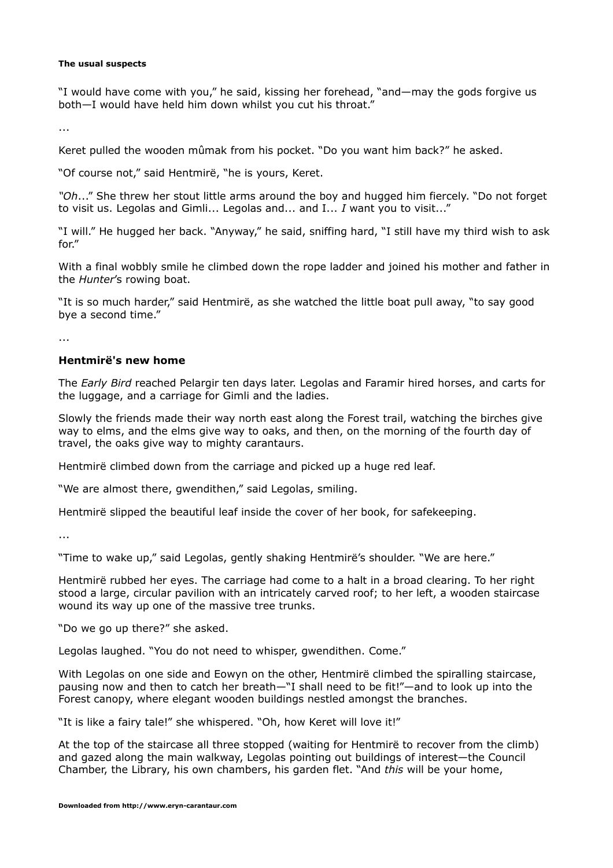"I would have come with you," he said, kissing her forehead, "and—may the gods forgive us both—I would have held him down whilst you cut his throat."

...

Keret pulled the wooden mûmak from his pocket. "Do you want him back?" he asked.

"Of course not," said Hentmirë, "he is yours, Keret.

*"Oh*..." She threw her stout little arms around the boy and hugged him fiercely. "Do not forget to visit us. Legolas and Gimli... Legolas and... and I... *I* want you to visit..."

"I will." He hugged her back. "Anyway," he said, sniffing hard, "I still have my third wish to ask for."

With a final wobbly smile he climbed down the rope ladder and joined his mother and father in the *Hunter*'s rowing boat.

"It is so much harder," said Hentmirë, as she watched the little boat pull away, "to say good bye a second time."

...

## **Hentmirë's new home**

The *Early Bird* reached Pelargir ten days later. Legolas and Faramir hired horses, and carts for the luggage, and a carriage for Gimli and the ladies.

Slowly the friends made their way north east along the Forest trail, watching the birches give way to elms, and the elms give way to oaks, and then, on the morning of the fourth day of travel, the oaks give way to mighty carantaurs.

Hentmirë climbed down from the carriage and picked up a huge red leaf.

"We are almost there, gwendithen," said Legolas, smiling.

Hentmirë slipped the beautiful leaf inside the cover of her book, for safekeeping.

...

"Time to wake up," said Legolas, gently shaking Hentmirë's shoulder. "We are here."

Hentmirë rubbed her eyes. The carriage had come to a halt in a broad clearing. To her right stood a large, circular pavilion with an intricately carved roof; to her left, a wooden staircase wound its way up one of the massive tree trunks.

"Do we go up there?" she asked.

Legolas laughed. "You do not need to whisper, gwendithen. Come."

With Legolas on one side and Eowyn on the other, Hentmirë climbed the spiralling staircase, pausing now and then to catch her breath—"I shall need to be fit!"—and to look up into the Forest canopy, where elegant wooden buildings nestled amongst the branches.

"It is like a fairy tale!" she whispered. "Oh, how Keret will love it!"

At the top of the staircase all three stopped (waiting for Hentmirë to recover from the climb) and gazed along the main walkway, Legolas pointing out buildings of interest—the Council Chamber, the Library, his own chambers, his garden flet. "And *this* will be your home,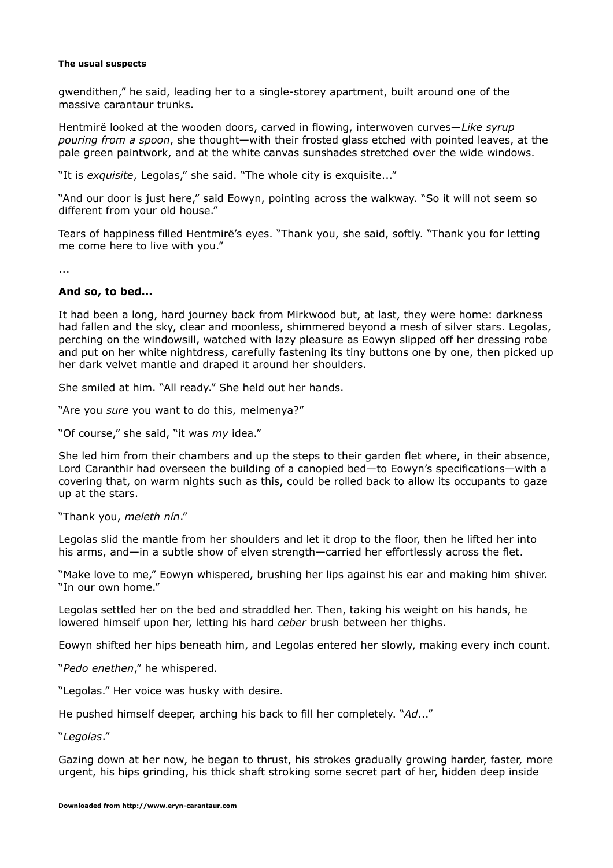gwendithen," he said, leading her to a single-storey apartment, built around one of the massive carantaur trunks.

Hentmirë looked at the wooden doors, carved in flowing, interwoven curves—*Like syrup pouring from a spoon*, she thought—with their frosted glass etched with pointed leaves, at the pale green paintwork, and at the white canvas sunshades stretched over the wide windows.

"It is *exquisite*, Legolas," she said. "The whole city is exquisite..."

"And our door is just here," said Eowyn, pointing across the walkway. "So it will not seem so different from your old house."

Tears of happiness filled Hentmirë's eyes. "Thank you, she said, softly. "Thank you for letting me come here to live with you."

...

## **And so, to bed...**

It had been a long, hard journey back from Mirkwood but, at last, they were home: darkness had fallen and the sky, clear and moonless, shimmered beyond a mesh of silver stars. Legolas, perching on the windowsill, watched with lazy pleasure as Eowyn slipped off her dressing robe and put on her white nightdress, carefully fastening its tiny buttons one by one, then picked up her dark velvet mantle and draped it around her shoulders.

She smiled at him. "All ready." She held out her hands.

"Are you *sure* you want to do this, melmenya?"

"Of course," she said, "it was *my* idea."

She led him from their chambers and up the steps to their garden flet where, in their absence, Lord Caranthir had overseen the building of a canopied bed—to Eowyn's specifications—with a covering that, on warm nights such as this, could be rolled back to allow its occupants to gaze up at the stars.

"Thank you, *meleth nín*."

Legolas slid the mantle from her shoulders and let it drop to the floor, then he lifted her into his arms, and—in a subtle show of elven strength—carried her effortlessly across the flet.

"Make love to me," Eowyn whispered, brushing her lips against his ear and making him shiver. "In our own home."

Legolas settled her on the bed and straddled her. Then, taking his weight on his hands, he lowered himself upon her, letting his hard *ceber* brush between her thighs.

Eowyn shifted her hips beneath him, and Legolas entered her slowly, making every inch count.

"*Pedo enethen*," he whispered.

"Legolas." Her voice was husky with desire.

He pushed himself deeper, arching his back to fill her completely. "*Ad*..."

"*Legolas*."

Gazing down at her now, he began to thrust, his strokes gradually growing harder, faster, more urgent, his hips grinding, his thick shaft stroking some secret part of her, hidden deep inside